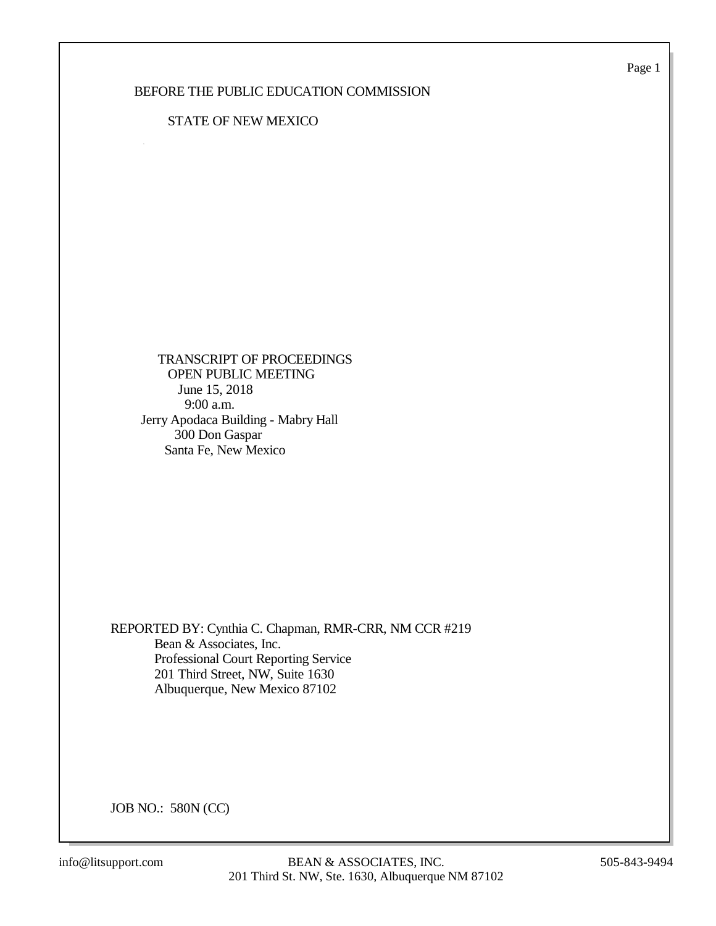Page 1

### BEFORE THE PUBLIC EDUCATION COMMISSION

### STATE OF NEW MEXICO

 TRANSCRIPT OF PROCEEDINGS OPEN PUBLIC MEETING June 15, 2018 9:00 a.m. Jerry Apodaca Building - Mabry Hall 300 Don Gaspar Santa Fe, New Mexico

REPORTED BY: Cynthia C. Chapman, RMR-CRR, NM CCR #219 Bean & Associates, Inc. Professional Court Reporting Service 201 Third Street, NW, Suite 1630 Albuquerque, New Mexico 87102

JOB NO.: 580N (CC)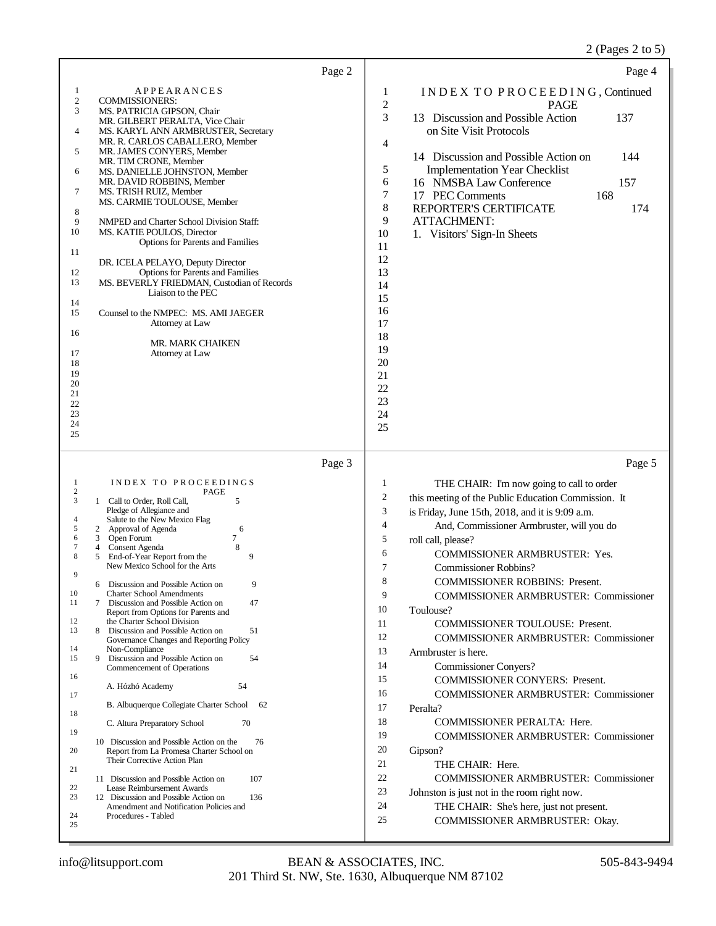# 2 (Pages 2 to 5)

| Page 2                                                                                                                                                                                                                                                                                                                                                                                                                                                                                                                                                                                                                                                                                                                                                                                                                                                                                                                                                                                                                                                                                                                                                                                                                                                               | Page 4                                                                                                                                                                                                                                                                                                                                                                                                                                                                                                                                                                                                                                                                                                                                                                                                                                                                                                                                                                                                                                         |
|----------------------------------------------------------------------------------------------------------------------------------------------------------------------------------------------------------------------------------------------------------------------------------------------------------------------------------------------------------------------------------------------------------------------------------------------------------------------------------------------------------------------------------------------------------------------------------------------------------------------------------------------------------------------------------------------------------------------------------------------------------------------------------------------------------------------------------------------------------------------------------------------------------------------------------------------------------------------------------------------------------------------------------------------------------------------------------------------------------------------------------------------------------------------------------------------------------------------------------------------------------------------|------------------------------------------------------------------------------------------------------------------------------------------------------------------------------------------------------------------------------------------------------------------------------------------------------------------------------------------------------------------------------------------------------------------------------------------------------------------------------------------------------------------------------------------------------------------------------------------------------------------------------------------------------------------------------------------------------------------------------------------------------------------------------------------------------------------------------------------------------------------------------------------------------------------------------------------------------------------------------------------------------------------------------------------------|
| APPEARANCES<br>1<br>$\overline{\mathbf{c}}$<br><b>COMMISSIONERS:</b><br>3<br>MS. PATRICIA GIPSON, Chair<br>MR. GILBERT PERALTA, Vice Chair<br>4<br>MS. KARYL ANN ARMBRUSTER, Secretary<br>MR. R. CARLOS CABALLERO, Member<br>MR. JAMES CONYERS, Member<br>5<br>MR. TIM CRONE, Member<br>MS. DANIELLE JOHNSTON, Member<br>6<br>MR. DAVID ROBBINS, Member<br>7<br>MS. TRISH RUIZ, Member<br>MS. CARMIE TOULOUSE, Member<br>8<br>9<br>NMPED and Charter School Division Staff:<br>10<br>MS. KATIE POULOS, Director<br><b>Options for Parents and Families</b><br>11<br>DR. ICELA PELAYO, Deputy Director<br>12<br><b>Options for Parents and Families</b><br>MS. BEVERLY FRIEDMAN, Custodian of Records<br>13<br>Liaison to the PEC<br>14<br>Counsel to the NMPEC: MS. AMI JAEGER<br>15<br>Attorney at Law<br>16<br><b>MR. MARK CHAIKEN</b><br>17<br>Attorney at Law<br>18<br>19<br>20<br>21<br>22<br>23<br>24<br>25                                                                                                                                                                                                                                                                                                                                                    | INDEX TO PROCEEDING, Continued<br>1<br>$\overline{c}$<br><b>PAGE</b><br>3<br>13 Discussion and Possible Action<br>137<br>on Site Visit Protocols<br>4<br>14 Discussion and Possible Action on<br>144<br>5<br><b>Implementation Year Checklist</b><br>6<br>16 NMSBA Law Conference<br>157<br>7<br>168<br>17 PEC Comments<br>8<br>REPORTER'S CERTIFICATE<br>174<br>9<br><b>ATTACHMENT:</b><br>10<br>1. Visitors' Sign-In Sheets<br>11<br>12<br>13<br>14<br>15<br>16<br>17<br>18<br>19<br>20<br>21<br>22<br>23<br>24<br>25                                                                                                                                                                                                                                                                                                                                                                                                                                                                                                                        |
| Page 3<br>INDEX TO PROCEEDINGS<br>1                                                                                                                                                                                                                                                                                                                                                                                                                                                                                                                                                                                                                                                                                                                                                                                                                                                                                                                                                                                                                                                                                                                                                                                                                                  | Page 5<br>1<br>THE CHAIR: I'm now going to call to order                                                                                                                                                                                                                                                                                                                                                                                                                                                                                                                                                                                                                                                                                                                                                                                                                                                                                                                                                                                       |
| $\boldsymbol{2}$<br>PAGE<br>3<br>1 Call to Order, Roll Call,<br>5<br>Pledge of Allegiance and<br>4<br>Salute to the New Mexico Flag<br>5<br>2 Approval of Agenda<br>6<br>6<br>3 Open Forum<br>7<br>8<br>7<br>Consent Agenda<br>4<br>8<br>5<br>End-of-Year Report from the<br>9<br>New Mexico School for the Arts<br>9<br>9<br>6 Discussion and Possible Action on<br>10<br><b>Charter School Amendments</b><br>11<br>Discussion and Possible Action on<br>47<br>7<br>Report from Options for Parents and<br>12<br>the Charter School Division<br>13<br>Discussion and Possible Action on<br>51<br>8<br>Governance Changes and Reporting Policy<br>14<br>Non-Compliance<br>Discussion and Possible Action on<br>15<br>9<br>54<br>Commencement of Operations<br>16<br>A. Hózhó Academy<br>54<br>17<br>B. Albuquerque Collegiate Charter School<br>62<br>18<br>C. Altura Preparatory School<br>70<br>19<br>10 Discussion and Possible Action on the<br>76<br>20<br>Report from La Promesa Charter School on<br>Their Corrective Action Plan<br>21<br>11 Discussion and Possible Action on<br>107<br>22<br>Lease Reimbursement Awards<br>23<br>12 Discussion and Possible Action on<br>136<br>Amendment and Notification Policies and<br>24<br>Procedures - Tabled<br>25 | $\overline{c}$<br>this meeting of the Public Education Commission. It<br>3<br>is Friday, June 15th, 2018, and it is 9:09 a.m.<br>$\overline{4}$<br>And, Commissioner Armbruster, will you do<br>5<br>roll call, please?<br>6<br><b>COMMISSIONER ARMBRUSTER: Yes.</b><br>7<br><b>Commissioner Robbins?</b><br>8<br><b>COMMISSIONER ROBBINS: Present.</b><br>9<br><b>COMMISSIONER ARMBRUSTER: Commissioner</b><br>10<br>Toulouse?<br>11<br>COMMISSIONER TOULOUSE: Present.<br>12<br>COMMISSIONER ARMBRUSTER: Commissioner<br>13<br>Armbruster is here.<br>14<br><b>Commissioner Conyers?</b><br>15<br>COMMISSIONER CONYERS: Present.<br>16<br><b>COMMISSIONER ARMBRUSTER: Commissioner</b><br>17<br>Peralta?<br>18<br>COMMISSIONER PERALTA: Here.<br>19<br><b>COMMISSIONER ARMBRUSTER: Commissioner</b><br>20<br>Gipson?<br>21<br>THE CHAIR: Here.<br>22<br>COMMISSIONER ARMBRUSTER: Commissioner<br>23<br>Johnston is just not in the room right now.<br>24<br>THE CHAIR: She's here, just not present.<br>25<br>COMMISSIONER ARMBRUSTER: Okay. |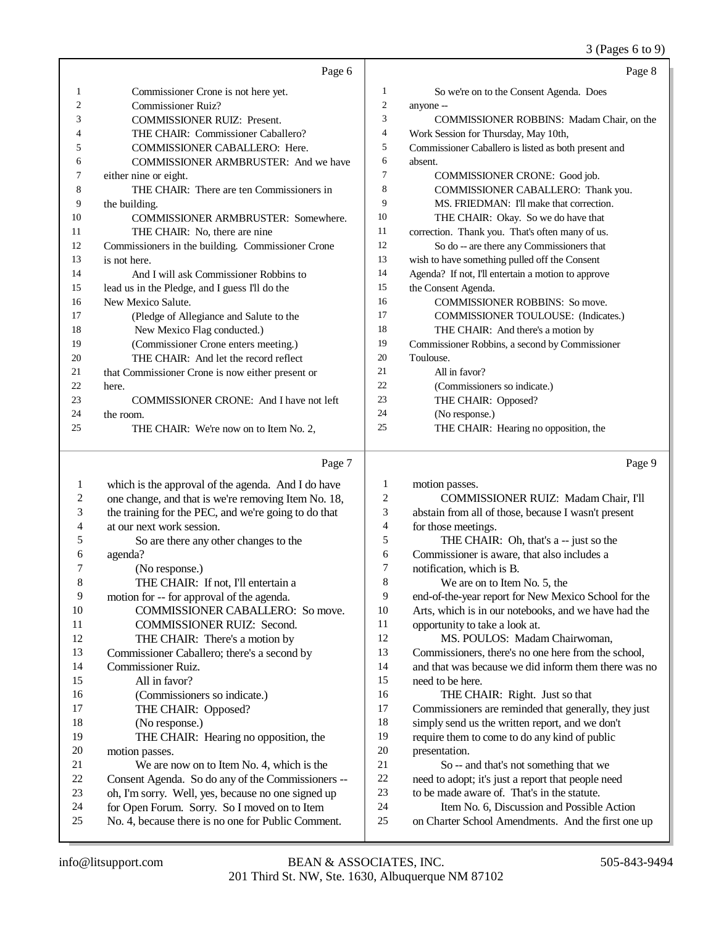#### 3 (Pages 6 to 9)

|    | Page 6                                            |                | Page 8                                               |
|----|---------------------------------------------------|----------------|------------------------------------------------------|
| 1  | Commissioner Crone is not here yet.               | 1              | So we're on to the Consent Agenda. Does              |
| 2  | <b>Commissioner Ruiz?</b>                         | $\overline{2}$ | anyone --                                            |
| 3  | <b>COMMISSIONER RUIZ: Present.</b>                | 3              | COMMISSIONER ROBBINS: Madam Chair, on the            |
| 4  | THE CHAIR: Commissioner Caballero?                | 4              | Work Session for Thursday, May 10th,                 |
| 5  | <b>COMMISSIONER CABALLERO: Here.</b>              | 5              | Commissioner Caballero is listed as both present and |
| 6  | <b>COMMISSIONER ARMBRUSTER: And we have</b>       | 6              | absent.                                              |
| 7  | either nine or eight.                             | 7              | <b>COMMISSIONER CRONE:</b> Good job.                 |
| 8  | THE CHAIR: There are ten Commissioners in         | 8              | COMMISSIONER CABALLERO: Thank you.                   |
| 9  | the building.                                     | 9              | MS. FRIEDMAN: I'll make that correction.             |
| 10 | COMMISSIONER ARMBRUSTER: Somewhere.               | 10             | THE CHAIR: Okay. So we do have that                  |
| 11 | THE CHAIR: No, there are nine                     | 11             | correction. Thank you. That's often many of us.      |
| 12 | Commissioners in the building. Commissioner Crone | 12             | So do -- are there any Commissioners that            |
| 13 | is not here.                                      | 13             | wish to have something pulled off the Consent        |
| 14 | And I will ask Commissioner Robbins to            | 14             | Agenda? If not, I'll entertain a motion to approve   |
| 15 | lead us in the Pledge, and I guess I'll do the    | 15             | the Consent Agenda.                                  |
| 16 | New Mexico Salute.                                | 16             | <b>COMMISSIONER ROBBINS: So move.</b>                |
| 17 | (Pledge of Allegiance and Salute to the           | 17             | <b>COMMISSIONER TOULOUSE:</b> (Indicates.)           |
| 18 | New Mexico Flag conducted.)                       | 18             | THE CHAIR: And there's a motion by                   |
| 19 | (Commissioner Crone enters meeting.)              | 19             | Commissioner Robbins, a second by Commissioner       |
| 20 | THE CHAIR: And let the record reflect             | 20             | Toulouse.                                            |
| 21 | that Commissioner Crone is now either present or  | 21             | All in favor?                                        |
| 22 | here.                                             | 22             | (Commissioners so indicate.)                         |
| 23 | <b>COMMISSIONER CRONE:</b> And I have not left    | 23             | THE CHAIR: Opposed?                                  |
| 24 | the room.                                         | 24             | (No response.)                                       |
| 25 | THE CHAIR: We're now on to Item No. 2.            | 25             | THE CHAIR: Hearing no opposition, the                |

Page 7 which is the approval of the agenda. And I do have 2 one change, and that is we're removing Item No. 18,<br>3 the training for the PEC, and we're going to do that the training for the PEC, and we're going to do that at our next work session. 5 So are there any other changes to the agenda?  $\frac{6}{7}$  agenda? 7 (No response.)<br>8 THE CHAIR THE CHAIR: If not, I'll entertain a 9 motion for -- for approval of the agenda.<br>10 COMMISSIONER CABALLERC 10 COMMISSIONER CABALLERO: So move.<br>11 COMMISSIONER RUIZ: Second. 11 COMMISSIONER RUIZ: Second.<br>12 THE CHAIR: There's a motion by THE CHAIR: There's a motion by Commissioner Caballero; there's a second by Commissioner Ruiz. All in favor? 16 (Commissioners so indicate.)<br>17 THE CHAIR: Opposed? THE CHAIR: Opposed? 18 (No response.)<br>19 THE CHAIR THE CHAIR: Hearing no opposition, the 20 motion passes.<br>21 We are n 21 We are now on to Item No. 4, which is the<br>22 Consent Agenda. So do any of the Commissioner 22 Consent Agenda. So do any of the Commissioners --<br>23 oh. I'm sorry. Well. ves. because no one signed up oh, I'm sorry. Well, yes, because no one signed up 24 for Open Forum. Sorry. So I moved on to Item<br>25 No. 4, because there is no one for Public Comm No. 4, because there is no one for Public Comment. Page 9 motion passes. COMMISSIONER RUIZ: Madam Chair, I'll abstain from all of those, because I wasn't present for those meetings. THE CHAIR: Oh, that's a -- just so the Commissioner is aware, that also includes a notification, which is B. We are on to Item No. 5, the end-of-the-year report for New Mexico School for the Arts, which is in our notebooks, and we have had the opportunity to take a look at. MS. POULOS: Madam Chairwoman, Commissioners, there's no one here from the school, and that was because we did inform them there was no need to be here. THE CHAIR: Right. Just so that Commissioners are reminded that generally, they just simply send us the written report, and we don't require them to come to do any kind of public 20 presentation.<br>21 So -- a So -- and that's not something that we need to adopt; it's just a report that people need to be made aware of. That's in the statute. Item No. 6, Discussion and Possible Action on Charter School Amendments. And the first one up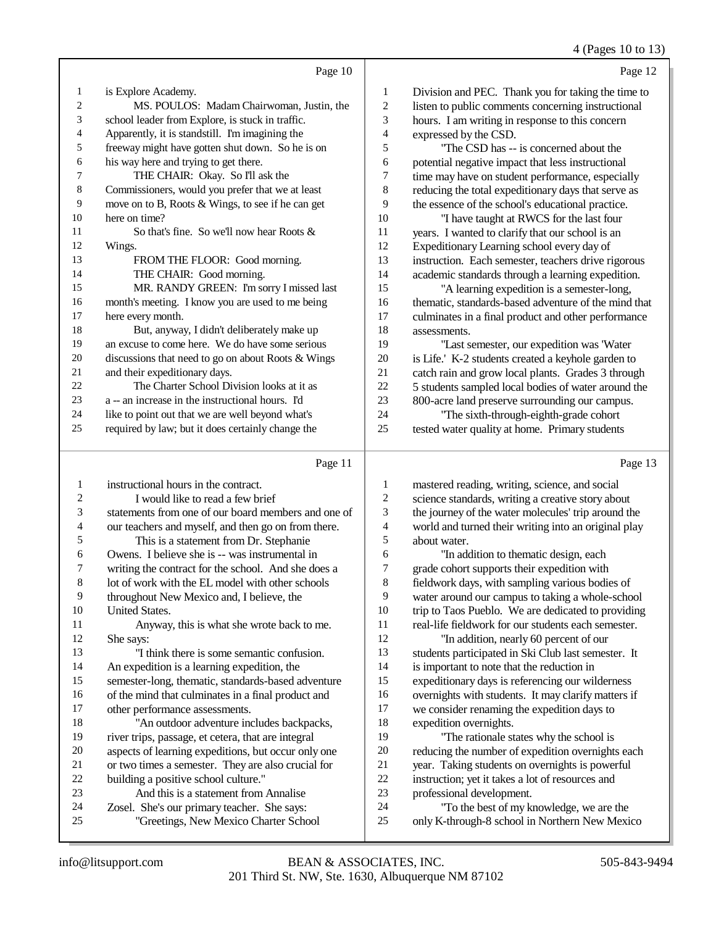4 (Pages 10 to 13)

| Page 10                                            |                                                                                                                                                                                     | Page 12                                              |
|----------------------------------------------------|-------------------------------------------------------------------------------------------------------------------------------------------------------------------------------------|------------------------------------------------------|
| is Explore Academy.                                | 1                                                                                                                                                                                   | Division and PEC. Thank you for taking the time to   |
| MS. POULOS: Madam Chairwoman, Justin, the          | 2                                                                                                                                                                                   | listen to public comments concerning instructional   |
|                                                    | 3                                                                                                                                                                                   | hours. I am writing in response to this concern      |
| Apparently, it is standstill. I'm imagining the    | 4                                                                                                                                                                                   | expressed by the CSD.                                |
| freeway might have gotten shut down. So he is on   | 5                                                                                                                                                                                   | "The CSD has -- is concerned about the               |
| his way here and trying to get there.              | 6                                                                                                                                                                                   | potential negative impact that less instructional    |
| THE CHAIR: Okay. So I'll ask the                   | 7                                                                                                                                                                                   | time may have on student performance, especially     |
| Commissioners, would you prefer that we at least   | 8                                                                                                                                                                                   | reducing the total expeditionary days that serve as  |
| move on to B, Roots & Wings, to see if he can get  | 9                                                                                                                                                                                   | the essence of the school's educational practice.    |
| here on time?                                      | 10                                                                                                                                                                                  | "I have taught at RWCS for the last four             |
| So that's fine. So we'll now hear Roots $\&$       | 11                                                                                                                                                                                  | years. I wanted to clarify that our school is an     |
| Wings.                                             | 12                                                                                                                                                                                  | Expeditionary Learning school every day of           |
| FROM THE FLOOR: Good morning.                      | 13                                                                                                                                                                                  | instruction. Each semester, teachers drive rigorous  |
| THE CHAIR: Good morning.                           | 14                                                                                                                                                                                  | academic standards through a learning expedition.    |
| MR. RANDY GREEN: I'm sorry I missed last           | 15                                                                                                                                                                                  | "A learning expedition is a semester-long,           |
|                                                    | 16                                                                                                                                                                                  | thematic, standards-based adventure of the mind that |
| here every month.                                  | 17                                                                                                                                                                                  | culminates in a final product and other performance  |
|                                                    | 18                                                                                                                                                                                  | assessments.                                         |
| an excuse to come here. We do have some serious    | 19                                                                                                                                                                                  | "Last semester, our expedition was 'Water            |
| discussions that need to go on about Roots & Wings | 20                                                                                                                                                                                  | is Life.' K-2 students created a keyhole garden to   |
|                                                    | 21                                                                                                                                                                                  | catch rain and grow local plants. Grades 3 through   |
| The Charter School Division looks at it as         | 22                                                                                                                                                                                  | 5 students sampled local bodies of water around the  |
| a -- an increase in the instructional hours. I'd   | 23                                                                                                                                                                                  | 800-acre land preserve surrounding our campus.       |
| like to point out that we are well beyond what's   | 24                                                                                                                                                                                  | "The sixth-through-eighth-grade cohort               |
| required by law; but it does certainly change the  | 25                                                                                                                                                                                  | tested water quality at home. Primary students       |
|                                                    |                                                                                                                                                                                     |                                                      |
|                                                    | school leader from Explore, is stuck in traffic.<br>month's meeting. I know you are used to me being<br>But, anyway, I didn't deliberately make up<br>and their expeditionary days. |                                                      |

# $\overline{p_{\text{max}} 11}$

|    | Page 11                                             |                | rage.                                                |
|----|-----------------------------------------------------|----------------|------------------------------------------------------|
| 1  | instructional hours in the contract.                | 1              | mastered reading, writing, science, and social       |
| 2  | I would like to read a few brief                    | $\overline{c}$ | science standards, writing a creative story about    |
| 3  | statements from one of our board members and one of | 3              | the journey of the water molecules' trip around the  |
| 4  | our teachers and myself, and then go on from there. | $\overline{4}$ | world and turned their writing into an original play |
| 5  | This is a statement from Dr. Stephanie              | 5              | about water.                                         |
| 6  | Owens. I believe she is -- was instrumental in      | 6              | "In addition to the matic design, each               |
| 7  | writing the contract for the school. And she does a | 7              | grade cohort supports their expedition with          |
| 8  | lot of work with the EL model with other schools    | 8              | fieldwork days, with sampling various bodies of      |
| 9  | throughout New Mexico and, I believe, the           | 9              | water around our campus to taking a whole-school     |
| 10 | <b>United States.</b>                               | 10             | trip to Taos Pueblo. We are dedicated to providing   |
| 11 | Anyway, this is what she wrote back to me.          | 11             | real-life fieldwork for our students each semester.  |
| 12 | She says:                                           | 12             | "In addition, nearly 60 percent of our               |
| 13 | "I think there is some semantic confusion.          | 13             | students participated in Ski Club last semester. It  |
| 14 | An expedition is a learning expedition, the         | 14             | is important to note that the reduction in           |
| 15 | semester-long, thematic, standards-based adventure  | 15             | expeditionary days is referencing our wilderness     |
| 16 | of the mind that culminates in a final product and  | 16             | overnights with students. It may clarify matters if  |
| 17 | other performance assessments.                      | 17             | we consider renaming the expedition days to          |
| 18 | "An outdoor adventure includes backpacks,           | 18             | expedition overnights.                               |
| 19 | river trips, passage, et cetera, that are integral  | 19             | "The rationale states why the school is              |
| 20 | aspects of learning expeditions, but occur only one | 20             | reducing the number of expedition overnights each    |
| 21 | or two times a semester. They are also crucial for  | 21             | year. Taking students on overnights is powerful      |
| 22 | building a positive school culture."                | 22             | instruction; yet it takes a lot of resources and     |
| 23 | And this is a statement from Annalise               | 23             | professional development.                            |
| 24 | Zosel. She's our primary teacher. She says:         | 24             | "To the best of my knowledge, we are the             |
| 25 | "Greetings, New Mexico Charter School               | 25             | only K-through-8 school in Northern New Mexico       |
|    |                                                     |                |                                                      |

 $10\,$ 

Page 13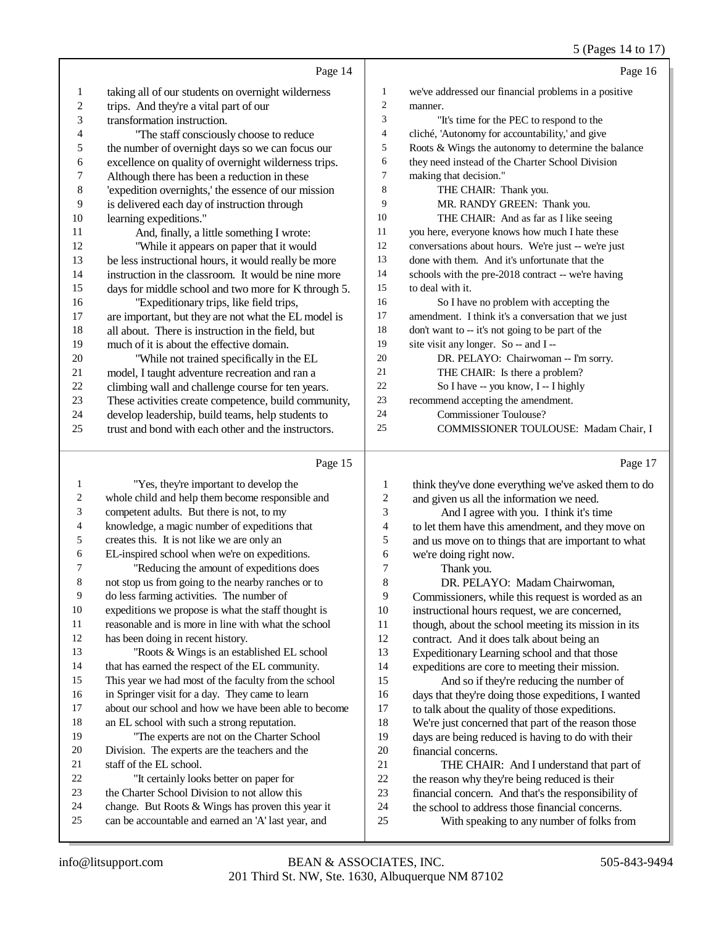|                          |                                                      |                          | 5 (Pages 14 to 17)                                   |
|--------------------------|------------------------------------------------------|--------------------------|------------------------------------------------------|
|                          | Page 14                                              |                          | Page 16                                              |
| 1                        | taking all of our students on overnight wilderness   | 1                        | we've addressed our financial problems in a positive |
| 2                        | trips. And they're a vital part of our               | $\overline{c}$           | manner.                                              |
| 3                        | transformation instruction.                          | 3                        | "It's time for the PEC to respond to the             |
| $\overline{\mathcal{A}}$ | "The staff consciously choose to reduce              | 4                        | cliché, 'Autonomy for accountability,' and give      |
| 5                        | the number of overnight days so we can focus our     | 5                        | Roots & Wings the autonomy to determine the balance  |
| 6                        | excellence on quality of overnight wilderness trips. | 6                        | they need instead of the Charter School Division     |
| 7                        | Although there has been a reduction in these         | 7                        | making that decision."                               |
| $\,8\,$                  | 'expedition overnights,' the essence of our mission  | 8                        | THE CHAIR: Thank you.                                |
| 9                        | is delivered each day of instruction through         | 9                        | MR. RANDY GREEN: Thank you.                          |
| $10\,$                   | learning expeditions."                               | 10                       | THE CHAIR: And as far as I like seeing               |
| 11                       | And, finally, a little something I wrote:            | 11                       | you here, everyone knows how much I hate these       |
| 12                       | "While it appears on paper that it would             | 12                       | conversations about hours. We're just -- we're just  |
| 13                       | be less instructional hours, it would really be more | 13                       | done with them. And it's unfortunate that the        |
| 14                       | instruction in the classroom. It would be nine more  | 14                       | schools with the pre-2018 contract -- we're having   |
| 15                       | days for middle school and two more for K through 5. | 15                       | to deal with it.                                     |
| 16                       | "Expeditionary trips, like field trips,              | 16                       | So I have no problem with accepting the              |
| 17                       | are important, but they are not what the EL model is | 17                       | amendment. I think it's a conversation that we just  |
| 18                       | all about. There is instruction in the field, but    | 18                       | don't want to -- it's not going to be part of the    |
| 19                       | much of it is about the effective domain.            | 19                       | site visit any longer. So -- and I --                |
| $20\,$                   | "While not trained specifically in the EL            | 20                       | DR. PELAYO: Chairwoman -- I'm sorry.                 |
| 21                       | model, I taught adventure recreation and ran a       | 21                       | THE CHAIR: Is there a problem?                       |
| $22\,$                   | climbing wall and challenge course for ten years.    | 22                       | So I have -- you know, I -- I highly                 |
| 23                       | These activities create competence, build community, | 23                       | recommend accepting the amendment.                   |
| 24                       | develop leadership, build teams, help students to    | 24                       | <b>Commissioner Toulouse?</b>                        |
| 25                       | trust and bond with each other and the instructors.  | 25                       | COMMISSIONER TOULOUSE: Madam Chair, I                |
|                          | Page 15                                              |                          | Page 17                                              |
| $\mathbf{1}$             | "Yes, they're important to develop the               | $\mathbf{1}$             | think they've done everything we've asked them to do |
| 2                        | whole child and help them become responsible and     | $\sqrt{2}$               | and given us all the information we need.            |
| 3                        | competent adults. But there is not, to my            | 3                        | And I agree with you. I think it's time              |
| 4                        | knowledge, a magic number of expeditions that        | $\overline{\mathcal{A}}$ | to let them have this amendment, and they move on    |
| 5                        | creates this. It is not like we are only an          | 5                        | and us move on to things that are important to what  |
| 6                        | EL-inspired school when we're on expeditions.        | 6                        | we're doing right now.                               |
| 7                        | "Reducing the amount of expeditions does             | $\overline{7}$           | Thank you.                                           |
| 8                        | not stop us from going to the nearby ranches or to   | 8                        | DR. PELAYO: Madam Chairwoman,                        |
| 9                        | do less farming activities. The number of            | 9                        | Commissioners, while this request is worded as an    |
| 10                       | expeditions we propose is what the staff thought is  | 10                       | instructional hours request, we are concerned,       |
| 11                       | reasonable and is more in line with what the school  | 11                       | though, about the school meeting its mission in its  |
| 12                       | has been doing in recent history.                    | 12                       | contract. And it does talk about being an            |
| 13                       | "Roots & Wings is an established EL school           | 13                       | Expeditionary Learning school and that those         |
| 14                       | that has earned the respect of the EL community.     | 14                       | expeditions are core to meeting their mission.       |
| 15                       | This year we had most of the faculty from the school | 15                       | And so if they're reducing the number of             |
| 16                       | in Springer visit for a day. They came to learn      | 16                       | days that they're doing those expeditions, I wanted  |
| 17                       | about our school and how we have been able to become | 17                       | to talk about the quality of those expeditions.      |
| 18                       | an EL school with such a strong reputation.          | 18                       | We're just concerned that part of the reason those   |
| 19                       | "The experts are not on the Charter School           | 19                       | days are being reduced is having to do with their    |
|                          |                                                      |                          |                                                      |

- "The experts are not on the Charter School Division. The experts are the teachers and the
- staff of the EL school. "It certainly looks better on paper for
- the Charter School Division to not allow this
- change. But Roots & Wings has proven this year it
- can be accountable and earned an 'A' last year, and
- 22 the reason why they're being reduced is their<br>23 financial concern. And that's the responsibili 23 financial concern. And that's the responsibility of<br>24 the school to address those financial concerns.

21 THE CHAIR: And I understand that part of<br>22 the reason why they're being reduced is their

20 financial concerns.<br>21 THE CHAIR

24 the school to address those financial concerns.<br>25 With speaking to any number of folks from With speaking to any number of folks from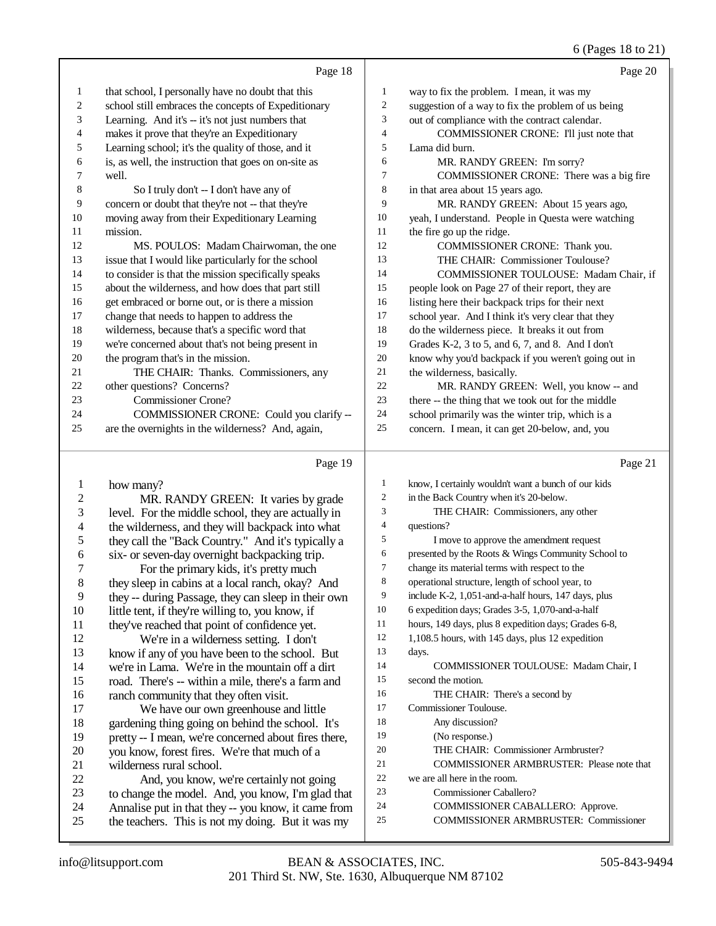### $(P<sub>300</sub> \approx 18$  to 21)

|                          |                                                                          |                | $0$ (rages to $0$ $\angle$ 1)                               |
|--------------------------|--------------------------------------------------------------------------|----------------|-------------------------------------------------------------|
|                          | Page 18                                                                  |                | Page 20                                                     |
| 1                        | that school, I personally have no doubt that this                        | 1              | way to fix the problem. I mean, it was my                   |
| $\boldsymbol{2}$         | school still embraces the concepts of Expeditionary                      | $\overline{c}$ | suggestion of a way to fix the problem of us being          |
| 3                        | Learning. And it's -- it's not just numbers that                         | 3              | out of compliance with the contract calendar.               |
| 4                        | makes it prove that they're an Expeditionary                             | 4              | COMMISSIONER CRONE: I'll just note that                     |
| 5                        | Learning school; it's the quality of those, and it                       | 5              | Lama did burn.                                              |
| 6                        | is, as well, the instruction that goes on on-site as                     | 6              | MR. RANDY GREEN: I'm sorry?                                 |
| 7                        | well.                                                                    | 7              | COMMISSIONER CRONE: There was a big fire                    |
| $\,$ 8 $\,$              | So I truly don't -- I don't have any of                                  | 8              | in that area about 15 years ago.                            |
| 9                        | concern or doubt that they're not -- that they're                        | 9              | MR. RANDY GREEN: About 15 years ago,                        |
| $10\,$                   | moving away from their Expeditionary Learning                            | 10             | yeah, I understand. People in Questa were watching          |
| 11                       | mission.                                                                 | 11             | the fire go up the ridge.                                   |
| 12                       | MS. POULOS: Madam Chairwoman, the one                                    | 12             | COMMISSIONER CRONE: Thank you.                              |
| 13                       | issue that I would like particularly for the school                      | 13             | THE CHAIR: Commissioner Toulouse?                           |
| 14                       | to consider is that the mission specifically speaks                      | 14             | COMMISSIONER TOULOUSE: Madam Chair, if                      |
| 15                       | about the wilderness, and how does that part still                       | 15             | people look on Page 27 of their report, they are            |
| 16                       | get embraced or borne out, or is there a mission                         | 16             | listing here their backpack trips for their next            |
| 17                       | change that needs to happen to address the                               | 17             | school year. And I think it's very clear that they          |
| $18\,$                   | wilderness, because that's a specific word that                          | 18             | do the wilderness piece. It breaks it out from              |
| 19                       | we're concerned about that's not being present in                        | 19             | Grades K-2, 3 to 5, and 6, 7, and 8. And I don't            |
| $20\,$                   | the program that's in the mission.                                       | 20             | know why you'd backpack if you weren't going out in         |
| 21                       | THE CHAIR: Thanks. Commissioners, any                                    | $21\,$         | the wilderness, basically.                                  |
| 22                       | other questions? Concerns?                                               | 22             | MR. RANDY GREEN: Well, you know -- and                      |
| 23                       | <b>Commissioner Crone?</b>                                               | $23\,$         | there -- the thing that we took out for the middle          |
| 24                       | COMMISSIONER CRONE: Could you clarify --                                 | $24\,$         | school primarily was the winter trip, which is a            |
| 25                       | are the overnights in the wilderness? And, again,                        | 25             | concern. I mean, it can get 20-below, and, you              |
|                          |                                                                          |                |                                                             |
|                          | Page 19                                                                  |                | Page 21                                                     |
| $\mathbf{1}$             | how many?                                                                | $\mathbf{1}$   | know, I certainly wouldn't want a bunch of our kids         |
| $\boldsymbol{2}$         | MR. RANDY GREEN: It varies by grade                                      | $\overline{c}$ | in the Back Country when it's 20-below.                     |
| $\mathfrak{Z}$           | level. For the middle school, they are actually in                       | 3              | THE CHAIR: Commissioners, any other                         |
| $\overline{\mathcal{A}}$ | the wilderness, and they will backpack into what                         | $\overline{4}$ | questions?                                                  |
| 5                        | they call the "Back Country." And it's typically a                       | 5              | I move to approve the amendment request                     |
| 6                        | six- or seven-day overnight backpacking trip.                            | 6              | presented by the Roots & Wings Community School to          |
| 7                        | For the primary kids, it's pretty much                                   | $\overline{7}$ | change its material terms with respect to the               |
| 8                        | they sleep in cabins at a local ranch, okay? And                         | 8              | operational structure, length of school year, to            |
| 9                        | they -- during Passage, they can sleep in their own                      | 9              | include K-2, 1,051-and-a-half hours, 147 days, plus         |
| 10                       | little tent, if they're willing to, you know, if                         | 10             | 6 expedition days; Grades 3-5, 1,070-and-a-half             |
| 11                       | they've reached that point of confidence yet.                            | 11<br>12       | hours, 149 days, plus 8 expedition days; Grades 6-8,        |
| 12                       | We're in a wilderness setting. I don't                                   | 13             | 1,108.5 hours, with 145 days, plus 12 expedition            |
| 13                       | know if any of you have been to the school. But                          | 14             | days.                                                       |
| 14                       | we're in Lama. We're in the mountain off a dirt                          | 15             | COMMISSIONER TOULOUSE: Madam Chair, I<br>second the motion. |
| 15                       | road. There's -- within a mile, there's a farm and                       | 16             |                                                             |
| 16                       | ranch community that they often visit.                                   | 17             | THE CHAIR: There's a second by<br>Commissioner Toulouse.    |
| 17                       | We have our own greenhouse and little                                    | 18             | Any discussion?                                             |
| 18<br>19                 | gardening thing going on behind the school. It's                         | 19             | (No response.)                                              |
| $20\,$                   | pretty -- I mean, we're concerned about fires there,                     | 20             | THE CHAIR: Commissioner Armbruster?                         |
| 21                       | you know, forest fires. We're that much of a<br>wilderness rural school. | 21             | COMMISSIONER ARMBRUSTER: Please note that                   |
| $22\,$                   | And, you know, we're certainly not going                                 | 22             | we are all here in the room.                                |
| 23                       | to change the model. And, you know, I'm glad that                        | 23             | Commissioner Caballero?                                     |
|                          |                                                                          |                |                                                             |

- we are all here in the room.
- Commissioner Caballero?
- COMMISSIONER CABALLERO: Approve.
- COMMISSIONER ARMBRUSTER: Commissioner

23 to change the model. And, you know, I'm glad that<br>24 Annalise put in that they -- you know, it came from Annalise put in that they -- you know, it came from the teachers. This is not my doing. But it was my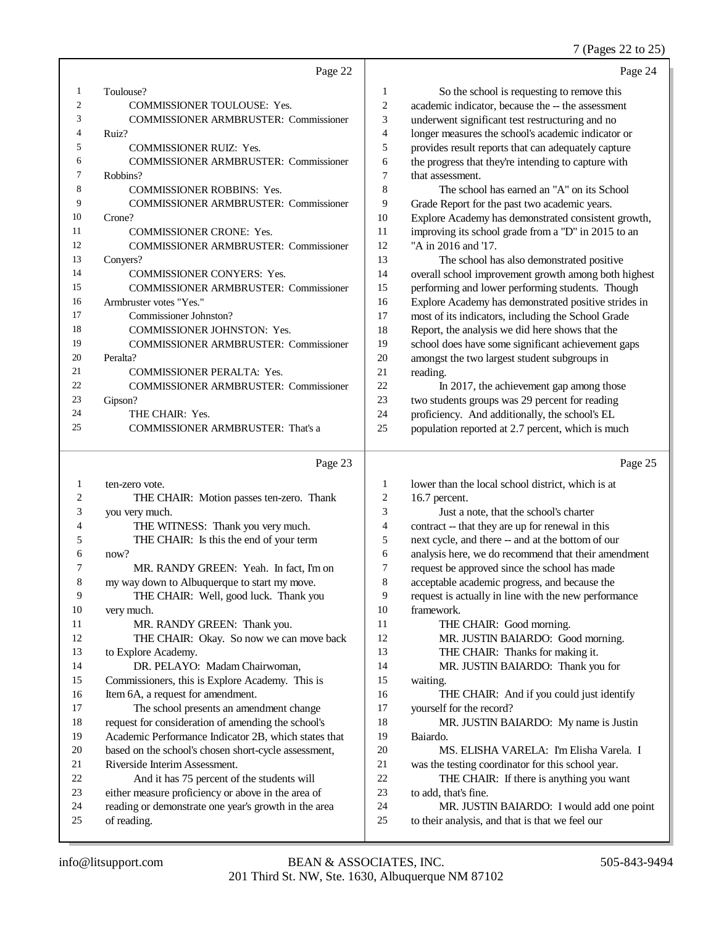### 7 (Pages 22 to 25)

|                | Page 22                                                                                                    |        | Page 24                                                                                               |
|----------------|------------------------------------------------------------------------------------------------------------|--------|-------------------------------------------------------------------------------------------------------|
| 1              | Toulouse?                                                                                                  | 1      | So the school is requesting to remove this                                                            |
| $\overline{c}$ | <b>COMMISSIONER TOULOUSE: Yes.</b>                                                                         | 2      | academic indicator, because the -- the assessment                                                     |
| 3              | COMMISSIONER ARMBRUSTER: Commissioner                                                                      | 3      | underwent significant test restructuring and no                                                       |
| 4              | Ruiz?                                                                                                      | 4      | longer measures the school's academic indicator or                                                    |
| 5              | <b>COMMISSIONER RUIZ: Yes.</b>                                                                             | 5      | provides result reports that can adequately capture                                                   |
| 6              | <b>COMMISSIONER ARMBRUSTER: Commissioner</b>                                                               | 6      | the progress that they're intending to capture with                                                   |
| 7              | Robbins?                                                                                                   | 7      | that assessment.                                                                                      |
| 8              | <b>COMMISSIONER ROBBINS: Yes.</b>                                                                          | 8      | The school has earned an "A" on its School                                                            |
| 9              | <b>COMMISSIONER ARMBRUSTER: Commissioner</b>                                                               | 9      | Grade Report for the past two academic years.                                                         |
| 10             | Crone?                                                                                                     | 10     | Explore Academy has demonstrated consistent growth,                                                   |
| 11             | <b>COMMISSIONER CRONE: Yes.</b>                                                                            | 11     | improving its school grade from a "D" in 2015 to an                                                   |
| 12             | <b>COMMISSIONER ARMBRUSTER: Commissioner</b>                                                               | 12     | "A in 2016 and '17.                                                                                   |
| 13             | Conyers?                                                                                                   | 13     | The school has also demonstrated positive                                                             |
| 14             | <b>COMMISSIONER CONYERS: Yes.</b>                                                                          | 14     | overall school improvement growth among both highest                                                  |
| 15             | <b>COMMISSIONER ARMBRUSTER: Commissioner</b>                                                               | 15     | performing and lower performing students. Though                                                      |
| 16             | Armbruster votes "Yes."                                                                                    | 16     | Explore Academy has demonstrated positive strides in                                                  |
| 17             | Commissioner Johnston?                                                                                     | 17     | most of its indicators, including the School Grade                                                    |
| 18             | COMMISSIONER JOHNSTON: Yes.                                                                                | 18     | Report, the analysis we did here shows that the                                                       |
| 19             | <b>COMMISSIONER ARMBRUSTER: Commissioner</b>                                                               | 19     | school does have some significant achievement gaps                                                    |
| 20             | Peralta?                                                                                                   | 20     | amongst the two largest student subgroups in                                                          |
| 21             | <b>COMMISSIONER PERALTA: Yes.</b>                                                                          | $21\,$ | reading.                                                                                              |
| 22             | <b>COMMISSIONER ARMBRUSTER: Commissioner</b>                                                               | 22     | In 2017, the achievement gap among those                                                              |
| 23             | Gipson?                                                                                                    | 23     | two students groups was 29 percent for reading                                                        |
| 24             | THE CHAIR: Yes.                                                                                            | 24     | proficiency. And additionally, the school's EL                                                        |
| 25             | COMMISSIONER ARMBRUSTER: That's a                                                                          | 25     | population reported at 2.7 percent, which is much                                                     |
|                |                                                                                                            |        |                                                                                                       |
|                |                                                                                                            |        |                                                                                                       |
|                | Page 23                                                                                                    |        | Page 25                                                                                               |
| 1              | ten-zero vote.                                                                                             | 1      | lower than the local school district, which is at                                                     |
| 2              | THE CHAIR: Motion passes ten-zero. Thank                                                                   | 2      | 16.7 percent.                                                                                         |
| 3              | you very much.                                                                                             | 3      | Just a note, that the school's charter                                                                |
| 4              | THE WITNESS: Thank you very much.                                                                          | 4      |                                                                                                       |
| 5              | THE CHAIR: Is this the end of your term                                                                    | 5      | contract -- that they are up for renewal in this<br>next cycle, and there -- and at the bottom of our |
| 6              | now?                                                                                                       | 6      | analysis here, we do recommend that their amendment                                                   |
| 7              | MR. RANDY GREEN: Yeah. In fact, I'm on                                                                     | 7      | request be approved since the school has made                                                         |
| 8              |                                                                                                            | 8      | acceptable academic progress, and because the                                                         |
| 9              | my way down to Albuquerque to start my move.<br>THE CHAIR: Well, good luck. Thank you                      | 9      | request is actually in line with the new performance                                                  |
| 10             | very much.                                                                                                 | 10     | framework.                                                                                            |
| 11             | MR. RANDY GREEN: Thank you.                                                                                | 11     | THE CHAIR: Good morning.                                                                              |
| 12             |                                                                                                            | 12     | MR. JUSTIN BAIARDO: Good morning.                                                                     |
| 13             | THE CHAIR: Okay. So now we can move back<br>to Explore Academy.                                            | 13     | THE CHAIR: Thanks for making it.                                                                      |
| 14             | DR. PELAYO: Madam Chairwoman,                                                                              | 14     | MR. JUSTIN BAIARDO: Thank you for                                                                     |
| 15             | Commissioners, this is Explore Academy. This is                                                            | 15     | waiting.                                                                                              |
| 16             | Item 6A, a request for amendment.                                                                          | 16     | THE CHAIR: And if you could just identify                                                             |
| 17             | The school presents an amendment change                                                                    | 17     | yourself for the record?                                                                              |
| 18             |                                                                                                            | 18     | MR. JUSTIN BAIARDO: My name is Justin                                                                 |
| 19             | request for consideration of amending the school's<br>Academic Performance Indicator 2B, which states that | 19     | Baiardo.                                                                                              |
| 20             | based on the school's chosen short-cycle assessment,                                                       | 20     | MS. ELISHA VARELA: I'm Elisha Varela. I                                                               |
| 21             | Riverside Interim Assessment.                                                                              | 21     | was the testing coordinator for this school year.                                                     |
| 22             | And it has 75 percent of the students will                                                                 | 22     | THE CHAIR: If there is anything you want                                                              |
| 23             | either measure proficiency or above in the area of                                                         | 23     | to add, that's fine.                                                                                  |
| 24             | reading or demonstrate one year's growth in the area                                                       | 24     | MR. JUSTIN BAIARDO: I would add one point                                                             |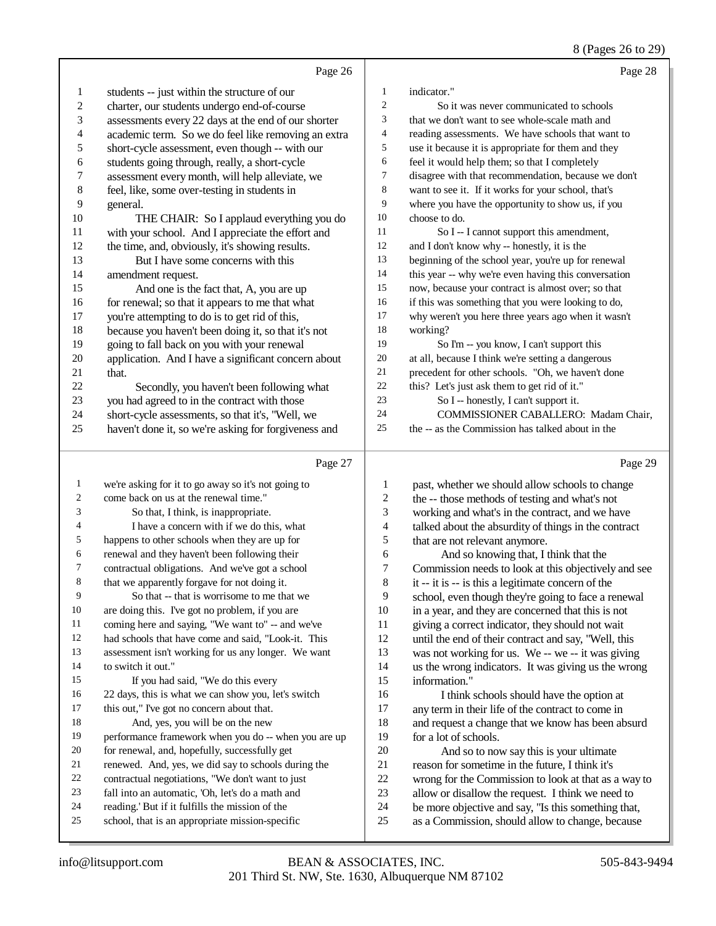8 (Pages 26 to 29)

|                  | Page 26                                                                                              |                | Page 28                                                                                    |
|------------------|------------------------------------------------------------------------------------------------------|----------------|--------------------------------------------------------------------------------------------|
| 1                | students -- just within the structure of our                                                         | 1              | indicator."                                                                                |
| $\boldsymbol{2}$ | charter, our students undergo end-of-course                                                          | $\overline{c}$ | So it was never communicated to schools                                                    |
| 3                | assessments every 22 days at the end of our shorter                                                  | 3              | that we don't want to see whole-scale math and                                             |
| 4                | academic term. So we do feel like removing an extra                                                  | 4              | reading assessments. We have schools that want to                                          |
| 5                | short-cycle assessment, even though -- with our                                                      | 5              | use it because it is appropriate for them and they                                         |
| 6                | students going through, really, a short-cycle                                                        | 6              | feel it would help them; so that I completely                                              |
| 7                | assessment every month, will help alleviate, we                                                      | 7              | disagree with that recommendation, because we don't                                        |
| 8                | feel, like, some over-testing in students in                                                         | $\,8$          | want to see it. If it works for your school, that's                                        |
| 9                | general.                                                                                             | 9              | where you have the opportunity to show us, if you                                          |
| 10               | THE CHAIR: So I applaud everything you do                                                            | 10             | choose to do.                                                                              |
| 11               | with your school. And I appreciate the effort and                                                    | 11             | So I -- I cannot support this amendment,                                                   |
| 12               | the time, and, obviously, it's showing results.                                                      | 12             | and I don't know why -- honestly, it is the                                                |
| 13               | But I have some concerns with this                                                                   | 13             | beginning of the school year, you're up for renewal                                        |
| 14               | amendment request.                                                                                   | 14             | this year -- why we're even having this conversation                                       |
| 15               | And one is the fact that, A, you are up                                                              | 15             | now, because your contract is almost over; so that                                         |
| 16               | for renewal; so that it appears to me that what                                                      | 16             | if this was something that you were looking to do,                                         |
| 17               | you're attempting to do is to get rid of this,                                                       | 17             | why weren't you here three years ago when it wasn't                                        |
| 18               | because you haven't been doing it, so that it's not                                                  | 18             | working?                                                                                   |
| 19               | going to fall back on you with your renewal                                                          | 19             | So I'm -- you know, I can't support this                                                   |
| $20\,$           | application. And I have a significant concern about                                                  | $20\,$         | at all, because I think we're setting a dangerous                                          |
| 21               | that.                                                                                                | 21             | precedent for other schools. "Oh, we haven't done                                          |
| 22               | Secondly, you haven't been following what                                                            | 22             | this? Let's just ask them to get rid of it."                                               |
| 23               | you had agreed to in the contract with those                                                         | 23             | So I -- honestly, I can't support it.                                                      |
| 24               | short-cycle assessments, so that it's, "Well, we                                                     | 24             | COMMISSIONER CABALLERO: Madam Chair,                                                       |
| 25               | haven't done it, so we're asking for forgiveness and                                                 | $25\,$         | the -- as the Commission has talked about in the                                           |
|                  | Page 27                                                                                              |                | Page 29                                                                                    |
| $\mathbf{1}$     | we're asking for it to go away so it's not going to                                                  | 1              | past, whether we should allow schools to change                                            |
| 2                | come back on us at the renewal time."                                                                | $\overline{c}$ | the -- those methods of testing and what's not                                             |
| 3                | So that, I think, is inappropriate.                                                                  | 3              | working and what's in the contract, and we have                                            |
| 4                | I have a concern with if we do this, what                                                            | $\overline{4}$ | talked about the absurdity of things in the contract                                       |
| 5                | happens to other schools when they are up for                                                        | $\mathfrak s$  | that are not relevant anymore.                                                             |
| 6                | renewal and they haven't been following their                                                        | 6              | And so knowing that, I think that the                                                      |
| 7                | contractual obligations. And we've got a school                                                      | 7              | Commission needs to look at this objectively and see                                       |
| 8                | that we apparently forgave for not doing it.                                                         | 8              | it -- it is -- is this a legitimate concern of the                                         |
| 9                | So that -- that is worrisome to me that we                                                           | 9              | school, even though they're going to face a renewal                                        |
| 10               | are doing this. I've got no problem, if you are                                                      | 10             | in a year, and they are concerned that this is not                                         |
| 11               | coming here and saying, "We want to" -- and we've                                                    | 11             | giving a correct indicator, they should not wait                                           |
| 12               | had schools that have come and said, "Look-it. This                                                  | 12             | until the end of their contract and say, "Well, this                                       |
| 13               | assessment isn't working for us any longer. We want                                                  | 13             | was not working for us. We -- we -- it was giving                                          |
| 14               | to switch it out."                                                                                   | 14             | us the wrong indicators. It was giving us the wrong                                        |
| 15               | If you had said, "We do this every                                                                   | 15             | information."                                                                              |
| 16               | 22 days, this is what we can show you, let's switch                                                  | 16             | I think schools should have the option at                                                  |
| 17               | this out," I've got no concern about that.                                                           | 17             | any term in their life of the contract to come in                                          |
| 18               | And, yes, you will be on the new                                                                     | 18             | and request a change that we know has been absurd                                          |
| 19               | performance framework when you do -- when you are up                                                 | 19             | for a lot of schools.                                                                      |
| 20<br>21         | for renewal, and, hopefully, successfully get<br>renewed. And, yes, we did say to schools during the | $20\,$<br>21   | And so to now say this is your ultimate<br>reason for sometime in the future, I think it's |
| 22               | contractual negotiations, "We don't want to just                                                     | 22             | wrong for the Commission to look at that as a way to                                       |
|                  |                                                                                                      |                |                                                                                            |

- 21 renewed. And, yes, we did say to schools during the<br>22 contractual negotiations. "We don't want to just 22 contractual negotiations, "We don't want to just<br>23 fall into an automatic, 'Oh, let's do a math and
- fall into an automatic, 'Oh, let's do a math and
- 24 reading.' But if it fulfills the mission of the<br>25 school, that is an appropriate mission-speci
- school, that is an appropriate mission-specific

22 wrong for the Commission to look at that as a way to 23 allow or disallow the request. I think we need to 23 allow or disallow the request. I think we need to 24 be more objective and say. "Is this something that 24 be more objective and say, "Is this something that,<br>25 as a Commission, should allow to change, because as a Commission, should allow to change, because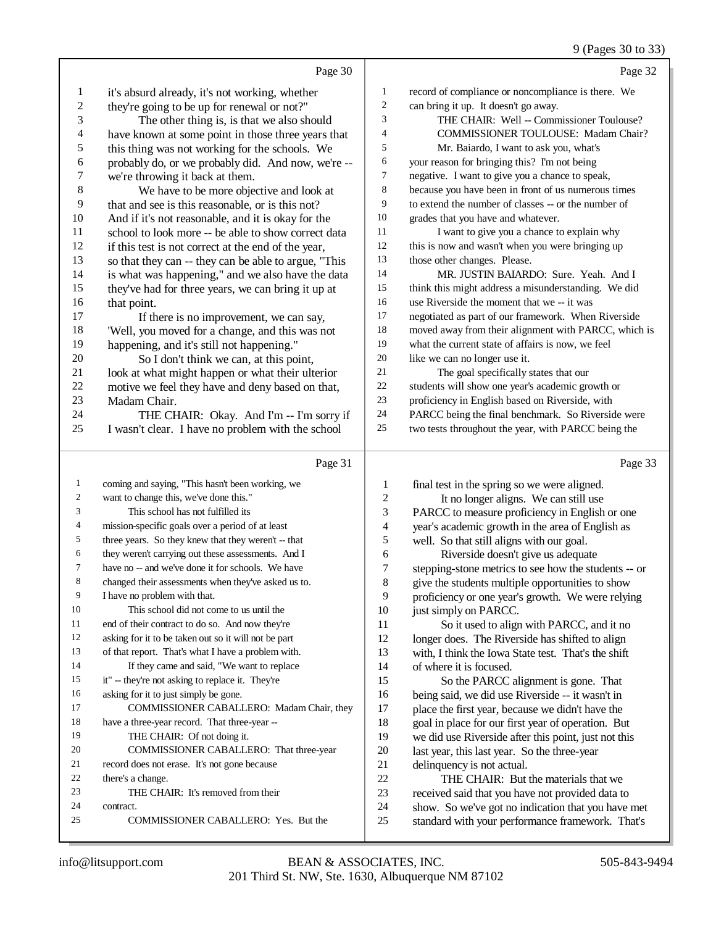# 9 (Pages 30 to 33)

|                          | Page 30                                              |                  | Page 32                                                                                                |
|--------------------------|------------------------------------------------------|------------------|--------------------------------------------------------------------------------------------------------|
| $\mathbf{1}$             | it's absurd already, it's not working, whether       | 1                | record of compliance or noncompliance is there. We                                                     |
| $\sqrt{2}$               | they're going to be up for renewal or not?"          | $\boldsymbol{2}$ | can bring it up. It doesn't go away.                                                                   |
| 3                        | The other thing is, is that we also should           | 3                | THE CHAIR: Well -- Commissioner Toulouse?                                                              |
| $\overline{\mathcal{L}}$ | have known at some point in those three years that   | 4                | COMMISSIONER TOULOUSE: Madam Chair?                                                                    |
| 5                        | this thing was not working for the schools. We       | 5                | Mr. Baiardo, I want to ask you, what's                                                                 |
| 6                        | probably do, or we probably did. And now, we're --   | 6                | your reason for bringing this? I'm not being                                                           |
| $\overline{7}$           | we're throwing it back at them.                      | 7                | negative. I want to give you a chance to speak,                                                        |
| $\,8\,$                  | We have to be more objective and look at             | 8                | because you have been in front of us numerous times                                                    |
| 9                        | that and see is this reasonable, or is this not?     | 9                | to extend the number of classes -- or the number of                                                    |
| 10                       | And if it's not reasonable, and it is okay for the   | 10               | grades that you have and whatever.                                                                     |
| 11                       | school to look more -- be able to show correct data  | 11               | I want to give you a chance to explain why                                                             |
| 12                       | if this test is not correct at the end of the year,  | 12               | this is now and wasn't when you were bringing up                                                       |
| 13                       | so that they can -- they can be able to argue, "This | 13               | those other changes. Please.                                                                           |
| 14                       | is what was happening," and we also have the data    | 14               | MR. JUSTIN BAIARDO: Sure. Yeah. And I                                                                  |
| 15                       | they've had for three years, we can bring it up at   | 15               | think this might address a misunderstanding. We did                                                    |
| 16                       | that point.                                          | 16               | use Riverside the moment that we -- it was                                                             |
| 17                       | If there is no improvement, we can say,              | 17               | negotiated as part of our framework. When Riverside                                                    |
| 18                       | 'Well, you moved for a change, and this was not      | 18               | moved away from their alignment with PARCC, which is                                                   |
| 19                       | happening, and it's still not happening."            | 19               | what the current state of affairs is now, we feel                                                      |
| $20\,$                   | So I don't think we can, at this point,              | $20\,$           | like we can no longer use it.                                                                          |
| 21                       | look at what might happen or what their ulterior     | 21               | The goal specifically states that our                                                                  |
| $22\,$                   | motive we feel they have and deny based on that,     | $22\,$           | students will show one year's academic growth or                                                       |
| 23                       | Madam Chair.                                         | 23               | proficiency in English based on Riverside, with                                                        |
| 24                       | THE CHAIR: Okay. And I'm -- I'm sorry if             | 24               | PARCC being the final benchmark. So Riverside were                                                     |
| 25                       | I wasn't clear. I have no problem with the school    | 25               | two tests throughout the year, with PARCC being the                                                    |
|                          |                                                      |                  |                                                                                                        |
|                          | Page 31                                              |                  | Page 33                                                                                                |
| $\mathbf{1}$             | coming and saying, "This hasn't been working, we     | $\mathbf{1}$     |                                                                                                        |
| 2                        | want to change this, we've done this."               | $\overline{c}$   | final test in the spring so we were aligned.<br>It no longer aligns. We can still use                  |
| 3                        | This school has not fulfilled its                    | 3                | PARCC to measure proficiency in English or one                                                         |
| 4                        | mission-specific goals over a period of at least     | $\overline{4}$   | year's academic growth in the area of English as                                                       |
| 5                        | three years. So they knew that they weren't -- that  | 5                | well. So that still aligns with our goal.                                                              |
| 6                        | they weren't carrying out these assessments. And I   | 6                | Riverside doesn't give us adequate                                                                     |
| 7                        | have no -- and we've done it for schools. We have    | $\boldsymbol{7}$ | stepping-stone metrics to see how the students -- or                                                   |
|                          | changed their assessments when they've asked us to.  | $\,$ 8 $\,$      | give the students multiple opportunities to show                                                       |
| 9                        | I have no problem with that.                         | 9                | proficiency or one year's growth. We were relying                                                      |
| $10\,$                   | This school did not come to us until the             | 10               | just simply on PARCC.                                                                                  |
| 11                       | end of their contract to do so. And now they're      | 11               | So it used to align with PARCC, and it no                                                              |
| 12                       | asking for it to be taken out so it will not be part | 12               | longer does. The Riverside has shifted to align                                                        |
| 13                       | of that report. That's what I have a problem with.   | 13               | with, I think the Iowa State test. That's the shift                                                    |
| 14                       | If they came and said, "We want to replace           | 14               | of where it is focused.                                                                                |
| 15                       | it" -- they're not asking to replace it. They're     | 15               | So the PARCC alignment is gone. That                                                                   |
| 16                       | asking for it to just simply be gone.                | 16               | being said, we did use Riverside -- it wasn't in                                                       |
| 17                       | COMMISSIONER CABALLERO: Madam Chair, they            | 17               | place the first year, because we didn't have the                                                       |
| 18                       | have a three-year record. That three-year --         | 18               | goal in place for our first year of operation. But                                                     |
| 19                       | THE CHAIR: Of not doing it.                          | 19               | we did use Riverside after this point, just not this                                                   |
| 20                       | COMMISSIONER CABALLERO: That three-year              | $20\,$           | last year, this last year. So the three-year                                                           |
| 21                       | record does not erase. It's not gone because         | 21               | delinquency is not actual.                                                                             |
| 22                       | there's a change.                                    | 22               | THE CHAIR: But the materials that we                                                                   |
| 23<br>24                 | THE CHAIR: It's removed from their                   | 23               | received said that you have not provided data to                                                       |
| 25                       | contract.<br>COMMISSIONER CABALLERO: Yes. But the    | 24<br>25         | show. So we've got no indication that you have met<br>standard with your performance framework. That's |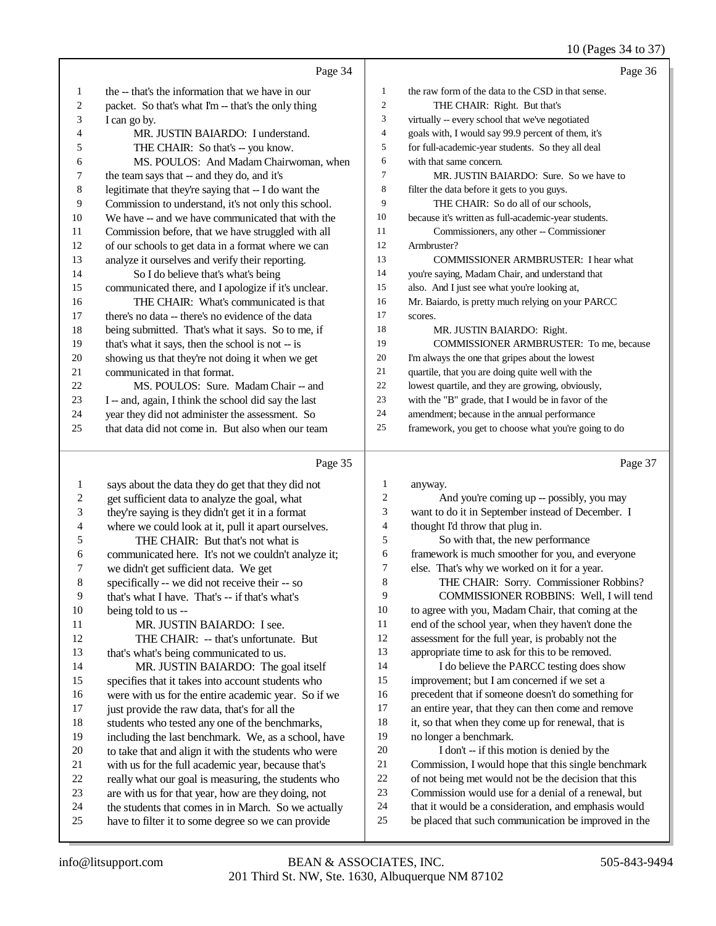### 10 (Pages 34 to 37)

|                  | Page 34                                                                                                   |                | Page 36                                                                                                     |
|------------------|-----------------------------------------------------------------------------------------------------------|----------------|-------------------------------------------------------------------------------------------------------------|
| $\mathbf{1}$     | the -- that's the information that we have in our                                                         | 1              | the raw form of the data to the CSD in that sense.                                                          |
| 2                | packet. So that's what I'm -- that's the only thing                                                       | $\mathbf{2}$   | THE CHAIR: Right. But that's                                                                                |
| 3                | I can go by.                                                                                              | 3              | virtually -- every school that we've negotiated                                                             |
| 4                | MR. JUSTIN BAIARDO: I understand.                                                                         | $\overline{4}$ | goals with, I would say 99.9 percent of them, it's                                                          |
| 5                | THE CHAIR: So that's -- you know.                                                                         | 5              | for full-academic-year students. So they all deal                                                           |
| 6                | MS. POULOS: And Madam Chairwoman, when                                                                    | 6              | with that same concern.                                                                                     |
| 7                | the team says that -- and they do, and it's                                                               | 7              | MR. JUSTIN BAIARDO: Sure. So we have to                                                                     |
| 8                | legitimate that they're saying that -- I do want the                                                      | $\,$ 8 $\,$    | filter the data before it gets to you guys.                                                                 |
| 9                | Commission to understand, it's not only this school.                                                      | 9              | THE CHAIR: So do all of our schools,                                                                        |
| 10               | We have -- and we have communicated that with the                                                         | 10             | because it's written as full-academic-year students.                                                        |
| 11               | Commission before, that we have struggled with all                                                        | 11             | Commissioners, any other -- Commissioner                                                                    |
| 12               | of our schools to get data in a format where we can                                                       | 12             | Armbruster?                                                                                                 |
| 13               | analyze it ourselves and verify their reporting.                                                          | 13             | COMMISSIONER ARMBRUSTER: I hear what                                                                        |
| 14               | So I do believe that's what's being                                                                       | 14             | you're saying, Madam Chair, and understand that                                                             |
| 15               | communicated there, and I apologize if it's unclear.                                                      | 15             | also. And I just see what you're looking at,                                                                |
| 16               | THE CHAIR: What's communicated is that                                                                    | 16             | Mr. Baiardo, is pretty much relying on your PARCC                                                           |
| 17               | there's no data -- there's no evidence of the data                                                        | 17             | scores.                                                                                                     |
| 18               | being submitted. That's what it says. So to me, if                                                        | 18             | MR. JUSTIN BAIARDO: Right.                                                                                  |
| 19               | that's what it says, then the school is not -- is                                                         | 19             | COMMISSIONER ARMBRUSTER: To me, because                                                                     |
| 20               | showing us that they're not doing it when we get                                                          | 20             | I'm always the one that gripes about the lowest                                                             |
| 21               | communicated in that format.                                                                              | 21             | quartile, that you are doing quite well with the                                                            |
| 22               | MS. POULOS: Sure. Madam Chair -- and                                                                      | 22             | lowest quartile, and they are growing, obviously,                                                           |
| 23               | I -- and, again, I think the school did say the last                                                      | 23             | with the "B" grade, that I would be in favor of the                                                         |
| 24               | year they did not administer the assessment. So                                                           | 24             | amendment; because in the annual performance                                                                |
| 25               | that data did not come in. But also when our team                                                         | $25\,$         | framework, you get to choose what you're going to do                                                        |
|                  |                                                                                                           |                |                                                                                                             |
|                  | Page 35                                                                                                   |                | Page 37                                                                                                     |
| $\mathbf{1}$     | says about the data they do get that they did not                                                         | $\mathbf{1}$   | anyway.                                                                                                     |
| $\boldsymbol{2}$ | get sufficient data to analyze the goal, what                                                             | $\overline{c}$ | And you're coming up -- possibly, you may                                                                   |
| 3                | they're saying is they didn't get it in a format                                                          | 3              | want to do it in September instead of December. I                                                           |
| 4                | where we could look at it, pull it apart ourselves.                                                       | $\overline{4}$ | thought I'd throw that plug in.                                                                             |
| 5                | THE CHAIR: But that's not what is                                                                         | 5              | So with that, the new performance                                                                           |
| 6                | communicated here. It's not we couldn't analyze it;                                                       | 6              | framework is much smoother for you, and everyone                                                            |
| 7                | we didn't get sufficient data. We get                                                                     | $\tau$         | else. That's why we worked on it for a year.                                                                |
| 8                | specifically -- we did not receive their -- so                                                            | $\,8$          | THE CHAIR: Sorry. Commissioner Robbins?                                                                     |
| 9                | that's what I have. That's -- if that's what's                                                            | 9              | COMMISSIONER ROBBINS: Well, I will tend                                                                     |
| 10               | being told to us --                                                                                       | 10             | to agree with you, Madam Chair, that coming at the                                                          |
| 11               | MR. JUSTIN BAIARDO: I see.                                                                                | 11             | end of the school year, when they haven't done the                                                          |
| 12               | THE CHAIR: -- that's unfortunate. But                                                                     | 12             | assessment for the full year, is probably not the                                                           |
| 13               | that's what's being communicated to us.                                                                   | 13             | appropriate time to ask for this to be removed.                                                             |
| 14               | MR. JUSTIN BAIARDO: The goal itself                                                                       | 14             | I do believe the PARCC testing does show                                                                    |
| 15               | specifies that it takes into account students who                                                         | 15             | improvement; but I am concerned if we set a                                                                 |
| 16               | were with us for the entire academic year. So if we                                                       | 16             | precedent that if someone doesn't do something for                                                          |
| 17               | just provide the raw data, that's for all the                                                             | 17             | an entire year, that they can then come and remove                                                          |
| 18               | students who tested any one of the benchmarks,                                                            | 18             | it, so that when they come up for renewal, that is                                                          |
| 19               | including the last benchmark. We, as a school, have                                                       | 19             | no longer a benchmark.                                                                                      |
| 20               | to take that and align it with the students who were                                                      | $20\,$         | I don't -- if this motion is denied by the                                                                  |
| 21<br>22         | with us for the full academic year, because that's                                                        | 21<br>$22\,$   | Commission, I would hope that this single benchmark                                                         |
| 23               | really what our goal is measuring, the students who<br>are with us for that year, how are they doing, not | 23             | of not being met would not be the decision that this<br>Commission would use for a denial of a renewal, but |
| 24               | the students that comes in in March. So we actually                                                       | 24             | that it would be a consideration, and emphasis would                                                        |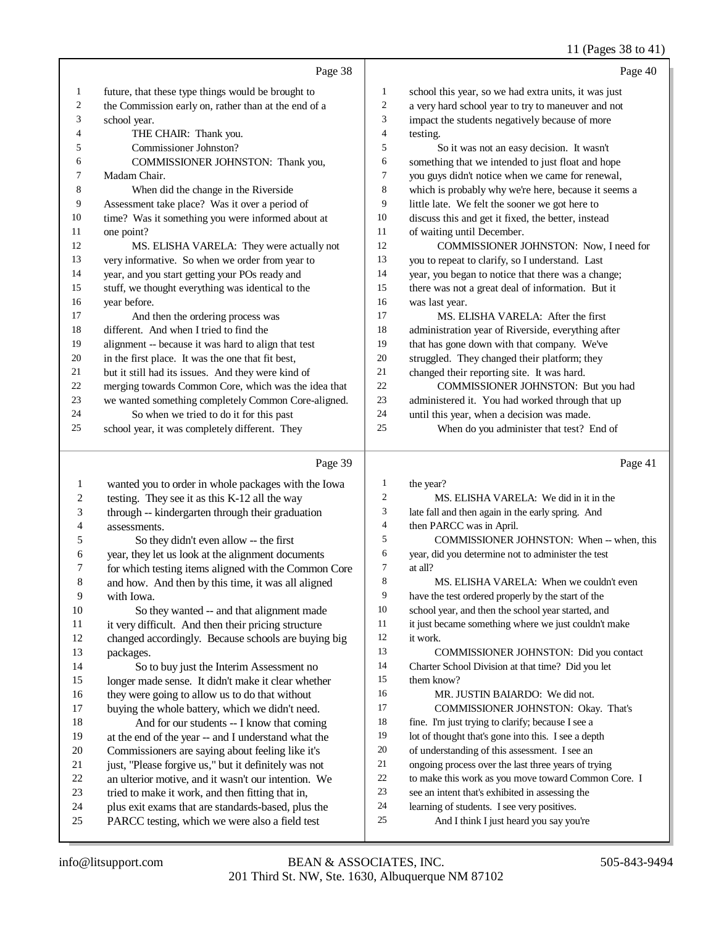### 11 (Pages 38 to 41)

|              |                                                      |                | $11 \text{ (1 qgcs)}$ 30 to $71$                     |
|--------------|------------------------------------------------------|----------------|------------------------------------------------------|
|              | Page 38                                              |                | Page 40                                              |
| 1            | future, that these type things would be brought to   | 1              | school this year, so we had extra units, it was just |
| 2            | the Commission early on, rather than at the end of a | $\overline{c}$ | a very hard school year to try to maneuver and not   |
| 3            | school year.                                         | 3              | impact the students negatively because of more       |
| 4            | THE CHAIR: Thank you.                                | 4              | testing.                                             |
| 5            | Commissioner Johnston?                               | 5              | So it was not an easy decision. It wasn't            |
| 6            | COMMISSIONER JOHNSTON: Thank you,                    | 6              | something that we intended to just float and hope    |
| 7            | Madam Chair.                                         | 7              | you guys didn't notice when we came for renewal,     |
| 8            | When did the change in the Riverside                 | 8              | which is probably why we're here, because it seems a |
| 9            | Assessment take place? Was it over a period of       | 9              | little late. We felt the sooner we got here to       |
| 10           | time? Was it something you were informed about at    | 10             | discuss this and get it fixed, the better, instead   |
| 11           | one point?                                           | 11             | of waiting until December.                           |
| 12           | MS. ELISHA VARELA: They were actually not            | 12             | COMMISSIONER JOHNSTON: Now, I need for               |
| 13           | very informative. So when we order from year to      | 13             | you to repeat to clarify, so I understand. Last      |
| 14           | year, and you start getting your POs ready and       | 14             | year, you began to notice that there was a change;   |
| 15           | stuff, we thought everything was identical to the    | 15             | there was not a great deal of information. But it    |
| 16           | year before.                                         | 16             | was last year.                                       |
| 17           | And then the ordering process was                    | 17             | MS. ELISHA VARELA: After the first                   |
| 18           | different. And when I tried to find the              | 18             | administration year of Riverside, everything after   |
| 19           | alignment -- because it was hard to align that test  | 19             | that has gone down with that company. We've          |
| 20           | in the first place. It was the one that fit best,    | 20             | struggled. They changed their platform; they         |
| 21           | but it still had its issues. And they were kind of   | 21             | changed their reporting site. It was hard.           |
| 22           | merging towards Common Core, which was the idea that | 22             | COMMISSIONER JOHNSTON: But you had                   |
| 23           | we wanted something completely Common Core-aligned.  | 23             | administered it. You had worked through that up      |
| 24           | So when we tried to do it for this past              | 24             | until this year, when a decision was made.           |
| 25           | school year, it was completely different. They       | 25             | When do you administer that test? End of             |
|              |                                                      |                |                                                      |
|              | Page 39                                              |                | Page 41                                              |
| $\mathbf{1}$ | wanted you to order in whole packages with the Iowa  | $\mathbf{1}$   | the year?                                            |
| 2            | testing. They see it as this K-12 all the way        | 2              | MS. ELISHA VARELA: We did in it in the               |
| 3            | through -- kindergarten through their graduation     | 3              | late fall and then again in the early spring. And    |
| 4            | assessments.                                         | $\overline{4}$ | then PARCC was in April.                             |
| 5            | So they didn't even allow -- the first               | 5              | COMMISSIONER JOHNSTON: When -- when, this            |
| 6            | year, they let us look at the alignment documents    | 6              | year, did you determine not to administer the test   |
| 7            | for which testing items aligned with the Common Core | $\tau$         | at all?                                              |
| 8            | and how. And then by this time, it was all aligned   | $\,8\,$        | MS. ELISHA VARELA: When we couldn't even             |
| 9            | with Iowa.                                           | 9              | have the test ordered properly by the start of the   |
| 10           | So they wanted -- and that alignment made            | 10             | school year, and then the school year started, and   |
| 11           | it very difficult. And then their pricing structure  | 11             | it just became something where we just couldn't make |
| 12           | changed accordingly. Because schools are buying big  | 12             | it work.                                             |
| 13           | packages.                                            | 13             | COMMISSIONER JOHNSTON: Did you contact               |
| 14           | So to buy just the Interim Assessment no             | 14             | Charter School Division at that time? Did you let    |
| 15           | longer made sense. It didn't make it clear whether   | 15             | them know?                                           |

- 16 they were going to allow us to do that without<br>17 buying the whole battery, which we didn't need
- buying the whole battery, which we didn't need.
- 18 And for our students -- I know that coming at the end of the year -- and I understand what the
- Commissioners are saying about feeling like it's
- just, "Please forgive us," but it definitely was not
- an ulterior motive, and it wasn't our intention. We
- tried to make it work, and then fitting that in,
- plus exit exams that are standards-based, plus the
- PARCC testing, which we were also a field test
- ongoing process over the last three years of trying
- to make this work as you move toward Common Core. I see an intent that's exhibited in assessing the

COMMISSIONER JOHNSTON: Okay. That's

- learning of students. I see very positives.
	-

MR. JUSTIN BAIARDO: We did not.

 fine. I'm just trying to clarify; because I see a 19 lot of thought that's gone into this. I see a depth of understanding of this assessment. I see an

And I think I just heard you say you're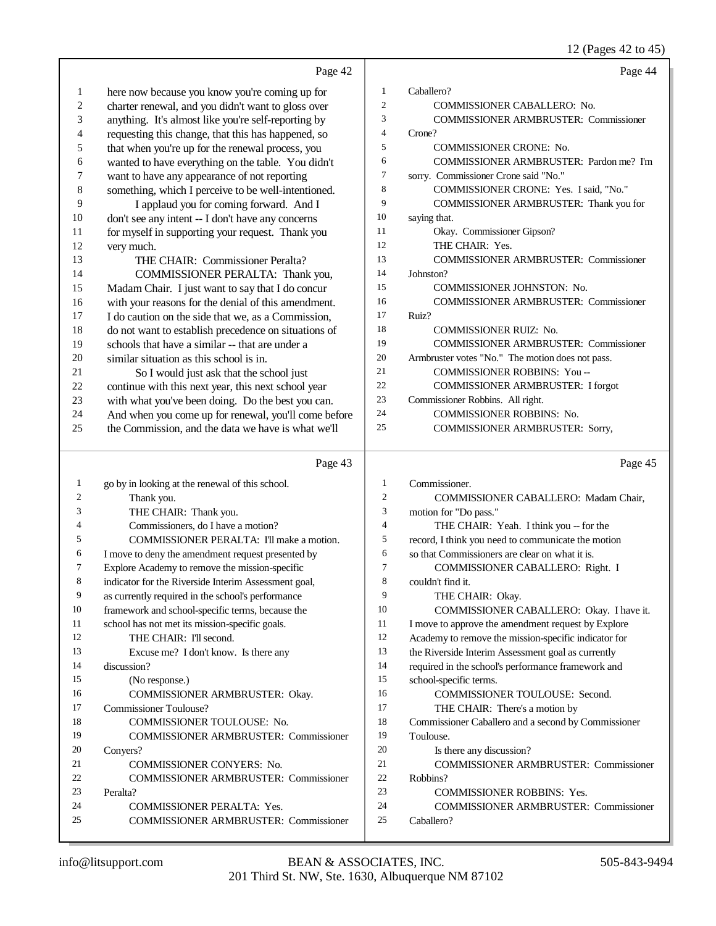|                         | Page 42                                                                   |                | Page 44                                                                    |
|-------------------------|---------------------------------------------------------------------------|----------------|----------------------------------------------------------------------------|
| $\mathbf{1}$            | here now because you know you're coming up for                            | 1              | Caballero?                                                                 |
| $\overline{\mathbf{c}}$ | charter renewal, and you didn't want to gloss over                        | $\mathfrak{2}$ | COMMISSIONER CABALLERO: No.                                                |
| 3                       | anything. It's almost like you're self-reporting by                       | 3              | <b>COMMISSIONER ARMBRUSTER: Commissioner</b>                               |
| 4                       | requesting this change, that this has happened, so                        | 4              | Crone?                                                                     |
| 5                       | that when you're up for the renewal process, you                          | 5              | <b>COMMISSIONER CRONE: No.</b>                                             |
| 6                       | wanted to have everything on the table. You didn't                        | 6              | COMMISSIONER ARMBRUSTER: Pardon me? I'm                                    |
| $\sqrt{ }$              | want to have any appearance of not reporting                              | 7              | sorry. Commissioner Crone said "No."                                       |
| $\,$ 8 $\,$             | something, which I perceive to be well-intentioned.                       | 8              | COMMISSIONER CRONE: Yes. I said, "No."                                     |
| 9                       | I applaud you for coming forward. And I                                   | 9              | COMMISSIONER ARMBRUSTER: Thank you for                                     |
| 10                      | don't see any intent -- I don't have any concerns                         | 10             | saying that.                                                               |
| 11                      | for myself in supporting your request. Thank you                          | 11             | Okay. Commissioner Gipson?                                                 |
| 12                      | very much.                                                                | 12             | THE CHAIR: Yes.                                                            |
| 13                      | THE CHAIR: Commissioner Peralta?                                          | 13             | <b>COMMISSIONER ARMBRUSTER: Commissioner</b>                               |
| 14                      | COMMISSIONER PERALTA: Thank you,                                          | 14             | Johnston?                                                                  |
| 15                      | Madam Chair. I just want to say that I do concur                          | 15             | COMMISSIONER JOHNSTON: No.                                                 |
| 16                      | with your reasons for the denial of this amendment.                       | 16             | <b>COMMISSIONER ARMBRUSTER: Commissioner</b>                               |
| 17                      | I do caution on the side that we, as a Commission,                        | 17             | Ruiz?                                                                      |
| 18                      | do not want to establish precedence on situations of                      | 18             | <b>COMMISSIONER RUIZ: No.</b>                                              |
| 19                      | schools that have a similar -- that are under a                           | 19             | <b>COMMISSIONER ARMBRUSTER: Commissioner</b>                               |
| 20                      | similar situation as this school is in.                                   | $20\,$         | Armbruster votes "No." The motion does not pass.                           |
| 21                      | So I would just ask that the school just                                  | 21             | COMMISSIONER ROBBINS: You --                                               |
| 22                      | continue with this next year, this next school year                       | 22             | <b>COMMISSIONER ARMBRUSTER: I forgot</b>                                   |
| 23                      | with what you've been doing. Do the best you can.                         | 23             | Commissioner Robbins. All right.                                           |
| 24                      | And when you come up for renewal, you'll come before                      | 24             | <b>COMMISSIONER ROBBINS: No.</b>                                           |
| 25                      | the Commission, and the data we have is what we'll                        | 25             | COMMISSIONER ARMBRUSTER: Sorry,                                            |
|                         |                                                                           |                |                                                                            |
|                         |                                                                           |                |                                                                            |
|                         | Page 43                                                                   |                | Page 45                                                                    |
| 1                       |                                                                           | 1              |                                                                            |
| 2                       | go by in looking at the renewal of this school.                           | $\mathfrak{2}$ | Commissioner.                                                              |
| 3                       | Thank you.                                                                | 3              | COMMISSIONER CABALLERO: Madam Chair,                                       |
| 4                       | THE CHAIR: Thank you.                                                     | $\overline{4}$ | motion for "Do pass."                                                      |
| 5                       | Commissioners, do I have a motion?                                        | 5              | THE CHAIR: Yeah. I think you -- for the                                    |
| 6                       | COMMISSIONER PERALTA: I'll make a motion.                                 | 6              | record, I think you need to communicate the motion                         |
| 7                       | I move to deny the amendment request presented by                         | 7              | so that Commissioners are clear on what it is.                             |
| 8                       | Explore Academy to remove the mission-specific                            | 8              | COMMISSIONER CABALLERO: Right. I                                           |
| 9                       | indicator for the Riverside Interim Assessment goal,                      | 9              | couldn't find it.                                                          |
| 10                      | as currently required in the school's performance                         | 10             | THE CHAIR: Okay.                                                           |
| 11                      | framework and school-specific terms, because the                          | 11             | COMMISSIONER CABALLERO: Okay. I have it.                                   |
| 12                      | school has not met its mission-specific goals.<br>THE CHAIR: I'll second. | 12             | I move to approve the amendment request by Explore                         |
| 13                      |                                                                           | 13             | Academy to remove the mission-specific indicator for                       |
| 14                      | Excuse me? I don't know. Is there any<br>discussion?                      | 14             | the Riverside Interim Assessment goal as currently                         |
| 15                      |                                                                           | 15             | required in the school's performance framework and                         |
| 16                      | (No response.)                                                            | 16             | school-specific terms.                                                     |
| 17                      | COMMISSIONER ARMBRUSTER: Okay.<br><b>Commissioner Toulouse?</b>           | 17             | COMMISSIONER TOULOUSE: Second.                                             |
| 18                      |                                                                           | 18             | THE CHAIR: There's a motion by                                             |
| 19                      | COMMISSIONER TOULOUSE: No.                                                | 19             | Commissioner Caballero and a second by Commissioner                        |
| 20                      | <b>COMMISSIONER ARMBRUSTER: Commissioner</b>                              | 20             | Toulouse.                                                                  |
| 21                      | Conyers?                                                                  | 21             | Is there any discussion?<br><b>COMMISSIONER ARMBRUSTER: Commissioner</b>   |
| 22                      | COMMISSIONER CONYERS: No.                                                 | 22             | Robbins?                                                                   |
| 23                      | <b>COMMISSIONER ARMBRUSTER: Commissioner</b><br>Peralta?                  | 23             |                                                                            |
| 24                      | COMMISSIONER PERALTA: Yes.                                                | 24             | COMMISSIONER ROBBINS: Yes.<br><b>COMMISSIONER ARMBRUSTER: Commissioner</b> |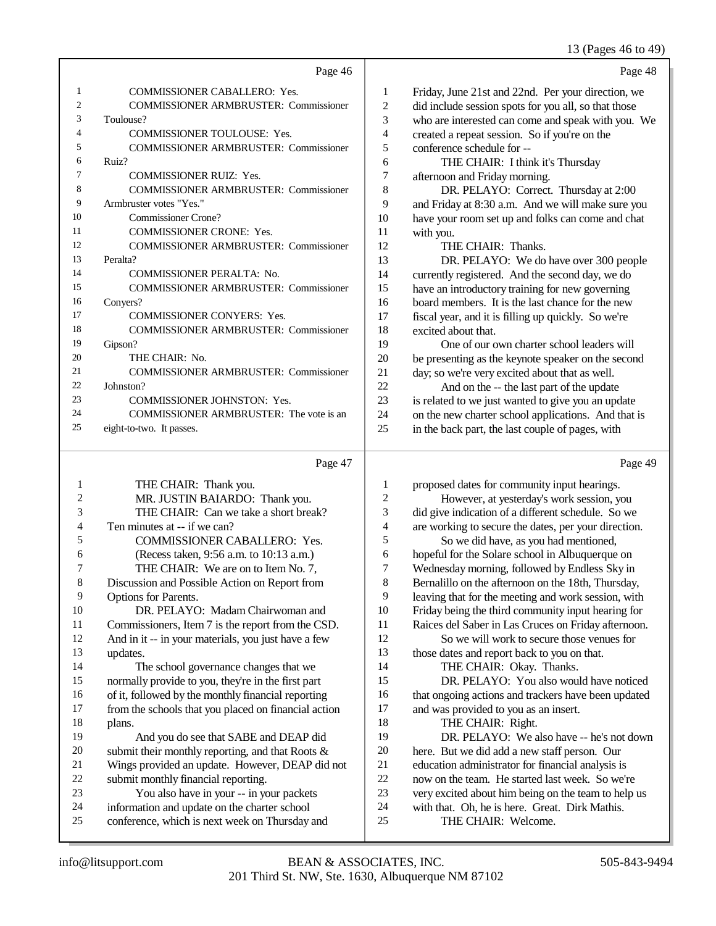### 13 (Pages 46 to 49)

|                | Page 46                                      |                | Page 48                                              |
|----------------|----------------------------------------------|----------------|------------------------------------------------------|
| 1              | <b>COMMISSIONER CABALLERO: Yes.</b>          | 1              | Friday, June 21st and 22nd. Per your direction, we   |
| $\overline{c}$ | <b>COMMISSIONER ARMBRUSTER: Commissioner</b> | $\mathfrak{2}$ | did include session spots for you all, so that those |
| 3              | Toulouse?                                    | 3              | who are interested can come and speak with you. We   |
| 4              | <b>COMMISSIONER TOULOUSE: Yes.</b>           | 4              | created a repeat session. So if you're on the        |
| 5              | <b>COMMISSIONER ARMBRUSTER: Commissioner</b> | 5              | conference schedule for --                           |
| 6              | Ruiz?                                        | 6              | THE CHAIR: I think it's Thursday                     |
| 7              | <b>COMMISSIONER RUIZ: Yes.</b>               | 7              | afternoon and Friday morning.                        |
| 8              | <b>COMMISSIONER ARMBRUSTER: Commissioner</b> | 8              | DR. PELAYO: Correct. Thursday at 2:00                |
| 9              | Armbruster votes "Yes."                      | 9              | and Friday at 8:30 a.m. And we will make sure you    |
| 10             | <b>Commissioner Crone?</b>                   | 10             | have your room set up and folks can come and chat    |
| 11             | <b>COMMISSIONER CRONE: Yes.</b>              | 11             | with you.                                            |
| 12             | <b>COMMISSIONER ARMBRUSTER: Commissioner</b> | 12             | THE CHAIR: Thanks.                                   |
| 13             | Peralta?                                     | 13             | DR. PELAYO: We do have over 300 people               |
| 14             | COMMISSIONER PERALTA: No.                    | 14             | currently registered. And the second day, we do      |
| 15             | <b>COMMISSIONER ARMBRUSTER: Commissioner</b> | 15             | have an introductory training for new governing      |
| 16             | Conyers?                                     | 16             | board members. It is the last chance for the new     |
| 17             | <b>COMMISSIONER CONYERS: Yes.</b>            | 17             | fiscal year, and it is filling up quickly. So we're  |
| 18             | <b>COMMISSIONER ARMBRUSTER: Commissioner</b> | 18             | excited about that.                                  |
| 19             | Gipson?                                      | 19             | One of our own charter school leaders will           |
| 20             | THE CHAIR: No.                               | 20             | be presenting as the keynote speaker on the second   |
| 21             | <b>COMMISSIONER ARMBRUSTER: Commissioner</b> | 21             | day; so we're very excited about that as well.       |
| 22             | Johnston?                                    | 22             | And on the -- the last part of the update            |
| 23             | <b>COMMISSIONER JOHNSTON: Yes.</b>           | 23             | is related to we just wanted to give you an update   |
| 24             | COMMISSIONER ARMBRUSTER: The vote is an      | 24             | on the new charter school applications. And that is  |
| 25             | eight-to-two. It passes.                     | 25             | in the back part, the last couple of pages, with     |
|                | Page 47                                      |                | Page 49                                              |

|--|--|

|                | THE CHAIR: Thank you.                                | 1              | proposed dates for community input hearings.         |
|----------------|------------------------------------------------------|----------------|------------------------------------------------------|
| $\overline{c}$ | MR. JUSTIN BAIARDO: Thank you.                       | $\overline{c}$ | However, at yesterday's work session, you            |
| 3              | THE CHAIR: Can we take a short break?                | 3              | did give indication of a different schedule. So we   |
| 4              | Ten minutes at -- if we can?                         | $\overline{4}$ | are working to secure the dates, per your direction. |
| 5              | <b>COMMISSIONER CABALLERO: Yes.</b>                  | 5              | So we did have, as you had mentioned,                |
| 6              | (Recess taken, 9:56 a.m. to 10:13 a.m.)              | 6              | hopeful for the Solare school in Albuquerque on      |
| 7              | THE CHAIR: We are on to Item No. 7,                  | 7              | Wednesday morning, followed by Endless Sky in        |
| 8              | Discussion and Possible Action on Report from        | 8              | Bernalillo on the afternoon on the 18th, Thursday,   |
| 9              | Options for Parents.                                 | 9              | leaving that for the meeting and work session, with  |
| 10             | DR. PELAYO: Madam Chairwoman and                     | 10             | Friday being the third community input hearing for   |
| 11             | Commissioners, Item 7 is the report from the CSD.    | 11             | Raices del Saber in Las Cruces on Friday afternoon.  |
| 12             | And in it -- in your materials, you just have a few  | 12             | So we will work to secure those venues for           |
| 13             | updates.                                             | 13             | those dates and report back to you on that.          |
| 14             | The school governance changes that we                | 14             | THE CHAIR: Okay. Thanks.                             |
| 15             | normally provide to you, they're in the first part   | 15             | DR. PELAYO: You also would have noticed              |
| 16             | of it, followed by the monthly financial reporting   | 16             | that ongoing actions and trackers have been updated  |
| 17             | from the schools that you placed on financial action | 17             | and was provided to you as an insert.                |
| 18             | plans.                                               | 18             | THE CHAIR: Right.                                    |
| 19             | And you do see that SABE and DEAP did                | 19             | DR. PELAYO: We also have -- he's not down            |
| 20             | submit their monthly reporting, and that Roots $\&$  | 20             | here. But we did add a new staff person. Our         |
| 21             | Wings provided an update. However, DEAP did not      | 21             | education administrator for financial analysis is    |
| 22             | submit monthly financial reporting.                  | 22             | now on the team. He started last week. So we're      |
| 23             | You also have in your -- in your packets             | 23             | very excited about him being on the team to help us  |
| 24             | information and update on the charter school         | 24             | with that. Oh, he is here. Great. Dirk Mathis.       |
| 25             | conference, which is next week on Thursday and       | 25             | THE CHAIR: Welcome.                                  |
|                |                                                      |                |                                                      |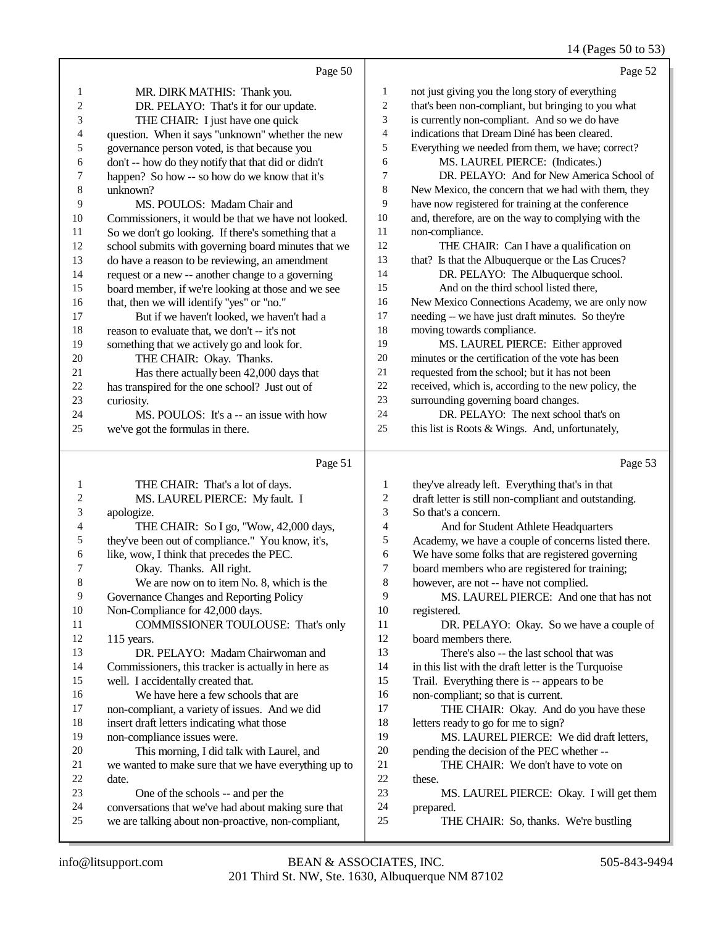# 14 (Pages 50 to 53)

|              | Page 50                                                                                                   |                         | Page 52                                                                                                 |
|--------------|-----------------------------------------------------------------------------------------------------------|-------------------------|---------------------------------------------------------------------------------------------------------|
| $\mathbf{1}$ | MR. DIRK MATHIS: Thank you.                                                                               | 1                       | not just giving you the long story of everything                                                        |
| 2            | DR. PELAYO: That's it for our update.                                                                     | $\overline{c}$          | that's been non-compliant, but bringing to you what                                                     |
| 3            | THE CHAIR: I just have one quick                                                                          | 3                       | is currently non-compliant. And so we do have                                                           |
| 4            | question. When it says "unknown" whether the new                                                          | 4                       | indications that Dream Diné has been cleared.                                                           |
| 5            | governance person voted, is that because you                                                              | 5                       | Everything we needed from them, we have; correct?                                                       |
| 6            | don't -- how do they notify that that did or didn't                                                       | 6                       | MS. LAUREL PIERCE: (Indicates.)                                                                         |
| 7            | happen? So how -- so how do we know that it's                                                             | 7                       | DR. PELAYO: And for New America School of                                                               |
| $\,$ 8 $\,$  | unknown?                                                                                                  | $\,8\,$                 | New Mexico, the concern that we had with them, they                                                     |
| 9            | MS. POULOS: Madam Chair and                                                                               | 9                       | have now registered for training at the conference                                                      |
| 10           | Commissioners, it would be that we have not looked.                                                       | 10                      | and, therefore, are on the way to complying with the                                                    |
| 11           | So we don't go looking. If there's something that a                                                       | 11                      | non-compliance.                                                                                         |
| 12           | school submits with governing board minutes that we                                                       | 12                      | THE CHAIR: Can I have a qualification on                                                                |
| 13           | do have a reason to be reviewing, an amendment                                                            | 13                      | that? Is that the Albuquerque or the Las Cruces?                                                        |
| 14           | request or a new -- another change to a governing                                                         | 14                      | DR. PELAYO: The Albuquerque school.                                                                     |
| 15           | board member, if we're looking at those and we see                                                        | 15                      | And on the third school listed there,                                                                   |
| 16           | that, then we will identify "yes" or "no."                                                                | 16                      | New Mexico Connections Academy, we are only now                                                         |
| 17           | But if we haven't looked, we haven't had a                                                                | 17                      | needing -- we have just draft minutes. So they're                                                       |
| 18           | reason to evaluate that, we don't -- it's not                                                             | 18                      | moving towards compliance.                                                                              |
| 19           | something that we actively go and look for.                                                               | 19                      | MS. LAUREL PIERCE: Either approved                                                                      |
| $20\,$       | THE CHAIR: Okay. Thanks.                                                                                  | 20                      | minutes or the certification of the vote has been                                                       |
| 21           | Has there actually been 42,000 days that                                                                  | 21                      | requested from the school; but it has not been                                                          |
| $22\,$       | has transpired for the one school? Just out of                                                            | $22\,$                  | received, which is, according to the new policy, the                                                    |
| 23           | curiosity.                                                                                                | 23                      | surrounding governing board changes.                                                                    |
| 24           | MS. POULOS: It's a -- an issue with how                                                                   | 24                      | DR. PELAYO: The next school that's on                                                                   |
| 25           | we've got the formulas in there.                                                                          | 25                      | this list is Roots & Wings. And, unfortunately,                                                         |
|              |                                                                                                           |                         |                                                                                                         |
|              | Page 51                                                                                                   |                         | Page 53                                                                                                 |
| 1            |                                                                                                           | $\mathbf 1$             |                                                                                                         |
| 2            | THE CHAIR: That's a lot of days.<br>MS. LAUREL PIERCE: My fault. I                                        | $\overline{\mathbf{c}}$ | they've already left. Everything that's in that<br>draft letter is still non-compliant and outstanding. |
| 3            | apologize.                                                                                                | 3                       | So that's a concern.                                                                                    |
| 4            | THE CHAIR: So I go, "Wow, 42,000 days,                                                                    | 4                       | And for Student Athlete Headquarters                                                                    |
| 5            | they've been out of compliance." You know, it's,                                                          | 5                       | Academy, we have a couple of concerns listed there.                                                     |
| 6            | like, wow, I think that precedes the PEC.                                                                 | $\sqrt{6}$              | We have some folks that are registered governing                                                        |
| 7            | Okay. Thanks. All right.                                                                                  | $\boldsymbol{7}$        | board members who are registered for training;                                                          |
| 8            | We are now on to item No. 8, which is the                                                                 | 8                       | however, are not -- have not complied.                                                                  |
| 9            | Governance Changes and Reporting Policy                                                                   | 9                       | MS. LAUREL PIERCE: And one that has not                                                                 |
| 10           | Non-Compliance for 42,000 days.                                                                           | 10                      | registered.                                                                                             |
| 11           | COMMISSIONER TOULOUSE: That's only                                                                        | 11                      | DR. PELAYO: Okay. So we have a couple of                                                                |
| 12           | 115 years.                                                                                                | 12                      | board members there.                                                                                    |
| 13           | DR. PELAYO: Madam Chairwoman and                                                                          | 13                      | There's also -- the last school that was                                                                |
| 14           | Commissioners, this tracker is actually in here as                                                        | 14                      | in this list with the draft letter is the Turquoise                                                     |
| 15           | well. I accidentally created that.                                                                        | 15                      | Trail. Everything there is -- appears to be                                                             |
| 16           | We have here a few schools that are                                                                       | 16                      | non-compliant; so that is current.                                                                      |
| 17           | non-compliant, a variety of issues. And we did                                                            | 17                      | THE CHAIR: Okay. And do you have these                                                                  |
| 18           | insert draft letters indicating what those                                                                | 18                      | letters ready to go for me to sign?                                                                     |
| 19           | non-compliance issues were.                                                                               | 19                      | MS. LAUREL PIERCE: We did draft letters,                                                                |
| 20           | This morning, I did talk with Laurel, and                                                                 | $20\,$                  | pending the decision of the PEC whether --                                                              |
| 21           | we wanted to make sure that we have everything up to                                                      | 21                      | THE CHAIR: We don't have to vote on                                                                     |
| 22           | date.                                                                                                     | $22\,$                  | these.                                                                                                  |
| 23           | One of the schools -- and per the                                                                         | 23                      | MS. LAUREL PIERCE: Okay. I will get them                                                                |
| 24<br>25     | conversations that we've had about making sure that<br>we are talking about non-proactive, non-compliant, | 24<br>25                | prepared.<br>THE CHAIR: So, thanks. We're bustling                                                      |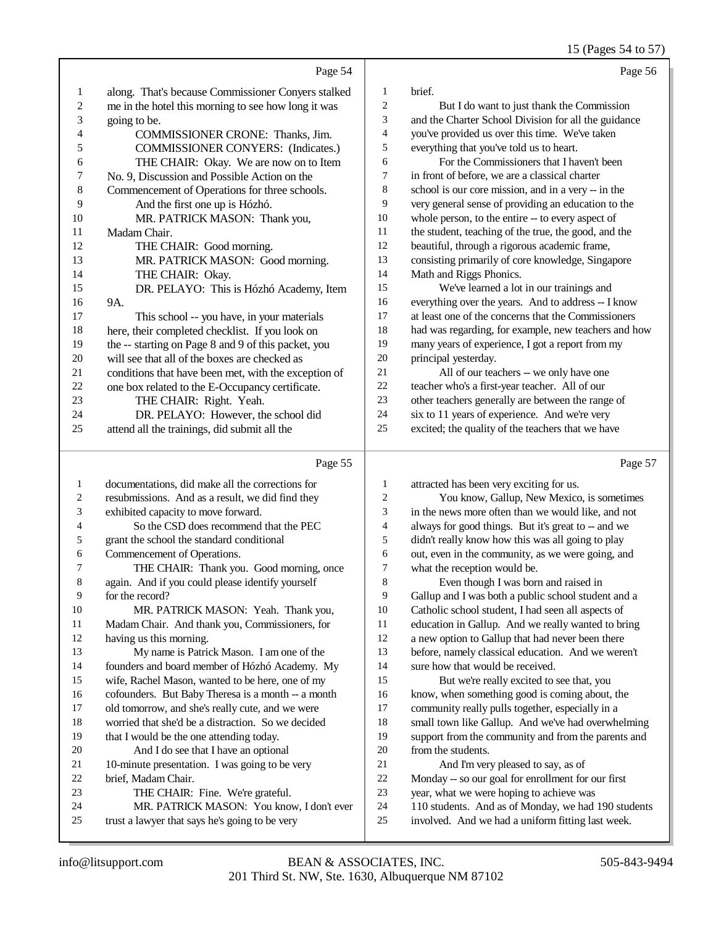15 (Pages 54 to 57)

Page 56

|                | Page 54                                              |                | Page 5                                               |
|----------------|------------------------------------------------------|----------------|------------------------------------------------------|
| $\mathbf{1}$   | along. That's because Commissioner Conyers stalked   | 1              | brief.                                               |
| $\overline{c}$ | me in the hotel this morning to see how long it was  | 2              | But I do want to just thank the Commission           |
| 3              | going to be.                                         | 3              | and the Charter School Division for all the guidance |
| 4              | COMMISSIONER CRONE: Thanks, Jim.                     | $\overline{4}$ | you've provided us over this time. We've taken       |
| 5              | <b>COMMISSIONER CONYERS:</b> (Indicates.)            | 5              | everything that you've told us to heart.             |
| 6              | THE CHAIR: Okay. We are now on to Item               | 6              | For the Commissioners that I haven't been            |
| 7              | No. 9, Discussion and Possible Action on the         | 7              | in front of before, we are a classical charter       |
| 8              | Commencement of Operations for three schools.        | 8              | school is our core mission, and in a very -- in the  |
| 9              | And the first one up is Hózhó.                       | 9              | very general sense of providing an education to the  |
| 10             | MR. PATRICK MASON: Thank you,                        | 10             | whole person, to the entire -- to every aspect of    |
| 11             | Madam Chair.                                         | 11             | the student, teaching of the true, the good, and the |
| 12             | THE CHAIR: Good morning.                             | 12             | beautiful, through a rigorous academic frame,        |
| 13             | MR. PATRICK MASON: Good morning.                     | 13             | consisting primarily of core knowledge, Singapore    |
| 14             | THE CHAIR: Okay.                                     | 14             | Math and Riggs Phonics.                              |
| 15             | DR. PELAYO: This is Hózhó Academy, Item              | 15             | We've learned a lot in our trainings and             |
| 16             | 9A.                                                  | 16             | everything over the years. And to address -- I know  |
| 17             | This school -- you have, in your materials           | 17             | at least one of the concerns that the Commissioners  |
| 18             | here, their completed checklist. If you look on      | 18             | had was regarding, for example, new teachers and how |
| 19             | the -- starting on Page 8 and 9 of this packet, you  | 19             | many years of experience, I got a report from my     |
| 20             | will see that all of the boxes are checked as        | 20             | principal yesterday.                                 |
| 21             | conditions that have been met, with the exception of | 21             | All of our teachers -- we only have one              |
| 22             | one box related to the E-Occupancy certificate.      | 22             | teacher who's a first-year teacher. All of our       |
| 23             | THE CHAIR: Right. Yeah.                              | 23             | other teachers generally are between the range of    |
| 24             | DR. PELAYO: However, the school did                  | 24             | six to 11 years of experience. And we're very        |
| 25             | attend all the trainings, did submit all the         | 25             | excited; the quality of the teachers that we have    |
|                |                                                      |                |                                                      |

### Page

|    | Page 55                                            |                | Page 57                                             |
|----|----------------------------------------------------|----------------|-----------------------------------------------------|
| 1  | documentations, did make all the corrections for   | 1              | attracted has been very exciting for us.            |
| 2  | resubmissions. And as a result, we did find they   | $\overline{c}$ | You know, Gallup, New Mexico, is sometimes          |
| 3  | exhibited capacity to move forward.                | 3              | in the news more often than we would like, and not  |
| 4  | So the CSD does recommend that the PEC             | 4              | always for good things. But it's great to -- and we |
| 5  | grant the school the standard conditional          | 5              | didn't really know how this was all going to play   |
| 6  | Commencement of Operations.                        | 6              | out, even in the community, as we were going, and   |
| 7  | THE CHAIR: Thank you. Good morning, once           | 7              | what the reception would be.                        |
| 8  | again. And if you could please identify yourself   | 8              | Even though I was born and raised in                |
| 9  | for the record?                                    | 9              | Gallup and I was both a public school student and a |
| 10 | MR. PATRICK MASON: Yeah. Thank you,                | 10             | Catholic school student, I had seen all aspects of  |
| 11 | Madam Chair. And thank you, Commissioners, for     | 11             | education in Gallup. And we really wanted to bring  |
| 12 | having us this morning.                            | 12             | a new option to Gallup that had never been there    |
| 13 | My name is Patrick Mason. I am one of the          | 13             | before, namely classical education. And we weren't  |
| 14 | founders and board member of Hózhó Academy. My     | 14             | sure how that would be received.                    |
| 15 | wife, Rachel Mason, wanted to be here, one of my   | 15             | But we're really excited to see that, you           |
| 16 | cofounders. But Baby Theresa is a month -- a month | 16             | know, when something good is coming about, the      |
| 17 | old tomorrow, and she's really cute, and we were   | 17             | community really pulls together, especially in a    |
| 18 | worried that she'd be a distraction. So we decided | 18             | small town like Gallup. And we've had overwhelming  |
| 19 | that I would be the one attending today.           | 19             | support from the community and from the parents and |
| 20 | And I do see that I have an optional               | 20             | from the students.                                  |
| 21 | 10-minute presentation. I was going to be very     | 21             | And I'm very pleased to say, as of                  |
| 22 | brief, Madam Chair.                                | 22             | Monday -- so our goal for enrollment for our first  |
| 23 | THE CHAIR: Fine. We're grateful.                   | 23             | year, what we were hoping to achieve was            |
| 24 | MR. PATRICK MASON: You know, I don't ever          | 24             | 110 students. And as of Monday, we had 190 students |
| 25 | trust a lawyer that says he's going to be very     | 25             | involved. And we had a uniform fitting last week.   |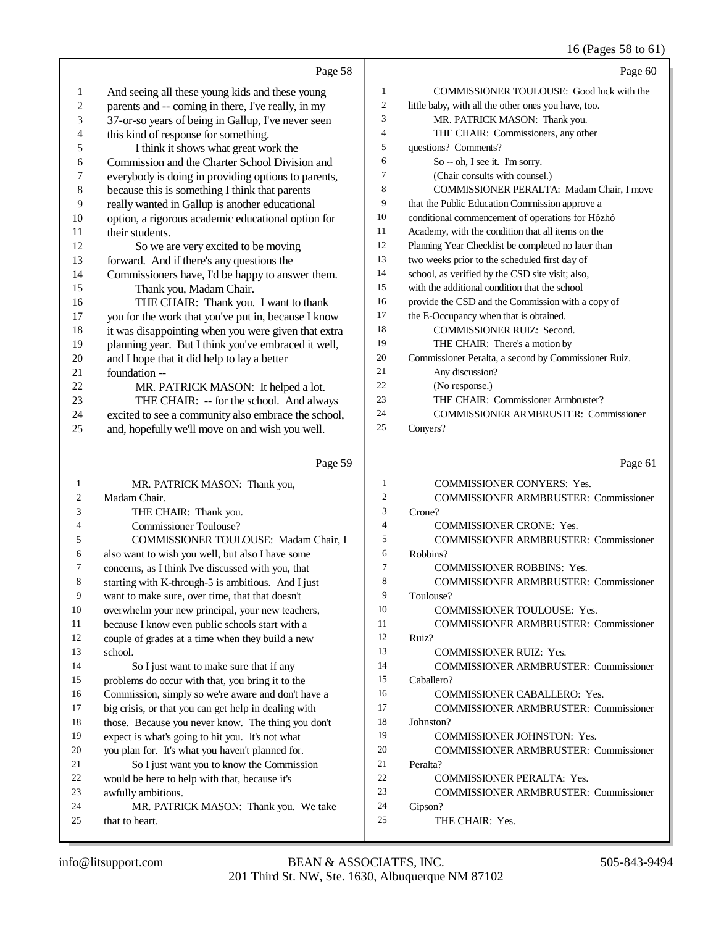# 16 (Pages 58 to 61)

|                  | Page 58                                                 |                  | Page 60                                              |
|------------------|---------------------------------------------------------|------------------|------------------------------------------------------|
| $\mathbf{1}$     | And seeing all these young kids and these young         | $\mathbf{1}$     | COMMISSIONER TOULOUSE: Good luck with the            |
| $\boldsymbol{2}$ | parents and -- coming in there, I've really, in my      | $\sqrt{2}$       | little baby, with all the other ones you have, too.  |
| 3                | 37-or-so years of being in Gallup, I've never seen      | $\mathfrak z$    | MR. PATRICK MASON: Thank you.                        |
| 4                | this kind of response for something.                    | $\overline{4}$   | THE CHAIR: Commissioners, any other                  |
| 5                | I think it shows what great work the                    | 5                | questions? Comments?                                 |
| 6                | Commission and the Charter School Division and          | 6                | So -- oh, I see it. I'm sorry.                       |
| 7                | everybody is doing in providing options to parents,     | $\tau$           | (Chair consults with counsel.)                       |
| $\,$ 8 $\,$      | because this is something I think that parents          | 8                | COMMISSIONER PERALTA: Madam Chair, I move            |
| 9                | really wanted in Gallup is another educational          | 9                | that the Public Education Commission approve a       |
| 10               | option, a rigorous academic educational option for      | 10               | conditional commencement of operations for Hózhó     |
| 11               | their students.                                         | 11               | Academy, with the condition that all items on the    |
| 12               | So we are very excited to be moving                     | 12               | Planning Year Checklist be completed no later than   |
| 13               | forward. And if there's any questions the               | 13               | two weeks prior to the scheduled first day of        |
| 14               | Commissioners have, I'd be happy to answer them.        | 14               | school, as verified by the CSD site visit; also,     |
| 15               | Thank you, Madam Chair.                                 | 15               | with the additional condition that the school        |
| 16               | THE CHAIR: Thank you. I want to thank                   | 16               | provide the CSD and the Commission with a copy of    |
| 17               | you for the work that you've put in, because I know     | 17               | the E-Occupancy when that is obtained.               |
| 18               | it was disappointing when you were given that extra     | 18               | <b>COMMISSIONER RUIZ: Second.</b>                    |
| 19               | planning year. But I think you've embraced it well,     | 19               | THE CHAIR: There's a motion by                       |
| 20               | and I hope that it did help to lay a better             | 20               | Commissioner Peralta, a second by Commissioner Ruiz. |
| 21               | foundation --                                           | 21               | Any discussion?                                      |
| 22               | MR. PATRICK MASON: It helped a lot.                     | 22               | (No response.)                                       |
| 23               | THE CHAIR: -- for the school. And always                | 23               | THE CHAIR: Commissioner Armbruster?                  |
| 24               | excited to see a community also embrace the school,     | 24               | <b>COMMISSIONER ARMBRUSTER: Commissioner</b>         |
| 25               | and, hopefully we'll move on and wish you well.         | 25               | Conyers?                                             |
|                  |                                                         |                  |                                                      |
|                  |                                                         |                  |                                                      |
|                  | Page 59                                                 |                  | Page 61                                              |
| 1                | MR. PATRICK MASON: Thank you,                           | $\mathbf{1}$     | COMMISSIONER CONYERS: Yes.                           |
| 2                | Madam Chair.                                            | $\boldsymbol{2}$ | <b>COMMISSIONER ARMBRUSTER: Commissioner</b>         |
| 3                | THE CHAIR: Thank you.                                   | 3                | Crone?                                               |
| 4                | <b>Commissioner Toulouse?</b>                           | $\overline{4}$   | <b>COMMISSIONER CRONE: Yes.</b>                      |
| 5                | COMMISSIONER TOULOUSE: Madam Chair, I                   | 5                | <b>COMMISSIONER ARMBRUSTER: Commissioner</b>         |
| 6                | also want to wish you well, but also I have some        | 6                | Robbins?                                             |
| 7                | concerns, as I think I've discussed with you, that      | 7                | COMMISSIONER ROBBINS: Yes.                           |
| 8                | starting with K-through-5 is ambitious. And I just      | 8                | COMMISSIONER ARMBRUSTER: Commissioner                |
| 9                | want to make sure, over time, that that doesn't         | 9                | Toulouse?                                            |
| 10               | overwhelm your new principal, your new teachers,        | 10               | <b>COMMISSIONER TOULOUSE: Yes.</b>                   |
| 11               | because I know even public schools start with a         | 11               | <b>COMMISSIONER ARMBRUSTER: Commissioner</b>         |
| 12               | couple of grades at a time when they build a new        | 12               | Ruiz?                                                |
| 13               | school.                                                 | 13               | <b>COMMISSIONER RUIZ: Yes.</b>                       |
| 14               | So I just want to make sure that if any                 | 14               | <b>COMMISSIONER ARMBRUSTER: Commissioner</b>         |
| 15               | problems do occur with that, you bring it to the        | 15               | Caballero?                                           |
| 16               | Commission, simply so we're aware and don't have a      | 16               | COMMISSIONER CABALLERO: Yes.                         |
| 17               | big crisis, or that you can get help in dealing with    | 17               | <b>COMMISSIONER ARMBRUSTER: Commissioner</b>         |
| 18               | those. Because you never know. The thing you don't      | 18               | Johnston?                                            |
| 19               | expect is what's going to hit you. It's not what        | 19               | COMMISSIONER JOHNSTON: Yes.                          |
| 20               | you plan for. It's what you haven't planned for.        | 20               | <b>COMMISSIONER ARMBRUSTER: Commissioner</b>         |
| 21               | So I just want you to know the Commission               | 21               | Peralta?                                             |
| 22               | would be here to help with that, because it's           | 22               | <b>COMMISSIONER PERALTA: Yes.</b>                    |
| 23               | awfully ambitious.                                      | 23               | <b>COMMISSIONER ARMBRUSTER: Commissioner</b>         |
| 24<br>25         | MR. PATRICK MASON: Thank you. We take<br>that to heart. | 24<br>25         | Gipson?<br>THE CHAIR: Yes.                           |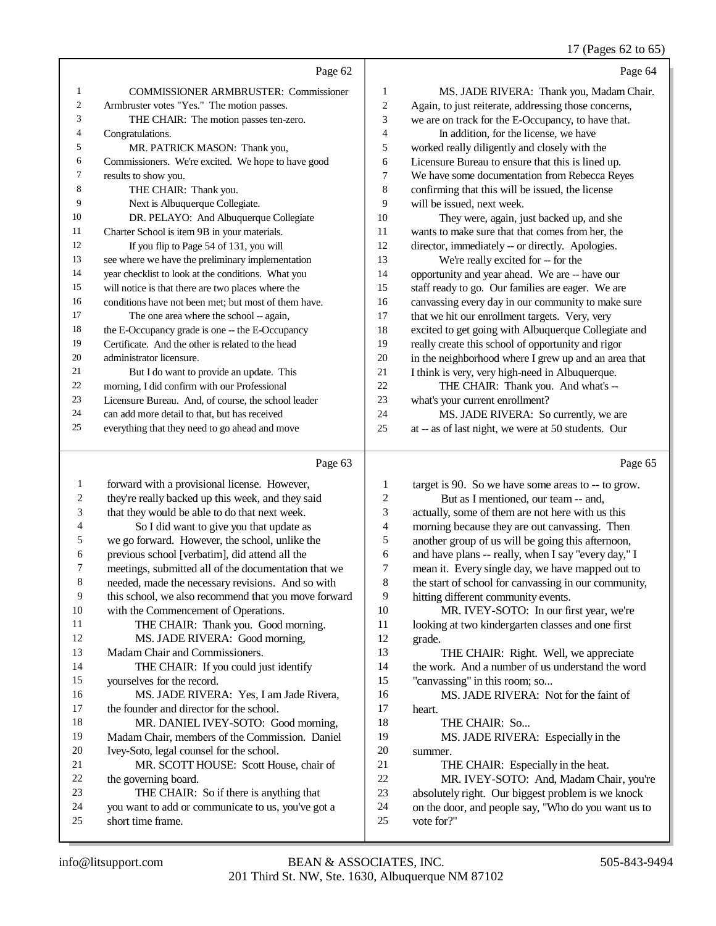17 (Pages 62 to 65)

|                | Page 62                                              |                | Page 64                                              |
|----------------|------------------------------------------------------|----------------|------------------------------------------------------|
| 1              | <b>COMMISSIONER ARMBRUSTER: Commissioner</b>         | 1              | MS. JADE RIVERA: Thank you, Madam Chair.             |
| $\overline{2}$ | Armbruster votes "Yes." The motion passes.           | $\overline{c}$ | Again, to just reiterate, addressing those concerns, |
| 3              | THE CHAIR: The motion passes ten-zero.               | 3              | we are on track for the E-Occupancy, to have that.   |
| 4              | Congratulations.                                     | $\overline{4}$ | In addition, for the license, we have                |
| 5              | MR. PATRICK MASON: Thank you,                        | 5              | worked really diligently and closely with the        |
| 6              | Commissioners. We're excited. We hope to have good   | 6              | Licensure Bureau to ensure that this is lined up.    |
| 7              | results to show you.                                 | $\overline{7}$ | We have some documentation from Rebecca Reyes        |
| 8              | THE CHAIR: Thank you.                                | 8              | confirming that this will be issued, the license     |
| 9              | Next is Albuquerque Collegiate.                      | 9              | will be issued, next week.                           |
| 10             | DR. PELAYO: And Albuquerque Collegiate               | 10             | They were, again, just backed up, and she            |
| 11             | Charter School is item 9B in your materials.         | 11             | wants to make sure that that comes from her, the     |
| 12             | If you flip to Page 54 of 131, you will              | 12             | director, immediately -- or directly. Apologies.     |
| 13             | see where we have the preliminary implementation     | 13             | We're really excited for -- for the                  |
| 14             | year checklist to look at the conditions. What you   | 14             | opportunity and year ahead. We are -- have our       |
| 15             | will notice is that there are two places where the   | 15             | staff ready to go. Our families are eager. We are    |
| 16             | conditions have not been met: but most of them have. | 16             | canvassing every day in our community to make sure   |
| 17             | The one area where the school -- again,              | 17             | that we hit our enrollment targets. Very, very       |
| 18             | the E-Occupancy grade is one -- the E-Occupancy      | 18             | excited to get going with Albuquerque Collegiate and |
| 19             | Certificate. And the other is related to the head    | 19             | really create this school of opportunity and rigor   |
| 20             | administrator licensure.                             | 20             | in the neighborhood where I grew up and an area that |
| 21             | But I do want to provide an update. This             | 21             | I think is very, very high-need in Albuquerque.      |
| 22             | morning, I did confirm with our Professional         | 22             | THE CHAIR: Thank you. And what's --                  |
| 23             | Licensure Bureau. And, of course, the school leader  | 23             | what's your current enrollment?                      |
| 24             | can add more detail to that, but has received        | 24             | MS. JADE RIVERA: So currently, we are                |
| 25             | everything that they need to go ahead and move       | 25             | at -- as of last night, we were at 50 students. Our  |
|                | Page 63                                              |                | Page 65                                              |

#### Page 63

 forward with a provisional license. However, they're really backed up this week, and they said that they would be able to do that next week. So I did want to give you that update as we go forward. However, the school, unlike the previous school [verbatim], did attend all the meetings, submitted all of the documentation that we needed, made the necessary revisions. And so with this school, we also recommend that you move forward with the Commencement of Operations. 11 THE CHAIR: Thank you. Good morning. MS. JADE RIVERA: Good morning, Madam Chair and Commissioners. 14 THE CHAIR: If you could just identify yourselves for the record. MS. JADE RIVERA: Yes, I am Jade Rivera, the founder and director for the school. 18 MR. DANIEL IVEY-SOTO: Good morning, Madam Chair, members of the Commission. Daniel Ivey-Soto, legal counsel for the school. MR. SCOTT HOUSE: Scott House, chair of the governing board. THE CHAIR: So if there is anything that you want to add or communicate to us, you've got a short time frame. 1 target is 90. So we have some areas to -- to grow.<br>2 But as I mentioned. our team -- and. 2 But as I mentioned, our team -- and,<br>3 actually, some of them are not here with us actually, some of them are not here with us this 4 morning because they are out canvassing. Then<br>5 another group of us will be going this afternoon. 5 another group of us will be going this afternoon,<br>6 and have plans -- really, when I say "every day." and have plans -- really, when I say "every day," I 7 mean it. Every single day, we have mapped out to<br>8 the start of school for canvassing in our community the start of school for canvassing in our community, 9 hitting different community events.<br>10 MR. IVEY-SOTO: In our fi 10 MR. IVEY-SOTO: In our first year, we're<br>11 Iooking at two kindergarten classes and one first looking at two kindergarten classes and one first grade. THE CHAIR: Right. Well, we appreciate the work. And a number of us understand the word "canvassing" in this room; so... 16 MS. JADE RIVERA: Not for the faint of 17 heart. heart. 18 THE CHAIR: So... MS. JADE RIVERA: Especially in the 20 summer.<br>21 TH 21 THE CHAIR: Especially in the heat.<br>22 MR. IVEY-SOTO: And. Madam Ch 22 MR. IVEY-SOTO: And, Madam Chair, you're<br>
23 absolutely right. Our biggest problem is we knock absolutely right. Our biggest problem is we knock on the door, and people say, "Who do you want us to vote for?"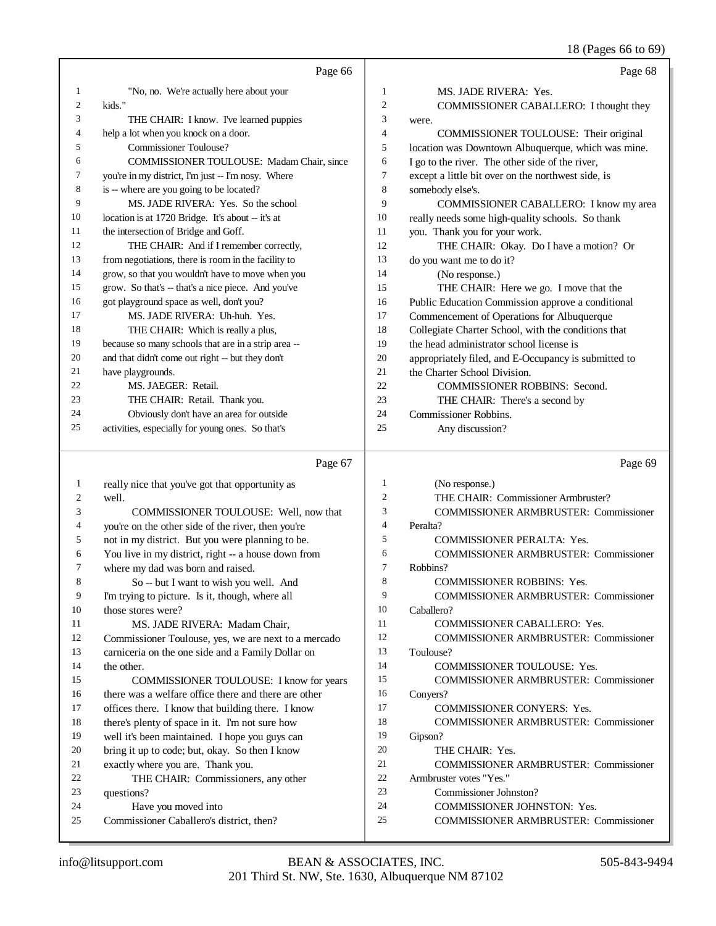18 (Pages 66 to 69)

|    | Page 66                                             |                | Page 68                                              |
|----|-----------------------------------------------------|----------------|------------------------------------------------------|
| 1  | "No, no. We're actually here about your             | $\mathbf{1}$   | MS. JADE RIVERA: Yes.                                |
| 2  | kids."                                              | 2              | COMMISSIONER CABALLERO: I thought they               |
| 3  | THE CHAIR: I know. I've learned puppies             | 3              | were.                                                |
| 4  | help a lot when you knock on a door.                | $\overline{4}$ | COMMISSIONER TOULOUSE: Their original                |
| 5  | Commissioner Toulouse?                              | 5              | location was Downtown Albuquerque, which was mine.   |
| 6  | COMMISSIONER TOULOUSE: Madam Chair, since           | 6              | I go to the river. The other side of the river,      |
| 7  | you're in my district, I'm just -- I'm nosy. Where  | 7              | except a little bit over on the northwest side, is   |
| 8  | is -- where are you going to be located?            | 8              | somebody else's.                                     |
| 9  | MS. JADE RIVERA: Yes. So the school                 | 9              | <b>COMMISSIONER CABALLERO:</b> I know my area        |
| 10 | location is at 1720 Bridge. It's about -- it's at   | 10             | really needs some high-quality schools. So thank     |
| 11 | the intersection of Bridge and Goff.                | 11             | you. Thank you for your work.                        |
| 12 | THE CHAIR: And if I remember correctly,             | 12             | THE CHAIR: Okay. Do I have a motion? Or              |
| 13 | from negotiations, there is room in the facility to | 13             | do you want me to do it?                             |
| 14 | grow, so that you wouldn't have to move when you    | 14             | (No response.)                                       |
| 15 | grow. So that's -- that's a nice piece. And you've  | 15             | THE CHAIR: Here we go. I move that the               |
| 16 | got playground space as well, don't you?            | 16             | Public Education Commission approve a conditional    |
| 17 | MS. JADE RIVERA: Uh-huh. Yes.                       | 17             | Commencement of Operations for Albuquerque           |
| 18 | THE CHAIR: Which is really a plus,                  | 18             | Collegiate Charter School, with the conditions that  |
| 19 | because so many schools that are in a strip area -- | 19             | the head administrator school license is             |
| 20 | and that didn't come out right -- but they don't    | 20             | appropriately filed, and E-Occupancy is submitted to |
| 21 | have playgrounds.                                   | 21             | the Charter School Division.                         |
| 22 | MS. JAEGER: Retail.                                 | 22             | <b>COMMISSIONER ROBBINS: Second.</b>                 |
| 23 | THE CHAIR: Retail. Thank you.                       | 23             | THE CHAIR: There's a second by                       |
| 24 | Obviously don't have an area for outside            | 24             | Commissioner Robbins.                                |
| 25 | activities, especially for young ones. So that's    | 25             | Any discussion?                                      |
|    | Page 67                                             |                | Page 69                                              |

 really nice that you've got that opportunity as well. COMMISSIONER TOULOUSE: Well, now that you're on the other side of the river, then you're not in my district. But you were planning to be. 6 You live in my district, right -- a house down from<br>
7 where my dad was born and raised. 7 where my dad was born and raised.<br>8 So -- but I want to wish you So -- but I want to wish you well. And I'm trying to picture. Is it, though, where all those stores were? 11 MS. JADE RIVERA: Madam Chair,<br>12 Commissioner Toulouse, yes, we are next to Commissioner Toulouse, yes, we are next to a mercado carniceria on the one side and a Family Dollar on the other. COMMISSIONER TOULOUSE: I know for years there was a welfare office there and there are other offices there. I know that building there. I know there's plenty of space in it. I'm not sure how well it's been maintained. I hope you guys can bring it up to code; but, okay. So then I know 21 exactly where you are. Thank you.<br>22 THE CHAIR: Commissioner 22 THE CHAIR: Commissioners, any other<br>23 directions? questions? Have you moved into Commissioner Caballero's district, then? (No response.) THE CHAIR: Commissioner Armbruster? COMMISSIONER ARMBRUSTER: Commissioner Peralta? COMMISSIONER PERALTA: Yes. COMMISSIONER ARMBRUSTER: Commissioner Robbins? COMMISSIONER ROBBINS: Yes. COMMISSIONER ARMBRUSTER: Commissioner Caballero? COMMISSIONER CABALLERO: Yes. COMMISSIONER ARMBRUSTER: Commissioner Toulouse? COMMISSIONER TOULOUSE: Yes. COMMISSIONER ARMBRUSTER: Commissioner Conyers? 17 COMMISSIONER CONYERS: Yes. COMMISSIONER ARMBRUSTER: Commissioner Gipson? 20 THE CHAIR: Yes. COMMISSIONER ARMBRUSTER: Commissioner Armbruster votes "Yes." Commissioner Johnston? COMMISSIONER JOHNSTON: Yes. COMMISSIONER ARMBRUSTER: Commissioner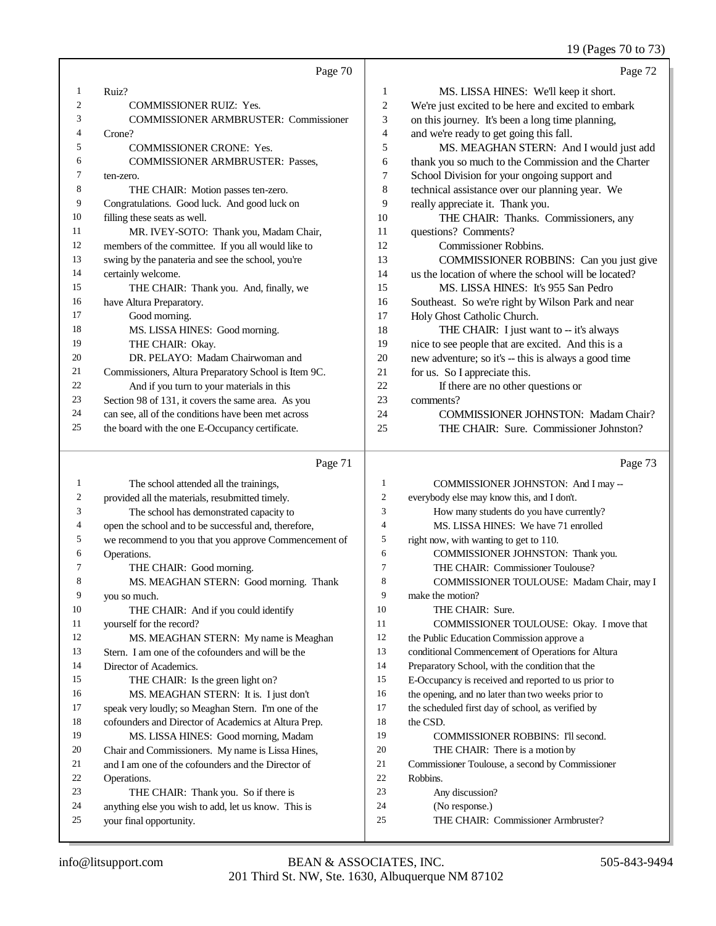19 (Pages 70 to 73)

|                                                            | Page 70                                      |                | Page 72                                              |
|------------------------------------------------------------|----------------------------------------------|----------------|------------------------------------------------------|
| Ruiz?<br>1                                                 |                                              | 1              | MS. LISSA HINES: We'll keep it short.                |
| $\overline{2}$<br><b>COMMISSIONER RUIZ: Yes.</b>           |                                              | $\overline{2}$ | We're just excited to be here and excited to embark  |
| 3                                                          | <b>COMMISSIONER ARMBRUSTER: Commissioner</b> | 3              | on this journey. It's been a long time planning,     |
| 4<br>Crone?                                                |                                              | 4              | and we're ready to get going this fall.              |
| 5<br><b>COMMISSIONER CRONE: Yes.</b>                       |                                              | 5              | MS. MEAGHAN STERN: And I would just add              |
| 6<br><b>COMMISSIONER ARMBRUSTER: Passes.</b>               |                                              | 6              | thank you so much to the Commission and the Charter  |
| 7<br>ten-zero.                                             |                                              | 7              | School Division for your ongoing support and         |
| 8<br>THE CHAIR: Motion passes ten-zero.                    |                                              | 8              | technical assistance over our planning year. We      |
| 9<br>Congratulations. Good luck. And good luck on          |                                              | 9              | really appreciate it. Thank you.                     |
| 10<br>filling these seats as well.                         |                                              | 10             | THE CHAIR: Thanks. Commissioners, any                |
| 11<br>MR. IVEY-SOTO: Thank you, Madam Chair,               |                                              | 11             | questions? Comments?                                 |
| 12<br>members of the committee. If you all would like to   |                                              | 12             | Commissioner Robbins.                                |
| 13<br>swing by the panateria and see the school, you're    |                                              | 13             | COMMISSIONER ROBBINS: Can you just give              |
| 14<br>certainly welcome.                                   |                                              | 14             | us the location of where the school will be located? |
| 15<br>THE CHAIR: Thank you. And, finally, we               |                                              | 15             | MS. LISSA HINES: It's 955 San Pedro                  |
| 16<br>have Altura Preparatory.                             |                                              | 16             | Southeast. So we're right by Wilson Park and near    |
| 17<br>Good morning.                                        |                                              | 17             | Holy Ghost Catholic Church.                          |
| 18<br>MS. LISSA HINES: Good morning.                       |                                              | 18             | THE CHAIR: I just want to -- it's always             |
| 19<br>THE CHAIR: Okay.                                     |                                              | 19             | nice to see people that are excited. And this is a   |
| 20<br>DR. PELAYO: Madam Chairwoman and                     |                                              | 20             | new adventure; so it's -- this is always a good time |
| 21<br>Commissioners, Altura Preparatory School is Item 9C. |                                              | 21             | for us. So I appreciate this.                        |
| 22<br>And if you turn to your materials in this            |                                              | 22             | If there are no other questions or                   |
| 23<br>Section 98 of 131, it covers the same area. As you   |                                              | 23             | comments?                                            |
| 24<br>can see, all of the conditions have been met across  |                                              | 24             | <b>COMMISSIONER JOHNSTON: Madam Chair?</b>           |
| 25<br>the board with the one E-Occupancy certificate.      |                                              | 25             | THE CHAIR: Sure. Commissioner Johnston?              |
|                                                            |                                              |                |                                                      |

#### Page 71

 The school attended all the trainings, provided all the materials, resubmitted timely. The school has demonstrated capacity to open the school and to be successful and, therefore, we recommend to you that you approve Commencement of Operations. THE CHAIR: Good morning. MS. MEAGHAN STERN: Good morning. Thank you so much. THE CHAIR: And if you could identify yourself for the record? MS. MEAGHAN STERN: My name is Meaghan Stern. I am one of the cofounders and will be the Director of Academics. 15 THE CHAIR: Is the green light on? MS. MEAGHAN STERN: It is. I just don't speak very loudly; so Meaghan Stern. I'm one of the cofounders and Director of Academics at Altura Prep. MS. LISSA HINES: Good morning, Madam Chair and Commissioners. My name is Lissa Hines, and I am one of the cofounders and the Director of Operations. THE CHAIR: Thank you. So if there is anything else you wish to add, let us know. This is your final opportunity. COMMISSIONER JOHNSTON: And I may -- everybody else may know this, and I don't. How many students do you have currently? MS. LISSA HINES: We have 71 enrolled right now, with wanting to get to 110. COMMISSIONER JOHNSTON: Thank you. THE CHAIR: Commissioner Toulouse? 8 COMMISSIONER TOULOUSE: Madam Chair, may I make the motion? 10 THE CHAIR: Sure. COMMISSIONER TOULOUSE: Okay. I move that the Public Education Commission approve a conditional Commencement of Operations for Altura Preparatory School, with the condition that the E-Occupancy is received and reported to us prior to the opening, and no later than two weeks prior to the scheduled first day of school, as verified by 18 the CSD. 19 COMMISSIONER ROBBINS: I'll second. THE CHAIR: There is a motion by Commissioner Toulouse, a second by Commissioner Robbins. Any discussion? (No response.) THE CHAIR: Commissioner Armbruster?

Page 73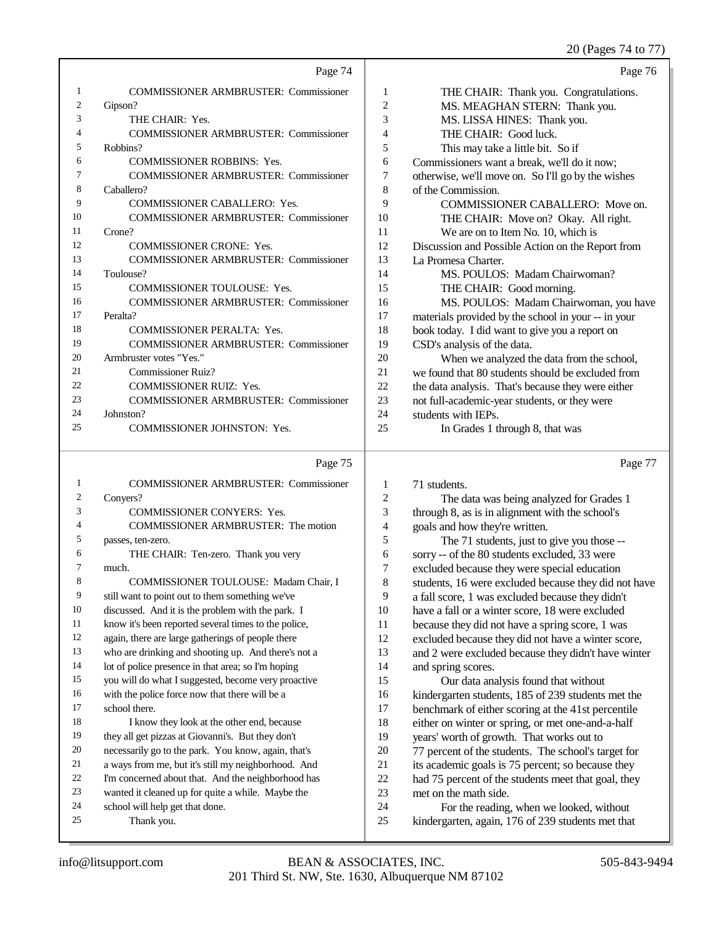#### 20 (Pages 74 to 77)

|    | Page 74                                      |                | Page 76                                             |
|----|----------------------------------------------|----------------|-----------------------------------------------------|
| 1  | <b>COMMISSIONER ARMBRUSTER: Commissioner</b> | 1              | THE CHAIR: Thank you. Congratulations.              |
| 2  | Gipson?                                      | $\overline{c}$ | MS. MEAGHAN STERN: Thank you.                       |
| 3  | THE CHAIR: Yes.                              | 3              | MS. LISSA HINES: Thank you.                         |
| 4  | <b>COMMISSIONER ARMBRUSTER: Commissioner</b> | 4              | THE CHAIR: Good luck.                               |
| 5  | Robbins?                                     | 5              | This may take a little bit. So if                   |
| 6  | <b>COMMISSIONER ROBBINS: Yes.</b>            | 6              | Commissioners want a break, we'll do it now;        |
| 7  | <b>COMMISSIONER ARMBRUSTER: Commissioner</b> | 7              | otherwise, we'll move on. So I'll go by the wishes  |
| 8  | Caballero?                                   | 8              | of the Commission.                                  |
| 9  | <b>COMMISSIONER CABALLERO: Yes.</b>          | 9              | COMMISSIONER CABALLERO: Move on.                    |
| 10 | <b>COMMISSIONER ARMBRUSTER: Commissioner</b> | 10             | THE CHAIR: Move on? Okay. All right.                |
| 11 | Crone?                                       | 11             | We are on to Item No. 10, which is                  |
| 12 | <b>COMMISSIONER CRONE: Yes.</b>              | 12             | Discussion and Possible Action on the Report from   |
| 13 | <b>COMMISSIONER ARMBRUSTER: Commissioner</b> | 13             | La Promesa Charter.                                 |
| 14 | Toulouse?                                    | 14             | MS. POULOS: Madam Chairwoman?                       |
| 15 | <b>COMMISSIONER TOULOUSE: Yes.</b>           | 15             | THE CHAIR: Good morning.                            |
| 16 | <b>COMMISSIONER ARMBRUSTER: Commissioner</b> | 16             | MS. POULOS: Madam Chairwoman, you have              |
| 17 | Peralta?                                     | 17             | materials provided by the school in your -- in your |
| 18 | <b>COMMISSIONER PERALTA: Yes.</b>            | 18             | book today. I did want to give you a report on      |
| 19 | <b>COMMISSIONER ARMBRUSTER: Commissioner</b> | 19             | CSD's analysis of the data.                         |
| 20 | Armbruster votes "Yes."                      | 20             | When we analyzed the data from the school,          |
| 21 | <b>Commissioner Ruiz?</b>                    | 21             | we found that 80 students should be excluded from   |
| 22 | <b>COMMISSIONER RUIZ: Yes.</b>               | 22             | the data analysis. That's because they were either  |
| 23 | <b>COMMISSIONER ARMBRUSTER: Commissioner</b> | 23             | not full-academic-year students, or they were       |
| 24 | Johnston?                                    | 24             | students with IEPs.                                 |
| 25 | <b>COMMISSIONER JOHNSTON: Yes.</b>           | 25             | In Grades 1 through 8, that was                     |
|    | Page 75                                      |                | Page 77                                             |

### Page 75  $\vert$

| 1              | <b>COMMISSIONER ARMBRUSTER: Commissioner</b>         | 1              | 71 students.                                         |
|----------------|------------------------------------------------------|----------------|------------------------------------------------------|
| 2              | Convers?                                             | $\overline{c}$ | The data was being analyzed for Grades 1             |
| 3              | <b>COMMISSIONER CONYERS: Yes.</b>                    | 3              | through 8, as is in alignment with the school's      |
| $\overline{4}$ | <b>COMMISSIONER ARMBRUSTER: The motion</b>           | 4              | goals and how they're written.                       |
| 5              | passes, ten-zero.                                    | 5              | The 71 students, just to give you those --           |
| 6              | THE CHAIR: Ten-zero. Thank you very                  | 6              | sorry -- of the 80 students excluded, 33 were        |
| $\overline{7}$ | much.                                                | 7              | excluded because they were special education         |
| 8              | COMMISSIONER TOULOUSE: Madam Chair, I                | 8              | students, 16 were excluded because they did not have |
| 9              | still want to point out to them something we've      | 9              | a fall score, 1 was excluded because they didn't     |
| 10             | discussed. And it is the problem with the park. I    | 10             | have a fall or a winter score, 18 were excluded      |
| 11             | know it's been reported several times to the police, | 11             | because they did not have a spring score, 1 was      |
| 12             | again, there are large gatherings of people there    | 12             | excluded because they did not have a winter score,   |
| 13             | who are drinking and shooting up. And there's not a  | 13             | and 2 were excluded because they didn't have winter  |
| 14             | lot of police presence in that area; so I'm hoping   | 14             | and spring scores.                                   |
| 15             | you will do what I suggested, become very proactive  | 15             | Our data analysis found that without                 |
| 16             | with the police force now that there will be a       | 16             | kindergarten students, 185 of 239 students met the   |
| 17             | school there.                                        | 17             | benchmark of either scoring at the 41st percentile   |
| 18             | I know they look at the other end, because           | 18             | either on winter or spring, or met one-and-a-half    |
| 19             | they all get pizzas at Giovanni's. But they don't    | 19             | years' worth of growth. That works out to            |
| 20             | necessarily go to the park. You know, again, that's  | 20             | 77 percent of the students. The school's target for  |
| 21             | a ways from me, but it's still my neighborhood. And  | 21             | its academic goals is 75 percent; so because they    |
| 22             | I'm concerned about that. And the neighborhood has   | 22             | had 75 percent of the students meet that goal, they  |
| 23             | wanted it cleaned up for quite a while. Maybe the    | 23             | met on the math side.                                |
| 24             | school will help get that done.                      | 24             | For the reading, when we looked, without             |
| 25             | Thank you.                                           | 25             | kindergarten, again, 176 of 239 students met that    |
|                |                                                      |                |                                                      |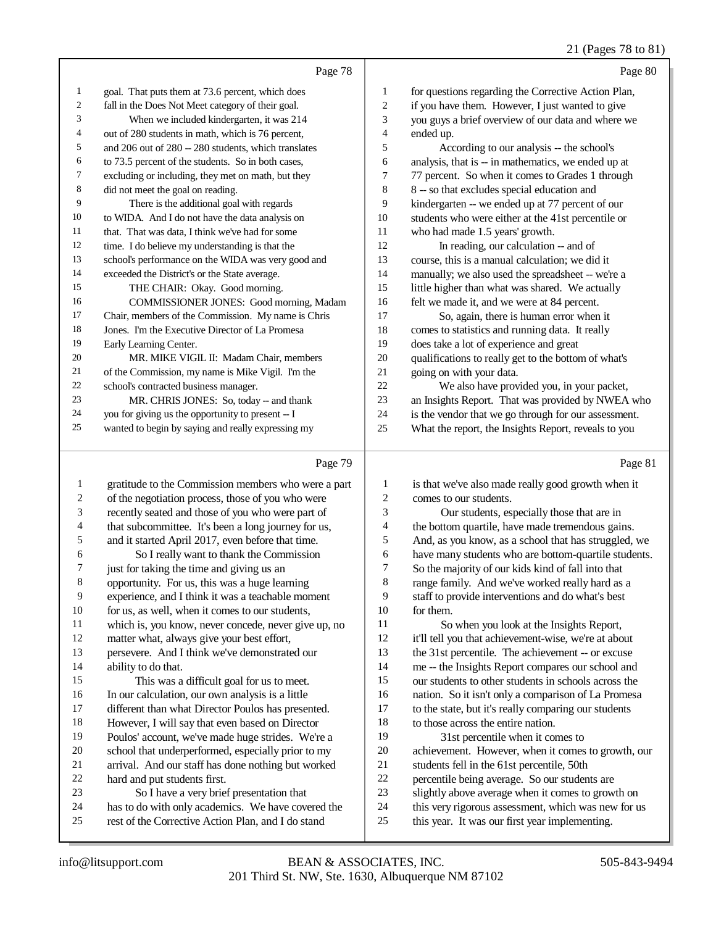|              | Page 78                                              |    | Page 80                                              |
|--------------|------------------------------------------------------|----|------------------------------------------------------|
| $\mathbf{1}$ | goal. That puts them at 73.6 percent, which does     | 1  | for questions regarding the Corrective Action Plan,  |
| 2            | fall in the Does Not Meet category of their goal.    | 2  | if you have them. However, I just wanted to give     |
| 3            | When we included kindergarten, it was 214            | 3  | you guys a brief overview of our data and where we   |
| 4            | out of 280 students in math, which is 76 percent,    | 4  | ended up.                                            |
| 5            | and 206 out of 280 -- 280 students, which translates | 5  | According to our analysis -- the school's            |
| 6            | to 73.5 percent of the students. So in both cases,   | 6  | analysis, that is -- in mathematics, we ended up at  |
| 7            | excluding or including, they met on math, but they   | 7  | 77 percent. So when it comes to Grades 1 through     |
| 8            | did not meet the goal on reading.                    | 8  | 8 -- so that excludes special education and          |
| 9            | There is the additional goal with regards            | 9  | kindergarten -- we ended up at 77 percent of our     |
| 10           | to WIDA. And I do not have the data analysis on      | 10 | students who were either at the 41st percentile or   |
| 11           | that. That was data, I think we've had for some      | 11 | who had made 1.5 years' growth.                      |
| 12           | time. I do believe my understanding is that the      | 12 | In reading, our calculation -- and of                |
| 13           | school's performance on the WIDA was very good and   | 13 | course, this is a manual calculation; we did it      |
| 14           | exceeded the District's or the State average.        | 14 | manually; we also used the spreadsheet -- we're a    |
| 15           | THE CHAIR: Okay. Good morning.                       | 15 | little higher than what was shared. We actually      |
| 16           | COMMISSIONER JONES: Good morning, Madam              | 16 | felt we made it, and we were at 84 percent.          |
| 17           | Chair, members of the Commission. My name is Chris   | 17 | So, again, there is human error when it              |
| 18           | Jones. I'm the Executive Director of La Promesa      | 18 | comes to statistics and running data. It really      |
| 19           | Early Learning Center.                               | 19 | does take a lot of experience and great              |
| 20           | MR. MIKE VIGIL II: Madam Chair, members              | 20 | qualifications to really get to the bottom of what's |
| 21           | of the Commission, my name is Mike Vigil. I'm the    | 21 | going on with your data.                             |
| 22           | school's contracted business manager.                | 22 | We also have provided you, in your packet,           |
| 23           | MR. CHRIS JONES: So, today -- and thank              | 23 | an Insights Report. That was provided by NWEA who    |
| 24           | you for giving us the opportunity to present -- I    | 24 | is the vendor that we go through for our assessment. |
| 25           | wanted to begin by saying and really expressing my   | 25 | What the report, the Insights Report, reveals to you |
|              |                                                      |    |                                                      |

# Page 79

|                          | Page 79                                              |                | Page 81                                              |
|--------------------------|------------------------------------------------------|----------------|------------------------------------------------------|
| 1                        | gratitude to the Commission members who were a part  | 1              | is that we've also made really good growth when it   |
| 2                        | of the negotiation process, those of you who were    | $\overline{c}$ | comes to our students.                               |
| 3                        | recently seated and those of you who were part of    | 3              | Our students, especially those that are in           |
| $\overline{\mathcal{A}}$ | that subcommittee. It's been a long journey for us,  | 4              | the bottom quartile, have made tremendous gains.     |
| 5                        | and it started April 2017, even before that time.    | 5              | And, as you know, as a school that has struggled, we |
| 6                        | So I really want to thank the Commission             | 6              | have many students who are bottom-quartile students. |
| 7                        | just for taking the time and giving us an            | 7              | So the majority of our kids kind of fall into that   |
| $\,$ 8 $\,$              | opportunity. For us, this was a huge learning        | 8              | range family. And we've worked really hard as a      |
| 9                        | experience, and I think it was a teachable moment    | 9              | staff to provide interventions and do what's best    |
| 10                       | for us, as well, when it comes to our students,      | 10             | for them.                                            |
| 11                       | which is, you know, never concede, never give up, no | 11             | So when you look at the Insights Report,             |
| 12                       | matter what, always give your best effort,           | 12             | it'll tell you that achievement-wise, we're at about |
| 13                       | persevere. And I think we've demonstrated our        | 13             | the 31st percentile. The achievement -- or excuse    |
| 14                       | ability to do that.                                  | 14             | me -- the Insights Report compares our school and    |
| 15                       | This was a difficult goal for us to meet.            | 15             | our students to other students in schools across the |
| 16                       | In our calculation, our own analysis is a little     | 16             | nation. So it isn't only a comparison of La Promesa  |
| 17                       | different than what Director Poulos has presented.   | 17             | to the state, but it's really comparing our students |
| 18                       | However, I will say that even based on Director      | 18             | to those across the entire nation.                   |
| 19                       | Poulos' account, we've made huge strides. We're a    | 19             | 31st percentile when it comes to                     |
| 20                       | school that underperformed, especially prior to my   | 20             | achievement. However, when it comes to growth, our   |
| 21                       | arrival. And our staff has done nothing but worked   | 21             | students fell in the 61st percentile, 50th           |
| 22                       | hard and put students first.                         | 22             | percentile being average. So our students are        |
| 23                       | So I have a very brief presentation that             | 23             | slightly above average when it comes to growth on    |
| 24                       | has to do with only academics. We have covered the   | 24             | this very rigorous assessment, which was new for us  |
| 25                       | rest of the Corrective Action Plan, and I do stand   | 25             | this year. It was our first year implementing.       |
|                          |                                                      |                |                                                      |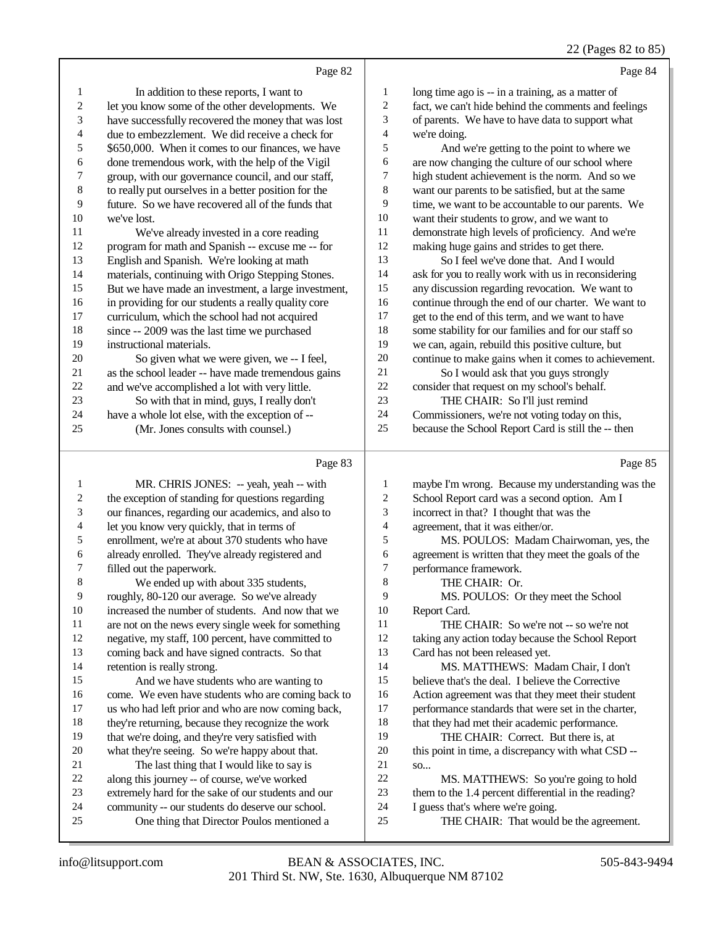|    | Page 82                                              |    | Page 84                                              |
|----|------------------------------------------------------|----|------------------------------------------------------|
| 1  | In addition to these reports, I want to              | 1  | long time ago is -- in a training, as a matter of    |
| 2  | let you know some of the other developments. We      | 2  | fact, we can't hide behind the comments and feelings |
| 3  | have successfully recovered the money that was lost  | 3  | of parents. We have to have data to support what     |
| 4  | due to embezzlement. We did receive a check for      | 4  | we're doing.                                         |
| 5  | \$650,000. When it comes to our finances, we have    | 5  | And we're getting to the point to where we           |
| 6  | done tremendous work, with the help of the Vigil     | 6  | are now changing the culture of our school where     |
| 7  | group, with our governance council, and our staff,   | 7  | high student achievement is the norm. And so we      |
| 8  | to really put ourselves in a better position for the | 8  | want our parents to be satisfied, but at the same    |
| 9  | future. So we have recovered all of the funds that   | 9  | time, we want to be accountable to our parents. We   |
| 10 | we've lost.                                          | 10 | want their students to grow, and we want to          |
| 11 | We've already invested in a core reading             | 11 | demonstrate high levels of proficiency. And we're    |
| 12 | program for math and Spanish -- excuse me -- for     | 12 | making huge gains and strides to get there.          |
| 13 | English and Spanish. We're looking at math           | 13 | So I feel we've done that. And I would               |
| 14 | materials, continuing with Origo Stepping Stones.    | 14 | ask for you to really work with us in reconsidering  |
| 15 | But we have made an investment, a large investment,  | 15 | any discussion regarding revocation. We want to      |
| 16 | in providing for our students a really quality core  | 16 | continue through the end of our charter. We want to  |
| 17 | curriculum, which the school had not acquired        | 17 | get to the end of this term, and we want to have     |
| 18 | since -- 2009 was the last time we purchased         | 18 | some stability for our families and for our staff so |
| 19 | instructional materials.                             | 19 | we can, again, rebuild this positive culture, but    |
| 20 | So given what we were given, we -- I feel,           | 20 | continue to make gains when it comes to achievement. |
| 21 | as the school leader -- have made tremendous gains   | 21 | So I would ask that you guys strongly                |
| 22 | and we've accomplished a lot with very little.       | 22 | consider that request on my school's behalf.         |
| 23 | So with that in mind, guys, I really don't           | 23 | THE CHAIR: So I'll just remind                       |
| 24 | have a whole lot else, with the exception of --      | 24 | Commissioners, we're not voting today on this,       |
| 25 | (Mr. Jones consults with counsel.)                   | 25 | because the School Report Card is still the -- then  |
|    | Page 83                                              |    | Page 85                                              |

| 1              | MR. CHRIS JONES: -- yeah, yeah -- with              | 1  | maybe I'm wrong. Because my understanding was the    |
|----------------|-----------------------------------------------------|----|------------------------------------------------------|
| 2              | the exception of standing for questions regarding   | 2  | School Report card was a second option. Am I         |
| 3              | our finances, regarding our academics, and also to  | 3  | incorrect in that? I thought that was the            |
| $\overline{4}$ | let you know very quickly, that in terms of         | 4  | agreement, that it was either/or.                    |
| 5              | enrollment, we're at about 370 students who have    | 5  | MS. POULOS: Madam Chairwoman, yes, the               |
| 6              | already enrolled. They've already registered and    | 6  | agreement is written that they meet the goals of the |
| 7              | filled out the paperwork.                           | 7  | performance framework.                               |
| 8              | We ended up with about 335 students,                | 8  | THE CHAIR: Or.                                       |
| 9              | roughly, 80-120 our average. So we've already       | 9  | MS. POULOS: Or they meet the School                  |
| 10             | increased the number of students. And now that we   | 10 | Report Card.                                         |
| 11             | are not on the news every single week for something | 11 | THE CHAIR: So we're not -- so we're not              |
| 12             | negative, my staff, 100 percent, have committed to  | 12 | taking any action today because the School Report    |
| 13             | coming back and have signed contracts. So that      | 13 | Card has not been released yet.                      |
| 14             | retention is really strong.                         | 14 | MS. MATTHEWS: Madam Chair, I don't                   |
| 15             | And we have students who are wanting to             | 15 | believe that's the deal. I believe the Corrective    |
| 16             | come. We even have students who are coming back to  | 16 | Action agreement was that they meet their student    |
| 17             | us who had left prior and who are now coming back,  | 17 | performance standards that were set in the charter,  |
| 18             | they're returning, because they recognize the work  | 18 | that they had met their academic performance.        |
| 19             | that we're doing, and they're very satisfied with   | 19 | THE CHAIR: Correct. But there is, at                 |
| 20             | what they're seeing. So we're happy about that.     | 20 | this point in time, a discrepancy with what CSD --   |
| 21             | The last thing that I would like to say is          | 21 | SO                                                   |
| 22             | along this journey -- of course, we've worked       | 22 | MS. MATTHEWS: So you're going to hold                |
| 23             | extremely hard for the sake of our students and our | 23 | them to the 1.4 percent differential in the reading? |
| 24             | community -- our students do deserve our school.    | 24 | I guess that's where we're going.                    |
| 25             | One thing that Director Poulos mentioned a          | 25 | THE CHAIR: That would be the agreement.              |
|                |                                                     |    |                                                      |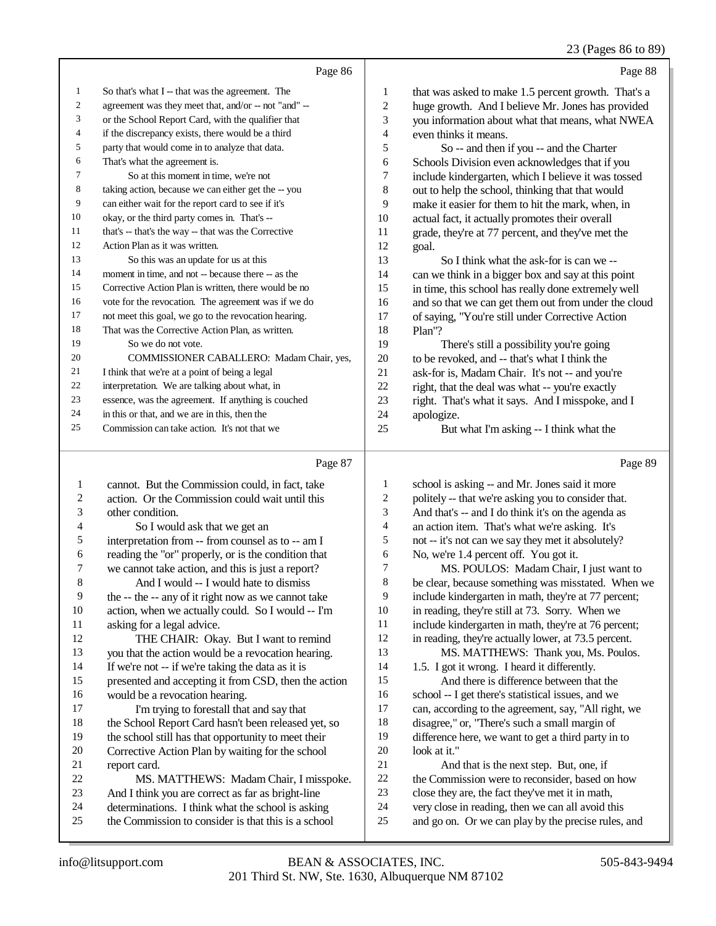### 23 (Pages 86 to 89)

|                | Page 86                                              |                | Page 88                                              |
|----------------|------------------------------------------------------|----------------|------------------------------------------------------|
| 1              | So that's what I -- that was the agreement. The      | 1              | that was asked to make 1.5 percent growth. That's a  |
| $\overline{c}$ | agreement was they meet that, and/or -- not "and" -- | $\mathfrak{2}$ | huge growth. And I believe Mr. Jones has provided    |
| 3              | or the School Report Card, with the qualifier that   | 3              | you information about what that means, what NWEA     |
| 4              | if the discrepancy exists, there would be a third    | 4              | even thinks it means.                                |
| 5              | party that would come in to analyze that data.       | 5              | So -- and then if you -- and the Charter             |
| 6              | That's what the agreement is.                        | 6              | Schools Division even acknowledges that if you       |
| 7              | So at this moment in time, we're not                 | 7              | include kindergarten, which I believe it was tossed  |
| 8              | taking action, because we can either get the -- you  | 8              | out to help the school, thinking that that would     |
| 9              | can either wait for the report card to see if it's   | 9              | make it easier for them to hit the mark, when, in    |
| 10             | okay, or the third party comes in. That's --         | 10             | actual fact, it actually promotes their overall      |
| 11             | that's -- that's the way -- that was the Corrective  | 11             | grade, they're at 77 percent, and they've met the    |
| 12             | Action Plan as it was written.                       | 12             | goal.                                                |
| 13             | So this was an update for us at this                 | 13             | So I think what the ask-for is can we --             |
| 14             | moment in time, and not -- because there -- as the   | 14             | can we think in a bigger box and say at this point   |
| 15             | Corrective Action Plan is written, there would be no | 15             | in time, this school has really done extremely well  |
| 16             | vote for the revocation. The agreement was if we do  | 16             | and so that we can get them out from under the cloud |
| 17             | not meet this goal, we go to the revocation hearing. | 17             | of saying, "You're still under Corrective Action     |
| 18             | That was the Corrective Action Plan, as written.     | 18             | Plan"?                                               |
| 19             | So we do not vote.                                   | 19             | There's still a possibility you're going             |
| 20             | COMMISSIONER CABALLERO: Madam Chair, yes,            | 20             | to be revoked, and -- that's what I think the        |
| 21             | I think that we're at a point of being a legal       | 21             | ask-for is, Madam Chair. It's not -- and you're      |
| 22             | interpretation. We are talking about what, in        | 22             | right, that the deal was what -- you're exactly      |
| 23             | essence, was the agreement. If anything is couched   | 23             | right. That's what it says. And I misspoke, and I    |
| 24             | in this or that, and we are in this, then the        | 24             | apologize.                                           |
| 25             | Commission can take action. It's not that we         | 25             | But what I'm asking -- I think what the              |

# Page 87

| 1  | cannot. But the Commission could, in fact, take      | 1  | school is asking -- and Mr. Jones said it more       |
|----|------------------------------------------------------|----|------------------------------------------------------|
| 2  | action. Or the Commission could wait until this      | 2  | politely -- that we're asking you to consider that.  |
| 3  | other condition.                                     | 3  | And that's -- and I do think it's on the agenda as   |
| 4  | So I would ask that we get an                        | 4  | an action item. That's what we're asking. It's       |
| 5  | interpretation from -- from counsel as to -- am I    | 5  | not -- it's not can we say they met it absolutely?   |
| 6  | reading the "or" properly, or is the condition that  | 6  | No, we're 1.4 percent off. You got it.               |
| 7  | we cannot take action, and this is just a report?    | 7  | MS. POULOS: Madam Chair, I just want to              |
| 8  | And I would -- I would hate to dismiss               | 8  | be clear, because something was misstated. When we   |
| 9  | the -- the -- any of it right now as we cannot take  | 9  | include kindergarten in math, they're at 77 percent; |
| 10 | action, when we actually could. So I would -- I'm    | 10 | in reading, they're still at 73. Sorry. When we      |
| 11 | asking for a legal advice.                           | 11 | include kindergarten in math, they're at 76 percent; |
| 12 | THE CHAIR: Okay. But I want to remind                | 12 | in reading, they're actually lower, at 73.5 percent. |
| 13 | you that the action would be a revocation hearing.   | 13 | MS. MATTHEWS: Thank you, Ms. Poulos.                 |
| 14 | If we're not -- if we're taking the data as it is    | 14 | 1.5. I got it wrong. I heard it differently.         |
| 15 | presented and accepting it from CSD, then the action | 15 | And there is difference between that the             |
| 16 | would be a revocation hearing.                       | 16 | school -- I get there's statistical issues, and we   |
| 17 | I'm trying to forestall that and say that            | 17 | can, according to the agreement, say, "All right, we |
| 18 | the School Report Card hasn't been released yet, so  | 18 | disagree," or, "There's such a small margin of       |
| 19 | the school still has that opportunity to meet their  | 19 | difference here, we want to get a third party in to  |
| 20 | Corrective Action Plan by waiting for the school     | 20 | look at it."                                         |
| 21 | report card.                                         | 21 | And that is the next step. But, one, if              |
| 22 | MS. MATTHEWS: Madam Chair, I misspoke.               | 22 | the Commission were to reconsider, based on how      |
| 23 | And I think you are correct as far as bright-line    | 23 | close they are, the fact they've met it in math,     |
| 24 | determinations. I think what the school is asking    | 24 | very close in reading, then we can all avoid this    |
| 25 | the Commission to consider is that this is a school  | 25 | and go on. Or we can play by the precise rules, and  |
|    |                                                      |    |                                                      |

Page 89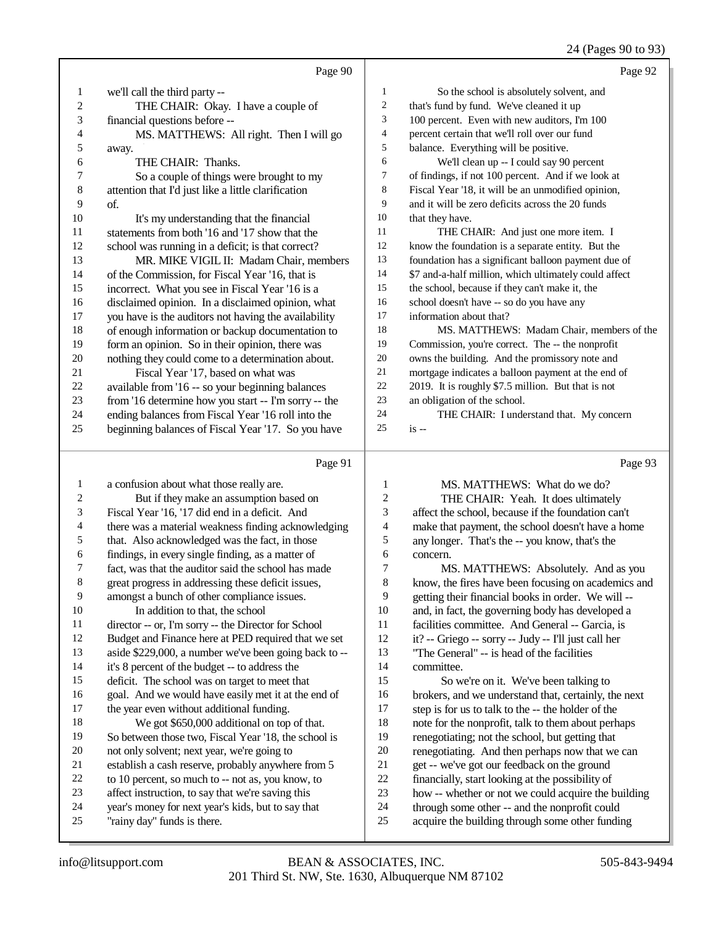24 (Pages 90 to 93)

|                |                                                                    |                          | 24 (Fages 90 to 93)                                   |
|----------------|--------------------------------------------------------------------|--------------------------|-------------------------------------------------------|
|                | Page 90                                                            |                          | Page 92                                               |
| $\mathbf{1}$   | we'll call the third party --                                      | 1                        | So the school is absolutely solvent, and              |
| $\overline{c}$ | THE CHAIR: Okay. I have a couple of                                | $\sqrt{2}$               | that's fund by fund. We've cleaned it up              |
| 3              | financial questions before --                                      | 3                        | 100 percent. Even with new auditors, I'm 100          |
| 4              | MS. MATTHEWS: All right. Then I will go                            | $\overline{\mathcal{L}}$ | percent certain that we'll roll over our fund         |
| 5              | away.                                                              | 5                        | balance. Everything will be positive.                 |
| 6              | THE CHAIR: Thanks.                                                 | 6                        | We'll clean up -- I could say 90 percent              |
| 7              | So a couple of things were brought to my                           | $\boldsymbol{7}$         | of findings, if not 100 percent. And if we look at    |
| 8              | attention that I'd just like a little clarification                | $\,$ 8 $\,$              | Fiscal Year '18, it will be an unmodified opinion,    |
| 9              | of.                                                                | 9                        | and it will be zero deficits across the 20 funds      |
| 10             | It's my understanding that the financial                           | 10                       | that they have.                                       |
| 11             | statements from both '16 and '17 show that the                     | 11                       | THE CHAIR: And just one more item. I                  |
| 12             | school was running in a deficit; is that correct?                  | 12                       | know the foundation is a separate entity. But the     |
| 13             | MR. MIKE VIGIL II: Madam Chair, members                            | 13                       | foundation has a significant balloon payment due of   |
| 14             | of the Commission, for Fiscal Year '16, that is                    | 14                       | \$7 and-a-half million, which ultimately could affect |
| 15             | incorrect. What you see in Fiscal Year '16 is a                    | 15                       | the school, because if they can't make it, the        |
| 16             | disclaimed opinion. In a disclaimed opinion, what                  | 16                       | school doesn't have -- so do you have any             |
| 17             | you have is the auditors not having the availability               | 17                       | information about that?                               |
| 18             | of enough information or backup documentation to                   | 18                       | MS. MATTHEWS: Madam Chair, members of the             |
| 19             | form an opinion. So in their opinion, there was                    | 19                       | Commission, you're correct. The -- the nonprofit      |
| 20             | nothing they could come to a determination about.                  | $20\,$                   | owns the building. And the promissory note and        |
| 21             | Fiscal Year '17, based on what was                                 | $21\,$                   | mortgage indicates a balloon payment at the end of    |
| 22             | available from '16 -- so your beginning balances                   | $22\,$                   | 2019. It is roughly \$7.5 million. But that is not    |
| 23             | from '16 determine how you start -- I'm sorry -- the               | 23                       | an obligation of the school.                          |
| 24             | ending balances from Fiscal Year '16 roll into the                 | 24                       | THE CHAIR: I understand that. My concern              |
| 25             | beginning balances of Fiscal Year '17. So you have                 | 25                       | $is -$                                                |
|                |                                                                    |                          |                                                       |
|                | Page 91                                                            |                          | Page 93                                               |
| $\mathbf{1}$   | a confusion about what those really are.                           | $\mathbf{1}$             | MS. MATTHEWS: What do we do?                          |
| 2              | But if they make an assumption based on                            | $\boldsymbol{2}$         | THE CHAIR: Yeah. It does ultimately                   |
| 3              | Fiscal Year '16, '17 did end in a deficit. And                     | 3                        | affect the school, because if the foundation can't    |
| 4              | there was a material weakness finding acknowledging                | $\overline{4}$           | make that payment, the school doesn't have a home     |
| 5              | that. Also acknowledged was the fact, in those                     | 5                        | any longer. That's the -- you know, that's the        |
| 6              | findings, in every single finding, as a matter of                  | 6                        | concern.                                              |
| 7              | fact, was that the auditor said the school has made                | $\tau$                   | MS. MATTHEWS: Absolutely. And as you                  |
| 8              | great progress in addressing these deficit issues,                 | $\,8\,$                  | know, the fires have been focusing on academics and   |
| 9              | amongst a bunch of other compliance issues.                        | 9                        | getting their financial books in order. We will --    |
| 10             | In addition to that, the school                                    | $10\,$                   | and, in fact, the governing body has developed a      |
| 11             | director -- or, I'm sorry -- the Director for School               | 11                       | facilities committee. And General -- Garcia, is       |
| 12             | Budget and Finance here at PED required that we set                | 12                       | it? -- Griego -- sorry -- Judy -- I'll just call her  |
| 13             | aside \$229,000, a number we've been going back to --              | 13                       | "The General" -- is head of the facilities            |
| 14             | it's 8 percent of the budget -- to address the                     | 14                       | committee.                                            |
| 15             | deficit. The school was on target to meet that                     | 15                       | So we're on it. We've been talking to                 |
| 16             | goal. And we would have easily met it at the end of                | 16                       | brokers, and we understand that, certainly, the next  |
| 17             | the year even without additional funding.                          | 17                       | step is for us to talk to the -- the holder of the    |
| 18             | We got \$650,000 additional on top of that.                        | 18                       | note for the nonprofit, talk to them about perhaps    |
| 19             | So between those two, Fiscal Year '18, the school is               | 19                       | renegotiating; not the school, but getting that       |
| 20             | not only solvent; next year, we're going to                        | $20\,$                   | renegotiating. And then perhaps now that we can       |
| 21             | establish a cash reserve, probably anywhere from 5                 | 21                       | get -- we've got our feedback on the ground           |
| $22\,$         | to 10 percent, so much to -- not as, you know, to                  | 22                       | financially, start looking at the possibility of      |
| 23             | affect instruction, to say that we're saving this                  | 23                       | how -- whether or not we could acquire the building   |
| $\mathcal{L}$  | بمعاقبهم والمستحيط والمنافسة والمتألف والمستحدث والمتألف والمستحدث | $\mathcal{L}$            | الرادمة والمستسمين وعلواه المستوطئ والمسمور والمستحدث |

- year's money for next year's kids, but to say that "rainy day" funds is there.
- 24 through some other -- and the nonprofit could<br>25 acquire the building through some other funding acquire the building through some other funding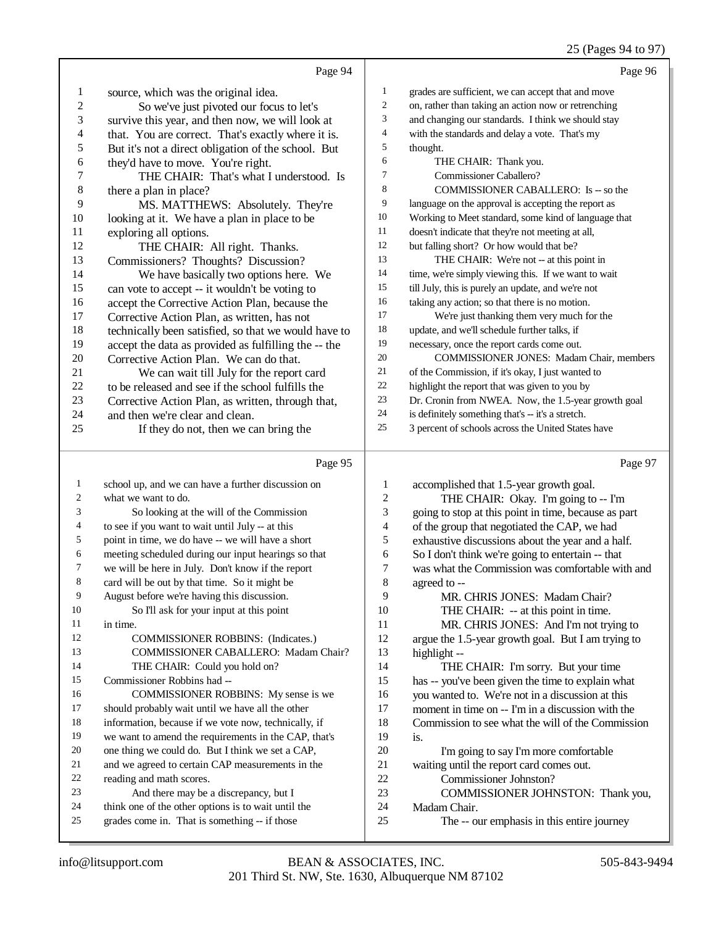# 25 (Pages 94 to 97)

|                          | Page 94                                                                                              |                             | Page 96                                                                                              |
|--------------------------|------------------------------------------------------------------------------------------------------|-----------------------------|------------------------------------------------------------------------------------------------------|
| 1                        | source, which was the original idea.                                                                 | 1                           | grades are sufficient, we can accept that and move                                                   |
| $\boldsymbol{2}$         | So we've just pivoted our focus to let's                                                             | $\overline{c}$              | on, rather than taking an action now or retrenching                                                  |
| 3                        | survive this year, and then now, we will look at                                                     | 3                           | and changing our standards. I think we should stay                                                   |
| $\overline{\mathcal{A}}$ | that. You are correct. That's exactly where it is.                                                   | 4                           | with the standards and delay a vote. That's my                                                       |
| 5                        | But it's not a direct obligation of the school. But                                                  | 5                           | thought.                                                                                             |
| 6                        | they'd have to move. You're right.                                                                   | 6                           | THE CHAIR: Thank you.                                                                                |
| 7                        | THE CHAIR: That's what I understood. Is                                                              | 7                           | Commissioner Caballero?                                                                              |
| $\,8\,$                  | there a plan in place?                                                                               | 8                           | COMMISSIONER CABALLERO: Is -- so the                                                                 |
| 9                        | MS. MATTHEWS: Absolutely. They're                                                                    | 9                           | language on the approval is accepting the report as                                                  |
| 10                       | looking at it. We have a plan in place to be                                                         | 10                          | Working to Meet standard, some kind of language that                                                 |
| 11                       | exploring all options.                                                                               | 11                          | doesn't indicate that they're not meeting at all,                                                    |
| 12                       | THE CHAIR: All right. Thanks.                                                                        | 12                          | but falling short? Or how would that be?                                                             |
| 13                       | Commissioners? Thoughts? Discussion?                                                                 | 13                          | THE CHAIR: We're not -- at this point in                                                             |
| 14                       | We have basically two options here. We                                                               | 14                          | time, we're simply viewing this. If we want to wait                                                  |
| 15                       | can vote to accept -- it wouldn't be voting to                                                       | 15                          | till July, this is purely an update, and we're not                                                   |
| 16                       | accept the Corrective Action Plan, because the                                                       | 16                          | taking any action; so that there is no motion.                                                       |
| 17                       | Corrective Action Plan, as written, has not                                                          | 17                          | We're just thanking them very much for the                                                           |
| 18                       | technically been satisfied, so that we would have to                                                 | 18                          | update, and we'll schedule further talks, if                                                         |
| 19                       | accept the data as provided as fulfilling the -- the                                                 | 19                          | necessary, once the report cards come out.                                                           |
| $20\,$                   | Corrective Action Plan. We can do that.                                                              | 20                          | COMMISSIONER JONES: Madam Chair, members                                                             |
| 21                       | We can wait till July for the report card                                                            | 21                          | of the Commission, if it's okay, I just wanted to                                                    |
| 22                       | to be released and see if the school fulfills the                                                    | 22                          | highlight the report that was given to you by                                                        |
| 23                       | Corrective Action Plan, as written, through that,                                                    | 23                          | Dr. Cronin from NWEA. Now, the 1.5-year growth goal                                                  |
| 24                       | and then we're clear and clean.                                                                      | 24                          | is definitely something that's -- it's a stretch.                                                    |
| 25                       | If they do not, then we can bring the                                                                | 25                          | 3 percent of schools across the United States have                                                   |
|                          |                                                                                                      |                             |                                                                                                      |
|                          | Page 95                                                                                              |                             | Page 97                                                                                              |
| $\mathbf{1}$             | school up, and we can have a further discussion on                                                   | $\mathbf{1}$                |                                                                                                      |
| 2                        | what we want to do.                                                                                  | $\sqrt{2}$                  | accomplished that 1.5-year growth goal.                                                              |
| 3                        | So looking at the will of the Commission                                                             | $\ensuremath{\mathfrak{Z}}$ | THE CHAIR: Okay. I'm going to -- I'm                                                                 |
| 4                        | to see if you want to wait until July -- at this                                                     | 4                           | going to stop at this point in time, because as part<br>of the group that negotiated the CAP, we had |
| 5                        | point in time, we do have -- we will have a short                                                    | 5                           | exhaustive discussions about the year and a half.                                                    |
| 6                        | meeting scheduled during our input hearings so that                                                  | 6                           | So I don't think we're going to entertain -- that                                                    |
| 7                        | we will be here in July. Don't know if the report                                                    | $\boldsymbol{7}$            | was what the Commission was comfortable with and                                                     |
|                          | card will be out by that time. So it might be                                                        | $\,$ 8 $\,$                 | agreed to --                                                                                         |
| 9                        | August before we're having this discussion.                                                          | 9                           | MR. CHRIS JONES: Madam Chair?                                                                        |
| 10                       | So I'll ask for your input at this point                                                             | 10                          | THE CHAIR: -- at this point in time.                                                                 |
| 11                       | in time.                                                                                             | 11                          | MR. CHRIS JONES: And I'm not trying to                                                               |
| 12                       | <b>COMMISSIONER ROBBINS:</b> (Indicates.)                                                            | 12                          | argue the 1.5-year growth goal. But I am trying to                                                   |
| 13                       | COMMISSIONER CABALLERO: Madam Chair?                                                                 | 13                          | highlight --                                                                                         |
| 14                       | THE CHAIR: Could you hold on?                                                                        | 14                          | THE CHAIR: I'm sorry. But your time                                                                  |
| 15                       | Commissioner Robbins had --                                                                          | 15                          | has -- you've been given the time to explain what                                                    |
| 16                       | COMMISSIONER ROBBINS: My sense is we                                                                 | 16                          | you wanted to. We're not in a discussion at this                                                     |
| 17                       | should probably wait until we have all the other                                                     | 17                          | moment in time on -- I'm in a discussion with the                                                    |
| 18                       | information, because if we vote now, technically, if                                                 | 18                          | Commission to see what the will of the Commission                                                    |
| 19                       | we want to amend the requirements in the CAP, that's                                                 | 19                          | is.                                                                                                  |
| 20                       | one thing we could do. But I think we set a CAP,                                                     | 20                          | I'm going to say I'm more comfortable                                                                |
| 21                       | and we agreed to certain CAP measurements in the                                                     | 21                          | waiting until the report card comes out.                                                             |
| 22                       | reading and math scores.                                                                             | 22                          | Commissioner Johnston?                                                                               |
| 23                       | And there may be a discrepancy, but I                                                                | 23                          | COMMISSIONER JOHNSTON: Thank you,                                                                    |
| 24<br>25                 | think one of the other options is to wait until the<br>grades come in. That is something -- if those | 24<br>25                    | Madam Chair.<br>The -- our emphasis in this entire journey                                           |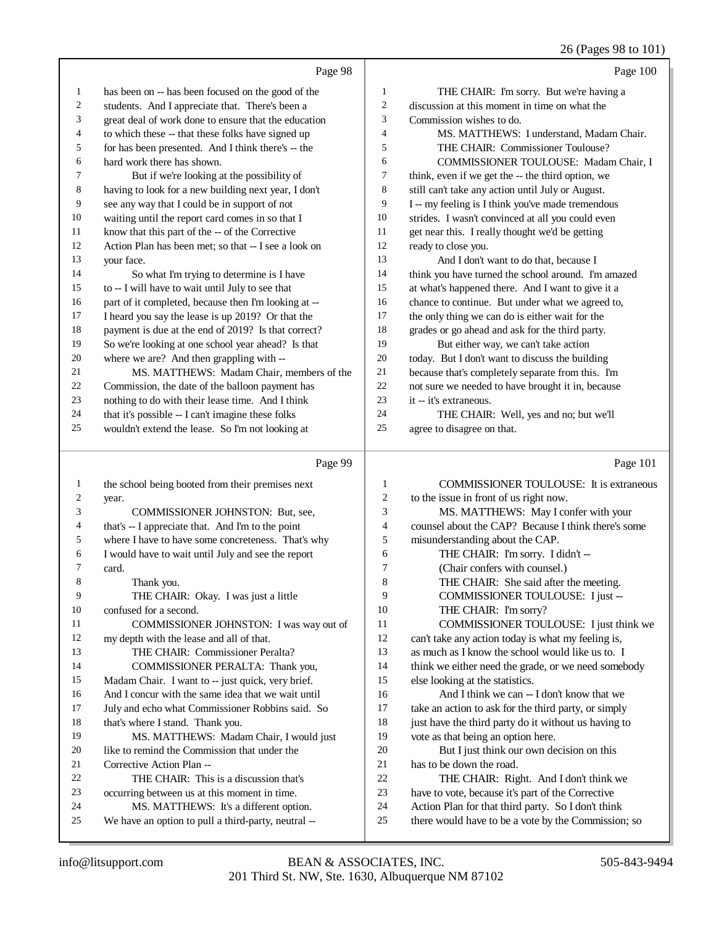# 26 (Pages 98 to 101)

|                | Page 98                                                                                |                         | Page 100                                                                                                  |
|----------------|----------------------------------------------------------------------------------------|-------------------------|-----------------------------------------------------------------------------------------------------------|
| 1              | has been on -- has been focused on the good of the                                     | $\mathbf{1}$            | THE CHAIR: I'm sorry. But we're having a                                                                  |
| $\overline{c}$ | students. And I appreciate that. There's been a                                        | $\overline{c}$          | discussion at this moment in time on what the                                                             |
| 3              | great deal of work done to ensure that the education                                   | 3                       | Commission wishes to do.                                                                                  |
| 4              | to which these -- that these folks have signed up                                      | $\overline{4}$          | MS. MATTHEWS: I understand, Madam Chair.                                                                  |
| 5              | for has been presented. And I think there's -- the                                     | 5                       | THE CHAIR: Commissioner Toulouse?                                                                         |
| 6              | hard work there has shown.                                                             | 6                       | COMMISSIONER TOULOUSE: Madam Chair, I                                                                     |
| 7              | But if we're looking at the possibility of                                             | 7                       | think, even if we get the -- the third option, we                                                         |
| 8              | having to look for a new building next year, I don't                                   | 8                       | still can't take any action until July or August.                                                         |
| 9              | see any way that I could be in support of not                                          | 9                       | I -- my feeling is I think you've made tremendous                                                         |
| $10\,$         | waiting until the report card comes in so that I                                       | 10                      | strides. I wasn't convinced at all you could even                                                         |
| $11\,$         | know that this part of the -- of the Corrective                                        | 11                      | get near this. I really thought we'd be getting                                                           |
| 12             | Action Plan has been met; so that -- I see a look on                                   | 12                      | ready to close you.                                                                                       |
| 13             | your face.                                                                             | 13                      | And I don't want to do that, because I                                                                    |
| 14             | So what I'm trying to determine is I have                                              | 14                      | think you have turned the school around. I'm amazed                                                       |
| 15             | to -- I will have to wait until July to see that                                       | 15                      | at what's happened there. And I want to give it a                                                         |
| 16             | part of it completed, because then I'm looking at --                                   | 16                      | chance to continue. But under what we agreed to,                                                          |
| 17             | I heard you say the lease is up 2019? Or that the                                      | 17                      | the only thing we can do is either wait for the                                                           |
| 18             | payment is due at the end of 2019? Is that correct?                                    | 18                      | grades or go ahead and ask for the third party.                                                           |
| 19             | So we're looking at one school year ahead? Is that                                     | 19                      | But either way, we can't take action                                                                      |
| $20\,$         | where we are? And then grappling with --                                               | $20\,$                  | today. But I don't want to discuss the building                                                           |
| 21             | MS. MATTHEWS: Madam Chair, members of the                                              | 21                      | because that's completely separate from this. I'm                                                         |
| 22             | Commission, the date of the balloon payment has                                        | 22                      | not sure we needed to have brought it in, because                                                         |
| 23             | nothing to do with their lease time. And I think                                       | 23                      | it -- it's extraneous.                                                                                    |
| 24             | that it's possible -- I can't imagine these folks                                      | 24                      | THE CHAIR: Well, yes and no; but we'll                                                                    |
| 25             | wouldn't extend the lease. So I'm not looking at                                       | 25                      | agree to disagree on that.                                                                                |
|                |                                                                                        |                         |                                                                                                           |
|                | Page 99                                                                                |                         | Page 101                                                                                                  |
| $\mathbf{1}$   |                                                                                        | 1                       |                                                                                                           |
| $\overline{c}$ | the school being booted from their premises next<br>year.                              | $\overline{c}$          | COMMISSIONER TOULOUSE: It is extraneous<br>to the issue in front of us right now.                         |
| 3              | COMMISSIONER JOHNSTON: But, see,                                                       | 3                       | MS. MATTHEWS: May I confer with your                                                                      |
| 4              | that's -- I appreciate that. And I'm to the point                                      | 4                       | counsel about the CAP? Because I think there's some                                                       |
| 5              | where I have to have some concreteness. That's why                                     | 5                       | misunderstanding about the CAP.                                                                           |
| 6              | I would have to wait until July and see the report                                     | 6                       | THE CHAIR: I'm sorry. I didn't --                                                                         |
| 7              | card.                                                                                  | 7                       | (Chair confers with counsel.)                                                                             |
| 8              | Thank you.                                                                             | $\mathbf{\overline{R}}$ | THE CHAIR: She said after the meeting.                                                                    |
| 9              | THE CHAIR: Okay. I was just a little                                                   | 9                       | COMMISSIONER TOULOUSE: I just --                                                                          |
| 10             | confused for a second.                                                                 | 10                      | THE CHAIR: I'm sorry?                                                                                     |
| 11             | COMMISSIONER JOHNSTON: I was way out of                                                | 11                      | COMMISSIONER TOULOUSE: I just think we                                                                    |
| 12             | my depth with the lease and all of that.                                               | 12                      | can't take any action today is what my feeling is,                                                        |
| 13             | THE CHAIR: Commissioner Peralta?                                                       | 13                      | as much as I know the school would like us to. I                                                          |
| 14             | COMMISSIONER PERALTA: Thank you,                                                       | 14                      | think we either need the grade, or we need somebody                                                       |
| 15             | Madam Chair. I want to -- just quick, very brief.                                      | 15                      | else looking at the statistics.                                                                           |
| 16             | And I concur with the same idea that we wait until                                     | 16                      | And I think we can -- I don't know that we                                                                |
| 17             | July and echo what Commissioner Robbins said. So                                       | 17                      | take an action to ask for the third party, or simply                                                      |
| 18             | that's where I stand. Thank you.                                                       | 18                      | just have the third party do it without us having to                                                      |
| 19             | MS. MATTHEWS: Madam Chair, I would just                                                | 19                      | vote as that being an option here.                                                                        |
| 20             | like to remind the Commission that under the                                           | 20                      | But I just think our own decision on this                                                                 |
| 21<br>22       | Corrective Action Plan --                                                              | 21<br>22                | has to be down the road.                                                                                  |
| 23             | THE CHAIR: This is a discussion that's                                                 | 23                      | THE CHAIR: Right. And I don't think we                                                                    |
| 24             | occurring between us at this moment in time.<br>MS. MATTHEWS: It's a different option. | 24                      | have to vote, because it's part of the Corrective                                                         |
| 25             | We have an option to pull a third-party, neutral --                                    | 25                      | Action Plan for that third party. So I don't think<br>there would have to be a vote by the Commission; so |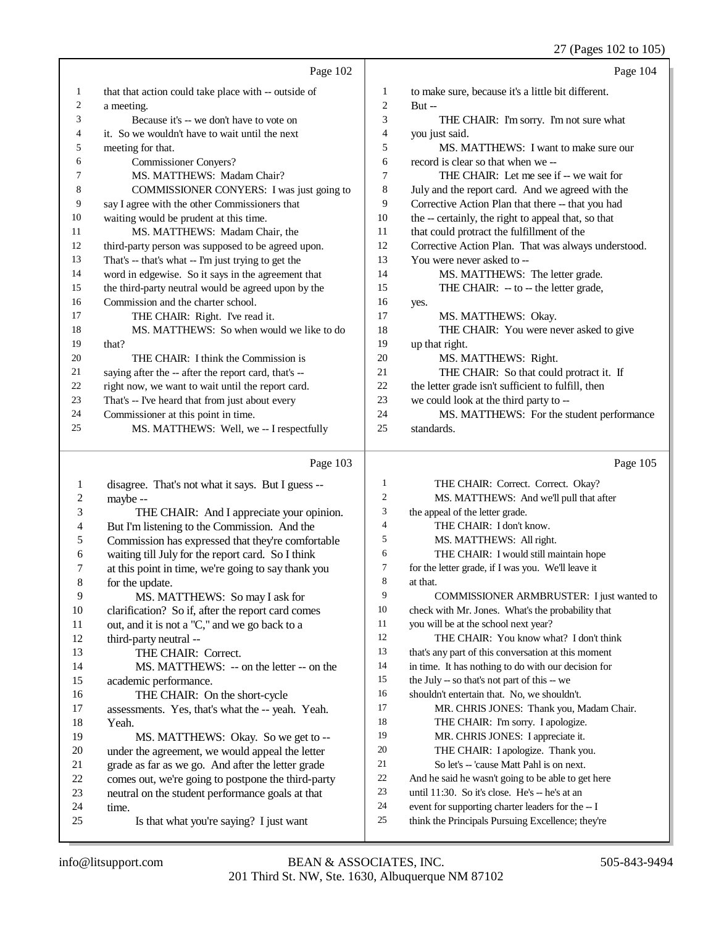|                         | Page 102                                                      |                | Page 104                                                                                               |
|-------------------------|---------------------------------------------------------------|----------------|--------------------------------------------------------------------------------------------------------|
| 1                       | that that action could take place with -- outside of          | 1              | to make sure, because it's a little bit different.                                                     |
| 2                       | a meeting.                                                    | $\overline{c}$ | $But -$                                                                                                |
| 3                       | Because it's -- we don't have to vote on                      | 3              | THE CHAIR: I'm sorry. I'm not sure what                                                                |
| 4                       | it. So we wouldn't have to wait until the next                | $\overline{4}$ | you just said.                                                                                         |
| 5                       | meeting for that.                                             | 5              | MS. MATTHEWS: I want to make sure our                                                                  |
| 6                       | <b>Commissioner Conyers?</b>                                  | 6              | record is clear so that when we --                                                                     |
| 7                       | MS. MATTHEWS: Madam Chair?                                    | $\tau$         | THE CHAIR: Let me see if -- we wait for                                                                |
| 8                       | COMMISSIONER CONYERS: I was just going to                     | 8              | July and the report card. And we agreed with the                                                       |
| 9                       | say I agree with the other Commissioners that                 | 9              | Corrective Action Plan that there -- that you had                                                      |
| 10                      | waiting would be prudent at this time.                        | 10             | the -- certainly, the right to appeal that, so that                                                    |
| 11                      | MS. MATTHEWS: Madam Chair, the                                | 11             | that could protract the fulfillment of the                                                             |
| 12                      | third-party person was supposed to be agreed upon.            | 12             | Corrective Action Plan. That was always understood.                                                    |
| 13                      | That's -- that's what -- I'm just trying to get the           | 13             | You were never asked to --                                                                             |
| 14                      | word in edgewise. So it says in the agreement that            | 14             | MS. MATTHEWS: The letter grade.                                                                        |
| 15                      | the third-party neutral would be agreed upon by the           | 15             | THE CHAIR: -- to -- the letter grade,                                                                  |
| 16                      | Commission and the charter school.                            | 16             | yes.                                                                                                   |
| 17                      | THE CHAIR: Right. I've read it.                               | 17             | MS. MATTHEWS: Okay.                                                                                    |
| 18                      | MS. MATTHEWS: So when would we like to do                     | 18             | THE CHAIR: You were never asked to give                                                                |
| 19                      | that?                                                         | 19             | up that right.                                                                                         |
| 20                      | THE CHAIR: I think the Commission is                          | 20             | MS. MATTHEWS: Right.                                                                                   |
| 21                      | saying after the -- after the report card, that's --          | 21             | THE CHAIR: So that could protract it. If                                                               |
| 22                      | right now, we want to wait until the report card.             | $22\,$         | the letter grade isn't sufficient to fulfill, then                                                     |
| 23                      | That's -- I've heard that from just about every               | 23             | we could look at the third party to --                                                                 |
| 24                      | Commissioner at this point in time.                           | 24             | MS. MATTHEWS: For the student performance                                                              |
| 25                      | MS. MATTHEWS: Well, we -- I respectfully                      | 25             | standards.                                                                                             |
|                         |                                                               |                |                                                                                                        |
|                         | Page 103                                                      |                | Page 105                                                                                               |
| 1                       |                                                               | $\mathbf{1}$   | THE CHAIR: Correct. Correct. Okay?                                                                     |
| $\overline{\mathbf{c}}$ | disagree. That's not what it says. But I guess --<br>maybe -- | $\mathfrak{2}$ | MS. MATTHEWS: And we'll pull that after                                                                |
| 3                       | THE CHAIR: And I appreciate your opinion.                     | 3              | the appeal of the letter grade.                                                                        |
| 4                       | But I'm listening to the Commission. And the                  | $\overline{4}$ | THE CHAIR: I don't know.                                                                               |
| 5                       | Commission has expressed that they're comfortable             | 5              | MS. MATTHEWS: All right.                                                                               |
| 6                       | waiting till July for the report card. So I think             | 6              | THE CHAIR: I would still maintain hope                                                                 |
| 7                       | at this point in time, we're going to say thank you           | $\tau$         | for the letter grade, if I was you. We'll leave it                                                     |
| 8                       | for the update.                                               | 8              | at that.                                                                                               |
| 9                       | MS. MATTHEWS: So may I ask for                                | 9              | COMMISSIONER ARMBRUSTER: I just wanted to                                                              |
| 10                      | clarification? So if, after the report card comes             | 10             | check with Mr. Jones. What's the probability that                                                      |
| 11                      | out, and it is not a "C," and we go back to a                 | 11             | you will be at the school next year?                                                                   |
| 12                      | third-party neutral --                                        | 12             | THE CHAIR: You know what? I don't think                                                                |
| 13                      | THE CHAIR: Correct.                                           | 13             | that's any part of this conversation at this moment                                                    |
| 14                      | MS. MATTHEWS: -- on the letter -- on the                      | 14             | in time. It has nothing to do with our decision for                                                    |
| 15                      | academic performance.                                         | 15             | the July -- so that's not part of this -- we                                                           |
| 16                      | THE CHAIR: On the short-cycle                                 | 16             | shouldn't entertain that. No, we shouldn't.                                                            |
| 17                      | assessments. Yes, that's what the -- yeah. Yeah.              | 17             | MR. CHRIS JONES: Thank you, Madam Chair.                                                               |
| 18                      | Yeah.                                                         | 18             | THE CHAIR: I'm sorry. I apologize.                                                                     |
| 19                      | MS. MATTHEWS: Okay. So we get to --                           | 19             | MR. CHRIS JONES: I appreciate it.                                                                      |
| 20                      | under the agreement, we would appeal the letter               | 20             | THE CHAIR: I apologize. Thank you.                                                                     |
| 21                      | grade as far as we go. And after the letter grade             | 21             | So let's -- 'cause Matt Pahl is on next.                                                               |
| 22                      | comes out, we're going to postpone the third-party            | 22             | And he said he wasn't going to be able to get here                                                     |
| 23                      | neutral on the student performance goals at that              | 23             | until 11:30. So it's close. He's -- he's at an                                                         |
| 24<br>25                | time.<br>Is that what you're saying? I just want              | 24<br>25       | event for supporting charter leaders for the -- I<br>think the Principals Pursuing Excellence; they're |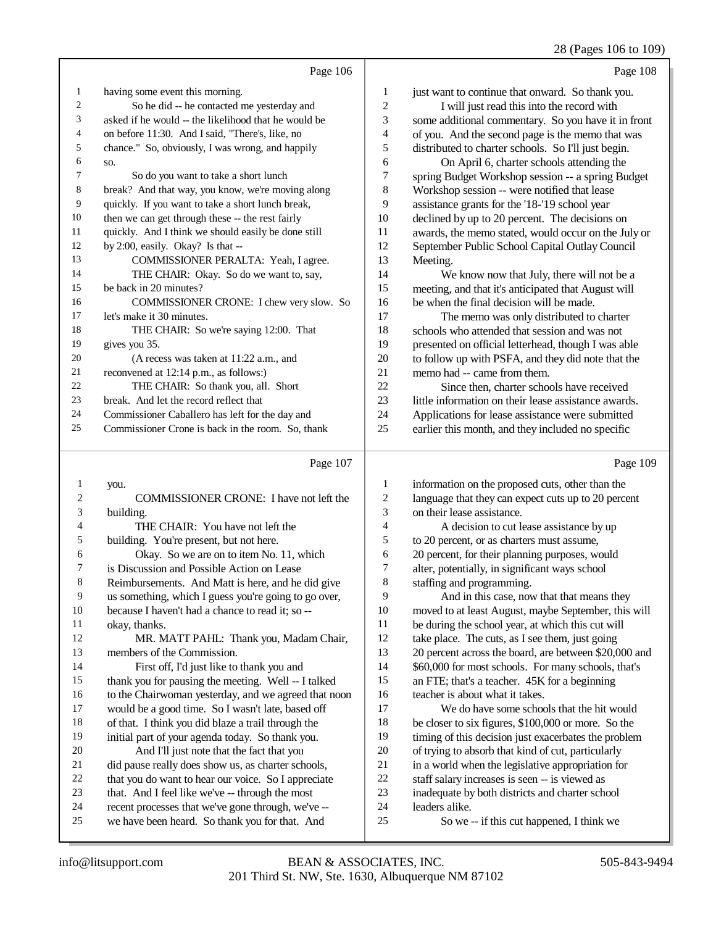28 (Pages 106 to 109)

|                | Page 106                                             |                | Page 108                                             |
|----------------|------------------------------------------------------|----------------|------------------------------------------------------|
| 1              | having some event this morning.                      | $\mathbf{1}$   | just want to continue that onward. So thank you.     |
| 2              | So he did -- he contacted me yesterday and           | $\overline{c}$ | I will just read this into the record with           |
| 3              | asked if he would -- the likelihood that he would be | 3              | some additional commentary. So you have it in front  |
| 4              | on before 11:30. And I said, "There's, like, no      | 4              | of you. And the second page is the memo that was     |
| 5              | chance." So, obviously, I was wrong, and happily     | 5              | distributed to charter schools. So I'll just begin.  |
| 6              | SO.                                                  | 6              | On April 6, charter schools attending the            |
| 7              | So do you want to take a short lunch                 | 7              | spring Budget Workshop session -- a spring Budget    |
| 8              | break? And that way, you know, we're moving along    | 8              | Workshop session -- were notified that lease         |
| 9              | quickly. If you want to take a short lunch break,    | 9              | assistance grants for the '18-'19 school year        |
| 10             | then we can get through these -- the rest fairly     | 10             | declined by up to 20 percent. The decisions on       |
| 11             | quickly. And I think we should easily be done still  | 11             | awards, the memo stated, would occur on the July or  |
| 12             | by 2:00, easily. Okay? Is that --                    | 12             | September Public School Capital Outlay Council       |
| 13             | COMMISSIONER PERALTA: Yeah, I agree.                 | 13             | Meeting.                                             |
| 14             | THE CHAIR: Okay. So do we want to, say,              | 14             | We know now that July, there will not be a           |
| 15             | be back in 20 minutes?                               | 15             | meeting, and that it's anticipated that August will  |
| 16             | COMMISSIONER CRONE: I chew very slow. So             | 16             | be when the final decision will be made.             |
| 17             | let's make it 30 minutes.                            | 17             | The memo was only distributed to charter             |
| 18             | THE CHAIR: So we're saying 12:00. That               | 18             | schools who attended that session and was not        |
| 19             | gives you 35.                                        | 19             | presented on official letterhead, though I was able  |
| 20             | (A recess was taken at 11:22 a.m., and               | 20             | to follow up with PSFA, and they did note that the   |
| 21             | reconvened at 12:14 p.m., as follows:)               | 21             | memo had -- came from them.                          |
| 22             | THE CHAIR: So thank you, all. Short                  | 22             | Since then, charter schools have received            |
| 23             | break. And let the record reflect that               | 23             | little information on their lease assistance awards. |
| 24             | Commissioner Caballero has left for the day and      | 24             | Applications for lease assistance were submitted     |
| 25             | Commissioner Crone is back in the room. So, thank    | 25             | earlier this month, and they included no specific    |
|                | Page 107                                             |                | Page 109                                             |
| 1              | you.                                                 | 1              | information on the proposed cuts, other than the     |
| $\overline{c}$ | COMMISSIONER CRONE: I have not left the              | $\overline{c}$ | language that they can expect cuts up to 20 percent  |

| ∠                        | COMMISSIONER CRONE: 1 have not left the              |  |
|--------------------------|------------------------------------------------------|--|
| 3                        | building.                                            |  |
| $\overline{\mathcal{L}}$ | THE CHAIR: You have not left the                     |  |
| 5                        | building. You're present, but not here.              |  |
| 6                        | Okay. So we are on to item No. 11, which             |  |
| 7                        | is Discussion and Possible Action on Lease           |  |
| 8                        | Reimbursements. And Matt is here, and he did give    |  |
| 9                        | us something, which I guess you're going to go over, |  |
| 10                       | because I haven't had a chance to read it; so --     |  |
| 11                       | okay, thanks.                                        |  |
| 12                       | MR. MATT PAHL: Thank you, Madam Chair,               |  |
| 13                       | members of the Commission.                           |  |
| 14                       | First off, I'd just like to thank you and            |  |
| 15                       | thank you for pausing the meeting. Well -- I talked  |  |
| 16                       | to the Chairwoman yesterday, and we agreed that noon |  |
| 17                       | would be a good time. So I wasn't late, based off    |  |
| 18                       | of that. I think you did blaze a trail through the   |  |
| 19                       | initial part of your agenda today. So thank you.     |  |
| 20                       | And I'll just note that the fact that you            |  |
| 21                       | did pause really does show us, as charter schools,   |  |
| 22                       | that you do want to hear our voice. So I appreciate  |  |
| 23                       | that. And I feel like we've -- through the most      |  |
| 24                       | recent processes that we've gone through, we've --   |  |
| 25                       | we have been heard. So thank you for that. And       |  |
|                          |                                                      |  |

 on their lease assistance. A decision to cut lease assistance by up to 20 percent, or as charters must assume, 20 percent, for their planning purposes, would alter, potentially, in significant ways school staffing and programming. And in this case, now that that means they moved to at least August, maybe September, this will be during the school year, at which this cut will take place. The cuts, as I see them, just going 20 percent across the board, are between \$20,000 and \$60,000 for most schools. For many schools, that's an FTE; that's a teacher. 45K for a beginning teacher is about what it takes. We do have some schools that the hit would be closer to six figures, \$100,000 or more. So the

timing of this decision just exacerbates the problem

- of trying to absorb that kind of cut, particularly
- in a world when the legislative appropriation for
- staff salary increases is seen -- is viewed as
- inadequate by both districts and charter school
- leaders alike.
- So we -- if this cut happened, I think we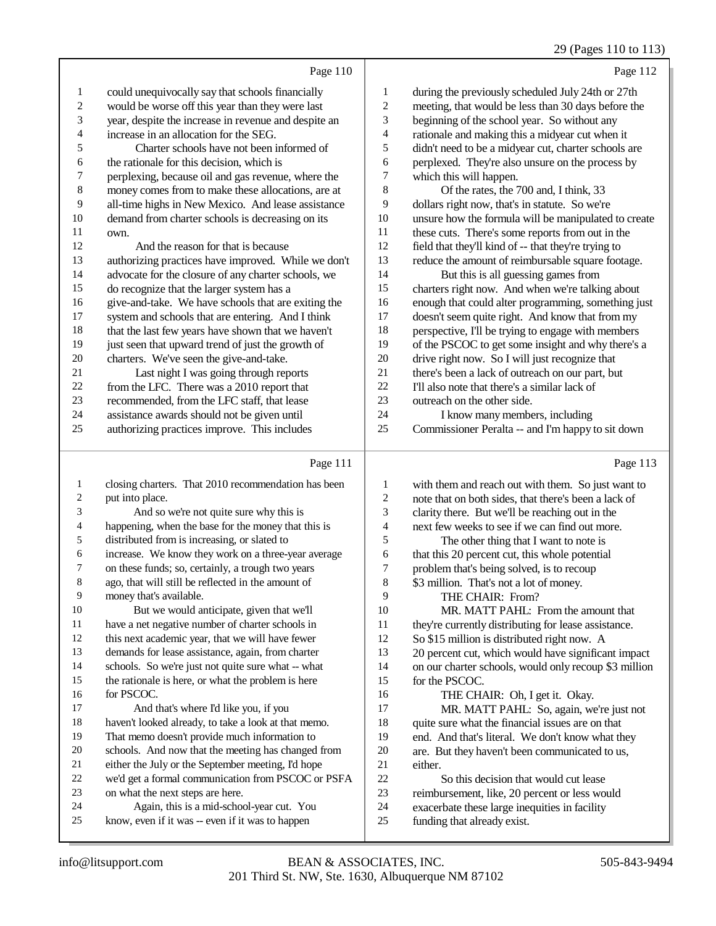# 29 (Pages 110 to 113)

|                | Page 110                                             |              | Page 112                                             |
|----------------|------------------------------------------------------|--------------|------------------------------------------------------|
| 1              | could unequivocally say that schools financially     | $\mathbf{1}$ | during the previously scheduled July 24th or 27th    |
| 2              | would be worse off this year than they were last     | 2            | meeting, that would be less than 30 days before the  |
| 3              | year, despite the increase in revenue and despite an | 3            | beginning of the school year. So without any         |
| $\overline{4}$ | increase in an allocation for the SEG.               | 4            | rationale and making this a midyear cut when it      |
| 5              | Charter schools have not been informed of            | 5            | didn't need to be a midyear cut, charter schools are |
| 6              | the rationale for this decision, which is            | 6            | perplexed. They're also unsure on the process by     |
| 7              | perplexing, because oil and gas revenue, where the   | 7            | which this will happen.                              |
| 8              | money comes from to make these allocations, are at   | 8            | Of the rates, the 700 and, I think, 33               |
| 9              | all-time highs in New Mexico. And lease assistance   | 9            | dollars right now, that's in statute. So we're       |
| 10             | demand from charter schools is decreasing on its     | 10           | unsure how the formula will be manipulated to create |
| 11             | own.                                                 | 11           | these cuts. There's some reports from out in the     |
| 12             | And the reason for that is because                   | 12           | field that they'll kind of -- that they're trying to |
| 13             | authorizing practices have improved. While we don't  | 13           | reduce the amount of reimbursable square footage.    |
| 14             | advocate for the closure of any charter schools, we  | 14           | But this is all guessing games from                  |
| 15             | do recognize that the larger system has a            | 15           | charters right now. And when we're talking about     |
| 16             | give-and-take. We have schools that are exiting the  | 16           | enough that could alter programming, something just  |
| 17             | system and schools that are entering. And I think    | 17           | doesn't seem quite right. And know that from my      |
| 18             | that the last few years have shown that we haven't   | 18           | perspective, I'll be trying to engage with members   |
| 19             | just seen that upward trend of just the growth of    | 19           | of the PSCOC to get some insight and why there's a   |
| 20             | charters. We've seen the give-and-take.              | 20           | drive right now. So I will just recognize that       |
| 21             | Last night I was going through reports               | 21           | there's been a lack of outreach on our part, but     |
| 22             | from the LFC. There was a 2010 report that           | 22           | I'll also note that there's a similar lack of        |
| 23             | recommended, from the LFC staff, that lease          | 23           | outreach on the other side.                          |
| 24             | assistance awards should not be given until          | 24           | I know many members, including                       |
| 25             | authorizing practices improve. This includes         | 25           | Commissioner Peralta -- and I'm happy to sit down    |

# $D_{0.001}$  111

|                | Page 111                                             |    | Page 113                                              |
|----------------|------------------------------------------------------|----|-------------------------------------------------------|
| 1              | closing charters. That 2010 recommendation has been  | 1  | with them and reach out with them. So just want to    |
| $\overline{c}$ | put into place.                                      | 2  | note that on both sides, that there's been a lack of  |
| 3              | And so we're not quite sure why this is              | 3  | clarity there. But we'll be reaching out in the       |
| 4              | happening, when the base for the money that this is  | 4  | next few weeks to see if we can find out more.        |
| 5              | distributed from is increasing, or slated to         | 5  | The other thing that I want to note is                |
| 6              | increase. We know they work on a three-year average  | 6  | that this 20 percent cut, this whole potential        |
| 7              | on these funds; so, certainly, a trough two years    | 7  | problem that's being solved, is to recoup             |
| 8              | ago, that will still be reflected in the amount of   | 8  | \$3 million. That's not a lot of money.               |
| 9              | money that's available.                              | 9  | THE CHAIR: From?                                      |
| 10             | But we would anticipate, given that we'll            | 10 | MR. MATT PAHL: From the amount that                   |
| 11             | have a net negative number of charter schools in     | 11 | they're currently distributing for lease assistance.  |
| 12             | this next academic year, that we will have fewer     | 12 | So \$15 million is distributed right now. A           |
| 13             | demands for lease assistance, again, from charter    | 13 | 20 percent cut, which would have significant impact   |
| 14             | schools. So we're just not quite sure what -- what   | 14 | on our charter schools, would only recoup \$3 million |
| 15             | the rationale is here, or what the problem is here   | 15 | for the PSCOC.                                        |
| 16             | for PSCOC.                                           | 16 | THE CHAIR: Oh, I get it. Okay.                        |
| 17             | And that's where I'd like you, if you                | 17 | MR. MATT PAHL: So, again, we're just not              |
| 18             | haven't looked already, to take a look at that memo. | 18 | quite sure what the financial issues are on that      |
| 19             | That memo doesn't provide much information to        | 19 | end. And that's literal. We don't know what they      |
| 20             | schools. And now that the meeting has changed from   | 20 | are. But they haven't been communicated to us,        |
| 21             | either the July or the September meeting, I'd hope   | 21 | either.                                               |
| 22             | we'd get a formal communication from PSCOC or PSFA   | 22 | So this decision that would cut lease                 |
| 23             | on what the next steps are here.                     | 23 | reimbursement, like, 20 percent or less would         |
| 24             | Again, this is a mid-school-year cut. You            | 24 | exacerbate these large inequities in facility         |
| 25             | know, even if it was -- even if it was to happen     | 25 | funding that already exist.                           |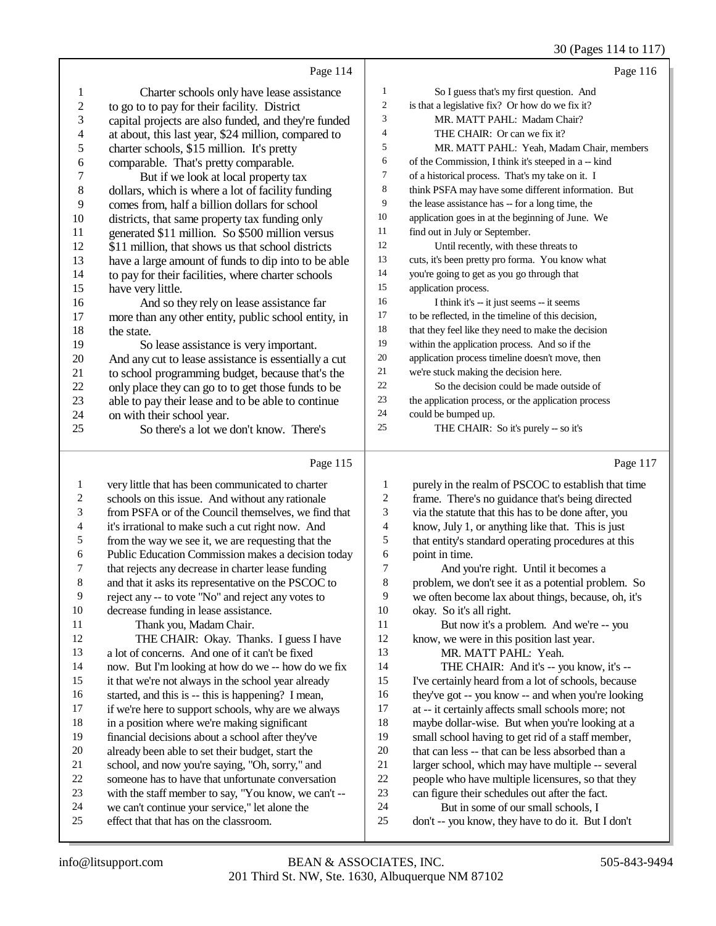# 30 (Pages 114 to 117)

|                          | Page 114                                                                                   |                | Page 116                                                                                  |
|--------------------------|--------------------------------------------------------------------------------------------|----------------|-------------------------------------------------------------------------------------------|
| $\mathbf{1}$             | Charter schools only have lease assistance                                                 | $\mathbf{1}$   | So I guess that's my first question. And                                                  |
| $\boldsymbol{2}$         | to go to to pay for their facility. District                                               | $\overline{c}$ | is that a legislative fix? Or how do we fix it?                                           |
| $\mathfrak{Z}$           | capital projects are also funded, and they're funded                                       | 3              | MR. MATT PAHL: Madam Chair?                                                               |
| $\overline{\mathcal{L}}$ | at about, this last year, \$24 million, compared to                                        | 4              | THE CHAIR: Or can we fix it?                                                              |
| 5                        | charter schools, \$15 million. It's pretty                                                 | 5              | MR. MATT PAHL: Yeah, Madam Chair, members                                                 |
| 6                        | comparable. That's pretty comparable.                                                      | 6              | of the Commission, I think it's steeped in a -- kind                                      |
| 7                        | But if we look at local property tax                                                       | 7              | of a historical process. That's my take on it. I                                          |
| $\,$ 8 $\,$              | dollars, which is where a lot of facility funding                                          | 8              | think PSFA may have some different information. But                                       |
| 9                        | comes from, half a billion dollars for school                                              | 9              | the lease assistance has -- for a long time, the                                          |
| 10                       | districts, that same property tax funding only                                             | 10             | application goes in at the beginning of June. We                                          |
| 11                       | generated \$11 million. So \$500 million versus                                            | 11             | find out in July or September.                                                            |
| 12                       | \$11 million, that shows us that school districts                                          | 12             | Until recently, with these threats to                                                     |
| 13                       | have a large amount of funds to dip into to be able                                        | 13             | cuts, it's been pretty pro forma. You know what                                           |
| 14                       | to pay for their facilities, where charter schools                                         | 14             | you're going to get as you go through that                                                |
| 15                       | have very little.                                                                          | 15             | application process.                                                                      |
| 16                       | And so they rely on lease assistance far                                                   | 16             | I think it's -- it just seems -- it seems                                                 |
| 17                       | more than any other entity, public school entity, in                                       | 17             | to be reflected, in the timeline of this decision,                                        |
| 18                       | the state.                                                                                 | 18             | that they feel like they need to make the decision                                        |
| 19                       | So lease assistance is very important.                                                     | 19             | within the application process. And so if the                                             |
| 20                       | And any cut to lease assistance is essentially a cut                                       | 20             | application process timeline doesn't move, then                                           |
| 21                       | to school programming budget, because that's the                                           | 21<br>$22\,$   | we're stuck making the decision here.<br>So the decision could be made outside of         |
| $22\,$<br>23             | only place they can go to to get those funds to be                                         | 23             | the application process, or the application process                                       |
| 24                       | able to pay their lease and to be able to continue<br>on with their school year.           | 24             | could be bumped up.                                                                       |
| 25                       | So there's a lot we don't know. There's                                                    | 25             | THE CHAIR: So it's purely -- so it's                                                      |
|                          |                                                                                            |                |                                                                                           |
|                          |                                                                                            |                |                                                                                           |
|                          | Page 115                                                                                   |                | Page 117                                                                                  |
| $\mathbf{1}$             | very little that has been communicated to charter                                          | 1              | purely in the realm of PSCOC to establish that time                                       |
| $\overline{\mathbf{c}}$  | schools on this issue. And without any rationale                                           | $\overline{c}$ | frame. There's no guidance that's being directed                                          |
| 3                        | from PSFA or of the Council themselves, we find that                                       | 3              | via the statute that this has to be done after, you                                       |
| 4                        | it's irrational to make such a cut right now. And                                          | 4              | know, July 1, or anything like that. This is just                                         |
| 5                        | from the way we see it, we are requesting that the                                         | 5              | that entity's standard operating procedures at this                                       |
| 6                        | Public Education Commission makes a decision today                                         | 6              | point in time.                                                                            |
| 7                        | that rejects any decrease in charter lease funding                                         | 7              | And you're right. Until it becomes a                                                      |
| 8                        | and that it asks its representative on the PSCOC to                                        | $\,$ 8 $\,$    | problem, we don't see it as a potential problem. So                                       |
| 9                        | reject any -- to vote "No" and reject any votes to                                         | 9              | we often become lax about things, because, oh, it's                                       |
| $10\,$<br>11             | decrease funding in lease assistance.                                                      | $10\,$         | okay. So it's all right.                                                                  |
| 12                       | Thank you, Madam Chair.                                                                    | 11<br>12       | But now it's a problem. And we're -- you                                                  |
| 13                       | THE CHAIR: Okay. Thanks. I guess I have<br>a lot of concerns. And one of it can't be fixed | 13             | know, we were in this position last year.<br>MR. MATT PAHL: Yeah.                         |
| 14                       | now. But I'm looking at how do we -- how do we fix                                         | 14             | THE CHAIR: And it's -- you know, it's --                                                  |
| 15                       | it that we're not always in the school year already                                        | 15             | I've certainly heard from a lot of schools, because                                       |
| 16                       | started, and this is -- this is happening? I mean,                                         | 16             | they've got -- you know -- and when you're looking                                        |
| 17                       | if we're here to support schools, why are we always                                        | 17             | at -- it certainly affects small schools more; not                                        |
| 18                       | in a position where we're making significant                                               | 18             | maybe dollar-wise. But when you're looking at a                                           |
| 19                       | financial decisions about a school after they've                                           | 19             | small school having to get rid of a staff member,                                         |
| $20\,$                   | already been able to set their budget, start the                                           | $20\,$         | that can less -- that can be less absorbed than a                                         |
| 21                       | school, and now you're saying, "Oh, sorry," and                                            | 21             | larger school, which may have multiple -- several                                         |
| $22\,$                   | someone has to have that unfortunate conversation                                          | $22\,$         | people who have multiple licensures, so that they                                         |
| 23                       | with the staff member to say, "You know, we can't --                                       | 23             | can figure their schedules out after the fact.                                            |
| 24<br>$25\,$             | we can't continue your service," let alone the<br>effect that that has on the classroom.   | 24<br>$25\,$   | But in some of our small schools, I<br>don't -- you know, they have to do it. But I don't |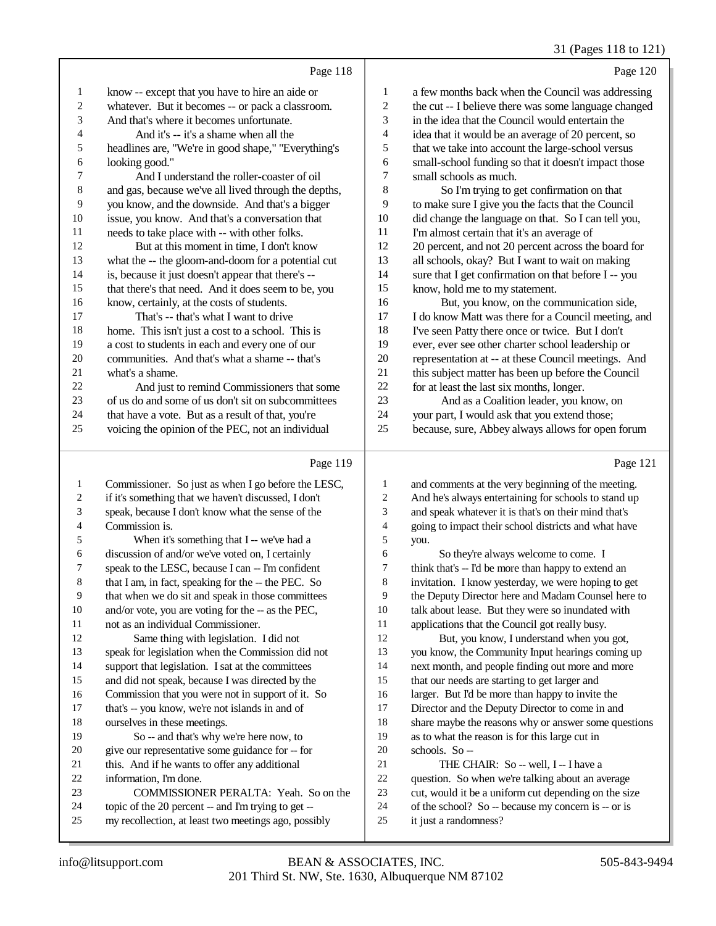#### 31 (Pages 118 to 121)

|                | Page 118                                             |                          | Page 120                                             |
|----------------|------------------------------------------------------|--------------------------|------------------------------------------------------|
| 1              | know -- except that you have to hire an aide or      | 1                        | a few months back when the Council was addressing    |
| $\overline{c}$ | whatever. But it becomes -- or pack a classroom.     | $\sqrt{2}$               | the cut -- I believe there was some language changed |
| 3              | And that's where it becomes unfortunate.             | 3                        | in the idea that the Council would entertain the     |
| 4              | And it's -- it's a shame when all the                | 4                        | idea that it would be an average of 20 percent, so   |
| 5              | headlines are, "We're in good shape," "Everything's  | 5                        | that we take into account the large-school versus    |
| 6              | looking good."                                       | 6                        | small-school funding so that it doesn't impact those |
| 7              | And I understand the roller-coaster of oil           | 7                        | small schools as much.                               |
| 8              | and gas, because we've all lived through the depths, | 8                        | So I'm trying to get confirmation on that            |
| 9              | you know, and the downside. And that's a bigger      | 9                        | to make sure I give you the facts that the Council   |
| 10             | issue, you know. And that's a conversation that      | 10                       | did change the language on that. So I can tell you,  |
| 11             | needs to take place with -- with other folks.        | 11                       | I'm almost certain that it's an average of           |
| 12             | But at this moment in time, I don't know             | 12                       | 20 percent, and not 20 percent across the board for  |
| 13             | what the -- the gloom-and-doom for a potential cut   | 13                       | all schools, okay? But I want to wait on making      |
| 14             | is, because it just doesn't appear that there's --   | 14                       | sure that I get confirmation on that before I -- you |
| 15             | that there's that need. And it does seem to be, you  | 15                       | know, hold me to my statement.                       |
| 16             | know, certainly, at the costs of students.           | 16                       | But, you know, on the communication side,            |
| 17             | That's -- that's what I want to drive                | 17                       | I do know Matt was there for a Council meeting, and  |
| 18             | home. This isn't just a cost to a school. This is    | 18                       | I've seen Patty there once or twice. But I don't     |
| 19             | a cost to students in each and every one of our      | 19                       | ever, ever see other charter school leadership or    |
| 20             | communities. And that's what a shame -- that's       | 20                       | representation at -- at these Council meetings. And  |
| 21             | what's a shame.                                      | 21                       | this subject matter has been up before the Council   |
| 22             | And just to remind Commissioners that some           | 22                       | for at least the last six months, longer.            |
| 23             | of us do and some of us don't sit on subcommittees   | 23                       | And as a Coalition leader, you know, on              |
| 24             | that have a vote. But as a result of that, you're    | 24                       | your part, I would ask that you extend those;        |
| 25             | voicing the opinion of the PEC, not an individual    | 25                       | because, sure, Abbey always allows for open forum    |
|                | Page 119                                             |                          | Page 121                                             |
| 1              | Commissioner. So just as when I go before the LESC,  | 1                        | and comments at the very beginning of the meeting.   |
| 2              | if it's something that we haven't discussed, I don't | $\overline{c}$           | And he's always entertaining for schools to stand up |
| 3              | speak, because I don't know what the sense of the    | 3                        | and speak whatever it is that's on their mind that's |
| 4              | Commission is.                                       | $\overline{\mathcal{L}}$ | going to impact their school districts and what have |
| 5              | When it's something that I -- we've had a            | 5                        |                                                      |
|                |                                                      |                          | you.                                                 |

 discussion of and/or we've voted on, I certainly speak to the LESC, because I can -- I'm confident

- 8 that I am, in fact, speaking for the -- the PEC. So
- that when we do sit and speak in those committees
- and/or vote, you are voting for the -- as the PEC,

not as an individual Commissioner.

Same thing with legislation. I did not

- speak for legislation when the Commission did not support that legislation. I sat at the committees
- and did not speak, because I was directed by the
- Commission that you were not in support of it. So
- that's -- you know, we're not islands in and of
- ourselves in these meetings.
- So -- and that's why we're here now, to
- give our representative some guidance for -- for
- this. And if he wants to offer any additional
- information, I'm done.
- COMMISSIONER PERALTA: Yeah. So on the
- topic of the 20 percent -- and I'm trying to get -- my recollection, at least two meetings ago, possibly

 you. So they're always welcome to come. I

 think that's -- I'd be more than happy to extend an invitation. I know yesterday, we were hoping to get the Deputy Director here and Madam Counsel here to talk about lease. But they were so inundated with applications that the Council got really busy.

- But, you know, I understand when you got, you know, the Community Input hearings coming up next month, and people finding out more and more
- that our needs are starting to get larger and larger. But I'd be more than happy to invite the
- Director and the Deputy Director to come in and
- share maybe the reasons why or answer some questions
- as to what the reason is for this large cut in
- schools. So --
- 21 THE CHAIR: So -- well, I -- I have a
- question. So when we're talking about an average
- cut, would it be a uniform cut depending on the size
- of the school? So -- because my concern is -- or is
- it just a randomness?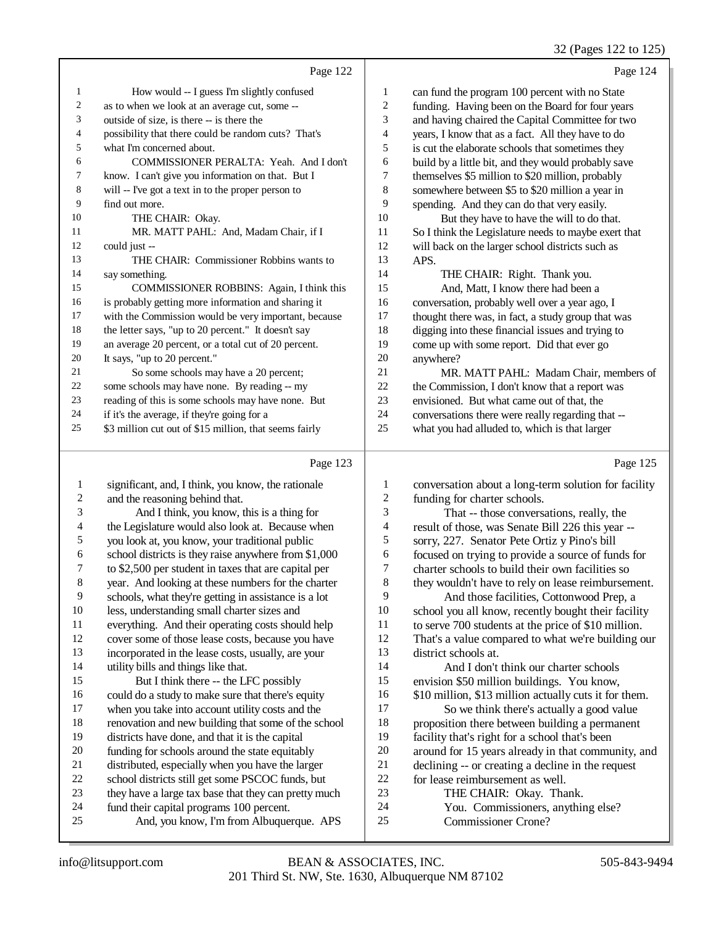32 (Pages 122 to 125)

|    | Page 122                                               |                | Page 124                                             |
|----|--------------------------------------------------------|----------------|------------------------------------------------------|
| 1  | How would -- I guess I'm slightly confused             | 1              | can fund the program 100 percent with no State       |
| 2  | as to when we look at an average cut, some --          | $\overline{2}$ | funding. Having been on the Board for four years     |
| 3  | outside of size, is there -- is there the              | 3              | and having chaired the Capital Committee for two     |
| 4  | possibility that there could be random cuts? That's    | $\overline{4}$ | years, I know that as a fact. All they have to do    |
| 5  | what I'm concerned about.                              | 5              | is cut the elaborate schools that sometimes they     |
| 6  | COMMISSIONER PERALTA: Yeah. And I don't                | 6              | build by a little bit, and they would probably save  |
| 7  | know. I can't give you information on that. But I      | 7              | themselves \$5 million to \$20 million, probably     |
| 8  | will -- I've got a text in to the proper person to     | 8              | somewhere between \$5 to \$20 million a year in      |
| 9  | find out more.                                         | 9              | spending. And they can do that very easily.          |
| 10 | THE CHAIR: Okay.                                       | 10             | But they have to have the will to do that.           |
| 11 | MR. MATT PAHL: And, Madam Chair, if I                  | 11             | So I think the Legislature needs to maybe exert that |
| 12 | could just --                                          | 12             | will back on the larger school districts such as     |
| 13 | THE CHAIR: Commissioner Robbins wants to               | 13             | APS.                                                 |
| 14 | say something.                                         | 14             | THE CHAIR: Right. Thank you.                         |
| 15 | COMMISSIONER ROBBINS: Again, I think this              | 15             | And, Matt, I know there had been a                   |
| 16 | is probably getting more information and sharing it    | 16             | conversation, probably well over a year ago, I       |
| 17 | with the Commission would be very important, because   | 17             | thought there was, in fact, a study group that was   |
| 18 | the letter says, "up to 20 percent." It doesn't say    | 18             | digging into these financial issues and trying to    |
| 19 | an average 20 percent, or a total cut of 20 percent.   | 19             | come up with some report. Did that ever go           |
| 20 | It says, "up to 20 percent."                           | 20             | anywhere?                                            |
| 21 | So some schools may have a 20 percent;                 | 21             | MR. MATT PAHL: Madam Chair, members of               |
| 22 | some schools may have none. By reading -- my           | 22             | the Commission, I don't know that a report was       |
| 23 | reading of this is some schools may have none. But     | 23             | envisioned. But what came out of that, the           |
| 24 | if it's the average, if they're going for a            | 24             | conversations there were really regarding that --    |
| 25 | \$3 million cut out of \$15 million, that seems fairly | 25             | what you had alluded to, which is that larger        |

### Page 123 |

| $\mathbf{1}$ | significant, and, I think, you know, the rationale   | 1              | conversation about a long-term solution for facility  |
|--------------|------------------------------------------------------|----------------|-------------------------------------------------------|
| $\mathbf{2}$ | and the reasoning behind that.                       | $\mathfrak{2}$ | funding for charter schools.                          |
| 3            | And I think, you know, this is a thing for           | 3              | That -- those conversations, really, the              |
| 4            | the Legislature would also look at. Because when     | 4              | result of those, was Senate Bill 226 this year --     |
| 5            | you look at, you know, your traditional public       | 5              | sorry, 227. Senator Pete Ortiz y Pino's bill          |
| 6            | school districts is they raise anywhere from \$1,000 | 6              | focused on trying to provide a source of funds for    |
| 7            | to \$2,500 per student in taxes that are capital per | 7              | charter schools to build their own facilities so      |
| 8            | year. And looking at these numbers for the charter   | 8              | they wouldn't have to rely on lease reimbursement.    |
| 9            | schools, what they're getting in assistance is a lot | 9              | And those facilities, Cottonwood Prep, a              |
| 10           | less, understanding small charter sizes and          | 10             | school you all know, recently bought their facility   |
| 11           | everything. And their operating costs should help    | 11             | to serve 700 students at the price of \$10 million.   |
| 12           | cover some of those lease costs, because you have    | 12             | That's a value compared to what we're building our    |
| 13           | incorporated in the lease costs, usually, are your   | 13             | district schools at.                                  |
| 14           | utility bills and things like that.                  | 14             | And I don't think our charter schools                 |
| 15           | But I think there -- the LFC possibly                | 15             | envision \$50 million buildings. You know,            |
| 16           | could do a study to make sure that there's equity    | 16             | \$10 million, \$13 million actually cuts it for them. |
| 17           | when you take into account utility costs and the     | 17             | So we think there's actually a good value             |
| 18           | renovation and new building that some of the school  | 18             | proposition there between building a permanent        |
| 19           | districts have done, and that it is the capital      | 19             | facility that's right for a school that's been        |
| 20           | funding for schools around the state equitably       | 20             | around for 15 years already in that community, and    |
| 21           | distributed, especially when you have the larger     | 21             | declining -- or creating a decline in the request     |
| 22           | school districts still get some PSCOC funds, but     | 22             | for lease reimbursement as well.                      |
| 23           | they have a large tax base that they can pretty much | 23             | THE CHAIR: Okay. Thank.                               |
| 24           | fund their capital programs 100 percent.             | 24             | You. Commissioners, anything else?                    |
| 25           | And, you know, I'm from Albuquerque. APS             | 25             | <b>Commissioner Crone?</b>                            |
|              |                                                      |                |                                                       |

Page 125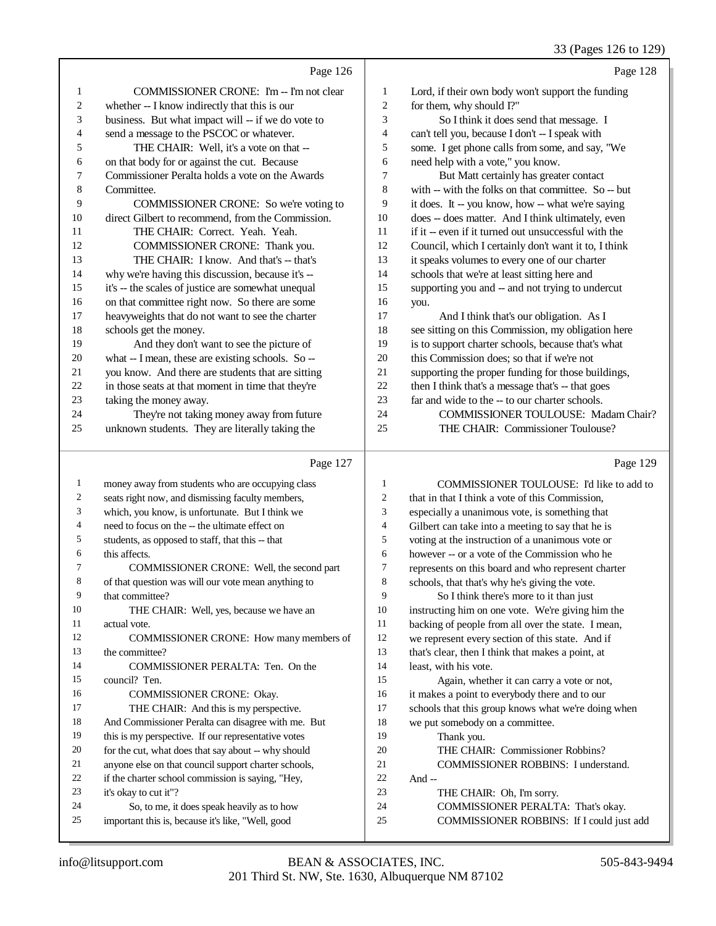### 33 (Pages 126 to 129)

|                  |                                                                                                      |                         | 33 (Pages 120 to 129)                                                           |
|------------------|------------------------------------------------------------------------------------------------------|-------------------------|---------------------------------------------------------------------------------|
|                  | Page 126                                                                                             |                         | Page 128                                                                        |
| 1                | COMMISSIONER CRONE: I'm -- I'm not clear                                                             | 1                       | Lord, if their own body won't support the funding                               |
| $\boldsymbol{2}$ | whether -- I know indirectly that this is our                                                        | 2                       | for them, why should I?"                                                        |
| 3                | business. But what impact will -- if we do vote to                                                   | 3                       | So I think it does send that message. I                                         |
| 4                | send a message to the PSCOC or whatever.                                                             | $\overline{\mathbf{4}}$ | can't tell you, because I don't -- I speak with                                 |
| 5                | THE CHAIR: Well, it's a vote on that --                                                              | 5                       | some. I get phone calls from some, and say, "We                                 |
| 6                | on that body for or against the cut. Because                                                         | 6                       | need help with a vote," you know.                                               |
| 7                | Commissioner Peralta holds a vote on the Awards                                                      | 7                       | But Matt certainly has greater contact                                          |
| 8                | Committee.                                                                                           | 8                       | with -- with the folks on that committee. So -- but                             |
| 9                | COMMISSIONER CRONE: So we're voting to                                                               | 9                       | it does. It -- you know, how -- what we're saying                               |
| 10               | direct Gilbert to recommend, from the Commission.                                                    | 10                      | does -- does matter. And I think ultimately, even                               |
| 11               | THE CHAIR: Correct. Yeah. Yeah.                                                                      | 11                      | if it -- even if it turned out unsuccessful with the                            |
| 12               | COMMISSIONER CRONE: Thank you.                                                                       | 12                      | Council, which I certainly don't want it to, I think                            |
| 13               | THE CHAIR: I know. And that's -- that's                                                              | 13                      | it speaks volumes to every one of our charter                                   |
| 14               | why we're having this discussion, because it's --                                                    | 14                      | schools that we're at least sitting here and                                    |
| 15               | it's -- the scales of justice are somewhat unequal                                                   | 15                      | supporting you and -- and not trying to undercut                                |
| 16               | on that committee right now. So there are some                                                       | 16                      | you.                                                                            |
| 17               | heavyweights that do not want to see the charter                                                     | 17                      | And I think that's our obligation. As I                                         |
| 18               | schools get the money.                                                                               | 18                      | see sitting on this Commission, my obligation here                              |
| 19               | And they don't want to see the picture of                                                            | 19                      | is to support charter schools, because that's what                              |
| 20               | what -- I mean, these are existing schools. So --                                                    | 20                      | this Commission does; so that if we're not                                      |
| 21               | you know. And there are students that are sitting                                                    | 21                      | supporting the proper funding for those buildings,                              |
| 22               | in those seats at that moment in time that they're                                                   | $22\,$                  | then I think that's a message that's -- that goes                               |
| 23               | taking the money away.                                                                               | 23                      | far and wide to the -- to our charter schools.                                  |
| 24               | They're not taking money away from future                                                            | 24                      | COMMISSIONER TOULOUSE: Madam Chair?                                             |
| 25               | unknown students. They are literally taking the                                                      | 25                      | THE CHAIR: Commissioner Toulouse?                                               |
|                  |                                                                                                      |                         |                                                                                 |
|                  | Page 127                                                                                             |                         | Page 129                                                                        |
| $\mathbf{1}$     |                                                                                                      | $\mathbf{1}$            | COMMISSIONER TOULOUSE: I'd like to add to                                       |
| 2                | money away from students who are occupying class<br>seats right now, and dismissing faculty members, | $\boldsymbol{2}$        | that in that I think a vote of this Commission,                                 |
| 3                | which, you know, is unfortunate. But I think we                                                      | 3                       | especially a unanimous vote, is something that                                  |
| 4                | need to focus on the -- the ultimate effect on                                                       | 4                       | Gilbert can take into a meeting to say that he is                               |
| 5                | students, as opposed to staff, that this -- that                                                     | $\sqrt{5}$              | voting at the instruction of a unanimous vote or                                |
| 6                | this affects.                                                                                        | 6                       | however -- or a vote of the Commission who he                                   |
| 7                | COMMISSIONER CRONE: Well, the second part                                                            | $\tau$                  | represents on this board and who represent charter                              |
| 8                | of that question was will our vote mean anything to                                                  | 8                       | schools, that that's why he's giving the vote.                                  |
| 9                | that committee?                                                                                      | 9                       | So I think there's more to it than just                                         |
| 10               | THE CHAIR: Well, yes, because we have an                                                             | 10                      | instructing him on one vote. We're giving him the                               |
| 11               | actual vote.                                                                                         | 11                      | backing of people from all over the state. I mean,                              |
| 12               | COMMISSIONER CRONE: How many members of                                                              | 12                      | we represent every section of this state. And if                                |
| 13               | the committee?                                                                                       | 13                      | that's clear, then I think that makes a point, at                               |
| 14               | COMMISSIONER PERALTA: Ten. On the                                                                    | 14                      | least, with his vote.                                                           |
| 15               | council? Ten.                                                                                        | 15                      | Again, whether it can carry a vote or not,                                      |
| 16               | <b>COMMISSIONER CRONE: Okay.</b>                                                                     | 16                      | it makes a point to everybody there and to our                                  |
| 17               | THE CHAIR: And this is my perspective.                                                               | 17                      | schools that this group knows what we're doing when                             |
| 18               | And Commissioner Peralta can disagree with me. But                                                   | 18                      | we put somebody on a committee.                                                 |
| 19               | this is my perspective. If our representative votes                                                  | 19                      | Thank you.                                                                      |
| 20               | for the cut, what does that say about -- why should                                                  | $20\,$                  | THE CHAIR: Commissioner Robbins?                                                |
| 21               | anyone else on that council support charter schools,                                                 | 21                      | COMMISSIONER ROBBINS: I understand.                                             |
| 22               | if the charter school commission is saying, "Hey,                                                    | $22\,$                  | And --                                                                          |
| 23               | it's okay to cut it"?                                                                                | 23                      | THE CHAIR: Oh, I'm sorry.                                                       |
| 24<br>25         | So, to me, it does speak heavily as to how<br>important this is, because it's like, "Well, good      | 24<br>25                | COMMISSIONER PERALTA: That's okay.<br>COMMISSIONER ROBBINS: If I could just add |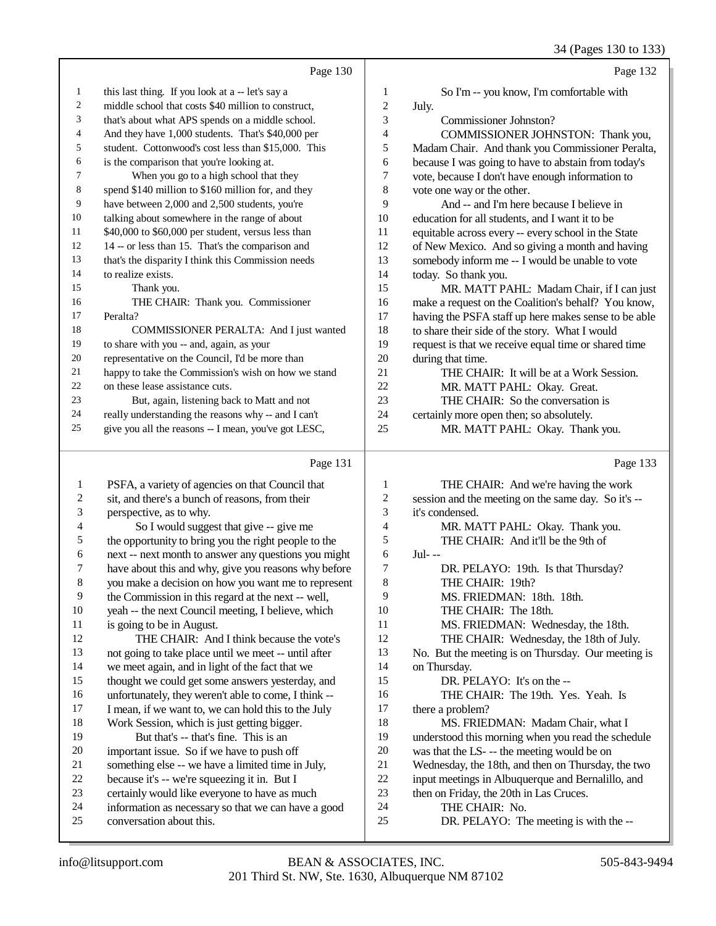|                         |                                                      |                         | 34 (Pages 130 to 133)                                |
|-------------------------|------------------------------------------------------|-------------------------|------------------------------------------------------|
|                         | Page 130                                             |                         | Page 132                                             |
| 1                       | this last thing. If you look at a -- let's say a     | 1                       | So I'm -- you know, I'm comfortable with             |
| $\overline{c}$          | middle school that costs \$40 million to construct,  | $\overline{\mathbf{c}}$ | July.                                                |
| 3                       | that's about what APS spends on a middle school.     | 3                       | Commissioner Johnston?                               |
| 4                       | And they have 1,000 students. That's \$40,000 per    | 4                       | COMMISSIONER JOHNSTON: Thank you,                    |
| 5                       | student. Cottonwood's cost less than \$15,000. This  | 5                       | Madam Chair. And thank you Commissioner Peralta,     |
| 6                       | is the comparison that you're looking at.            | 6                       | because I was going to have to abstain from today's  |
| 7                       | When you go to a high school that they               | 7                       | vote, because I don't have enough information to     |
| 8                       | spend \$140 million to \$160 million for, and they   | 8                       | vote one way or the other.                           |
| 9                       | have between 2,000 and 2,500 students, you're        | 9                       | And -- and I'm here because I believe in             |
| 10                      | talking about somewhere in the range of about        | 10                      | education for all students, and I want it to be      |
| 11                      | \$40,000 to \$60,000 per student, versus less than   | 11                      | equitable across every -- every school in the State  |
| 12                      | 14 -- or less than 15. That's the comparison and     | 12                      | of New Mexico. And so giving a month and having      |
| 13                      | that's the disparity I think this Commission needs   | 13                      | somebody inform me -- I would be unable to vote      |
| 14                      | to realize exists.                                   | 14                      | today. So thank you.                                 |
| 15                      | Thank you.                                           | 15                      | MR. MATT PAHL: Madam Chair, if I can just            |
| 16                      | THE CHAIR: Thank you. Commissioner                   | 16                      | make a request on the Coalition's behalf? You know,  |
| 17                      | Peralta?                                             | 17                      | having the PSFA staff up here makes sense to be able |
| 18                      | COMMISSIONER PERALTA: And I just wanted              | 18                      | to share their side of the story. What I would       |
| 19                      | to share with you -- and, again, as your             | 19                      | request is that we receive equal time or shared time |
| $20\,$                  | representative on the Council, I'd be more than      | $20\,$                  | during that time.                                    |
| 21                      | happy to take the Commission's wish on how we stand  | 21                      | THE CHAIR: It will be at a Work Session.             |
| 22                      | on these lease assistance cuts.                      | 22                      | MR. MATT PAHL: Okay. Great.                          |
| 23                      | But, again, listening back to Matt and not           | 23                      | THE CHAIR: So the conversation is                    |
| 24                      | really understanding the reasons why -- and I can't  | 24                      | certainly more open then; so absolutely.             |
| 25                      | give you all the reasons -- I mean, you've got LESC, | 25                      | MR. MATT PAHL: Okay. Thank you.                      |
|                         | Page 131                                             |                         | Page 133                                             |
| 1                       | PSFA, a variety of agencies on that Council that     | 1                       | THE CHAIR: And we're having the work                 |
| $\overline{\mathbf{c}}$ | sit, and there's a bunch of reasons, from their      | $\overline{\mathbf{c}}$ | session and the meeting on the same day. So it's --  |
| 3                       | perspective, as to why.                              | 3                       | it's condensed.                                      |
| 4                       | So I would suggest that give -- give me              | 4                       | MR. MATT PAHL: Okay. Thank you.                      |
| 5                       | the opportunity to bring you the right people to the | 5                       | THE CHAIR: And it'll be the 9th of                   |
| 6                       | next -- next month to answer any questions you might | 6                       | $Jul--$                                              |
| 7                       | have about this and why, give you reasons why before | 7                       | DR. PELAYO: 19th. Is that Thursday?                  |
| 8                       | you make a decision on how you want me to represent  | 8                       | THE CHAIR: 19th?                                     |
| 9                       | the Commission in this regard at the next -- well,   | 9                       | MS. FRIEDMAN: 18th. 18th.                            |
| 10                      | yeah -- the next Council meeting, I believe, which   | 10                      | THE CHAIR: The 18th.                                 |
| 11                      | is going to be in August.                            | 11                      | MS. FRIEDMAN: Wednesday, the 18th.                   |
| 12                      | THE CHAIR: And I think because the vote's            | 12                      | THE CHAIR: Wednesday, the 18th of July.              |
| 13                      | not going to take place until we meet -- until after | 13                      | No. But the meeting is on Thursday. Our meeting is   |
| 14                      | we meet again, and in light of the fact that we      | 14                      | on Thursday.                                         |
| 15                      | thought we could get some answers yesterday, and     | 15                      | DR. PELAYO: It's on the --                           |
| 16                      | unfortunately, they weren't able to come, I think -- | 16                      | THE CHAIR: The 19th. Yes. Yeah. Is                   |
| 17                      | I mean, if we want to, we can hold this to the July  | 17                      | there a problem?                                     |
| 18                      | Work Session, which is just getting bigger.          | 18                      | MS. FRIEDMAN: Madam Chair, what I                    |
| 19                      | But that's -- that's fine. This is an                | 19                      | understood this morning when you read the schedule   |
| 20                      | important issue. So if we have to push off           | $20\,$                  | was that the LS- -- the meeting would be on          |
| 21                      | something else -- we have a limited time in July,    | $21\,$                  | Wednesday, the 18th, and then on Thursday, the two   |

- 20 important issue. So if we have to push off<br>21 something else -- we have a limited time in
- 21 something else -- we have a limited time in July,<br>22 because it's -- we're squeezing it in. But I
- 22 because it's -- we're squeezing it in. But I<br>23 certainly would like everyone to have as m
- 23 certainly would like everyone to have as much<br>24 information as necessary so that we can have a
- 24 information as necessary so that we can have a good<br>25 conversation about this. conversation about this.
- 22 input meetings in Albuquerque and Bernalillo, and<br>23 then on Friday, the 20th in Las Cruces. 23 then on Friday, the 20th in Las Cruces.<br>24 THE CHAIR: No. 24 THE CHAIR: No.<br>25 DR. PELAYO: The

21 Wednesday, the 18th, and then on Thursday, the two<br>22 input meetings in Albuquerque and Bernalillo, and

DR. PELAYO: The meeting is with the --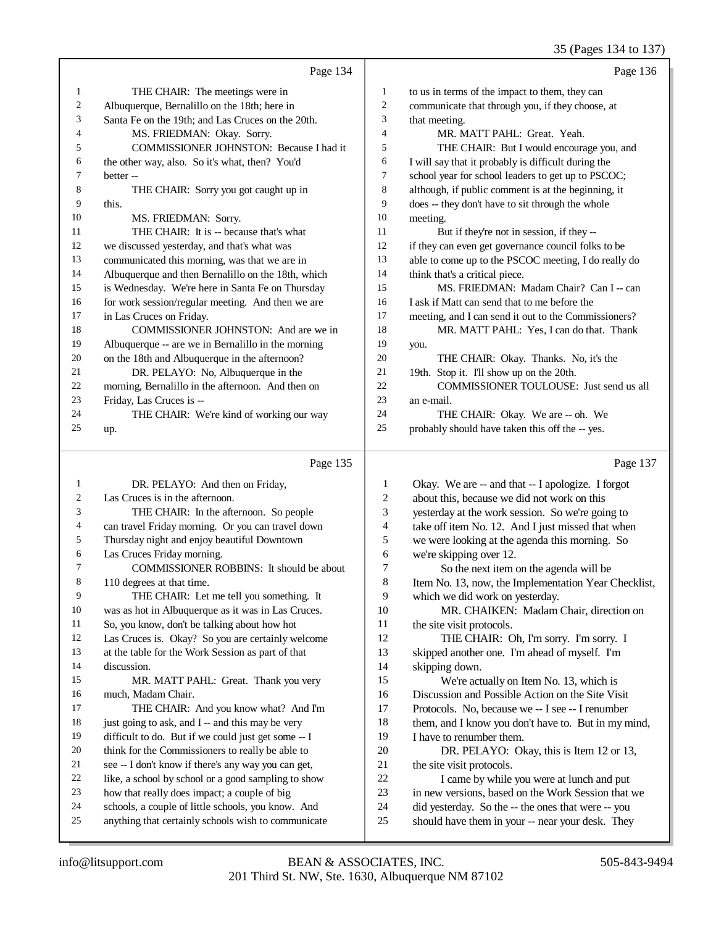# 35 (Pages 134 to 137)

|          | Page 134                                                                                           |                | Page 136                                                                                                 |
|----------|----------------------------------------------------------------------------------------------------|----------------|----------------------------------------------------------------------------------------------------------|
| 1        | THE CHAIR: The meetings were in                                                                    | 1              | to us in terms of the impact to them, they can                                                           |
| 2        | Albuquerque, Bernalillo on the 18th; here in                                                       | $\overline{c}$ | communicate that through you, if they choose, at                                                         |
| 3        | Santa Fe on the 19th; and Las Cruces on the 20th.                                                  | 3              | that meeting.                                                                                            |
| 4        | MS. FRIEDMAN: Okay. Sorry.                                                                         | 4              | MR. MATT PAHL: Great. Yeah.                                                                              |
| 5        | COMMISSIONER JOHNSTON: Because I had it                                                            | 5              | THE CHAIR: But I would encourage you, and                                                                |
| 6        | the other way, also. So it's what, then? You'd                                                     | 6              | I will say that it probably is difficult during the                                                      |
| 7        | better --                                                                                          | 7              | school year for school leaders to get up to PSCOC;                                                       |
| 8        | THE CHAIR: Sorry you got caught up in                                                              | 8              | although, if public comment is at the beginning, it                                                      |
| 9        | this.                                                                                              | 9              | does -- they don't have to sit through the whole                                                         |
| 10       | MS. FRIEDMAN: Sorry.                                                                               | 10             | meeting.                                                                                                 |
| 11       | THE CHAIR: It is -- because that's what                                                            | 11             | But if they're not in session, if they --                                                                |
| 12       | we discussed yesterday, and that's what was                                                        | 12             | if they can even get governance council folks to be                                                      |
| 13       | communicated this morning, was that we are in                                                      | 13             | able to come up to the PSCOC meeting, I do really do                                                     |
| 14       | Albuquerque and then Bernalillo on the 18th, which                                                 | 14             | think that's a critical piece.                                                                           |
| 15       | is Wednesday. We're here in Santa Fe on Thursday                                                   | 15             | MS. FRIEDMAN: Madam Chair? Can I -- can                                                                  |
| 16       | for work session/regular meeting. And then we are                                                  | 16             | I ask if Matt can send that to me before the                                                             |
| 17       | in Las Cruces on Friday.                                                                           | 17             | meeting, and I can send it out to the Commissioners?                                                     |
| 18       | COMMISSIONER JOHNSTON: And are we in                                                               | 18             | MR. MATT PAHL: Yes, I can do that. Thank                                                                 |
| 19       | Albuquerque -- are we in Bernalillo in the morning                                                 | 19             | you.                                                                                                     |
| 20       | on the 18th and Albuquerque in the afternoon?                                                      | 20             | THE CHAIR: Okay. Thanks. No, it's the                                                                    |
| 21       | DR. PELAYO: No, Albuquerque in the                                                                 | 21             | 19th. Stop it. I'll show up on the 20th.                                                                 |
| 22       | morning, Bernalillo in the afternoon. And then on                                                  | $22\,$         | COMMISSIONER TOULOUSE: Just send us all                                                                  |
| 23       | Friday, Las Cruces is --                                                                           | 23             | an e-mail.                                                                                               |
| 24       | THE CHAIR: We're kind of working our way                                                           | 24             | THE CHAIR: Okay. We are -- oh. We                                                                        |
| 25       | up.                                                                                                | 25             | probably should have taken this off the -- yes.                                                          |
|          |                                                                                                    |                |                                                                                                          |
|          | Page 135                                                                                           |                | Page 137                                                                                                 |
| 1        | DR. PELAYO: And then on Friday,                                                                    | $\mathbf{1}$   | Okay. We are -- and that -- I apologize. I forgot                                                        |
| 2        | Las Cruces is in the afternoon.                                                                    | 2              | about this, because we did not work on this                                                              |
| 3        | THE CHAIR: In the afternoon. So people                                                             | 3              | yesterday at the work session. So we're going to                                                         |
| 4        | can travel Friday morning. Or you can travel down                                                  | 4              | take off item No. 12. And I just missed that when                                                        |
| 5        | Thursday night and enjoy beautiful Downtown                                                        | 5              | we were looking at the agenda this morning. So                                                           |
| 6        | Las Cruces Friday morning.                                                                         | 6              | we're skipping over 12.                                                                                  |
| 7        | COMMISSIONER ROBBINS: It should be about                                                           | 7              | So the next item on the agenda will be                                                                   |
| 8        | 110 degrees at that time.                                                                          | 8              | Item No. 13, now, the Implementation Year Checklist,                                                     |
| 9        | THE CHAIR: Let me tell you something. It                                                           | 9              | which we did work on yesterday.                                                                          |
| 10       | was as hot in Albuquerque as it was in Las Cruces.                                                 | 10             | MR. CHAIKEN: Madam Chair, direction on                                                                   |
| 11       | So, you know, don't be talking about how hot                                                       | 11             | the site visit protocols.                                                                                |
| 12       | Las Cruces is. Okay? So you are certainly welcome                                                  | 12             | THE CHAIR: Oh, I'm sorry. I'm sorry. I                                                                   |
| 13       | at the table for the Work Session as part of that                                                  | 13             | skipped another one. I'm ahead of myself. I'm                                                            |
| 14       | discussion.                                                                                        | 14             | skipping down.                                                                                           |
| 15       | MR. MATT PAHL: Great. Thank you very                                                               | 15             | We're actually on Item No. 13, which is                                                                  |
| 16       | much, Madam Chair.                                                                                 | 16             | Discussion and Possible Action on the Site Visit                                                         |
| 17       | THE CHAIR: And you know what? And I'm                                                              | 17             | Protocols. No, because we -- I see -- I renumber                                                         |
| 18       | just going to ask, and I -- and this may be very                                                   | 18             | them, and I know you don't have to. But in my mind,                                                      |
| 19       | difficult to do. But if we could just get some -- I                                                | 19             | I have to renumber them.                                                                                 |
| 20       | think for the Commissioners to really be able to                                                   | 20             | DR. PELAYO: Okay, this is Item 12 or 13,                                                                 |
| 21       | see -- I don't know if there's any way you can get,                                                | 21             | the site visit protocols.                                                                                |
| 22<br>23 | like, a school by school or a good sampling to show                                                | $22\,$         | I came by while you were at lunch and put                                                                |
| 24       | how that really does impact; a couple of big<br>schools, a couple of little schools, you know. And | 23<br>24       | in new versions, based on the Work Session that we<br>did yesterday. So the -- the ones that were -- you |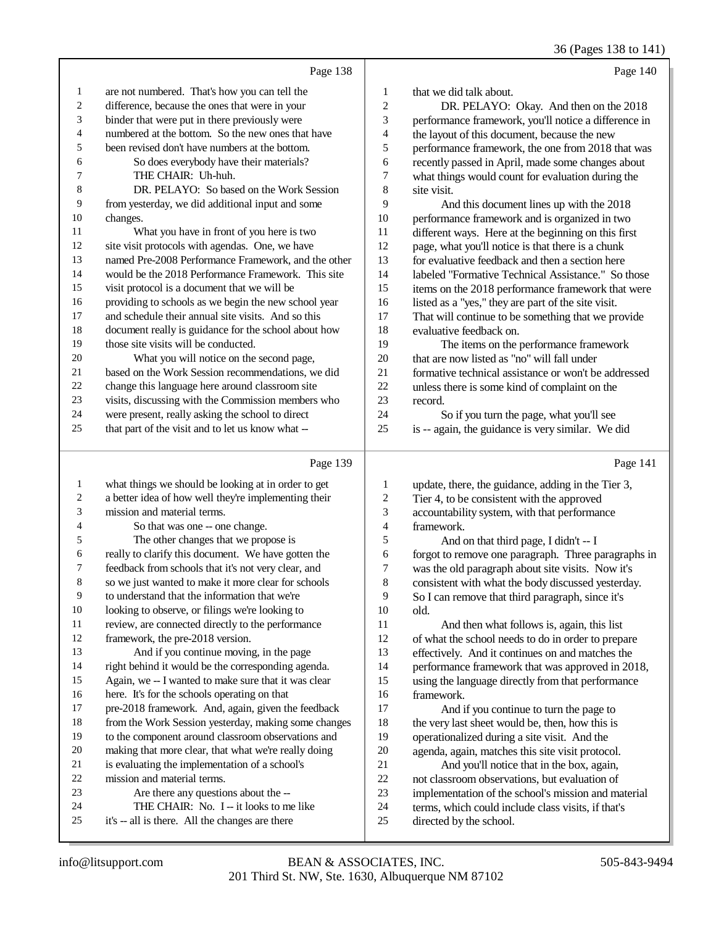36 (Pages 138 to 141)

|                |                                                      |                         | $50(1450)$ 150 to 1 11                               |
|----------------|------------------------------------------------------|-------------------------|------------------------------------------------------|
|                | Page 138                                             |                         | Page 140                                             |
| $\mathbf{1}$   | are not numbered. That's how you can tell the        | 1                       | that we did talk about.                              |
| $\overline{c}$ | difference, because the ones that were in your       | $\mathbf{2}$            | DR. PELAYO: Okay. And then on the 2018               |
| 3              | binder that were put in there previously were        | 3                       | performance framework, you'll notice a difference in |
| 4              | numbered at the bottom. So the new ones that have    | 4                       | the layout of this document, because the new         |
| $\sqrt{5}$     | been revised don't have numbers at the bottom.       | 5                       | performance framework, the one from 2018 that was    |
| 6              | So does everybody have their materials?              | 6                       | recently passed in April, made some changes about    |
| 7              | THE CHAIR: Uh-huh.                                   | $\boldsymbol{7}$        | what things would count for evaluation during the    |
| 8              | DR. PELAYO: So based on the Work Session             | $\,8\,$                 | site visit.                                          |
| 9              | from yesterday, we did additional input and some     | 9                       | And this document lines up with the 2018             |
| 10             | changes.                                             | 10                      | performance framework and is organized in two        |
| 11             | What you have in front of you here is two            | 11                      | different ways. Here at the beginning on this first  |
| 12             | site visit protocols with agendas. One, we have      | 12                      | page, what you'll notice is that there is a chunk    |
| 13             | named Pre-2008 Performance Framework, and the other  | 13                      | for evaluative feedback and then a section here      |
| 14             | would be the 2018 Performance Framework. This site   | 14                      | labeled "Formative Technical Assistance." So those   |
| 15             | visit protocol is a document that we will be         | 15                      | items on the 2018 performance framework that were    |
| 16             | providing to schools as we begin the new school year | 16                      | listed as a "yes," they are part of the site visit.  |
| $17\,$         | and schedule their annual site visits. And so this   | 17                      | That will continue to be something that we provide   |
| 18             | document really is guidance for the school about how | 18                      | evaluative feedback on.                              |
| 19             | those site visits will be conducted.                 | 19                      | The items on the performance framework               |
| 20             | What you will notice on the second page,             | $20\,$                  | that are now listed as "no" will fall under          |
| 21             | based on the Work Session recommendations, we did    | 21                      | formative technical assistance or won't be addressed |
| $22\,$         | change this language here around classroom site      | 22                      | unless there is some kind of complaint on the        |
| 23             | visits, discussing with the Commission members who   | 23                      | record.                                              |
| 24<br>25       | were present, really asking the school to direct     | 24                      | So if you turn the page, what you'll see             |
|                | that part of the visit and to let us know what --    | 25                      | is -- again, the guidance is very similar. We did    |
|                | Page 139                                             |                         | Page 141                                             |
| $\mathbf{1}$   | what things we should be looking at in order to get  | $\mathbf{1}$            | update, there, the guidance, adding in the Tier 3,   |
| $\sqrt{2}$     | a better idea of how well they're implementing their | $\overline{\mathbf{c}}$ | Tier 4, to be consistent with the approved           |
| 3              | mission and material terms.                          | 3                       | accountability system, with that performance         |
| 4              | So that was one -- one change.                       | 4                       | framework.                                           |
| 5              | The other changes that we propose is                 | 5                       | And on that third page, I didn't -- I                |
| 6              | really to clarify this document. We have gotten the  | 6                       | forgot to remove one paragraph. Three paragraphs in  |
| 7              | feedback from schools that it's not very clear, and  | $\tau$                  | was the old paragraph about site visits. Now it's    |
| 8              | so we just wanted to make it more clear for schools  | $\,8\,$                 | consistent with what the body discussed yesterday.   |
| 9              | to understand that the information that we're        | 9                       | So I can remove that third paragraph, since it's     |
| $10\,$         | looking to observe, or filings we're looking to      | 10                      | old.                                                 |
| 11             | review, are connected directly to the performance    | 11                      | And then what follows is, again, this list           |
| 12             | framework, the pre-2018 version.                     | 12                      | of what the school needs to do in order to prepare   |
| 13             | And if you continue moving, in the page              | 13                      | effectively. And it continues on and matches the     |
| 14             | right behind it would be the corresponding agenda.   | 14                      | performance framework that was approved in 2018,     |
| 15             | Again, we -- I wanted to make sure that it was clear | 15                      | using the language directly from that performance    |
| 16             | here. It's for the schools operating on that         | 16                      | framework.                                           |
| 17             | pre-2018 framework. And, again, given the feedback   | 17                      | And if you continue to turn the page to              |
| 18             | from the Work Session yesterday, making some changes | $18\,$                  | the very last sheet would be, then, how this is      |
| 19             | to the component around classroom observations and   | 19                      | operationalized during a site visit. And the         |

to the component around classroom observations and

- making that more clear, that what we're really doing
- is evaluating the implementation of a school's
- mission and material terms.
- Are there any questions about the --
- 24 THE CHAIR: No. I -- it looks to me like
- it's -- all is there. All the changes are there

operationalized during a site visit. And the

20 agenda, again, matches this site visit protocol.<br>21 And you'll notice that in the box. again. 21 And you'll notice that in the box, again,<br>22 not classroom observations, but evaluation of 22 not classroom observations, but evaluation of<br>23 implementation of the school's mission and ma 23 implementation of the school's mission and material<br>24 terms, which could include class visits, if that's 24 terms, which could include class visits, if that's<br>25 directed by the school.

directed by the school.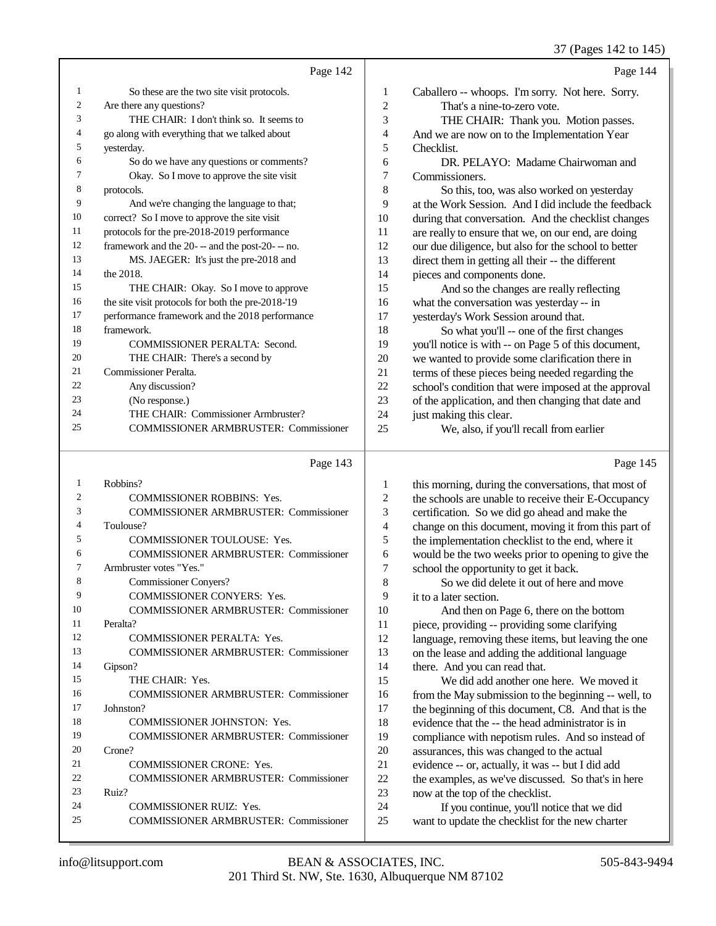37 (Pages 142 to 145)

|    | Page 142                                           |                | Page 144                                             |
|----|----------------------------------------------------|----------------|------------------------------------------------------|
| 1  | So these are the two site visit protocols.         | 1              | Caballero -- whoops. I'm sorry. Not here. Sorry.     |
| 2  | Are there any questions?                           | $\overline{c}$ | That's a nine-to-zero vote.                          |
| 3  | THE CHAIR: I don't think so. It seems to           | 3              | THE CHAIR: Thank you. Motion passes.                 |
| 4  | go along with everything that we talked about      | 4              | And we are now on to the Implementation Year         |
| 5  | yesterday.                                         | 5              | Checklist.                                           |
| 6  | So do we have any questions or comments?           | 6              | DR. PELAYO: Madame Chairwoman and                    |
| 7  | Okay. So I move to approve the site visit          | 7              | Commissioners.                                       |
| 8  | protocols.                                         | 8              | So this, too, was also worked on yesterday           |
| 9  | And we're changing the language to that;           | 9              | at the Work Session. And I did include the feedback  |
| 10 | correct? So I move to approve the site visit       | 10             | during that conversation. And the checklist changes  |
| 11 | protocols for the pre-2018-2019 performance        | 11             | are really to ensure that we, on our end, are doing  |
| 12 | framework and the 20--- and the post-20--- no.     | 12             | our due diligence, but also for the school to better |
| 13 | MS. JAEGER: It's just the pre-2018 and             | 13             | direct them in getting all their -- the different    |
| 14 | the 2018.                                          | 14             | pieces and components done.                          |
| 15 | THE CHAIR: Okay. So I move to approve              | 15             | And so the changes are really reflecting             |
| 16 | the site visit protocols for both the pre-2018-'19 | 16             | what the conversation was yesterday -- in            |
| 17 | performance framework and the 2018 performance     | 17             | yesterday's Work Session around that.                |
| 18 | framework.                                         | 18             | So what you'll -- one of the first changes           |
| 19 | COMMISSIONER PERALTA: Second.                      | 19             | you'll notice is with -- on Page 5 of this document, |
| 20 | THE CHAIR: There's a second by                     | 20             | we wanted to provide some clarification there in     |
| 21 | Commissioner Peralta.                              | 21             | terms of these pieces being needed regarding the     |
| 22 | Any discussion?                                    | 22             | school's condition that were imposed at the approval |
| 23 | (No response.)                                     | 23             | of the application, and then changing that date and  |
| 24 | THE CHAIR: Commissioner Armbruster?                | 24             | just making this clear.                              |
| 25 | <b>COMMISSIONER ARMBRUSTER: Commissioner</b>       | 25             | We, also, if you'll recall from earlier              |
|    |                                                    |                |                                                      |

# Page 143

| 1   | Robbins?                                     |
|-----|----------------------------------------------|
| 2   | <b>COMMISSIONER ROBBINS: Yes.</b>            |
| 3   | <b>COMMISSIONER ARMBRUSTER: Commissioner</b> |
| 4   | Toulouse?                                    |
| 5   | <b>COMMISSIONER TOULOUSE: Yes.</b>           |
| 6   | <b>COMMISSIONER ARMBRUSTER: Commissioner</b> |
| 7   | Armbruster votes "Yes."                      |
| 8   | Commissioner Convers?                        |
| 9   | <b>COMMISSIONER CONYERS: Yes.</b>            |
| 10  | <b>COMMISSIONER ARMBRUSTER: Commissioner</b> |
| 11  | Peralta?                                     |
| 12. | <b>COMMISSIONER PERALTA: Yes.</b>            |
| 13  | <b>COMMISSIONER ARMBRUSTER: Commissioner</b> |
| 14  | Gipson?                                      |
| 15  | THE CHAIR: Yes.                              |
| 16  | <b>COMMISSIONER ARMBRUSTER: Commissioner</b> |
| 17  | Johnston?                                    |
| 18  | <b>COMMISSIONER JOHNSTON: Yes.</b>           |
| 19  | <b>COMMISSIONER ARMBRUSTER: Commissioner</b> |
| 20  | $C$ rone?                                    |
| 21  | <b>COMMISSIONER CRONE: Yes.</b>              |
| 22. | <b>COMMISSIONER ARMBRUSTER: Commissioner</b> |
| 23  | Ruiz?                                        |
| 24  | <b>COMMISSIONER RUIZ: Yes.</b>               |
| 25  | <b>COMMISSIONER ARMBRUSTER: Commissioner</b> |

| 1              | this morning, during the conversations, that most of |
|----------------|------------------------------------------------------|
| $\overline{2}$ | the schools are unable to receive their E-Occupancy  |
| 3              | certification. So we did go ahead and make the       |
| $\overline{4}$ | change on this document, moving it from this part of |
| 5              | the implementation checklist to the end, where it    |
| 6              | would be the two weeks prior to opening to give the  |
| 7              | school the opportunity to get it back.               |
| 8              | So we did delete it out of here and move             |
| 9              | it to a later section.                               |
| 10             | And then on Page 6, there on the bottom              |
| 11             | piece, providing -- providing some clarifying        |
| 12             | language, removing these items, but leaving the one  |
| 13             | on the lease and adding the additional language      |
| 14             | there. And you can read that.                        |
| 15             | We did add another one here. We moved it             |
| 16             | from the May submission to the beginning -- well, to |
| 17             | the beginning of this document, C8. And that is the  |
| 18             | evidence that the -- the head administrator is in    |
| 19             | compliance with nepotism rules. And so instead of    |
| 20             | assurances, this was changed to the actual           |
| 21             | evidence -- or, actually, it was -- but I did add    |
| 22             | the examples, as we've discussed. So that's in here  |
| 23             | now at the top of the checklist.                     |
| 24             | If you continue, you'll notice that we did           |
| 25             | want to update the checklist for the new charter     |

Page 145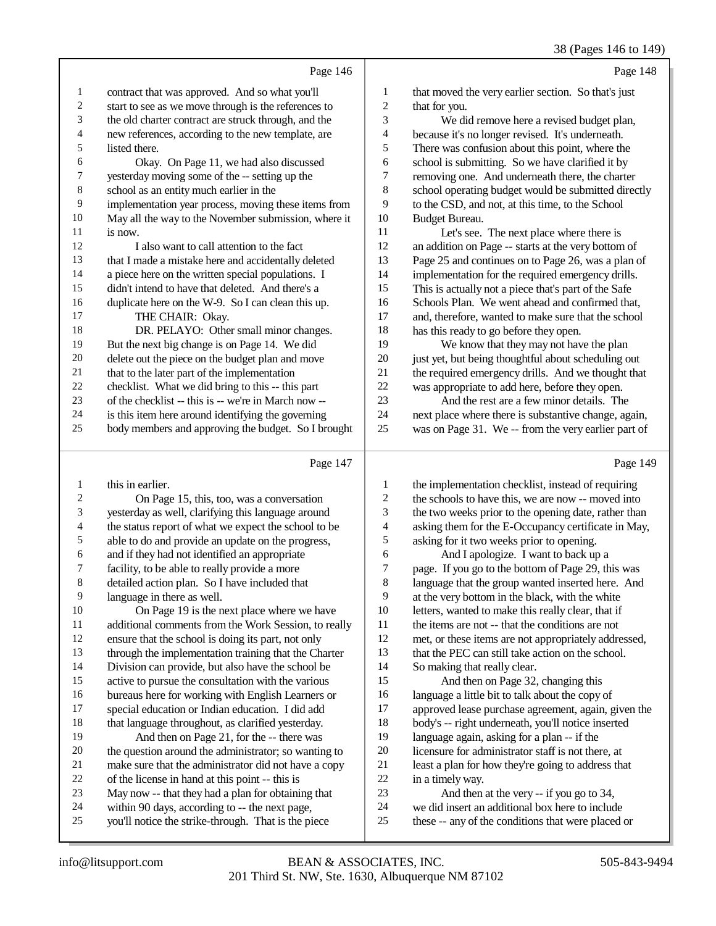|                | Page 146                                             |                | Page 148                                             |
|----------------|------------------------------------------------------|----------------|------------------------------------------------------|
| 1              | contract that was approved. And so what you'll       | 1              | that moved the very earlier section. So that's just  |
| 2              | start to see as we move through is the references to | $\overline{2}$ | that for you.                                        |
| 3              | the old charter contract are struck through, and the | 3              | We did remove here a revised budget plan,            |
| $\overline{4}$ | new references, according to the new template, are   | 4              | because it's no longer revised. It's underneath.     |
| 5              | listed there.                                        | 5              | There was confusion about this point, where the      |
| 6              | Okay. On Page 11, we had also discussed              | 6              | school is submitting. So we have clarified it by     |
| 7              | yesterday moving some of the -- setting up the       | 7              | removing one. And underneath there, the charter      |
| 8              | school as an entity much earlier in the              | 8              | school operating budget would be submitted directly  |
| 9              | implementation year process, moving these items from | 9              | to the CSD, and not, at this time, to the School     |
| 10             | May all the way to the November submission, where it | 10             | Budget Bureau.                                       |
| 11             | is now.                                              | 11             | Let's see. The next place where there is             |
| 12             | I also want to call attention to the fact            | 12             | an addition on Page -- starts at the very bottom of  |
| 13             | that I made a mistake here and accidentally deleted  | 13             | Page 25 and continues on to Page 26, was a plan of   |
| 14             | a piece here on the written special populations. I   | 14             | implementation for the required emergency drills.    |
| 15             | didn't intend to have that deleted. And there's a    | 15             | This is actually not a piece that's part of the Safe |
| 16             | duplicate here on the W-9. So I can clean this up.   | 16             | Schools Plan. We went ahead and confirmed that,      |
| 17             | THE CHAIR: Okay.                                     | 17             | and, therefore, wanted to make sure that the school  |
| 18             | DR. PELAYO: Other small minor changes.               | 18             | has this ready to go before they open.               |
| 19             | But the next big change is on Page 14. We did        | 19             | We know that they may not have the plan              |
| 20             | delete out the piece on the budget plan and move     | 20             | just yet, but being thoughtful about scheduling out  |
| 21             | that to the later part of the implementation         | 21             | the required emergency drills. And we thought that   |
| 22             | checklist. What we did bring to this -- this part    | 22             | was appropriate to add here, before they open.       |
| 23             | of the checklist -- this is -- we're in March now -- | 23             | And the rest are a few minor details. The            |
| 24             | is this item here around identifying the governing   | 24             | next place where there is substantive change, again, |
| 25             | body members and approving the budget. So I brought  | 25             | was on Page 31. We -- from the very earlier part of  |
|                | Page 147                                             |                | Page 149                                             |

Page 147 |

| 1              | this in earlier.                                     | 1  | the implementation checklist, instead of requiring   |
|----------------|------------------------------------------------------|----|------------------------------------------------------|
| 2              | On Page 15, this, too, was a conversation            | 2  | the schools to have this, we are now -- moved into   |
| 3              | yesterday as well, clarifying this language around   | 3  | the two weeks prior to the opening date, rather than |
| $\overline{4}$ | the status report of what we expect the school to be | 4  | asking them for the E-Occupancy certificate in May,  |
| 5              | able to do and provide an update on the progress,    | 5  | asking for it two weeks prior to opening.            |
| 6              | and if they had not identified an appropriate        | 6  | And I apologize. I want to back up a                 |
| 7              | facility, to be able to really provide a more        | 7  | page. If you go to the bottom of Page 29, this was   |
| 8              | detailed action plan. So I have included that        | 8  | language that the group wanted inserted here. And    |
| 9              | language in there as well.                           | 9  | at the very bottom in the black, with the white      |
| 10             | On Page 19 is the next place where we have           | 10 | letters, wanted to make this really clear, that if   |
| 11             | additional comments from the Work Session, to really | 11 | the items are not -- that the conditions are not     |
| 12             | ensure that the school is doing its part, not only   | 12 | met, or these items are not appropriately addressed, |
| 13             | through the implementation training that the Charter | 13 | that the PEC can still take action on the school.    |
| 14             | Division can provide, but also have the school be    | 14 | So making that really clear.                         |
| 15             | active to pursue the consultation with the various   | 15 | And then on Page 32, changing this                   |
| 16             | bureaus here for working with English Learners or    | 16 | language a little bit to talk about the copy of      |
| 17             | special education or Indian education. I did add     | 17 | approved lease purchase agreement, again, given the  |
| 18             | that language throughout, as clarified yesterday.    | 18 | body's -- right underneath, you'll notice inserted   |
| 19             | And then on Page 21, for the -- there was            | 19 | language again, asking for a plan -- if the          |
| 20             | the question around the administrator; so wanting to | 20 | licensure for administrator staff is not there, at   |
| 21             | make sure that the administrator did not have a copy | 21 | least a plan for how they're going to address that   |
| 22             | of the license in hand at this point -- this is      | 22 | in a timely way.                                     |
| 23             | May now -- that they had a plan for obtaining that   | 23 | And then at the very -- if you go to 34,             |
| 24             | within 90 days, according to -- the next page,       | 24 | we did insert an additional box here to include      |
| 25             | you'll notice the strike-through. That is the piece  | 25 | these -- any of the conditions that were placed or   |
|                |                                                      |    |                                                      |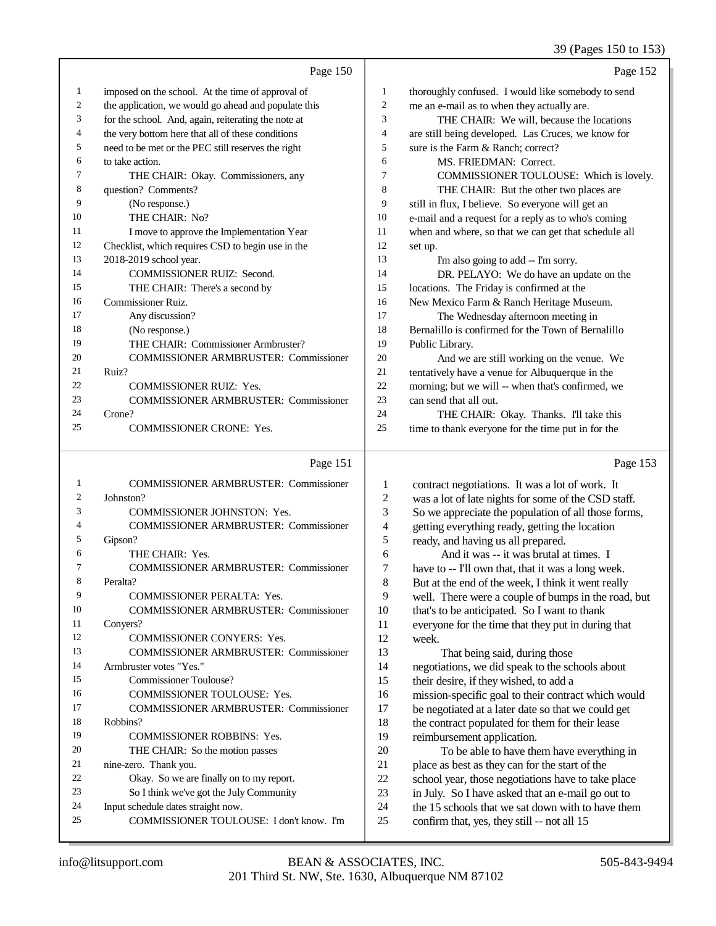39 (Pages 150 to 153)

|    | Page 150                                             |                | Page 152                                             |
|----|------------------------------------------------------|----------------|------------------------------------------------------|
| 1  | imposed on the school. At the time of approval of    | 1              | thoroughly confused. I would like somebody to send   |
| 2  | the application, we would go ahead and populate this | $\overline{2}$ | me an e-mail as to when they actually are.           |
| 3  | for the school. And, again, reiterating the note at  | 3              | THE CHAIR: We will, because the locations            |
| 4  | the very bottom here that all of these conditions    | 4              | are still being developed. Las Cruces, we know for   |
| 5  | need to be met or the PEC still reserves the right   | 5              | sure is the Farm & Ranch; correct?                   |
| 6  | to take action.                                      | 6              | MS. FRIEDMAN: Correct.                               |
| 7  | THE CHAIR: Okay. Commissioners, any                  | 7              | COMMISSIONER TOULOUSE: Which is lovely.              |
| 8  | question? Comments?                                  | 8              | THE CHAIR: But the other two places are              |
| 9  | (No response.)                                       | 9              | still in flux, I believe. So everyone will get an    |
| 10 | THE CHAIR: No?                                       | 10             | e-mail and a request for a reply as to who's coming  |
| 11 | I move to approve the Implementation Year            | 11             | when and where, so that we can get that schedule all |
| 12 | Checklist, which requires CSD to begin use in the    | 12             | set up.                                              |
| 13 | 2018-2019 school year.                               | 13             | I'm also going to add -- I'm sorry.                  |
| 14 | <b>COMMISSIONER RUIZ: Second.</b>                    | 14             | DR. PELAYO: We do have an update on the              |
| 15 | THE CHAIR: There's a second by                       | 15             | locations. The Friday is confirmed at the            |
| 16 | <b>Commissioner Ruiz.</b>                            | 16             | New Mexico Farm & Ranch Heritage Museum.             |
| 17 | Any discussion?                                      | 17             | The Wednesday afternoon meeting in                   |
| 18 | (No response.)                                       | 18             | Bernalillo is confirmed for the Town of Bernalillo   |
| 19 | THE CHAIR: Commissioner Armbruster?                  | 19             | Public Library.                                      |
| 20 | <b>COMMISSIONER ARMBRUSTER: Commissioner</b>         | 20             | And we are still working on the venue. We            |
| 21 | Ruiz?                                                | 21             | tentatively have a venue for Albuquerque in the      |
| 22 | <b>COMMISSIONER RUIZ: Yes.</b>                       | 22             | morning; but we will -- when that's confirmed, we    |
| 23 | <b>COMMISSIONER ARMBRUSTER: Commissioner</b>         | 23             | can send that all out.                               |
| 24 | Crone?                                               | 24             | THE CHAIR: Okay. Thanks. I'll take this              |
| 25 | COMMISSIONER CRONE: Yes.                             | 25             | time to thank everyone for the time put in for the   |
|    | Page 151                                             |                | Page 153                                             |
|    | <b>COMMISSIONER ARMBRUSTER: Commissioner</b>         | 1              | contract negotiations. It was a lot of work. It      |
| 2  | Johnston?                                            | $\mathfrak{D}$ | was a lot of late nights for some of the CSD staff   |

| $\overline{c}$ | Johnston?                                    |
|----------------|----------------------------------------------|
| 3              | <b>COMMISSIONER JOHNSTON: Yes.</b>           |
| 4              | <b>COMMISSIONER ARMBRUSTER: Commissioner</b> |
| 5              | Gipson?                                      |
| 6              | THE CHAIR: Yes.                              |
| 7              | <b>COMMISSIONER ARMBRUSTER: Commissioner</b> |
| 8              | Peralta?                                     |
| 9              | <b>COMMISSIONER PERALTA: Yes.</b>            |
| 10             | <b>COMMISSIONER ARMBRUSTER: Commissioner</b> |
| 11             | Convers?                                     |
| 12             | <b>COMMISSIONER CONYERS: Yes.</b>            |
| 13             | COMMISSIONER ARMBRUSTER: Commissioner        |
| 14             | Armbruster votes "Yes."                      |
| 15             | Commissioner Toulouse?                       |
| 16             | COMMISSIONER TOULOUSE: Yes.                  |
| 17             | COMMISSIONER ARMBRUSTER: Commissioner        |
| 18             | Robbins?                                     |
| 19             | <b>COMMISSIONER ROBBINS: Yes.</b>            |
| 20             | THE CHAIR: So the motion passes              |
| 21             | nine-zero. Thank you.                        |
| 22.            | Okay. So we are finally on to my report.     |
| 23             | So I think we've got the July Community      |
| 24             | Input schedule dates straight now.           |
| 25             | COMMISSIONER TOULOUSE: I don't know. I'm     |

lot of late nights for some of the CSD staff. So we appreciate the population of all those forms, getting everything ready, getting the location ready, and having us all prepared. 6 And it was -- it was brutal at times. I<br>7 have to -- I'll own that, that it was a long we have to -- I'll own that, that it was a long week. But at the end of the week, I think it went really 9 well. There were a couple of bumps in the road, but 10 that's to be anticipated. So I want to thank 10 that's to be anticipated. So I want to thank<br>11 everyone for the time that they put in durin everyone for the time that they put in during that week. 13 That being said, during those negotiations, we did speak to the schools about their desire, if they wished, to add a 16 mission-specific goal to their contract which would<br>17 be negotiated at a later date so that we could get be negotiated at a later date so that we could get 18 the contract populated for them for their lease<br>19 reimbursement application. reimbursement application. 20 To be able to have them have everything in<br>21 place as best as they can for the start of the 21 place as best as they can for the start of the<br>22 school year, those negotiations have to take 22 school year, those negotiations have to take place<br>23 in July. So I have asked that an e-mail go out to 23 in July. So I have asked that an e-mail go out to the 15 schools that we sat down with to have the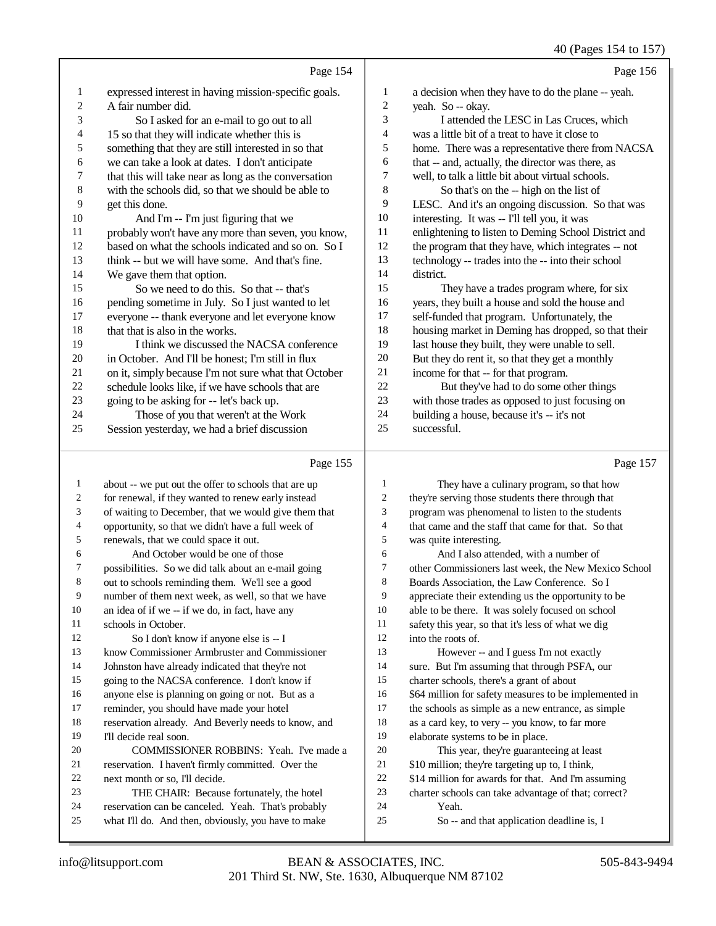|                |                                                      |                | 40 (Fages 194 to 197                                 |
|----------------|------------------------------------------------------|----------------|------------------------------------------------------|
|                | Page 154                                             |                | Page 156                                             |
| 1              | expressed interest in having mission-specific goals. | 1              | a decision when they have to do the plane -- yeah.   |
| $\overline{c}$ | A fair number did.                                   | $\mathfrak{2}$ | yeah. So -- okay.                                    |
| 3              | So I asked for an e-mail to go out to all            | 3              | I attended the LESC in Las Cruces, which             |
| 4              | 15 so that they will indicate whether this is        | $\overline{4}$ | was a little bit of a treat to have it close to      |
| 5              | something that they are still interested in so that  | 5              | home. There was a representative there from NACSA    |
| 6              | we can take a look at dates. I don't anticipate      | 6              | that -- and, actually, the director was there, as    |
| 7              | that this will take near as long as the conversation | 7              | well, to talk a little bit about virtual schools.    |
| 8              | with the schools did, so that we should be able to   | 8              | So that's on the -- high on the list of              |
| 9              | get this done.                                       | 9              | LESC. And it's an ongoing discussion. So that was    |
| 10             | And I'm -- I'm just figuring that we                 | 10             | interesting. It was -- I'll tell you, it was         |
| 11             | probably won't have any more than seven, you know,   | 11             | enlightening to listen to Deming School District and |
| 12             | based on what the schools indicated and so on. So I  | 12             | the program that they have, which integrates -- not  |
| 13             | think -- but we will have some. And that's fine.     | 13             | technology -- trades into the -- into their school   |
| 14             | We gave them that option.                            | 14             | district.                                            |
| 15             | So we need to do this. So that -- that's             | 15             | They have a trades program where, for six            |
| 16             | pending sometime in July. So I just wanted to let    | 16             | years, they built a house and sold the house and     |
| 17             | everyone -- thank everyone and let everyone know     | 17             | self-funded that program. Unfortunately, the         |
| 18             | that that is also in the works.                      | 18             | housing market in Deming has dropped, so that their  |
| 19             | I think we discussed the NACSA conference            | 19             | last house they built, they were unable to sell.     |
| 20             | in October. And I'll be honest; I'm still in flux    | 20             | But they do rent it, so that they get a monthly      |
| 21             | on it, simply because I'm not sure what that October | 21             | income for that -- for that program.                 |
| 22             | schedule looks like, if we have schools that are     | 22             | But they've had to do some other things              |
| 23             | going to be asking for -- let's back up.             | 23             | with those trades as opposed to just focusing on     |
| 24             | Those of you that weren't at the Work                | 24             | building a house, because it's -- it's not           |
| 25             | Session yesterday, we had a brief discussion         | 25             | successful.                                          |
|                | Page 155                                             |                | Page 157                                             |
|                |                                                      |                |                                                      |

 about -- we put out the offer to schools that are up for renewal, if they wanted to renew early instead of waiting to December, that we would give them that 4 opportunity, so that we didn't have a full week of<br>5 renewals, that we could space it out. renewals, that we could space it out. 6 And October would be one of those<br>7 possibilities. So we did talk about an e-m possibilities. So we did talk about an e-mail going out to schools reminding them. We'll see a good number of them next week, as well, so that we have an idea of if we -- if we do, in fact, have any 11 schools in October.<br>12 So I don't kne So I don't know if anyone else is -- I know Commissioner Armbruster and Commissioner Johnston have already indicated that they're not going to the NACSA conference. I don't know if anyone else is planning on going or not. But as a reminder, you should have made your hotel reservation already. And Beverly needs to know, and 19 I'll decide real soon.<br>20 COMMISSIO COMMISSIONER ROBBINS: Yeah. I've made a reservation. I haven't firmly committed. Over the 22 next month or so, I'll decide.<br>23 THE CHAIR: Because THE CHAIR: Because fortunately, the hotel reservation can be canceled. Yeah. That's probably what I'll do. And then, obviously, you have to make They have a culinary program, so that how they're serving those students there through that program was phenomenal to listen to the students that came and the staff that came for that. So that<br>5 was quite interesting. was quite interesting. 6 And I also attended, with a number of  $\frac{7}{100}$  other Commissioners last week, the New Me other Commissioners last week, the New Mexico School Boards Association, the Law Conference. So I appreciate their extending us the opportunity to be able to be there. It was solely focused on school 11 safety this year, so that it's less of what we dig<br>12 into the roots of into the roots of. However -- and I guess I'm not exactly sure. But I'm assuming that through PSFA, our charter schools, there's a grant of about \$64 million for safety measures to be implemented in the schools as simple as a new entrance, as simple as a card key, to very -- you know, to far more elaborate systems to be in place. This year, they're guaranteeing at least \$10 million; they're targeting up to, I think,  $$14$  million for awards for that. And I'm assuming<br>23 charter schools can take advantage of that: correct? charter schools can take advantage of that; correct? Yeah. So -- and that application deadline is, I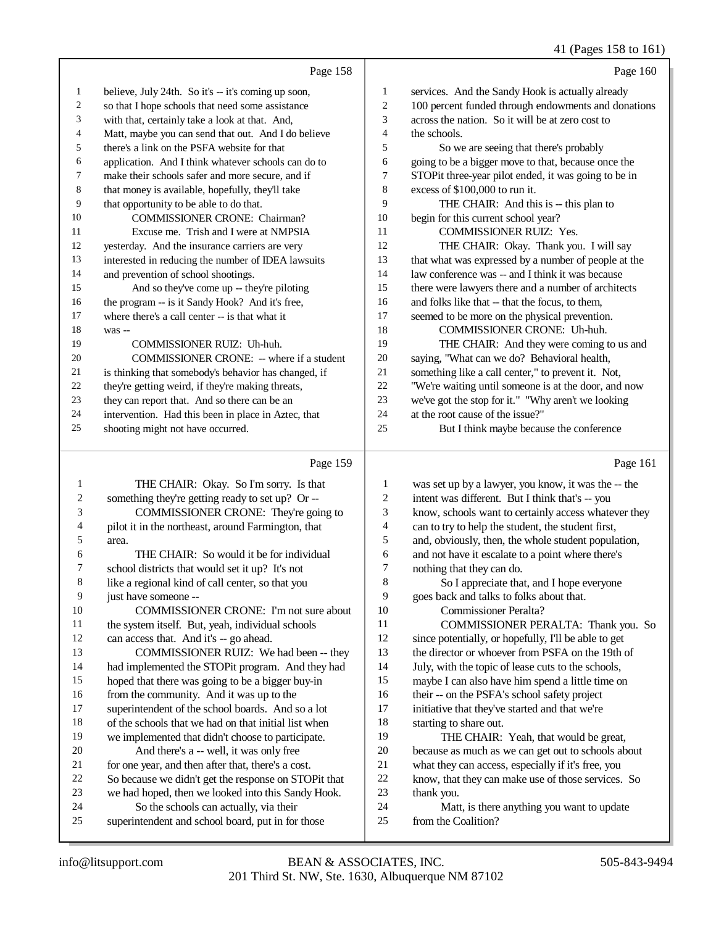|    | Page 158                                             |    | Page 160                                             |
|----|------------------------------------------------------|----|------------------------------------------------------|
| 1  | believe, July 24th. So it's -- it's coming up soon,  | 1  | services. And the Sandy Hook is actually already     |
| 2  | so that I hope schools that need some assistance     | 2  | 100 percent funded through endowments and donations  |
| 3  | with that, certainly take a look at that. And,       | 3  | across the nation. So it will be at zero cost to     |
| 4  | Matt, maybe you can send that out. And I do believe  | 4  | the schools.                                         |
| 5  | there's a link on the PSFA website for that          | 5  | So we are seeing that there's probably               |
| 6  | application. And I think whatever schools can do to  | 6  | going to be a bigger move to that, because once the  |
| 7  | make their schools safer and more secure, and if     | 7  | STOPit three-year pilot ended, it was going to be in |
| 8  | that money is available, hopefully, they'll take     | 8  | excess of \$100,000 to run it.                       |
| 9  | that opportunity to be able to do that.              | 9  | THE CHAIR: And this is -- this plan to               |
| 10 | <b>COMMISSIONER CRONE: Chairman?</b>                 | 10 | begin for this current school year?                  |
| 11 | Excuse me. Trish and I were at NMPSIA                | 11 | <b>COMMISSIONER RUIZ: Yes.</b>                       |
| 12 | yesterday. And the insurance carriers are very       | 12 | THE CHAIR: Okay. Thank you. I will say               |
| 13 | interested in reducing the number of IDEA lawsuits   | 13 | that what was expressed by a number of people at the |
| 14 | and prevention of school shootings.                  | 14 | law conference was -- and I think it was because     |
| 15 | And so they've come up -- they're piloting           | 15 | there were lawyers there and a number of architects  |
| 16 | the program -- is it Sandy Hook? And it's free,      | 16 | and folks like that -- that the focus, to them,      |
| 17 | where there's a call center -- is that what it       | 17 | seemed to be more on the physical prevention.        |
| 18 | was --                                               | 18 | COMMISSIONER CRONE: Uh-huh.                          |
| 19 | COMMISSIONER RUIZ: Uh-huh.                           | 19 | THE CHAIR: And they were coming to us and            |
| 20 | COMMISSIONER CRONE: -- where if a student            | 20 | saying, "What can we do? Behavioral health,          |
| 21 | is thinking that somebody's behavior has changed, if | 21 | something like a call center," to prevent it. Not,   |
| 22 | they're getting weird, if they're making threats,    | 22 | "We're waiting until someone is at the door, and now |
| 23 | they can report that. And so there can be an         | 23 | we've got the stop for it." "Why aren't we looking   |
| 24 | intervention. Had this been in place in Aztec, that  | 24 | at the root cause of the issue?"                     |
| 25 | shooting might not have occurred.                    | 25 | But I think maybe because the conference             |
|    |                                                      |    |                                                      |

|    | Page 159                                             |                | Page 161                                             |
|----|------------------------------------------------------|----------------|------------------------------------------------------|
| 1  | THE CHAIR: Okay. So I'm sorry. Is that               | 1              | was set up by a lawyer, you know, it was the -- the  |
| 2  | something they're getting ready to set up? Or --     | $\overline{2}$ | intent was different. But I think that's -- you      |
| 3  | COMMISSIONER CRONE: They're going to                 | 3              | know, schools want to certainly access whatever they |
| 4  | pilot it in the northeast, around Farmington, that   | 4              | can to try to help the student, the student first,   |
| 5  | area.                                                | 5              | and, obviously, then, the whole student population,  |
| 6  | THE CHAIR: So would it be for individual             | 6              | and not have it escalate to a point where there's    |
| 7  | school districts that would set it up? It's not      | 7              | nothing that they can do.                            |
| 8  | like a regional kind of call center, so that you     | 8              | So I appreciate that, and I hope everyone            |
| 9  | just have someone --                                 | 9              | goes back and talks to folks about that.             |
| 10 | <b>COMMISSIONER CRONE:</b> I'm not sure about        | 10             | Commissioner Peralta?                                |
| 11 | the system itself. But, yeah, individual schools     | 11             | COMMISSIONER PERALTA: Thank you. So                  |
| 12 | can access that. And it's -- go ahead.               | 12             | since potentially, or hopefully, I'll be able to get |
| 13 | COMMISSIONER RUIZ: We had been -- they               | 13             | the director or whoever from PSFA on the 19th of     |
| 14 | had implemented the STOPit program. And they had     | 14             | July, with the topic of lease cuts to the schools,   |
| 15 | hoped that there was going to be a bigger buy-in     | 15             | maybe I can also have him spend a little time on     |
| 16 | from the community. And it was up to the             | 16             | their -- on the PSFA's school safety project         |
| 17 | superintendent of the school boards. And so a lot    | 17             | initiative that they've started and that we're       |
| 18 | of the schools that we had on that initial list when | 18             | starting to share out.                               |
| 19 | we implemented that didn't choose to participate.    | 19             | THE CHAIR: Yeah, that would be great,                |
| 20 | And there's a -- well, it was only free              | 20             | because as much as we can get out to schools about   |
| 21 | for one year, and then after that, there's a cost.   | 21             | what they can access, especially if it's free, you   |
| 22 | So because we didn't get the response on STOPit that | 22             | know, that they can make use of those services. So   |
| 23 | we had hoped, then we looked into this Sandy Hook.   | 23             | thank you.                                           |
| 24 | So the schools can actually, via their               | 24             | Matt, is there anything you want to update           |
| 25 | superintendent and school board, put in for those    | 25             | from the Coalition?                                  |
|    |                                                      |                |                                                      |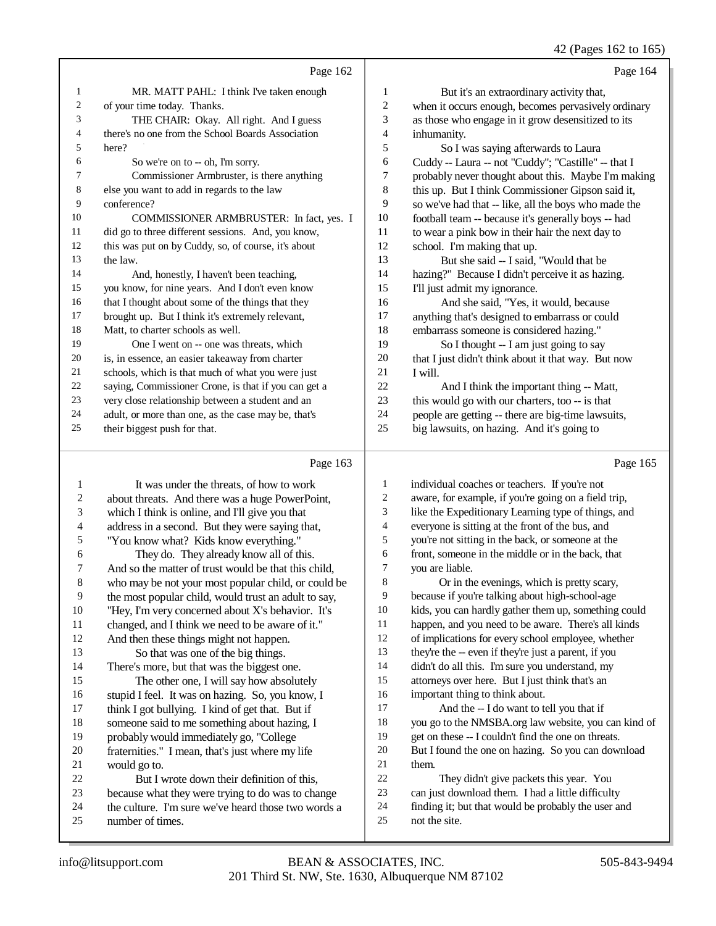42 (Pages 162 to 165)

|    | Page 162                                             |                | Page 164                                             |
|----|------------------------------------------------------|----------------|------------------------------------------------------|
| 1  | MR. MATT PAHL: I think I've taken enough             | 1              | But it's an extraordinary activity that,             |
| 2  | of your time today. Thanks.                          | $\overline{c}$ | when it occurs enough, becomes pervasively ordinary  |
| 3  | THE CHAIR: Okay. All right. And I guess              | 3              | as those who engage in it grow desensitized to its   |
| 4  | there's no one from the School Boards Association    | $\overline{4}$ | inhumanity.                                          |
| 5  | here?                                                | 5              | So I was saying afterwards to Laura                  |
| 6  | So we're on to -- oh, I'm sorry.                     | 6              | Cuddy -- Laura -- not "Cuddy"; "Castille" -- that I  |
| 7  | Commissioner Armbruster, is there anything           | 7              | probably never thought about this. Maybe I'm making  |
| 8  | else you want to add in regards to the law           | 8              | this up. But I think Commissioner Gipson said it,    |
| 9  | conference?                                          | 9              | so we've had that -- like, all the boys who made the |
| 10 | COMMISSIONER ARMBRUSTER: In fact, yes. I             | 10             | football team -- because it's generally boys -- had  |
| 11 | did go to three different sessions. And, you know,   | 11             | to wear a pink bow in their hair the next day to     |
| 12 | this was put on by Cuddy, so, of course, it's about  | 12             | school. I'm making that up.                          |
| 13 | the law.                                             | 13             | But she said -- I said, "Would that be               |
| 14 | And, honestly, I haven't been teaching,              | 14             | hazing?" Because I didn't perceive it as hazing.     |
| 15 | you know, for nine years. And I don't even know      | 15             | I'll just admit my ignorance.                        |
| 16 | that I thought about some of the things that they    | 16             | And she said, "Yes, it would, because                |
| 17 | brought up. But I think it's extremely relevant,     | 17             | anything that's designed to embarrass or could       |
| 18 | Matt, to charter schools as well.                    | 18             | embarrass someone is considered hazing."             |
| 19 | One I went on -- one was threats, which              | 19             | So I thought -- I am just going to say               |
| 20 | is, in essence, an easier takeaway from charter      | 20             | that I just didn't think about it that way. But now  |
| 21 | schools, which is that much of what you were just    | 21             | I will.                                              |
| 22 | saying, Commissioner Crone, is that if you can get a | 22             | And I think the important thing -- Matt,             |
| 23 | very close relationship between a student and an     | 23             | this would go with our charters, too -- is that      |
| 24 | adult, or more than one, as the case may be, that's  | 24             | people are getting -- there are big-time lawsuits,   |
| 25 | their biggest push for that.                         | 25             | big lawsuits, on hazing. And it's going to           |
|    | Page 163                                             |                | Page 165                                             |
| 1  | It was under the threats, of how to work             | 1              | individual coaches or teachers. If you're not        |

| 1  | It was under the threats, of how to work             | 1      | individual coaches or teachers. If you're not        |
|----|------------------------------------------------------|--------|------------------------------------------------------|
| 2  | about threats. And there was a huge PowerPoint,      | 2      | aware, for example, if you're going on a field trip, |
| 3  | which I think is online, and I'll give you that      | 3      | like the Expeditionary Learning type of things, and  |
| 4  | address in a second. But they were saying that,      | 4      | everyone is sitting at the front of the bus, and     |
| 5  | "You know what? Kids know everything."               | 5      | you're not sitting in the back, or someone at the    |
| 6  | They do. They already know all of this.              | 6      | front, someone in the middle or in the back, that    |
| 7  | And so the matter of trust would be that this child, | $\tau$ | you are liable.                                      |
| 8  | who may be not your most popular child, or could be  | 8      | Or in the evenings, which is pretty scary,           |
| 9  | the most popular child, would trust an adult to say, | 9      | because if you're talking about high-school-age      |
| 10 | "Hey, I'm very concerned about X's behavior. It's    | 10     | kids, you can hardly gather them up, something could |
| 11 | changed, and I think we need to be aware of it."     | 11     | happen, and you need to be aware. There's all kinds  |
| 12 | And then these things might not happen.              | 12     | of implications for every school employee, whether   |
| 13 | So that was one of the big things.                   | 13     | they're the -- even if they're just a parent, if you |
| 14 | There's more, but that was the biggest one.          | 14     | didn't do all this. I'm sure you understand, my      |
| 15 | The other one, I will say how absolutely             | 15     | attorneys over here. But I just think that's an      |
| 16 | stupid I feel. It was on hazing. So, you know, I     | 16     | important thing to think about.                      |
| 17 | think I got bullying. I kind of get that. But if     | 17     | And the -- I do want to tell you that if             |
| 18 | someone said to me something about hazing, I         | 18     | you go to the NMSBA.org law website, you can kind of |
| 19 | probably would immediately go, "College              | 19     | get on these -- I couldn't find the one on threats.  |
| 20 | fraternities." I mean, that's just where my life     | 20     | But I found the one on hazing. So you can download   |
| 21 | would go to.                                         | 21     | them.                                                |
| 22 | But I wrote down their definition of this,           | 22     | They didn't give packets this year. You              |
| 23 | because what they were trying to do was to change    | 23     | can just download them. I had a little difficulty    |
| 24 | the culture. I'm sure we've heard those two words a  | 24     | finding it; but that would be probably the user and  |
| 25 | number of times.                                     | 25     | not the site.                                        |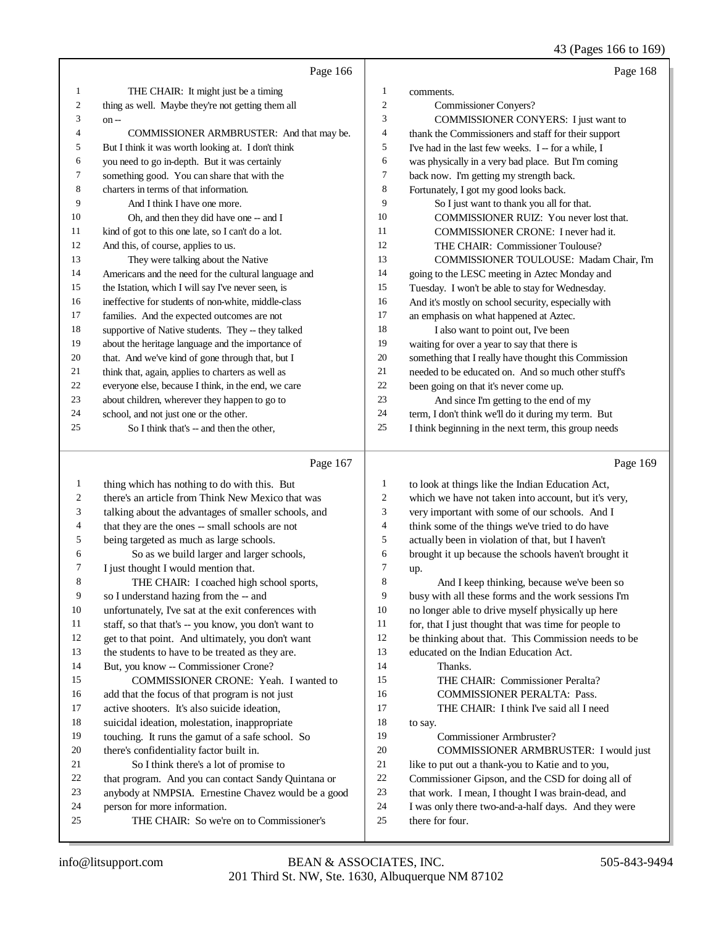43 (Pages 166 to 169)

|                | Page 166                                             |    | Page 168                                             |
|----------------|------------------------------------------------------|----|------------------------------------------------------|
|                | THE CHAIR: It might just be a timing                 | 1  | comments.                                            |
| 2              | thing as well. Maybe they're not getting them all    | 2  | <b>Commissioner Conyers?</b>                         |
| 3              | $on -$                                               | 3  | COMMISSIONER CONYERS: I just want to                 |
| $\overline{4}$ | COMMISSIONER ARMBRUSTER: And that may be.            | 4  | thank the Commissioners and staff for their support  |
| 5              | But I think it was worth looking at. I don't think   | 5  | I've had in the last few weeks. I -- for a while, I  |
| 6              | you need to go in-depth. But it was certainly        | 6  | was physically in a very bad place. But I'm coming   |
| 7              | something good. You can share that with the          | 7  | back now. I'm getting my strength back.              |
| 8              | charters in terms of that information.               | 8  | Fortunately, I got my good looks back.               |
| 9              | And I think I have one more.                         | 9  | So I just want to thank you all for that.            |
| 10             | Oh, and then they did have one -- and I              | 10 | COMMISSIONER RUIZ: You never lost that.              |
| 11             | kind of got to this one late, so I can't do a lot.   | 11 | COMMISSIONER CRONE: I never had it.                  |
| 12             | And this, of course, applies to us.                  | 12 | THE CHAIR: Commissioner Toulouse?                    |
| 13             | They were talking about the Native                   | 13 | COMMISSIONER TOULOUSE: Madam Chair, I'm              |
| 14             | Americans and the need for the cultural language and | 14 | going to the LESC meeting in Aztec Monday and        |
| 15             | the Istation, which I will say I've never seen, is   | 15 | Tuesday. I won't be able to stay for Wednesday.      |
| 16             | ineffective for students of non-white, middle-class  | 16 | And it's mostly on school security, especially with  |
| 17             | families. And the expected outcomes are not          | 17 | an emphasis on what happened at Aztec.               |
| 18             | supportive of Native students. They -- they talked   | 18 | I also want to point out, I've been                  |
| 19             | about the heritage language and the importance of    | 19 | waiting for over a year to say that there is         |
| 20             | that. And we've kind of gone through that, but I     | 20 | something that I really have thought this Commission |
| 21             | think that, again, applies to charters as well as    | 21 | needed to be educated on. And so much other stuff's  |
| 22             | everyone else, because I think, in the end, we care  | 22 | been going on that it's never come up.               |
| 23             | about children, wherever they happen to go to        | 23 | And since I'm getting to the end of my               |
| 24             | school, and not just one or the other.               | 24 | term, I don't think we'll do it during my term. But  |
| 25             | So I think that's -- and then the other,             | 25 | I think beginning in the next term, this group needs |
|                | Page 167                                             |    | Page 169                                             |
|                | thing which has nothing to do with this Dut          |    | to look at things like the Indian Education Act      |

| 1  | thing which has nothing to do with this. But         | $\mathbf{1}$   | to look at things like the Indian Education Act,     |
|----|------------------------------------------------------|----------------|------------------------------------------------------|
| 2  | there's an article from Think New Mexico that was    | $\overline{c}$ | which we have not taken into account, but it's very, |
| 3  | talking about the advantages of smaller schools, and | 3              | very important with some of our schools. And I       |
| 4  | that they are the ones -- small schools are not      | 4              | think some of the things we've tried to do have      |
| 5  | being targeted as much as large schools.             | 5              | actually been in violation of that, but I haven't    |
| 6  | So as we build larger and larger schools,            | 6              | brought it up because the schools haven't brought it |
| 7  | I just thought I would mention that.                 | $\overline{7}$ | up.                                                  |
| 8  | THE CHAIR: I coached high school sports,             | 8              | And I keep thinking, because we've been so           |
| 9  | so I understand hazing from the -- and               | 9              | busy with all these forms and the work sessions I'm  |
| 10 | unfortunately, I've sat at the exit conferences with | 10             | no longer able to drive myself physically up here    |
| 11 | staff, so that that's -- you know, you don't want to | 11             | for, that I just thought that was time for people to |
| 12 | get to that point. And ultimately, you don't want    | 12             | be thinking about that. This Commission needs to be  |
| 13 | the students to have to be treated as they are.      | 13             | educated on the Indian Education Act.                |
| 14 | But, you know -- Commissioner Crone?                 | 14             | Thanks.                                              |
| 15 | COMMISSIONER CRONE: Yeah. I wanted to                | 15             | THE CHAIR: Commissioner Peralta?                     |
| 16 | add that the focus of that program is not just       | 16             | <b>COMMISSIONER PERALTA: Pass.</b>                   |
| 17 | active shooters. It's also suicide ideation,         | 17             | THE CHAIR: I think I've said all I need              |
| 18 | suicidal ideation, molestation, inappropriate        | 18             | to say.                                              |
| 19 | touching. It runs the gamut of a safe school. So     | 19             | Commissioner Armbruster?                             |
| 20 | there's confidentiality factor built in.             | 20             | <b>COMMISSIONER ARMBRUSTER: I would just</b>         |
| 21 | So I think there's a lot of promise to               | 21             | like to put out a thank-you to Katie and to you,     |
| 22 | that program. And you can contact Sandy Quintana or  | 22             | Commissioner Gipson, and the CSD for doing all of    |
| 23 | anybody at NMPSIA. Ernestine Chavez would be a good  | 23             | that work. I mean, I thought I was brain-dead, and   |
| 24 | person for more information.                         | 24             | I was only there two-and-a-half days. And they were  |
| 25 | THE CHAIR: So we're on to Commissioner's             | 25             | there for four.                                      |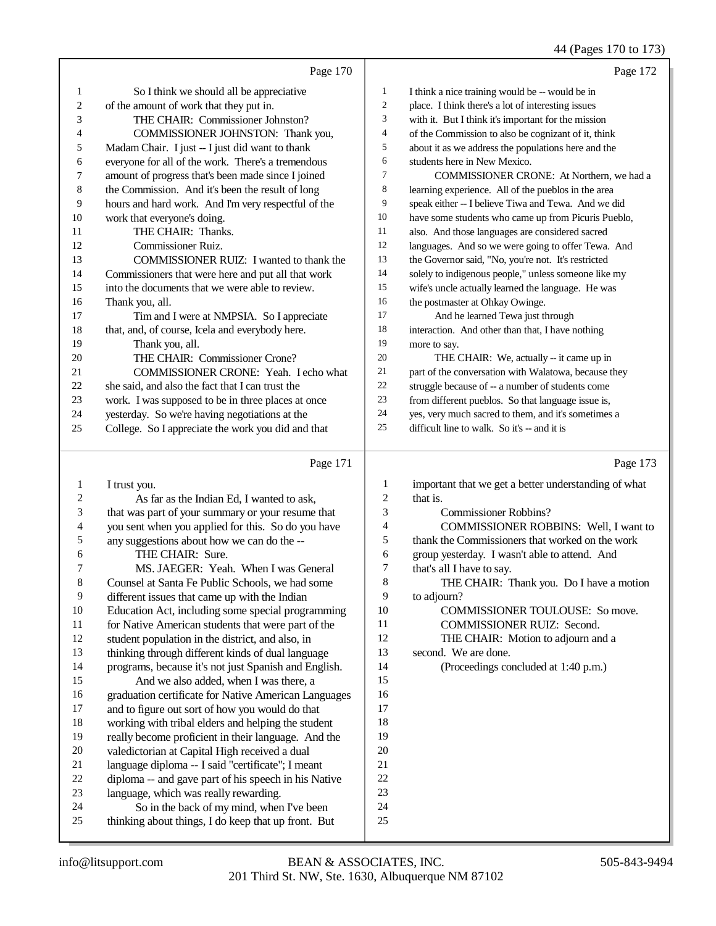|        |                                                      |                | 44 (Pages 170 to 173)                                |
|--------|------------------------------------------------------|----------------|------------------------------------------------------|
|        | Page 170                                             |                | Page 172                                             |
| 1      | So I think we should all be appreciative             | $\mathbf{1}$   | I think a nice training would be -- would be in      |
| 2      | of the amount of work that they put in.              | $\overline{2}$ | place. I think there's a lot of interesting issues   |
| 3      | THE CHAIR: Commissioner Johnston?                    | 3              | with it. But I think it's important for the mission  |
| 4      | COMMISSIONER JOHNSTON: Thank you,                    | $\overline{4}$ | of the Commission to also be cognizant of it, think  |
| 5      | Madam Chair. I just -- I just did want to thank      | 5              | about it as we address the populations here and the  |
| 6      | everyone for all of the work. There's a tremendous   | 6              | students here in New Mexico.                         |
| 7      | amount of progress that's been made since I joined   | $\tau$         | COMMISSIONER CRONE: At Northern, we had a            |
| 8      | the Commission. And it's been the result of long     | 8              | learning experience. All of the pueblos in the area  |
| 9      | hours and hard work. And I'm very respectful of the  | 9              | speak either -- I believe Tiwa and Tewa. And we did  |
| 10     | work that everyone's doing.                          | 10             | have some students who came up from Picuris Pueblo,  |
| 11     | THE CHAIR: Thanks.                                   | 11             | also. And those languages are considered sacred      |
| 12     | <b>Commissioner Ruiz.</b>                            | 12             | languages. And so we were going to offer Tewa. And   |
| 13     | COMMISSIONER RUIZ: I wanted to thank the             | 13             | the Governor said, "No, you're not. It's restricted  |
| 14     | Commissioners that were here and put all that work   | 14             | solely to indigenous people," unless someone like my |
| 15     | into the documents that we were able to review.      | 15             | wife's uncle actually learned the language. He was   |
| 16     | Thank you, all.                                      | 16             | the postmaster at Ohkay Owinge.                      |
| 17     | Tim and I were at NMPSIA. So I appreciate            | 17             | And he learned Tewa just through                     |
| 18     | that, and, of course, Icela and everybody here.      | 18             | interaction. And other than that, I have nothing     |
| 19     | Thank you, all.                                      | 19             | more to say.                                         |
| 20     | THE CHAIR: Commissioner Crone?                       | 20             | THE CHAIR: We, actually -- it came up in             |
| 21     | COMMISSIONER CRONE: Yeah. I echo what                | 21             | part of the conversation with Walatowa, because they |
| 22     | she said, and also the fact that I can trust the     | 22             | struggle because of -- a number of students come     |
| 23     | work. I was supposed to be in three places at once   | 23             | from different pueblos. So that language issue is,   |
| 24     | yesterday. So we're having negotiations at the       | 24             | yes, very much sacred to them, and it's sometimes a  |
| 25     | College. So I appreciate the work you did and that   | 25             | difficult line to walk. So it's -- and it is         |
|        | Page 171                                             |                | Page 173                                             |
| 1      | I trust you.                                         | 1              | important that we get a better understanding of what |
| 2      | As far as the Indian Ed, I wanted to ask,            | $\mathfrak{2}$ | that is.                                             |
| 3      | that was part of your summary or your resume that    | 3              | <b>Commissioner Robbins?</b>                         |
| 4      | you sent when you applied for this. So do you have   | 4              | COMMISSIONER ROBBINS: Well, I want to                |
| 5      | any suggestions about how we can do the --           | 5              | thank the Commissioners that worked on the work      |
| 6      | THE CHAIR: Sure.                                     | 6              | group yesterday. I wasn't able to attend. And        |
| 7      | MS. JAEGER: Yeah. When I was General                 | 7              | that's all I have to say.                            |
| 8      | Counsel at Santa Fe Public Schools, we had some      | 8              | THE CHAIR: Thank you. Do I have a motion             |
| 9      | different issues that came up with the Indian        | 9              | to adjourn?                                          |
| 10     | Education Act, including some special programming    | 10             | COMMISSIONER TOULOUSE: So move.                      |
| 11     | for Native American students that were part of the   | $11\,$         | COMMISSIONER RUIZ: Second.                           |
| 12     | student population in the district, and also, in     | 12             | THE CHAIR: Motion to adjourn and a                   |
| 13     | thinking through different kinds of dual language    | 13             | second. We are done.                                 |
| 14     | programs, because it's not just Spanish and English. | 14             | (Proceedings concluded at 1:40 p.m.)                 |
| 15     | And we also added, when I was there, a               | 15             |                                                      |
| 16     | graduation certificate for Native American Languages | 16             |                                                      |
| 17     | and to figure out sort of how you would do that      | 17             |                                                      |
| 18     | working with tribal elders and helping the student   | 18             |                                                      |
| 19     | really become proficient in their language. And the  | 19             |                                                      |
| $20\,$ | valedictorian at Capital High received a dual        | $20\,$         |                                                      |
| 21     | language diploma -- I said "certificate"; I meant    | $21\,$         |                                                      |
| $22\,$ | diploma -- and gave part of his speech in his Native | $22\,$         |                                                      |

22 diploma -- and gave part of his speech in his Native<br>23 language, which was really rewarding. 23 language, which was really rewarding.<br>24 So in the back of my mind, when

24 So in the back of my mind, when I've been<br>25 thinking about things. I do keep that up front. But thinking about things, I do keep that up front. But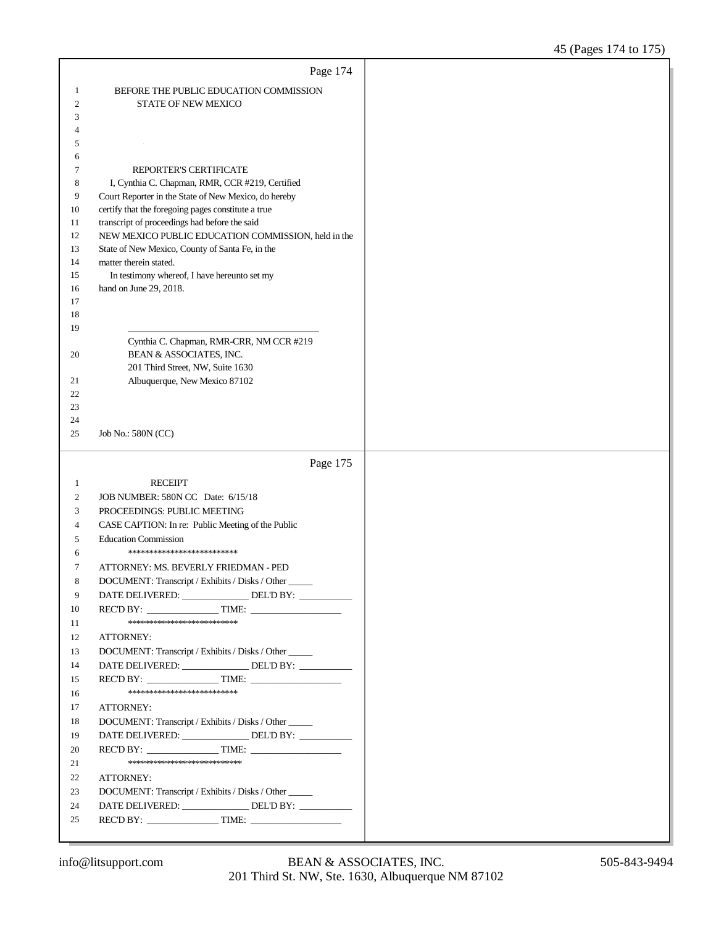|                  | Page 174                                                                                                 |  |
|------------------|----------------------------------------------------------------------------------------------------------|--|
| 1                | BEFORE THE PUBLIC EDUCATION COMMISSION                                                                   |  |
| $\boldsymbol{2}$ | <b>STATE OF NEW MEXICO</b>                                                                               |  |
| 3                |                                                                                                          |  |
| 4                |                                                                                                          |  |
| 5                |                                                                                                          |  |
| 6                |                                                                                                          |  |
| 7<br>8           | REPORTER'S CERTIFICATE<br>I, Cynthia C. Chapman, RMR, CCR #219, Certified                                |  |
| 9                | Court Reporter in the State of New Mexico, do hereby                                                     |  |
| 10               | certify that the foregoing pages constitute a true                                                       |  |
| 11               | transcript of proceedings had before the said                                                            |  |
| 12               | NEW MEXICO PUBLIC EDUCATION COMMISSION, held in the                                                      |  |
| 13               | State of New Mexico, County of Santa Fe, in the                                                          |  |
| 14               | matter therein stated.                                                                                   |  |
| 15               | In testimony whereof, I have hereunto set my                                                             |  |
| 16               | hand on June 29, 2018.                                                                                   |  |
| 17<br>18         |                                                                                                          |  |
| 19               |                                                                                                          |  |
|                  | Cynthia C. Chapman, RMR-CRR, NM CCR #219                                                                 |  |
| 20               | BEAN & ASSOCIATES, INC.                                                                                  |  |
|                  | 201 Third Street, NW, Suite 1630                                                                         |  |
| 21               | Albuquerque, New Mexico 87102                                                                            |  |
| 22               |                                                                                                          |  |
| 23<br>24         |                                                                                                          |  |
| 25               | Job No.: 580N (CC)                                                                                       |  |
|                  |                                                                                                          |  |
|                  |                                                                                                          |  |
|                  | Page 175                                                                                                 |  |
| 1                | <b>RECEIPT</b>                                                                                           |  |
| 2                | JOB NUMBER: 580N CC Date: 6/15/18                                                                        |  |
| 3                | PROCEEDINGS: PUBLIC MEETING                                                                              |  |
| 4                | CASE CAPTION: In re: Public Meeting of the Public                                                        |  |
| 5                | <b>Education Commission</b>                                                                              |  |
| 6                | *************************                                                                                |  |
| 7                | ATTORNEY: MS. BEVERLY FRIEDMAN - PED                                                                     |  |
| 8                | DOCUMENT: Transcript / Exhibits / Disks / Other                                                          |  |
| 9                | DATE DELIVERED: ________________ DEL'D BY: _________                                                     |  |
| 10               | **************************                                                                               |  |
| 11<br>12         | ATTORNEY:                                                                                                |  |
| 13               |                                                                                                          |  |
| 14               | DOCUMENT: Transcript / Exhibits / Disks / Other<br>DATE DELIVERED: ________________ DEL'D BY: __________ |  |
| 15               |                                                                                                          |  |
| 16               | **************************                                                                               |  |
| 17               | ATTORNEY:                                                                                                |  |
| 18               | DOCUMENT: Transcript / Exhibits / Disks / Other                                                          |  |
| 19               | DATE DELIVERED: ________________ DEL'D BY: __________                                                    |  |
| 20               |                                                                                                          |  |
| 21               | ***************************                                                                              |  |
| 22               | ATTORNEY:                                                                                                |  |
| 23               | DOCUMENT: Transcript / Exhibits / Disks / Other                                                          |  |
| 24               | DATE DELIVERED: ________________ DEL'D BY: __________                                                    |  |
| 25               |                                                                                                          |  |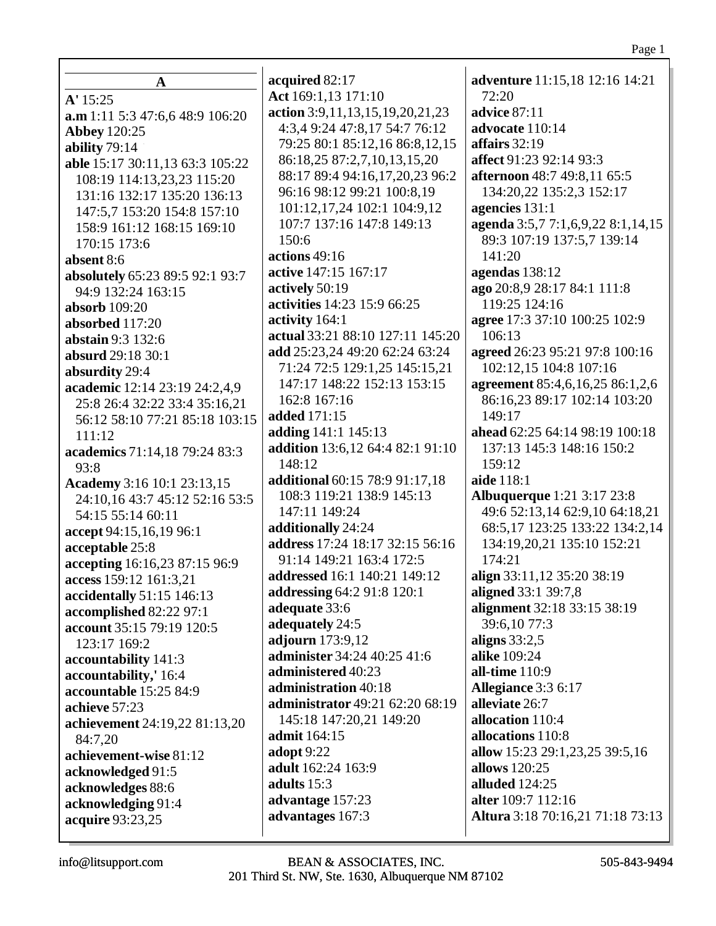| A                                                            | acquired 82:17                   | adventure 11:15,18 12:16 14:21    |
|--------------------------------------------------------------|----------------------------------|-----------------------------------|
| A' 15:25                                                     | Act 169:1,13 171:10              | 72:20                             |
| a.m 1:11 5:3 47:6,6 48:9 106:20                              | action 3:9,11,13,15,19,20,21,23  | advice 87:11                      |
| <b>Abbey 120:25</b>                                          | 4:3,4 9:24 47:8,17 54:7 76:12    | advocate 110:14                   |
| ability 79:14                                                | 79:25 80:1 85:12,16 86:8,12,15   | affairs 32:19                     |
| able 15:17 30:11,13 63:3 105:22                              | 86:18,25 87:2,7,10,13,15,20      | affect 91:23 92:14 93:3           |
| 108:19 114:13,23,23 115:20                                   | 88:17 89:4 94:16,17,20,23 96:2   | afternoon 48:7 49:8,11 65:5       |
| 131:16 132:17 135:20 136:13                                  | 96:16 98:12 99:21 100:8,19       | 134:20,22 135:2,3 152:17          |
| 147:5,7 153:20 154:8 157:10                                  | 101:12,17,24 102:1 104:9,12      | agencies 131:1                    |
| 158:9 161:12 168:15 169:10                                   | 107:7 137:16 147:8 149:13        | agenda 3:5,7 7:1,6,9,22 8:1,14,15 |
| 170:15 173:6                                                 | 150:6                            | 89:3 107:19 137:5,7 139:14        |
|                                                              | actions 49:16                    | 141:20                            |
| absent 8:6                                                   | active 147:15 167:17             | agendas 138:12                    |
| absolutely 65:23 89:5 92:1 93:7                              | actively 50:19                   | ago 20:8,9 28:17 84:1 111:8       |
| 94:9 132:24 163:15                                           | activities 14:23 15:9 66:25      | 119:25 124:16                     |
| <b>absorb</b> 109:20                                         | activity 164:1                   | agree 17:3 37:10 100:25 102:9     |
| absorbed 117:20<br>abstain 9:3 132:6                         | actual 33:21 88:10 127:11 145:20 | 106:13                            |
|                                                              | add 25:23,24 49:20 62:24 63:24   | agreed 26:23 95:21 97:8 100:16    |
| absurd 29:18 30:1                                            | 71:24 72:5 129:1,25 145:15,21    | 102:12,15 104:8 107:16            |
| absurdity 29:4                                               | 147:17 148:22 152:13 153:15      | agreement 85:4,6,16,25 86:1,2,6   |
| academic 12:14 23:19 24:2,4,9                                | 162:8 167:16                     | 86:16,23 89:17 102:14 103:20      |
| 25:8 26:4 32:22 33:4 35:16,21                                | added 171:15                     | 149:17                            |
| 56:12 58:10 77:21 85:18 103:15                               | adding 141:1 145:13              | ahead 62:25 64:14 98:19 100:18    |
| 111:12                                                       | addition 13:6,12 64:4 82:1 91:10 | 137:13 145:3 148:16 150:2         |
| academics 71:14,18 79:24 83:3<br>93:8                        | 148:12                           | 159:12                            |
|                                                              | additional 60:15 78:9 91:17,18   | aide 118:1                        |
| Academy 3:16 10:1 23:13,15<br>24:10,16 43:7 45:12 52:16 53:5 | 108:3 119:21 138:9 145:13        | <b>Albuquerque</b> 1:21 3:17 23:8 |
| 54:15 55:14 60:11                                            | 147:11 149:24                    | 49:6 52:13,14 62:9,10 64:18,21    |
|                                                              | additionally 24:24               | 68:5,17 123:25 133:22 134:2,14    |
| accept 94:15,16,19 96:1                                      | address 17:24 18:17 32:15 56:16  | 134:19,20,21 135:10 152:21        |
| acceptable 25:8<br>accepting 16:16,23 87:15 96:9             | 91:14 149:21 163:4 172:5         | 174:21                            |
| access 159:12 161:3,21                                       | addressed 16:1 140:21 149:12     | align 33:11,12 35:20 38:19        |
| accidentally 51:15 146:13                                    | addressing 64:2 91:8 120:1       | aligned 33:1 39:7,8               |
| accomplished 82:22 97:1                                      | adequate 33:6                    | alignment 32:18 33:15 38:19       |
| account 35:15 79:19 120:5                                    | adequately 24:5                  | 39:6,10 77:3                      |
| 123:17 169:2                                                 | adjourn 173:9,12                 | aligns $33:2,5$                   |
| accountability 141:3                                         | administer 34:24 40:25 41:6      | alike 109:24                      |
| accountability,' 16:4                                        | administered 40:23               | all-time 110:9                    |
| accountable 15:25 84:9                                       | administration 40:18             | Allegiance 3:3 6:17               |
| achieve 57:23                                                | administrator 49:21 62:20 68:19  | alleviate 26:7                    |
|                                                              | 145:18 147:20,21 149:20          | allocation 110:4                  |
| achievement 24:19,22 81:13,20<br>84:7,20                     | <b>admit</b> 164:15              | allocations 110:8                 |
| achievement-wise 81:12                                       | <b>adopt</b> 9:22                | allow 15:23 29:1,23,25 39:5,16    |
| acknowledged 91:5                                            | adult 162:24 163:9               | allows 120:25                     |
| acknowledges 88:6                                            | adults 15:3                      | alluded 124:25                    |
| acknowledging 91:4                                           | advantage 157:23                 | alter 109:7 112:16                |
| acquire 93:23,25                                             | advantages 167:3                 | Altura 3:18 70:16,21 71:18 73:13  |
|                                                              |                                  |                                   |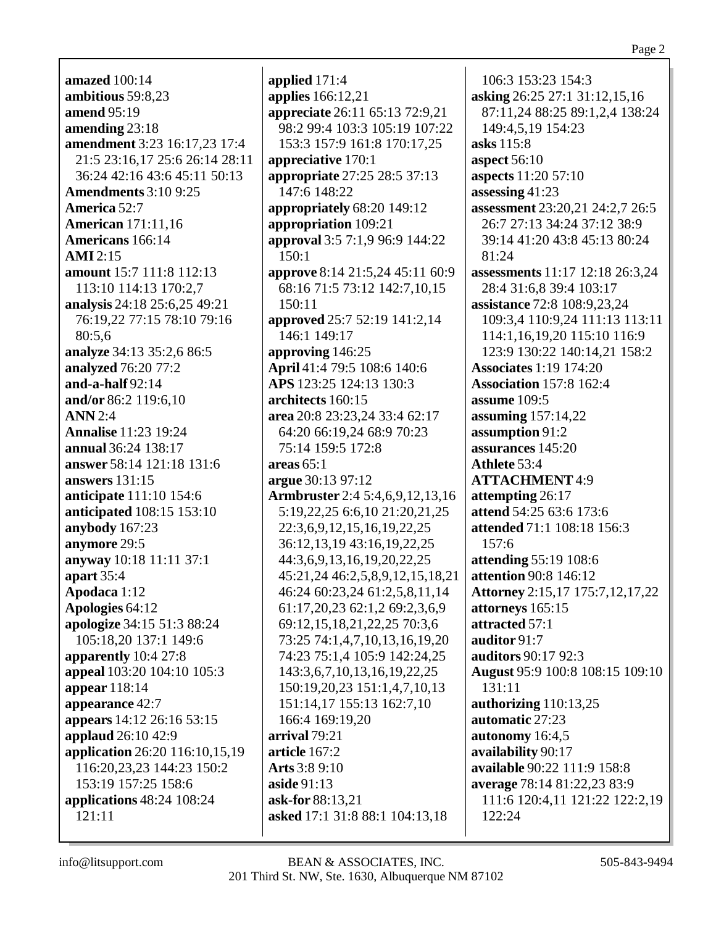**amazed** 100:14 **ambitious** 59:8,23 **amend** 95:19 **amending** 23:18 **amendment** 3:23 16:17,23 17:4 21:5 23:16,17 25:6 26:14 28:11 36:24 42:16 43:6 45:11 50:13 **Amendments** 3:10 9:25 **America** 52:7 **American** 171:11,16 **Americans** 166:14 **AMI** 2:15 **amount** 15:7 111:8 112:13 113:10 114:13 170:2,7 **analysis** 24:18 25:6,25 49:21 76:19,22 77:15 78:10 79:16 80:5,6 **analyze** 34:13 35:2,6 86:5 **analyzed** 76:20 77:2 **and-a-half** 92:14 **and/or** 86:2 119:6,10 **ANN** 2:4 **Annalise** 11:23 19:24 **annual** 36:24 138:17 **answer** 58:14 121:18 131:6 **answers** 131:15 **anticipate** 111:10 154:6 **anticipated** 108:15 153:10 **anybody** 167:23 **anymore** 29:5 **anyway** 10:18 11:11 37:1 **apart** 35:4 **Apodaca** 1:12 **Apologies** 64:12 **apologize** 34:15 51:3 88:24 105:18,20 137:1 149:6 **apparently** 10:4 27:8 **appeal** 103:20 104:10 105:3 **appear** 118:14 **appearance** 42:7 **appears** 14:12 26:16 53:15 **applaud** 26:10 42:9 **application** 26:20 116:10,15,19 116:20,23,23 144:23 150:2 153:19 157:25 158:6 **applications** 48:24 108:24 121:11

**applied** 171:4 **applies** 166:12,21 **appreciate** 26:11 65:13 72:9,21 98:2 99:4 103:3 105:19 107:22 153:3 157:9 161:8 170:17,25 **appreciative** 170:1 **appropriate** 27:25 28:5 37:13 147:6 148:22 **appropriately** 68:20 149:12 **appropriation** 109:21 **approval** 3:5 7:1,9 96:9 144:22 150:1 **approve** 8:14 21:5,24 45:11 60:9 68:16 71:5 73:12 142:7,10,15 150:11 **approved** 25:7 52:19 141:2,14 146:1 149:17 **approving** 146:25 **April** 41:4 79:5 108:6 140:6 **APS** 123:25 124:13 130:3 **architects** 160:15 **area** 20:8 23:23,24 33:4 62:17 64:20 66:19,24 68:9 70:23 75:14 159:5 172:8 **areas** 65:1 **argue** 30:13 97:12 **Armbruster** 2:4 5:4,6,9,12,13,16 5:19,22,25 6:6,10 21:20,21,25 22:3,6,9,12,15,16,19,22,25 36:12,13,19 43:16,19,22,25 44:3,6,9,13,16,19,20,22,25 45:21,24 46:2,5,8,9,12,15,18,21 46:24 60:23,24 61:2,5,8,11,14 61:17,20,23 62:1,2 69:2,3,6,9 69:12,15,18,21,22,25 70:3,6 73:25 74:1,4,7,10,13,16,19,20 74:23 75:1,4 105:9 142:24,25 143:3,6,7,10,13,16,19,22,25 150:19,20,23 151:1,4,7,10,13 151:14,17 155:13 162:7,10 166:4 169:19,20 **arrival** 79:21 **article** 167:2 **Arts** 3:8 9:10 **aside** 91:13 **ask-for** 88:13,21 **asked** 17:1 31:8 88:1 104:13,18

106:3 153:23 154:3 **asking** 26:25 27:1 31:12,15,16 87:11,24 88:25 89:1,2,4 138:24 149:4,5,19 154:23 **asks** 115:8 **aspect** 56:10 **aspects** 11:20 57:10 **assessing** 41:23 **assessment** 23:20,21 24:2,7 26:5 26:7 27:13 34:24 37:12 38:9 39:14 41:20 43:8 45:13 80:24 81:24 **assessments** 11:17 12:18 26:3,24 28:4 31:6,8 39:4 103:17 **assistance** 72:8 108:9,23,24 109:3,4 110:9,24 111:13 113:11 114:1,16,19,20 115:10 116:9 123:9 130:22 140:14,21 158:2 **Associates** 1:19 174:20 **Association** 157:8 162:4 **assume** 109:5 **assuming** 157:14,22 **assumption** 91:2 **assurances** 145:20 **Athlete** 53:4 **ATTACHMENT** 4:9 **attempting** 26:17 **attend** 54:25 63:6 173:6 **attended** 71:1 108:18 156:3 157:6 **attending** 55:19 108:6 **attention** 90:8 146:12 **Attorney** 2:15,17 175:7,12,17,22 **attorneys** 165:15 **attracted** 57:1 **auditor** 91:7 **auditors** 90:17 92:3 **August** 95:9 100:8 108:15 109:10 131:11 **authorizing** 110:13,25 **automatic** 27:23 **autonomy** 16:4,5 **availability** 90:17 **available** 90:22 111:9 158:8 **average** 78:14 81:22,23 83:9 111:6 120:4,11 121:22 122:2,19 122:24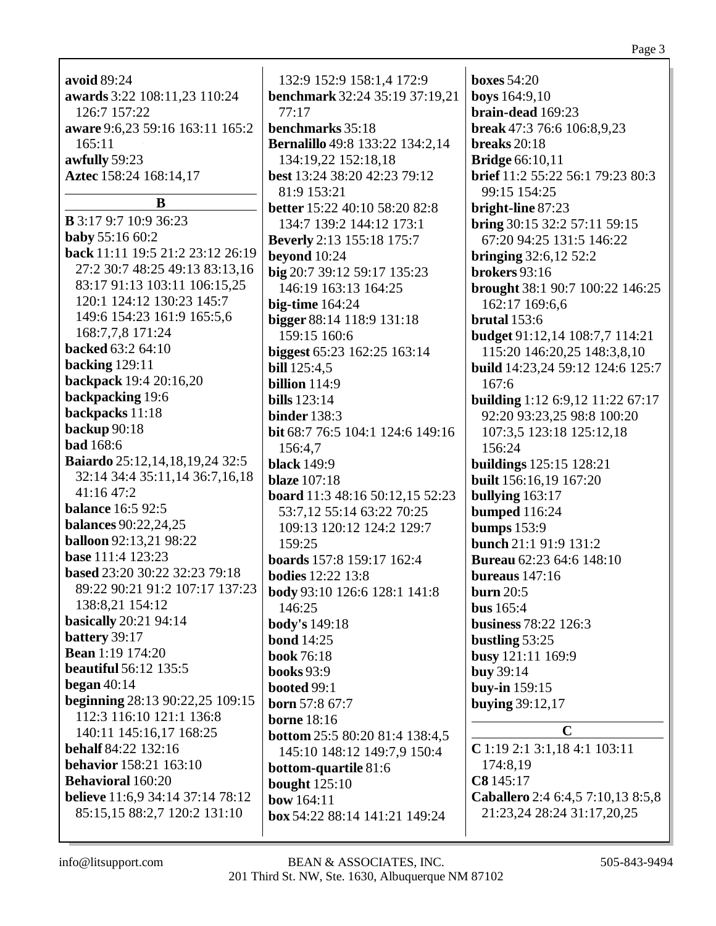| avoid 89:24                             | 132:9 152:9 158:1,4 172:9                           | <b>boxes</b> 54:20                      |
|-----------------------------------------|-----------------------------------------------------|-----------------------------------------|
| awards 3:22 108:11,23 110:24            | <b>benchmark</b> 32:24 35:19 37:19,21               | <b>boys</b> 164:9,10                    |
| 126:7 157:22                            | 77:17                                               | brain-dead 169:23                       |
| aware 9:6,23 59:16 163:11 165:2         | benchmarks 35:18                                    | break 47:3 76:6 106:8,9,23              |
| 165:11                                  |                                                     | breaks $20:18$                          |
|                                         | <b>Bernalillo</b> 49:8 133:22 134:2,14              |                                         |
| awfully 59:23                           | 134:19,22 152:18,18                                 | <b>Bridge</b> 66:10,11                  |
| Aztec 158:24 168:14,17                  | best 13:24 38:20 42:23 79:12                        | brief 11:2 55:22 56:1 79:23 80:3        |
| B                                       | 81:9 153:21<br><b>better</b> 15:22 40:10 58:20 82:8 | 99:15 154:25<br>bright-line 87:23       |
| <b>B</b> 3:17 9:7 10:9 36:23            | 134:7 139:2 144:12 173:1                            | bring 30:15 32:2 57:11 59:15            |
| <b>baby</b> 55:16 60:2                  | <b>Beverly</b> 2:13 155:18 175:7                    | 67:20 94:25 131:5 146:22                |
| back 11:11 19:5 21:2 23:12 26:19        | beyond 10:24                                        | <b>bringing</b> 32:6,12 52:2            |
| 27:2 30:7 48:25 49:13 83:13,16          | big 20:7 39:12 59:17 135:23                         | brokers 93:16                           |
| 83:17 91:13 103:11 106:15,25            | 146:19 163:13 164:25                                | brought 38:1 90:7 100:22 146:25         |
| 120:1 124:12 130:23 145:7               | big-time $164:24$                                   | 162:17 169:6,6                          |
| 149:6 154:23 161:9 165:5,6              | bigger 88:14 118:9 131:18                           | brutal $153:6$                          |
| 168:7,7,8 171:24                        | 159:15 160:6                                        | budget 91:12,14 108:7,7 114:21          |
| backed 63:2 64:10                       | biggest 65:23 162:25 163:14                         | 115:20 146:20,25 148:3,8,10             |
| backing 129:11                          | <b>bill</b> 125:4,5                                 | <b>build</b> 14:23,24 59:12 124:6 125:7 |
| backpack 19:4 20:16,20                  | <b>billion</b> 114:9                                | 167:6                                   |
| backpacking 19:6                        | <b>bills</b> 123:14                                 | <b>building</b> 1:12 6:9,12 11:22 67:17 |
| backpacks 11:18                         | <b>binder</b> 138:3                                 | 92:20 93:23,25 98:8 100:20              |
| backup 90:18                            | bit 68:7 76:5 104:1 124:6 149:16                    | 107:3,5 123:18 125:12,18                |
| <b>bad</b> 168:6                        | 156:4,7                                             | 156:24                                  |
| <b>Baiardo</b> 25:12,14,18,19,24 32:5   | <b>black</b> 149:9                                  | <b>buildings</b> 125:15 128:21          |
| 32:14 34:4 35:11,14 36:7,16,18          | <b>blaze</b> 107:18                                 | built 156:16,19 167:20                  |
| 41:16 47:2                              | board 11:3 48:16 50:12,15 52:23                     | bullying 163:17                         |
| <b>balance</b> 16:5 92:5                | 53:7,12 55:14 63:22 70:25                           | <b>bumped</b> 116:24                    |
| <b>balances</b> 90:22,24,25             | 109:13 120:12 124:2 129:7                           | <b>bumps</b> 153:9                      |
| <b>balloon</b> 92:13,21 98:22           | 159:25                                              | bunch 21:1 91:9 131:2                   |
| base 111:4 123:23                       | boards 157:8 159:17 162:4                           | <b>Bureau</b> 62:23 64:6 148:10         |
| based 23:20 30:22 32:23 79:18           | <b>bodies</b> 12:22 13:8                            | bureaus $147:16$                        |
| 89:22 90:21 91:2 107:17 137:23          | body 93:10 126:6 128:1 141:8                        | <b>burn</b> 20:5                        |
| 138:8,21 154:12                         | 146:25                                              | <b>bus</b> 165:4                        |
| <b>basically</b> 20:21 94:14            | body's 149:18                                       | business 78:22 126:3                    |
| battery 39:17                           | <b>bond</b> 14:25                                   |                                         |
| <b>Bean</b> 1:19 174:20                 |                                                     | bustling $53:25$                        |
| <b>beautiful</b> 56:12 135:5            | <b>book</b> 76:18                                   | busy 121:11 169:9                       |
| began $40:14$                           | <b>books</b> 93:9                                   | <b>buy</b> 39:14                        |
| beginning 28:13 90:22,25 109:15         | booted 99:1                                         | buy-in 159:15                           |
| 112:3 116:10 121:1 136:8                | <b>born</b> 57:8 67:7                               | <b>buying 39:12,17</b>                  |
| 140:11 145:16,17 168:25                 | <b>borne</b> 18:16                                  | $\mathbf C$                             |
| <b>behalf</b> 84:22 132:16              | <b>bottom</b> 25:5 80:20 81:4 138:4,5               | C 1:19 2:1 3:1,18 4:1 103:11            |
| <b>behavior</b> 158:21 163:10           | 145:10 148:12 149:7,9 150:4                         | 174:8,19                                |
| <b>Behavioral</b> 160:20                | bottom-quartile 81:6                                | C8 145:17                               |
| <b>believe</b> 11:6,9 34:14 37:14 78:12 | <b>bought</b> 125:10                                | Caballero 2:4 6:4,5 7:10,13 8:5,8       |
| 85:15,15 88:2,7 120:2 131:10            | bow 164:11                                          | 21:23,24 28:24 31:17,20,25              |
|                                         | box 54:22 88:14 141:21 149:24                       |                                         |

Page 3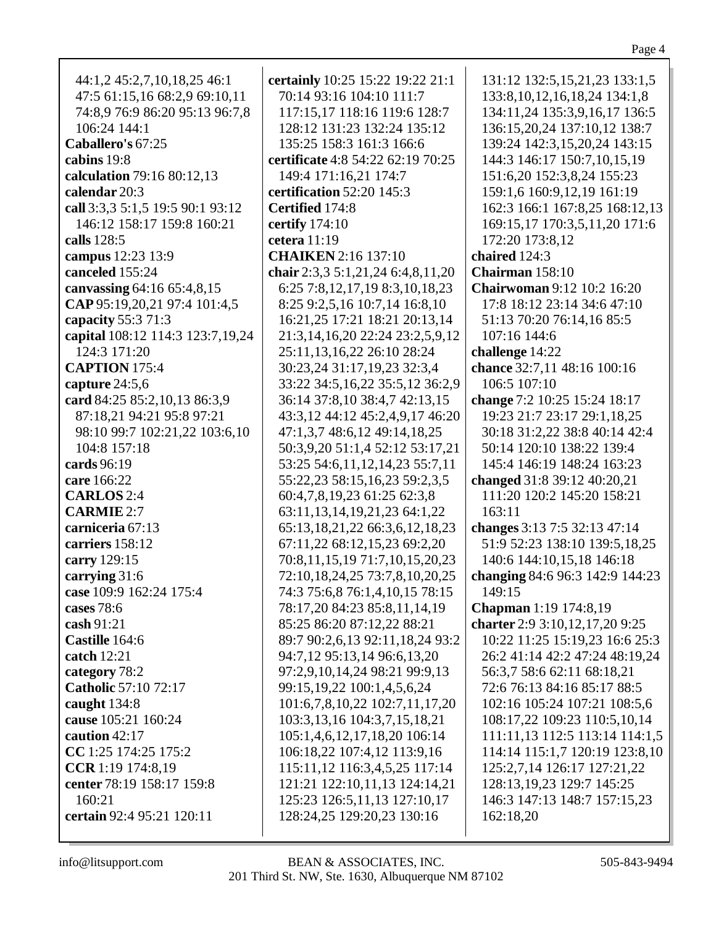|--|--|

| 44:1,2 45:2,7,10,18,25 46:1      | certainly 10:25 15:22 19:22 21:1       | 131:12 132:5, 15, 21, 23 133:1, 5  |
|----------------------------------|----------------------------------------|------------------------------------|
| 47:5 61:15,16 68:2,9 69:10,11    | 70:14 93:16 104:10 111:7               | 133:8, 10, 12, 16, 18, 24 134:1, 8 |
| 74:8,9 76:9 86:20 95:13 96:7,8   | 117:15,17 118:16 119:6 128:7           | 134:11,24 135:3,9,16,17 136:5      |
| 106:24 144:1                     | 128:12 131:23 132:24 135:12            | 136:15,20,24 137:10,12 138:7       |
| Caballero's 67:25                | 135:25 158:3 161:3 166:6               | 139:24 142:3,15,20,24 143:15       |
| cabins 19:8                      | certificate 4:8 54:22 62:19 70:25      | 144:3 146:17 150:7,10,15,19        |
| calculation 79:16 80:12,13       | 149:4 171:16,21 174:7                  | 151:6,20 152:3,8,24 155:23         |
| calendar 20:3                    | certification 52:20 145:3              | 159:1,6 160:9,12,19 161:19         |
| call 3:3,3 5:1,5 19:5 90:1 93:12 | Certified 174:8                        | 162:3 166:1 167:8,25 168:12,13     |
| 146:12 158:17 159:8 160:21       |                                        |                                    |
|                                  | certify 174:10                         | 169:15,17 170:3,5,11,20 171:6      |
| calls 128:5                      | cetera 11:19                           | 172:20 173:8,12                    |
| campus 12:23 13:9                | <b>CHAIKEN</b> 2:16 137:10             | chaired 124:3                      |
| canceled 155:24                  | chair 2:3,3 5:1,21,24 6:4,8,11,20      | Chairman 158:10                    |
| canvassing 64:16 65:4,8,15       | 6:25 7:8,12,17,19 8:3,10,18,23         | <b>Chairwoman</b> 9:12 10:2 16:20  |
| CAP 95:19,20,21 97:4 101:4,5     | 8:25 9:2,5,16 10:7,14 16:8,10          | 17:8 18:12 23:14 34:6 47:10        |
| capacity 55:3 71:3               | 16:21,25 17:21 18:21 20:13,14          | 51:13 70:20 76:14,16 85:5          |
| capital 108:12 114:3 123:7,19,24 | 21:3,14,16,20 22:24 23:2,5,9,12        | 107:16 144:6                       |
| 124:3 171:20                     | 25:11,13,16,22 26:10 28:24             | challenge 14:22                    |
| <b>CAPTION</b> 175:4             | 30:23,24 31:17,19,23 32:3,4            | chance 32:7,11 48:16 100:16        |
| capture $24:5,6$                 | 33:22 34:5,16,22 35:5,12 36:2,9        | 106:5 107:10                       |
| card 84:25 85:2,10,13 86:3,9     | 36:14 37:8,10 38:4,7 42:13,15          | change 7:2 10:25 15:24 18:17       |
| 87:18,21 94:21 95:8 97:21        | 43:3,12 44:12 45:2,4,9,17 46:20        | 19:23 21:7 23:17 29:1,18,25        |
| 98:10 99:7 102:21,22 103:6,10    | 47:1,3,7 48:6,12 49:14,18,25           | 30:18 31:2,22 38:8 40:14 42:4      |
| 104:8 157:18                     | 50:3,9,20 51:1,4 52:12 53:17,21        | 50:14 120:10 138:22 139:4          |
| cards 96:19                      | 53:25 54:6,11,12,14,23 55:7,11         | 145:4 146:19 148:24 163:23         |
| care 166:22                      | 55:22,23 58:15,16,23 59:2,3,5          | changed 31:8 39:12 40:20,21        |
| <b>CARLOS</b> 2:4                | 60:4,7,8,19,23 61:25 62:3,8            | 111:20 120:2 145:20 158:21         |
| <b>CARMIE 2:7</b>                | 63:11, 13, 14, 19, 21, 23 64: 1, 22    | 163:11                             |
| carniceria 67:13                 | 65:13, 18, 21, 22 66: 3, 6, 12, 18, 23 | changes 3:13 7:5 32:13 47:14       |
| carriers 158:12                  | 67:11,22 68:12,15,23 69:2,20           | 51:9 52:23 138:10 139:5,18,25      |
| carry 129:15                     | 70:8,11,15,19 71:7,10,15,20,23         | 140:6 144:10,15,18 146:18          |
|                                  |                                        | changing 84:6 96:3 142:9 144:23    |
| carrying 31:6                    | 72:10,18,24,25 73:7,8,10,20,25         |                                    |
| case 109:9 162:24 175:4          | 74:3 75:6,8 76:1,4,10,15 78:15         | 149:15                             |
| cases 78:6                       | 78:17,20 84:23 85:8,11,14,19           | Chapman 1:19 174:8,19              |
| <b>cash</b> 91:21                | 85:25 86:20 87:12,22 88:21             | charter 2:9 3:10,12,17,20 9:25     |
| Castille 164:6                   | 89:7 90:2,6,13 92:11,18,24 93:2        | 10:22 11:25 15:19,23 16:6 25:3     |
| catch $12:21$                    | 94:7,12 95:13,14 96:6,13,20            | 26:2 41:14 42:2 47:24 48:19,24     |
| category 78:2                    | 97:2,9,10,14,24 98:21 99:9,13          | 56:3,7 58:6 62:11 68:18,21         |
| <b>Catholic 57:10 72:17</b>      | 99:15, 19, 22 100:1, 4, 5, 6, 24       | 72:6 76:13 84:16 85:17 88:5        |
| caught $134:8$                   | 101:6,7,8,10,22 102:7,11,17,20         | 102:16 105:24 107:21 108:5,6       |
| cause 105:21 160:24              | 103:3,13,16 104:3,7,15,18,21           | 108:17,22 109:23 110:5,10,14       |
| caution $42:17$                  | 105:1,4,6,12,17,18,20 106:14           | 111:11,13 112:5 113:14 114:1,5     |
| CC 1:25 174:25 175:2             | 106:18,22 107:4,12 113:9,16            | 114:14 115:1,7 120:19 123:8,10     |
| CCR 1:19 174:8,19                | 115:11,12 116:3,4,5,25 117:14          | 125:2,7,14 126:17 127:21,22        |
| center 78:19 158:17 159:8        | 121:21 122:10,11,13 124:14,21          | 128:13, 19, 23 129: 7 145: 25      |
| 160:21                           | 125:23 126:5,11,13 127:10,17           | 146:3 147:13 148:7 157:15,23       |
| <b>certain</b> 92:4 95:21 120:11 | 128:24,25 129:20,23 130:16             | 162:18,20                          |
|                                  |                                        |                                    |
|                                  |                                        |                                    |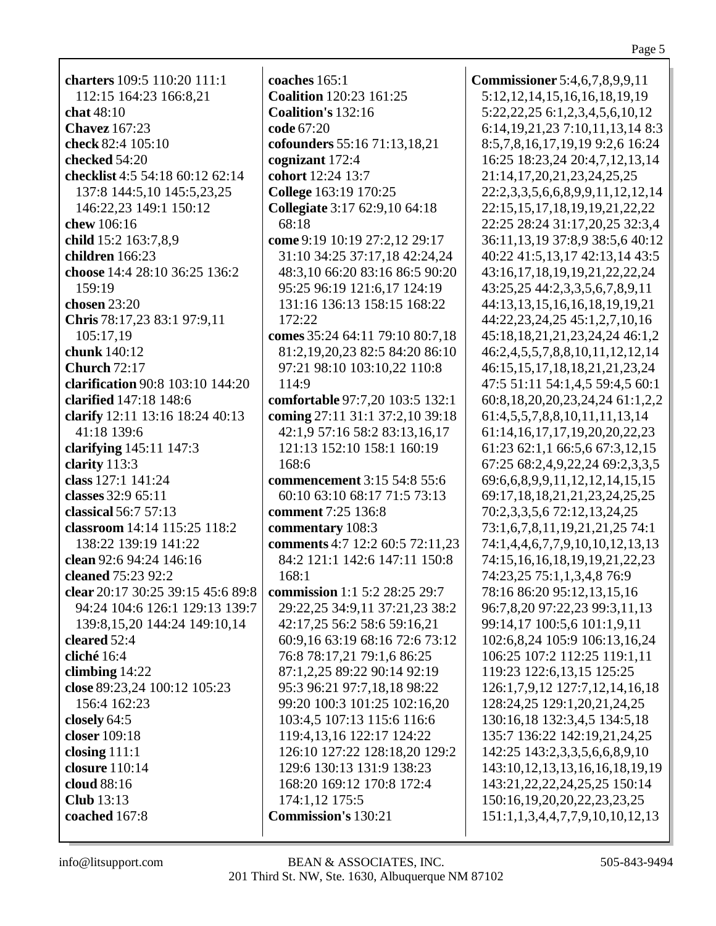**charters** 109:5 110:20 111:1 112:15 164:23 166:8,21 **chat** 48:10 **Chavez** 167:23 **check** 82:4 105:10 **checked** 54:20 **checklist** 4:5 54:18 60:12 62:14 137:8 144:5,10 145:5,23,25 146:22,23 149:1 150:12 **chew** 106:16 **child** 15:2 163:7,8,9 **children** 166:23 **choose** 14:4 28:10 36:25 136:2 159:19 **chosen** 23:20 **Chris** 78:17,23 83:1 97:9,11 105:17,19 **chunk** 140:12 **Church** 72:17 **clarification** 90:8 103:10 144:20 **clarified** 147:18 148:6 **clarify** 12:11 13:16 18:24 40:13 41:18 139:6 **clarifying** 145:11 147:3 **clarity** 113:3 **class** 127:1 141:24 **classes** 32:9 65:11 **classical** 56:7 57:13 **classroom** 14:14 115:25 118:2 138:22 139:19 141:22 **clean** 92:6 94:24 146:16 **cleaned** 75:23 92:2 **clear** 20:17 30:25 39:15 45:6 89:8 94:24 104:6 126:1 129:13 139:7 139:8,15,20 144:24 149:10,14 **cleared** 52:4 **cliché** 16:4 **climbing** 14:22 **close** 89:23,24 100:12 105:23 156:4 162:23 **closely** 64:5 **closer** 109:18 **closing** 111:1 **closure** 110:14 **cloud** 88:16 **Club** 13:13 **coached** 167:8

**coaches** 165:1 **Coalition** 120:23 161:25 **Coalition's** 132:16 **code** 67:20 **cofounders** 55:16 71:13,18,21 **cognizant** 172:4 **cohort** 12:24 13:7 **College** 163:19 170:25 **Collegiate** 3:17 62:9,10 64:18 68:18 **come** 9:19 10:19 27:2,12 29:17 31:10 34:25 37:17,18 42:24,24 48:3,10 66:20 83:16 86:5 90:20 95:25 96:19 121:6,17 124:19 131:16 136:13 158:15 168:22 172:22 **comes** 35:24 64:11 79:10 80:7,18 81:2,19,20,23 82:5 84:20 86:10 97:21 98:10 103:10,22 110:8 114:9 **comfortable** 97:7,20 103:5 132:1 **coming** 27:11 31:1 37:2,10 39:18 42:1,9 57:16 58:2 83:13,16,17 121:13 152:10 158:1 160:19 168:6 **commencement** 3:15 54:8 55:6 60:10 63:10 68:17 71:5 73:13 **comment** 7:25 136:8 **commentary** 108:3 **comments** 4:7 12:2 60:5 72:11,23 84:2 121:1 142:6 147:11 150:8 168:1 **commission** 1:1 5:2 28:25 29:7 29:22,25 34:9,11 37:21,23 38:2 42:17,25 56:2 58:6 59:16,21 60:9,16 63:19 68:16 72:6 73:12 76:8 78:17,21 79:1,6 86:25 87:1,2,25 89:22 90:14 92:19 95:3 96:21 97:7,18,18 98:22 99:20 100:3 101:25 102:16,20 103:4,5 107:13 115:6 116:6 119:4,13,16 122:17 124:22 126:10 127:22 128:18,20 129:2 129:6 130:13 131:9 138:23 168:20 169:12 170:8 172:4 174:1,12 175:5 **Commission's** 130:21

**Commissioner** 5:4,6,7,8,9,9,11 5:12,12,14,15,16,16,18,19,19 5:22,22,25 6:1,2,3,4,5,6,10,12 6:14,19,21,23 7:10,11,13,14 8:3 8:5,7,8,16,17,19,19 9:2,6 16:24 16:25 18:23,24 20:4,7,12,13,14 21:14,17,20,21,23,24,25,25 22:2,3,3,5,6,6,8,9,9,11,12,12,14 22:15,15,17,18,19,19,21,22,22 22:25 28:24 31:17,20,25 32:3,4 36:11,13,19 37:8,9 38:5,6 40:12 40:22 41:5,13,17 42:13,14 43:5 43:16,17,18,19,19,21,22,22,24 43:25,25 44:2,3,3,5,6,7,8,9,11 44:13,13,15,16,16,18,19,19,21 44:22,23,24,25 45:1,2,7,10,16 45:18,18,21,21,23,24,24 46:1,2 46:2,4,5,5,7,8,8,10,11,12,12,14 46:15,15,17,18,18,21,21,23,24 47:5 51:11 54:1,4,5 59:4,5 60:1 60:8,18,20,20,23,24,24 61:1,2,2 61:4,5,5,7,8,8,10,11,11,13,14 61:14,16,17,17,19,20,20,22,23 61:23 62:1,1 66:5,6 67:3,12,15 67:25 68:2,4,9,22,24 69:2,3,3,5 69:6,6,8,9,9,11,12,12,14,15,15 69:17,18,18,21,21,23,24,25,25 70:2,3,3,5,6 72:12,13,24,25 73:1,6,7,8,11,19,21,21,25 74:1 74:1,4,4,6,7,7,9,10,10,12,13,13 74:15,16,16,18,19,19,21,22,23 74:23,25 75:1,1,3,4,8 76:9 78:16 86:20 95:12,13,15,16 96:7,8,20 97:22,23 99:3,11,13 99:14,17 100:5,6 101:1,9,11 102:6,8,24 105:9 106:13,16,24 106:25 107:2 112:25 119:1,11 119:23 122:6,13,15 125:25 126:1,7,9,12 127:7,12,14,16,18 128:24,25 129:1,20,21,24,25 130:16,18 132:3,4,5 134:5,18 135:7 136:22 142:19,21,24,25 142:25 143:2,3,3,5,6,6,8,9,10 143:10,12,13,13,16,16,18,19,19 143:21,22,22,24,25,25 150:14 150:16,19,20,20,22,23,23,25 151:1,1,3,4,4,7,7,9,10,10,12,13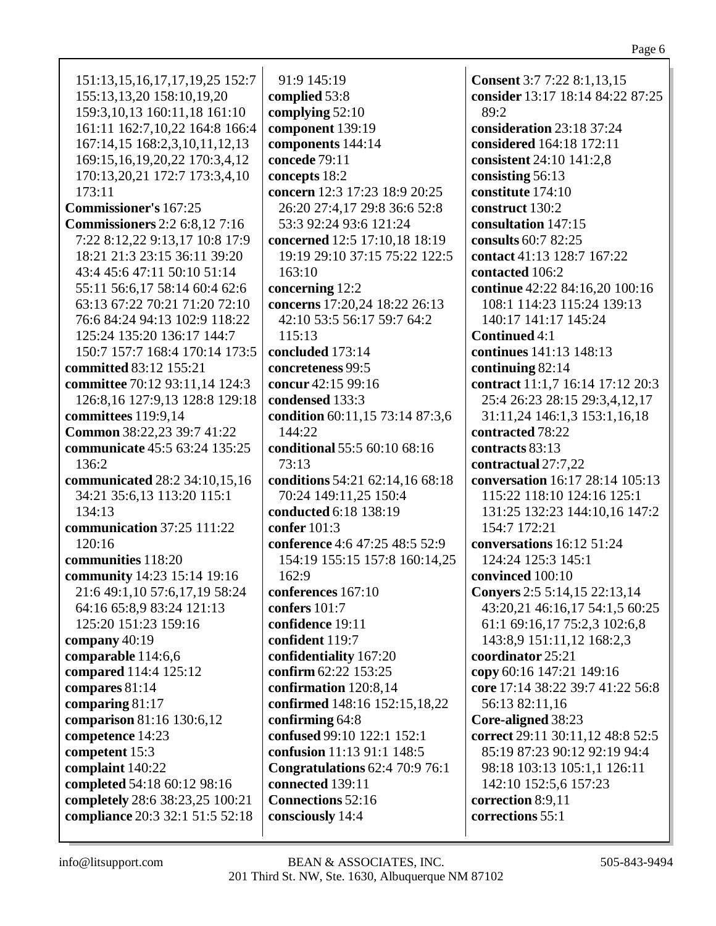| 151:13, 15, 16, 17, 17, 19, 25 152: 7 | 91:9 145:19                                   | <b>Consent</b> 3:7 7:22 8:1,13,15   |
|---------------------------------------|-----------------------------------------------|-------------------------------------|
| 155:13,13,20 158:10,19,20             | complied 53:8                                 | consider 13:17 18:14 84:22 87:25    |
| 159:3, 10, 13 160: 11, 18 161: 10     | complying 52:10                               | 89:2                                |
| 161:11 162:7,10,22 164:8 166:4        | component 139:19                              | consideration 23:18 37:24           |
| 167:14,15 168:2,3,10,11,12,13         | components 144:14                             | considered 164:18 172:11            |
| 169:15, 16, 19, 20, 22 170: 3, 4, 12  | concede 79:11                                 | consistent 24:10 141:2,8            |
| 170:13,20,21 172:7 173:3,4,10         | concepts 18:2                                 | consisting 56:13                    |
| 173:11                                | concern 12:3 17:23 18:9 20:25                 | constitute 174:10                   |
| <b>Commissioner's 167:25</b>          |                                               | construct 130:2                     |
|                                       | 26:20 27:4,17 29:8 36:6 52:8                  |                                     |
| <b>Commissioners</b> 2:2 6:8,12 7:16  | 53:3 92:24 93:6 121:24                        | consultation 147:15                 |
| 7:22 8:12,22 9:13,17 10:8 17:9        | concerned 12:5 17:10,18 18:19                 | consults 60:7 82:25                 |
| 18:21 21:3 23:15 36:11 39:20          | 19:19 29:10 37:15 75:22 122:5                 | contact 41:13 128:7 167:22          |
| 43:4 45:6 47:11 50:10 51:14           | 163:10                                        | contacted 106:2                     |
| 55:11 56:6,17 58:14 60:4 62:6         | concerning 12:2                               | continue 42:22 84:16,20 100:16      |
| 63:13 67:22 70:21 71:20 72:10         | concerns 17:20,24 18:22 26:13                 | 108:1 114:23 115:24 139:13          |
| 76:6 84:24 94:13 102:9 118:22         | 42:10 53:5 56:17 59:7 64:2                    | 140:17 141:17 145:24                |
| 125:24 135:20 136:17 144:7            | 115:13                                        | <b>Continued 4:1</b>                |
| 150:7 157:7 168:4 170:14 173:5        | concluded 173:14                              | continues 141:13 148:13             |
| committed 83:12 155:21                | concreteness 99:5                             | continuing $82:14$                  |
| committee 70:12 93:11,14 124:3        | concur 42:15 99:16                            | contract 11:1,7 16:14 17:12 20:3    |
| 126:8, 16 127:9, 13 128:8 129:18      | condensed 133:3                               | 25:4 26:23 28:15 29:3,4,12,17       |
| committees 119:9,14                   | condition 60:11,15 73:14 87:3,6               | 31:11,24 146:1,3 153:1,16,18        |
| Common 38:22,23 39:7 41:22            | 144:22                                        | contracted 78:22                    |
| communicate 45:5 63:24 135:25         | conditional 55:5 60:10 68:16                  | contracts 83:13                     |
| 136:2                                 | 73:13                                         | contractual 27:7,22                 |
| communicated 28:2 34:10,15,16         | conditions 54:21 62:14,16 68:18               | conversation 16:17 28:14 105:13     |
| 34:21 35:6,13 113:20 115:1            | 70:24 149:11,25 150:4                         | 115:22 118:10 124:16 125:1          |
| 134:13                                | conducted 6:18 138:19                         | 131:25 132:23 144:10,16 147:2       |
| communication 37:25 111:22            | confer 101:3                                  | 154:7 172:21                        |
| 120:16                                | conference 4:6 47:25 48:5 52:9                | conversations 16:12 51:24           |
| communities 118:20                    | 154:19 155:15 157:8 160:14,25                 | 124:24 125:3 145:1                  |
| community 14:23 15:14 19:16           | 162:9                                         | convinced 100:10                    |
| 21:6 49:1,10 57:6,17,19 58:24         | conferences 167:10                            | <b>Convers</b> 2:5 5:14,15 22:13,14 |
| 64:16 65:8,9 83:24 121:13             | confers $101:7$                               | 43:20,21 46:16,17 54:1,5 60:25      |
| 125:20 151:23 159:16                  | confidence 19:11                              | 61:1 69:16,17 75:2,3 102:6,8        |
| company 40:19                         | confident 119:7                               | 143:8,9 151:11,12 168:2,3           |
| comparable 114:6,6                    | confidentiality 167:20                        | coordinator 25:21                   |
| compared 114:4 125:12                 | confirm 62:22 153:25                          | copy 60:16 147:21 149:16            |
| compares 81:14                        | confirmation 120:8,14                         | core 17:14 38:22 39:7 41:22 56:8    |
| comparing 81:17                       | confirmed 148:16 152:15,18,22                 | 56:13 82:11,16                      |
| comparison 81:16 130:6,12             |                                               |                                     |
|                                       | confirming 64:8<br>confused 99:10 122:1 152:1 | Core-aligned 38:23                  |
| competence 14:23                      |                                               | correct 29:11 30:11,12 48:8 52:5    |
| competent 15:3                        | confusion 11:13 91:1 148:5                    | 85:19 87:23 90:12 92:19 94:4        |
| complaint 140:22                      | <b>Congratulations 62:4 70:9 76:1</b>         | 98:18 103:13 105:1,1 126:11         |
| completed 54:18 60:12 98:16           | connected 139:11                              | 142:10 152:5,6 157:23               |
| completely 28:6 38:23,25 100:21       | <b>Connections 52:16</b>                      | correction 8:9,11                   |
| compliance 20:3 32:1 51:5 52:18       | consciously 14:4                              | corrections 55:1                    |
|                                       |                                               |                                     |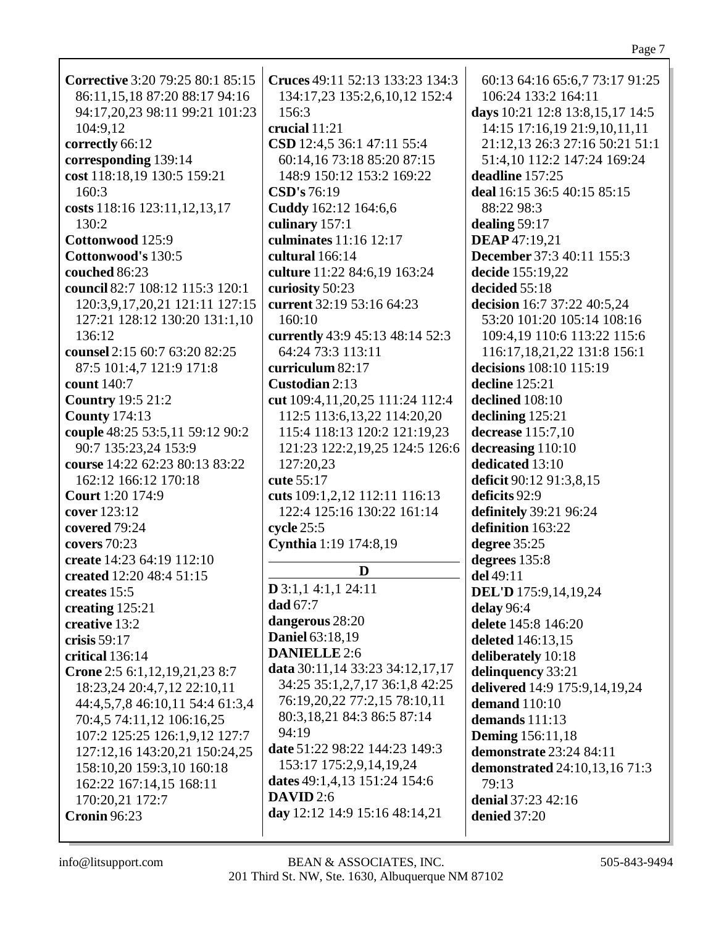| Corrective 3:20 79:25 80:1 85:15 | Cruces 49:11 52:13 133:23 134:3      | 60:13 64:16 65:6,7 73:17 91:25       |
|----------------------------------|--------------------------------------|--------------------------------------|
|                                  |                                      |                                      |
| 86:11,15,18 87:20 88:17 94:16    | 134:17,23 135:2,6,10,12 152:4        | 106:24 133:2 164:11                  |
| 94:17,20,23 98:11 99:21 101:23   | 156:3                                | days 10:21 12:8 13:8,15,17 14:5      |
| 104:9,12                         | crucial 11:21                        | 14:15 17:16,19 21:9,10,11,11         |
| correctly 66:12                  | CSD 12:4,5 36:1 47:11 55:4           | 21:12,13 26:3 27:16 50:21 51:1       |
| corresponding 139:14             | 60:14,16 73:18 85:20 87:15           | 51:4,10 112:2 147:24 169:24          |
|                                  |                                      |                                      |
| cost 118:18,19 130:5 159:21      | 148:9 150:12 153:2 169:22            | deadline 157:25                      |
| 160:3                            | <b>CSD's</b> 76:19                   | deal 16:15 36:5 40:15 85:15          |
| costs 118:16 123:11,12,13,17     | Cuddy 162:12 164:6,6                 | 88:22 98:3                           |
| 130:2                            | culinary 157:1                       | dealing $59:17$                      |
| Cottonwood 125:9                 | culminates 11:16 12:17               | <b>DEAP</b> 47:19,21                 |
| Cottonwood's 130:5               | cultural 166:14                      | December 37:3 40:11 155:3            |
|                                  |                                      |                                      |
| couched 86:23                    | culture 11:22 84:6,19 163:24         | decide 155:19,22                     |
| council 82:7 108:12 115:3 120:1  | curiosity 50:23                      | decided 55:18                        |
| 120:3,9,17,20,21 121:11 127:15   | current 32:19 53:16 64:23            | decision 16:7 37:22 40:5,24          |
| 127:21 128:12 130:20 131:1,10    | 160:10                               | 53:20 101:20 105:14 108:16           |
| 136:12                           | currently 43:9 45:13 48:14 52:3      | 109:4,19 110:6 113:22 115:6          |
|                                  |                                      |                                      |
| counsel 2:15 60:7 63:20 82:25    | 64:24 73:3 113:11                    | 116:17,18,21,22 131:8 156:1          |
| 87:5 101:4,7 121:9 171:8         | curriculum 82:17                     | decisions 108:10 115:19              |
| count 140:7                      | Custodian 2:13                       | decline 125:21                       |
| <b>Country 19:5 21:2</b>         | cut 109:4, 11, 20, 25 111: 24 112: 4 | declined 108:10                      |
| <b>County 174:13</b>             | 112:5 113:6,13,22 114:20,20          | declining 125:21                     |
| couple 48:25 53:5,11 59:12 90:2  | 115:4 118:13 120:2 121:19,23         | decrease 115:7,10                    |
|                                  |                                      |                                      |
| 90:7 135:23,24 153:9             | 121:23 122:2,19,25 124:5 126:6       | decreasing 110:10                    |
| course 14:22 62:23 80:13 83:22   | 127:20,23                            | dedicated 13:10                      |
| 162:12 166:12 170:18             | cute 55:17                           | deficit 90:12 91:3,8,15              |
| <b>Court</b> 1:20 174:9          | cuts 109:1,2,12 112:11 116:13        | deficits 92:9                        |
| cover 123:12                     | 122:4 125:16 130:22 161:14           | definitely 39:21 96:24               |
| covered 79:24                    | cycle 25:5                           | definition 163:22                    |
| covers 70:23                     |                                      |                                      |
|                                  | Cynthia 1:19 174:8,19                | degree 35:25                         |
| create 14:23 64:19 112:10        | D                                    | degrees 135:8                        |
| created 12:20 48:4 51:15         |                                      | del 49:11                            |
| creates 15:5                     | $D$ 3:1,1 4:1,1 24:11                | <b>DEL'D</b> 175:9,14,19,24          |
| creating 125:21                  | dad 67:7                             | delay 96:4                           |
| creative 13:2                    | dangerous 28:20                      | delete 145:8 146:20                  |
| crisis $59:17$                   | <b>Daniel 63:18,19</b>               | deleted 146:13,15                    |
| critical 136:14                  | <b>DANIELLE</b> 2:6                  | deliberately 10:18                   |
|                                  | data 30:11,14 33:23 34:12,17,17      |                                      |
| Crone 2:5 6:1,12,19,21,23 8:7    | 34:25 35:1,2,7,17 36:1,8 42:25       | delinquency 33:21                    |
| 18:23,24 20:4,7,12 22:10,11      |                                      | delivered 14:9 175:9,14,19,24        |
| 44:4,5,7,8 46:10,11 54:4 61:3,4  | 76:19,20,22 77:2,15 78:10,11         | demand 110:10                        |
| 70:4,5 74:11,12 106:16,25        | 80:3,18,21 84:3 86:5 87:14           | demands 111:13                       |
| 107:2 125:25 126:1,9,12 127:7    | 94:19                                | <b>Deming</b> 156:11,18              |
| 127:12,16 143:20,21 150:24,25    | date 51:22 98:22 144:23 149:3        | demonstrate 23:24 84:11              |
|                                  | 153:17 175:2,9,14,19,24              |                                      |
| 158:10,20 159:3,10 160:18        | dates 49:1,4,13 151:24 154:6         | <b>demonstrated</b> 24:10,13,16 71:3 |
| 162:22 167:14,15 168:11          |                                      | 79:13                                |
| 170:20,21 172:7                  | <b>DAVID</b> 2:6                     | denial 37:23 42:16                   |
| <b>Cronin 96:23</b>              | day 12:12 14:9 15:16 48:14,21        | denied 37:20                         |
|                                  |                                      |                                      |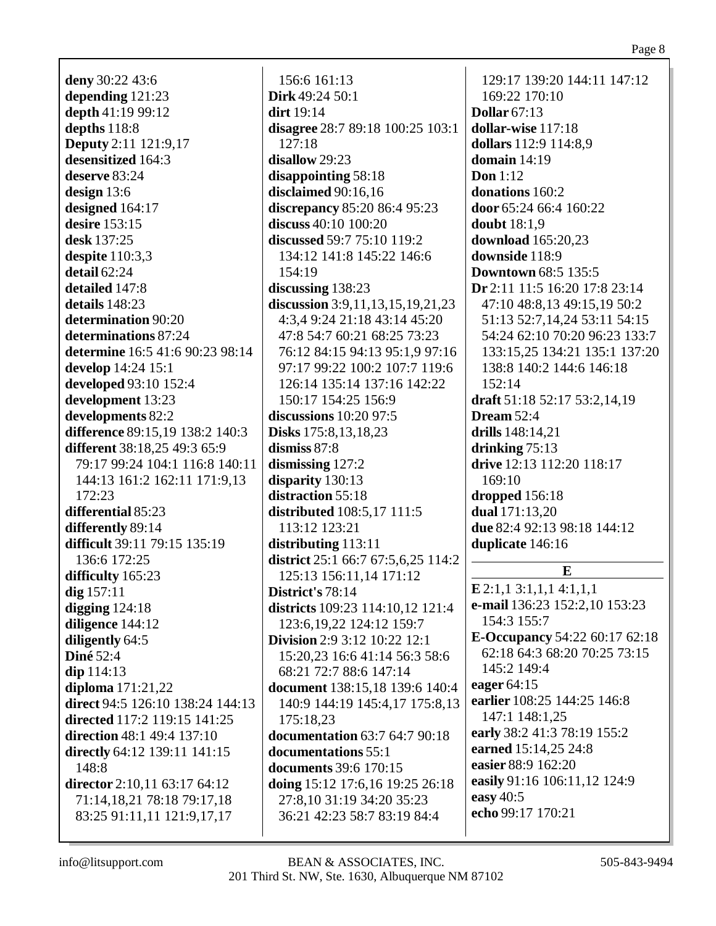**deny** 30:22 43:6 **depending** 121:23 **depth** 41:19 99:12 **depths** 118:8 **Deputy** 2:11 121:9,17 **desensitized** 164:3 **deserve** 83:24 **design** 13:6 **designed** 164:17 **desire** 153:15 **desk** 137:25 **despite** 110:3,3 **detail** 62:24 **detailed** 147:8 **details** 148:23 **determination** 90:20 **determinations** 87:24 **determine** 16:5 41:6 90:23 98:14 **develop** 14:24 15:1 **developed** 93:10 152:4 **development** 13:23 **developments** 82:2 **difference** 89:15,19 138:2 140:3 **different** 38:18,25 49:3 65:9 79:17 99:24 104:1 116:8 140:11 144:13 161:2 162:11 171:9,13 172:23 **differential** 85:23 **differently** 89:14 **difficult** 39:11 79:15 135:19 136:6 172:25 **difficulty** 165:23 **dig** 157:11 **digging** 124:18 **diligence** 144:12 **diligently** 64:5 **Diné** 52:4 **dip** 114:13 **diploma** 171:21,22 **direct** 94:5 126:10 138:24 144:13 **directed** 117:2 119:15 141:25 **direction** 48:1 49:4 137:10 **directly** 64:12 139:11 141:15 148:8 **director** 2:10,11 63:17 64:12 71:14,18,21 78:18 79:17,18 83:25 91:11,11 121:9,17,17

156:6 161:13 **Dirk** 49:24 50:1 **dirt** 19:14 **disagree** 28:7 89:18 100:25 103:1 127:18 **disallow** 29:23 **disappointing** 58:18 **disclaimed** 90:16,16 **discrepancy** 85:20 86:4 95:23 **discuss** 40:10 100:20 **discussed** 59:7 75:10 119:2 134:12 141:8 145:22 146:6 154:19 **discussing** 138:23 **discussion** 3:9,11,13,15,19,21,23 4:3,4 9:24 21:18 43:14 45:20 47:8 54:7 60:21 68:25 73:23 76:12 84:15 94:13 95:1,9 97:16 97:17 99:22 100:2 107:7 119:6 126:14 135:14 137:16 142:22 150:17 154:25 156:9 **discussions** 10:20 97:5 **Disks** 175:8,13,18,23 **dismiss** 87:8 **dismissing** 127:2 **disparity** 130:13 **distraction** 55:18 **distributed** 108:5,17 111:5 113:12 123:21 **distributing** 113:11 **district** 25:1 66:7 67:5,6,25 114:2 125:13 156:11,14 171:12 **District's** 78:14 **districts** 109:23 114:10,12 121:4 123:6,19,22 124:12 159:7 **Division** 2:9 3:12 10:22 12:1 15:20,23 16:6 41:14 56:3 58:6 68:21 72:7 88:6 147:14 **document** 138:15,18 139:6 140:4 140:9 144:19 145:4,17 175:8,13 175:18,23 **documentation** 63:7 64:7 90:18 **documentations** 55:1 **documents** 39:6 170:15 **doing** 15:12 17:6,16 19:25 26:18 27:8,10 31:19 34:20 35:23 36:21 42:23 58:7 83:19 84:4

129:17 139:20 144:11 147:12 169:22 170:10 **Dollar** 67:13 **dollar-wise** 117:18 **dollars** 112:9 114:8,9 **domain** 14:19 **Don** 1:12 **donations** 160:2 **door** 65:24 66:4 160:22 **doubt** 18:1,9 **download** 165:20,23 **downside** 118:9 **Downtown** 68:5 135:5 **Dr** 2:11 11:5 16:20 17:8 23:14 47:10 48:8,13 49:15,19 50:2 51:13 52:7,14,24 53:11 54:15 54:24 62:10 70:20 96:23 133:7 133:15,25 134:21 135:1 137:20 138:8 140:2 144:6 146:18 152:14 **draft** 51:18 52:17 53:2,14,19 **Dream** 52:4 **drills** 148:14,21 **drinking** 75:13 **drive** 12:13 112:20 118:17 169:10 **dropped** 156:18 **dual** 171:13,20 **due** 82:4 92:13 98:18 144:12 **duplicate** 146:16 **E E** 2:1,1 3:1,1,1 4:1,1,1 **e-mail** 136:23 152:2,10 153:23 154:3 155:7 **E-Occupancy** 54:22 60:17 62:18 62:18 64:3 68:20 70:25 73:15 145:2 149:4 **eager** 64:15

**earlier** 108:25 144:25 146:8 147:1 148:1,25 **early** 38:2 41:3 78:19 155:2 **earned** 15:14,25 24:8 **easier** 88:9 162:20 **easily** 91:16 106:11,12 124:9 **easy** 40:5 **echo** 99:17 170:21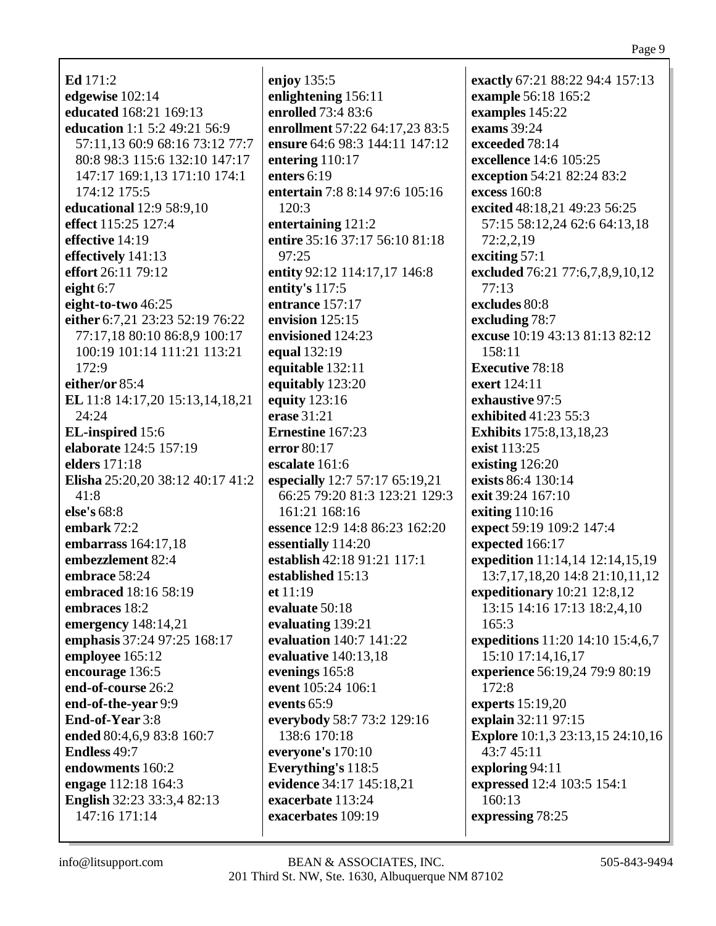**Ed** 171:2 **edgewise** 102:14 **educated** 168:21 169:13 **education** 1:1 5:2 49:21 56:9 57:11,13 60:9 68:16 73:12 77:7 80:8 98:3 115:6 132:10 147:17 147:17 169:1,13 171:10 174:1 174:12 175:5 **educational** 12:9 58:9,10 **effect** 115:25 127:4 **effective** 14:19 **effectively** 141:13 **effort** 26:11 79:12 **eight** 6:7 **eight-to-two** 46:25 **either** 6:7,21 23:23 52:19 76:22 77:17,18 80:10 86:8,9 100:17 100:19 101:14 111:21 113:21 172:9 **either/or** 85:4 **EL** 11:8 14:17,20 15:13,14,18,21 24:24 **EL-inspired** 15:6 **elaborate** 124:5 157:19 **elders** 171:18 **Elisha** 25:20,20 38:12 40:17 41:2 41:8 **else's** 68:8 **embark** 72:2 **embarrass** 164:17,18 **embezzlement** 82:4 **embrace** 58:24 **embraced** 18:16 58:19 **embraces** 18:2 **emergency** 148:14,21 **emphasis** 37:24 97:25 168:17 **employee** 165:12 **encourage** 136:5 **end-of-course** 26:2 **end-of-the-year** 9:9 **End-of-Year** 3:8 **ended** 80:4,6,9 83:8 160:7 **Endless** 49:7 **endowments** 160:2 **engage** 112:18 164:3 **English** 32:23 33:3,4 82:13 147:16 171:14

**enjoy** 135:5 **enlightening** 156:11 **enrolled** 73:4 83:6 **enrollment** 57:22 64:17,23 83:5 **ensure** 64:6 98:3 144:11 147:12 **entering** 110:17 **enters** 6:19 **entertain** 7:8 8:14 97:6 105:16 120:3 **entertaining** 121:2 **entire** 35:16 37:17 56:10 81:18 97:25 **entity** 92:12 114:17,17 146:8 **entity's** 117:5 **entrance** 157:17 **envision** 125:15 **envisioned** 124:23 **equal** 132:19 **equitable** 132:11 **equitably** 123:20 **equity** 123:16 **erase** 31:21 **Ernestine** 167:23 **error** 80:17 **escalate** 161:6 **especially** 12:7 57:17 65:19,21 66:25 79:20 81:3 123:21 129:3 161:21 168:16 **essence** 12:9 14:8 86:23 162:20 **essentially** 114:20 **establish** 42:18 91:21 117:1 **established** 15:13 **et** 11:19 **evaluate** 50:18 **evaluating** 139:21 **evaluation** 140:7 141:22 **evaluative** 140:13,18 **evenings** 165:8 **event** 105:24 106:1 **events** 65:9 **everybody** 58:7 73:2 129:16 138:6 170:18 **everyone's** 170:10 **Everything's** 118:5 **evidence** 34:17 145:18,21 **exacerbate** 113:24 **exacerbates** 109:19

**exactly** 67:21 88:22 94:4 157:13 **example** 56:18 165:2 **examples** 145:22 **exams** 39:24 **exceeded** 78:14 **excellence** 14:6 105:25 **exception** 54:21 82:24 83:2 **excess** 160:8 **excited** 48:18,21 49:23 56:25 57:15 58:12,24 62:6 64:13,18 72:2,2,19 **exciting** 57:1 **excluded** 76:21 77:6,7,8,9,10,12 77:13 **excludes** 80:8 **excluding** 78:7 **excuse** 10:19 43:13 81:13 82:12 158:11 **Executive** 78:18 **exert** 124:11 **exhaustive** 97:5 **exhibited** 41:23 55:3 **Exhibits** 175:8,13,18,23 **exist** 113:25 **existing** 126:20 **exists** 86:4 130:14 **exit** 39:24 167:10 **exiting** 110:16 **expect** 59:19 109:2 147:4 **expected** 166:17 **expedition** 11:14,14 12:14,15,19 13:7,17,18,20 14:8 21:10,11,12 **expeditionary** 10:21 12:8,12 13:15 14:16 17:13 18:2,4,10 165:3 **expeditions** 11:20 14:10 15:4,6,7 15:10 17:14,16,17 **experience** 56:19,24 79:9 80:19 172:8 **experts** 15:19,20 **explain** 32:11 97:15 **Explore** 10:1,3 23:13,15 24:10,16 43:7 45:11 **exploring** 94:11 **expressed** 12:4 103:5 154:1  $160:13$ **expressing** 78:25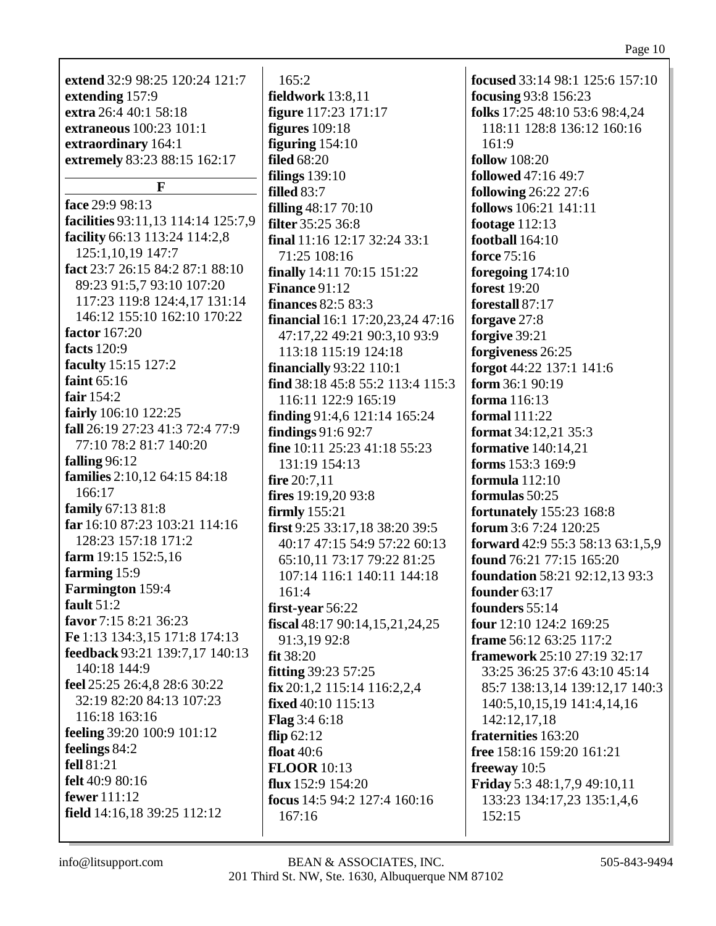| extend 32:9 98:25 120:24 121:7                              | 165:2                                              | <b>focused</b> 33:14 98:1 125:6 157:10          |
|-------------------------------------------------------------|----------------------------------------------------|-------------------------------------------------|
| extending 157:9                                             | fieldwork 13:8,11                                  | focusing 93:8 156:23                            |
| extra 26:4 40:1 58:18                                       | <b>figure</b> 117:23 171:17                        | folks 17:25 48:10 53:6 98:4,24                  |
| extraneous 100:23 101:1                                     | figures $109:18$                                   | 118:11 128:8 136:12 160:16                      |
| extraordinary 164:1                                         | figuring $154:10$                                  | 161:9                                           |
| extremely 83:23 88:15 162:17                                | <b>filed</b> 68:20                                 | <b>follow</b> 108:20                            |
|                                                             | filings $139:10$                                   | followed 47:16 49:7                             |
| F                                                           | filled 83:7                                        | <b>following 26:22 27:6</b>                     |
| face 29:9 98:13                                             | <b>filling</b> 48:17 70:10                         | follows 106:21 141:11                           |
| facilities 93:11,13 114:14 125:7,9                          | <b>filter</b> 35:25 36:8                           | footage $112:13$                                |
| facility 66:13 113:24 114:2,8                               | final $11:16$ 12:17 32:24 33:1                     | football 164:10                                 |
| 125:1,10,19 147:7                                           | 71:25 108:16                                       | <b>force</b> 75:16                              |
| fact 23:7 26:15 84:2 87:1 88:10                             | <b>finally</b> 14:11 70:15 151:22                  | foregoing $174:10$                              |
| 89:23 91:5,7 93:10 107:20                                   | <b>Finance 91:12</b>                               | <b>forest</b> 19:20                             |
| 117:23 119:8 124:4,17 131:14<br>146:12 155:10 162:10 170:22 | <b>finances</b> 82:5 83:3                          | forestall 87:17                                 |
| factor 167:20                                               | <b>financial</b> 16:1 17:20,23,24 47:16            | forgave 27:8                                    |
| facts 120:9                                                 | 47:17,22 49:21 90:3,10 93:9                        | forgive 39:21                                   |
| faculty 15:15 127:2                                         | 113:18 115:19 124:18                               | forgiveness 26:25                               |
| faint $65:16$                                               | <b>financially</b> 93:22 110:1                     | forgot 44:22 137:1 141:6                        |
| fair $154:2$                                                | find 38:18 45:8 55:2 113:4 115:3                   | form 36:1 90:19                                 |
| fairly 106:10 122:25                                        | 116:11 122:9 165:19                                | forma $116:13$                                  |
| fall 26:19 27:23 41:3 72:4 77:9                             | finding 91:4,6 121:14 165:24                       | <b>formal</b> 111:22                            |
| 77:10 78:2 81:7 140:20                                      | findings 91:6 92:7<br>fine 10:11 25:23 41:18 55:23 | <b>format</b> 34:12,21 35:3                     |
| falling $96:12$                                             | 131:19 154:13                                      | <b>formative</b> 140:14,21<br>forms 153:3 169:9 |
| families 2:10,12 64:15 84:18                                | fire $20:7,11$                                     | formula $112:10$                                |
| 166:17                                                      | fires $19:19,2093:8$                               | formulas 50:25                                  |
| family 67:13 81:8                                           | firmly $155:21$                                    | <b>fortunately</b> 155:23 168:8                 |
| far 16:10 87:23 103:21 114:16                               | first 9:25 33:17,18 38:20 39:5                     | forum 3:6 7:24 120:25                           |
| 128:23 157:18 171:2                                         | 40:17 47:15 54:9 57:22 60:13                       | forward 42:9 55:3 58:13 63:1,5,9                |
| farm 19:15 152:5,16                                         | 65:10,11 73:17 79:22 81:25                         | found 76:21 77:15 165:20                        |
| farming 15:9                                                | 107:14 116:1 140:11 144:18                         | <b>foundation</b> 58:21 92:12,13 93:3           |
| Farmington 159:4                                            | 161:4                                              | founder 63:17                                   |
| fault $51:2$                                                | first-year 56:22                                   | founders 55:14                                  |
| favor 7:15 8:21 36:23                                       | fiscal $48:1790:14,15,21,24,25$                    | four 12:10 124:2 169:25                         |
| Fe 1:13 134:3,15 171:8 174:13                               | 91:3,19 92:8                                       | frame 56:12 63:25 117:2                         |
| feedback 93:21 139:7,17 140:13                              | fit 38:20                                          | <b>framework</b> 25:10 27:19 32:17              |
| 140:18 144:9                                                | <b>fitting</b> 39:23 57:25                         | 33:25 36:25 37:6 43:10 45:14                    |
| feel 25:25 26:4,8 28:6 30:22                                | $fix 20:1, 2$ 115:14 116:2,2,4                     | 85:7 138:13,14 139:12,17 140:3                  |
| 32:19 82:20 84:13 107:23                                    | fixed 40:10 115:13                                 | 140:5, 10, 15, 19 141:4, 14, 16                 |
| 116:18 163:16                                               | Flag 3:4 6:18                                      | 142:12,17,18                                    |
| feeling 39:20 100:9 101:12                                  | flip $62:12$                                       | fraternities 163:20                             |
| feelings 84:2                                               | float 40:6                                         | free 158:16 159:20 161:21                       |
| fell 81:21                                                  | <b>FLOOR</b> 10:13                                 | freeway 10:5                                    |
| felt 40:9 80:16                                             | flux $152:9$ $154:20$                              | <b>Friday</b> 5:3 48:1,7,9 49:10,11             |
| fewer 111:12                                                | focus 14:5 94:2 127:4 160:16                       | 133:23 134:17,23 135:1,4,6                      |
| field 14:16,18 39:25 112:12                                 | 167:16                                             | 152:15                                          |
|                                                             |                                                    |                                                 |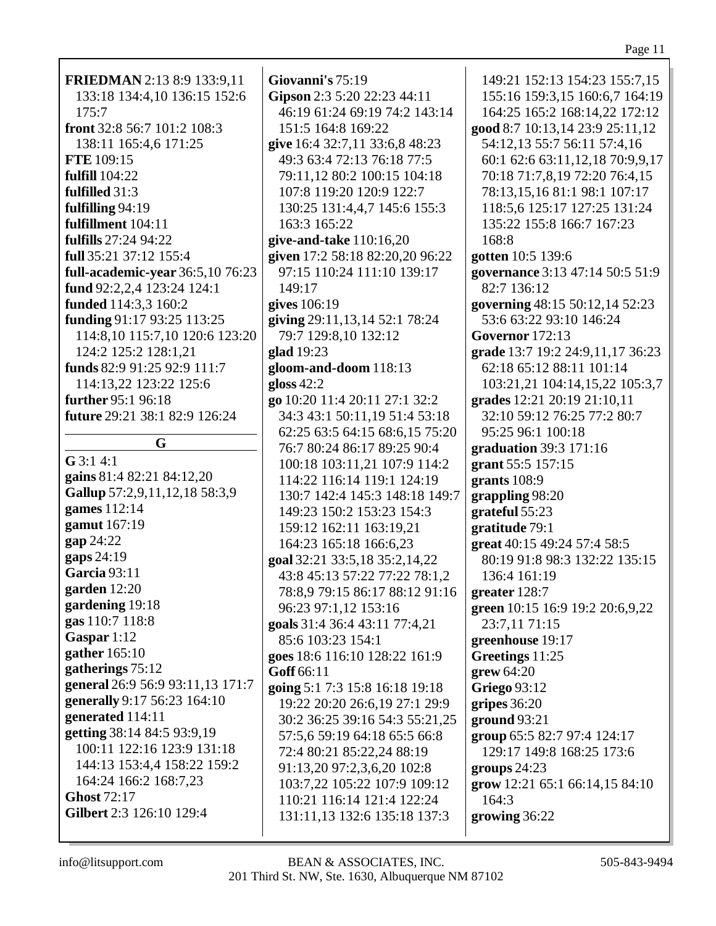| FRIEDMAN 2:13 8:9 133:9,11       | Giovanni's 75:19                | 149:21 152:13 154:23 155:7,15                   |
|----------------------------------|---------------------------------|-------------------------------------------------|
| 133:18 134:4,10 136:15 152:6     | Gipson 2:3 5:20 22:23 44:11     | 155:16 159:3,15 160:6,7 164:19                  |
| 175:7                            | 46:19 61:24 69:19 74:2 143:14   | 164:25 165:2 168:14,22 172:12                   |
| front 32:8 56:7 101:2 108:3      | 151:5 164:8 169:22              | good 8:7 10:13,14 23:9 25:11,12                 |
| 138:11 165:4,6 171:25            | give 16:4 32:7,11 33:6,8 48:23  | 54:12,13 55:7 56:11 57:4,16                     |
| <b>FTE</b> 109:15                | 49:3 63:4 72:13 76:18 77:5      | 60:1 62:6 63:11,12,18 70:9,9,17                 |
| <b>fulfill</b> 104:22            | 79:11,12 80:2 100:15 104:18     | 70:18 71:7,8,19 72:20 76:4,15                   |
| fulfilled 31:3                   | 107:8 119:20 120:9 122:7        | 78:13,15,16 81:1 98:1 107:17                    |
| fulfilling 94:19                 | 130:25 131:4,4,7 145:6 155:3    | 118:5,6 125:17 127:25 131:24                    |
| fulfillment 104:11               | 163:3 165:22                    | 135:22 155:8 166:7 167:23                       |
| fulfills 27:24 94:22             | give-and-take $110:16,20$       | 168:8                                           |
| full 35:21 37:12 155:4           | given 17:2 58:18 82:20,20 96:22 | gotten 10:5 139:6                               |
| full-academic-year 36:5,10 76:23 | 97:15 110:24 111:10 139:17      | governance 3:13 47:14 50:5 51:9                 |
| fund 92:2,2,4 123:24 124:1       | 149:17                          | 82:7 136:12                                     |
| funded 114:3,3 160:2             | gives 106:19                    | governing 48:15 50:12,14 52:23                  |
| funding 91:17 93:25 113:25       | giving 29:11,13,14 52:1 78:24   | 53:6 63:22 93:10 146:24                         |
| 114:8,10 115:7,10 120:6 123:20   | 79:7 129:8,10 132:12            | <b>Governor</b> 172:13                          |
| 124:2 125:2 128:1,21             | glad 19:23                      | grade 13:7 19:2 24:9,11,17 36:23                |
| funds 82:9 91:25 92:9 111:7      | gloom-and-doom 118:13           | 62:18 65:12 88:11 101:14                        |
| 114:13,22 123:22 125:6           | gloss $42:2$                    | 103:21,21 104:14,15,22 105:3,7                  |
| further 95:1 96:18               | go 10:20 11:4 20:11 27:1 32:2   | grades 12:21 20:19 21:10,11                     |
| future 29:21 38:1 82:9 126:24    | 34:3 43:1 50:11,19 51:4 53:18   | 32:10 59:12 76:25 77:2 80:7                     |
|                                  | 62:25 63:5 64:15 68:6,15 75:20  | 95:25 96:1 100:18                               |
| G                                | 76:7 80:24 86:17 89:25 90:4     | graduation 39:3 171:16                          |
| $G$ 3:1 4:1                      | 100:18 103:11,21 107:9 114:2    | grant 55:5 157:15                               |
| gains 81:4 82:21 84:12,20        | 114:22 116:14 119:1 124:19      | grants 108:9                                    |
| Gallup 57:2,9,11,12,18 58:3,9    | 130:7 142:4 145:3 148:18 149:7  | grappling 98:20                                 |
| games 112:14                     | 149:23 150:2 153:23 154:3       | grateful 55:23                                  |
| gamut 167:19                     | 159:12 162:11 163:19,21         | gratitude 79:1                                  |
| gap 24:22                        | 164:23 165:18 166:6,23          | great 40:15 49:24 57:4 58:5                     |
| gaps 24:19                       | goal 32:21 33:5,18 35:2,14,22   | 80:19 91:8 98:3 132:22 135:15                   |
| <b>Garcia</b> 93:11              | 43:8 45:13 57:22 77:22 78:1,2   | 136:4 161:19                                    |
| garden $12:20$                   | 78:8,9 79:15 86:17 88:12 91:16  | greater 128:7                                   |
| gardening 19:18                  | 96:23 97:1,12 153:16            | green 10:15 16:9 19:2 20:6,9,22                 |
| gas 110:7 118:8                  | goals 31:4 36:4 43:11 77:4,21   | 23:7,11 71:15                                   |
| Gaspar 1:12                      | 85:6 103:23 154:1               | greenhouse 19:17                                |
| gather 165:10                    | goes 18:6 116:10 128:22 161:9   | Greetings 11:25                                 |
| gatherings 75:12                 | Goff 66:11                      | $g$ rew 64:20                                   |
| general 26:9 56:9 93:11,13 171:7 | going 5:1 7:3 15:8 16:18 19:18  | <b>Griego</b> 93:12                             |
| generally 9:17 56:23 164:10      | 19:22 20:20 26:6,19 27:1 29:9   | gripes $36:20$                                  |
| generated 114:11                 | 30:2 36:25 39:16 54:3 55:21,25  | ground 93:21                                    |
| getting 38:14 84:5 93:9,19       | 57:5,6 59:19 64:18 65:5 66:8    | group 65:5 82:7 97:4 124:17                     |
| 100:11 122:16 123:9 131:18       | 72:4 80:21 85:22,24 88:19       | 129:17 149:8 168:25 173:6                       |
| 144:13 153:4,4 158:22 159:2      | 91:13,20 97:2,3,6,20 102:8      | groups $24:23$                                  |
| 164:24 166:2 168:7,23            | 103:7,22 105:22 107:9 109:12    | $\frac{\text{grow}}{12:21}$ 65:1 66:14,15 84:10 |
| Ghost 72:17                      | 110:21 116:14 121:4 122:24      | 164:3                                           |
| Gilbert 2:3 126:10 129:4         | 131:11,13 132:6 135:18 137:3    | growing 36:22                                   |
|                                  |                                 |                                                 |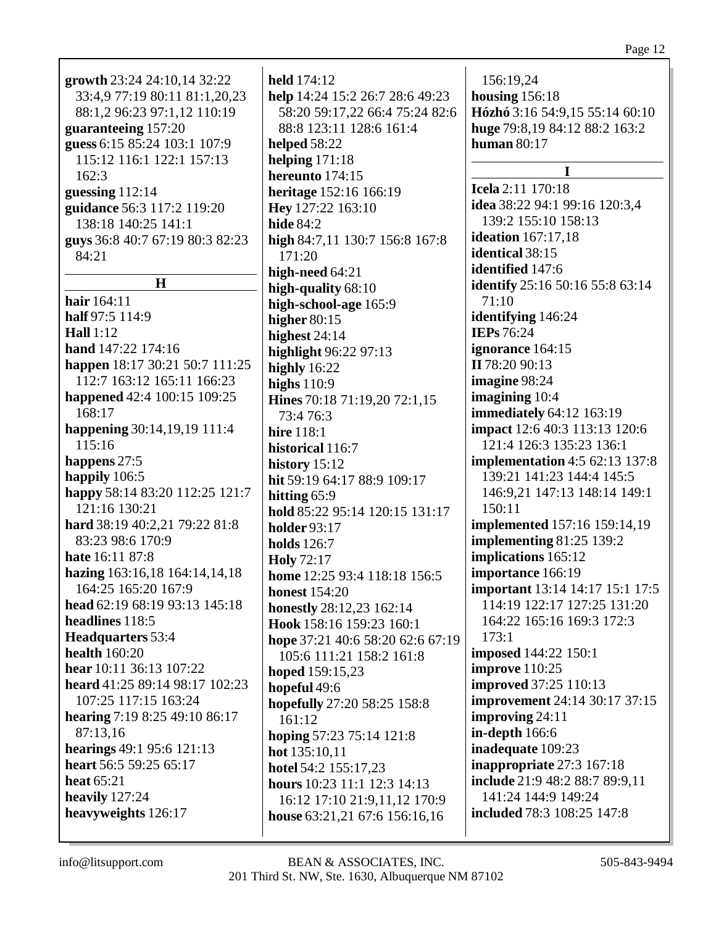| growth 23:24 24:10,14 32:22     | held 174:12                      | 156:19,24                              |
|---------------------------------|----------------------------------|----------------------------------------|
| 33:4,9 77:19 80:11 81:1,20,23   | help 14:24 15:2 26:7 28:6 49:23  | housing $156:18$                       |
| 88:1,2 96:23 97:1,12 110:19     | 58:20 59:17,22 66:4 75:24 82:6   | Hózhó 3:16 54:9,15 55:14 60:10         |
| guaranteeing 157:20             | 88:8 123:11 128:6 161:4          | huge 79:8,19 84:12 88:2 163:2          |
| guess 6:15 85:24 103:1 107:9    | <b>helped</b> 58:22              | human $80:17$                          |
| 115:12 116:1 122:1 157:13       | helping $171:18$                 | $\mathbf I$                            |
| 162:3                           | hereunto 174:15                  |                                        |
| guessing $112:14$               | heritage 152:16 166:19           | <b>Icela</b> 2:11 170:18               |
| guidance 56:3 117:2 119:20      | Hey 127:22 163:10                | idea 38:22 94:1 99:16 120:3,4          |
| 138:18 140:25 141:1             | <b>hide 84:2</b>                 | 139:2 155:10 158:13                    |
| guys 36:8 40:7 67:19 80:3 82:23 | high 84:7,11 130:7 156:8 167:8   | ideation $167:17,18$                   |
| 84:21                           | 171:20                           | identical 38:15                        |
|                                 | high-need 64:21                  | identified 147:6                       |
| H                               | high-quality 68:10               | <b>identify</b> 25:16 50:16 55:8 63:14 |
| hair 164:11                     | high-school-age 165:9            | 71:10                                  |
| half 97:5 114:9                 | higher $80:15$                   | identifying 146:24                     |
| Hall $1:12$                     | highest $24:14$                  | <b>IEPs</b> 76:24                      |
| hand 147:22 174:16              | highlight 96:22 97:13            | ignorance 164:15                       |
| happen 18:17 30:21 50:7 111:25  | highly 16:22                     | II 78:20 90:13                         |
| 112:7 163:12 165:11 166:23      | highs $110:9$                    | imagine 98:24                          |
| happened 42:4 100:15 109:25     | Hines 70:18 71:19,20 72:1,15     | imagining 10:4                         |
| 168:17                          | 73:4 76:3                        | <b>immediately</b> 64:12 163:19        |
| happening 30:14,19,19 111:4     | <b>hire</b> 118:1                | impact 12:6 40:3 113:13 120:6          |
| 115:16                          | historical 116:7                 | 121:4 126:3 135:23 136:1               |
| happens 27:5                    |                                  | <b>implementation</b> 4:5 62:13 137:8  |
| happily 106:5                   | history $15:12$                  | 139:21 141:23 144:4 145:5              |
| happy 58:14 83:20 112:25 121:7  | hit 59:19 64:17 88:9 109:17      | 146:9,21 147:13 148:14 149:1           |
| 121:16 130:21                   | hitting $65:9$                   | 150:11                                 |
| hard 38:19 40:2,21 79:22 81:8   | hold 85:22 95:14 120:15 131:17   | <b>implemented</b> 157:16 159:14,19    |
| 83:23 98:6 170:9                | <b>holder</b> 93:17              | implementing $81:25$ 139:2             |
| hate 16:11 87:8                 | <b>holds</b> 126:7               |                                        |
|                                 | <b>Holy</b> 72:17                | implications 165:12                    |
| hazing 163:16,18 164:14,14,18   | home 12:25 93:4 118:18 156:5     | importance 166:19                      |
| 164:25 165:20 167:9             | <b>honest</b> 154:20             | <b>important</b> 13:14 14:17 15:1 17:5 |
| head 62:19 68:19 93:13 145:18   | honestly 28:12,23 162:14         | 114:19 122:17 127:25 131:20            |
| headlines 118:5                 | Hook 158:16 159:23 160:1         | 164:22 165:16 169:3 172:3              |
| <b>Headquarters</b> 53:4        | hope 37:21 40:6 58:20 62:6 67:19 | 173:1                                  |
| <b>health</b> 160:20            | 105:6 111:21 158:2 161:8         | <b>imposed</b> 144:22 150:1            |
| hear 10:11 36:13 107:22         | hoped 159:15,23                  | improve $110:25$                       |
| heard 41:25 89:14 98:17 102:23  | hopeful 49:6                     | <b>improved</b> 37:25 110:13           |
| 107:25 117:15 163:24            | hopefully 27:20 58:25 158:8      | <b>improvement</b> 24:14 30:17 37:15   |
| hearing 7:19 8:25 49:10 86:17   | 161:12                           | improving 24:11                        |
| 87:13,16                        | hoping 57:23 75:14 121:8         | in-depth 166:6                         |
| hearings 49:1 95:6 121:13       | hot $135:10,11$                  | inadequate 109:23                      |
| heart 56:5 59:25 65:17          | hotel 54:2 155:17,23             | inappropriate 27:3 167:18              |
| heat 65:21                      | hours 10:23 11:1 12:3 14:13      | include 21:9 48:2 88:7 89:9,11         |
| heavily 127:24                  | 16:12 17:10 21:9,11,12 170:9     | 141:24 144:9 149:24                    |
| heavyweights 126:17             | house 63:21,21 67:6 156:16,16    | <b>included</b> 78:3 108:25 147:8      |
|                                 |                                  |                                        |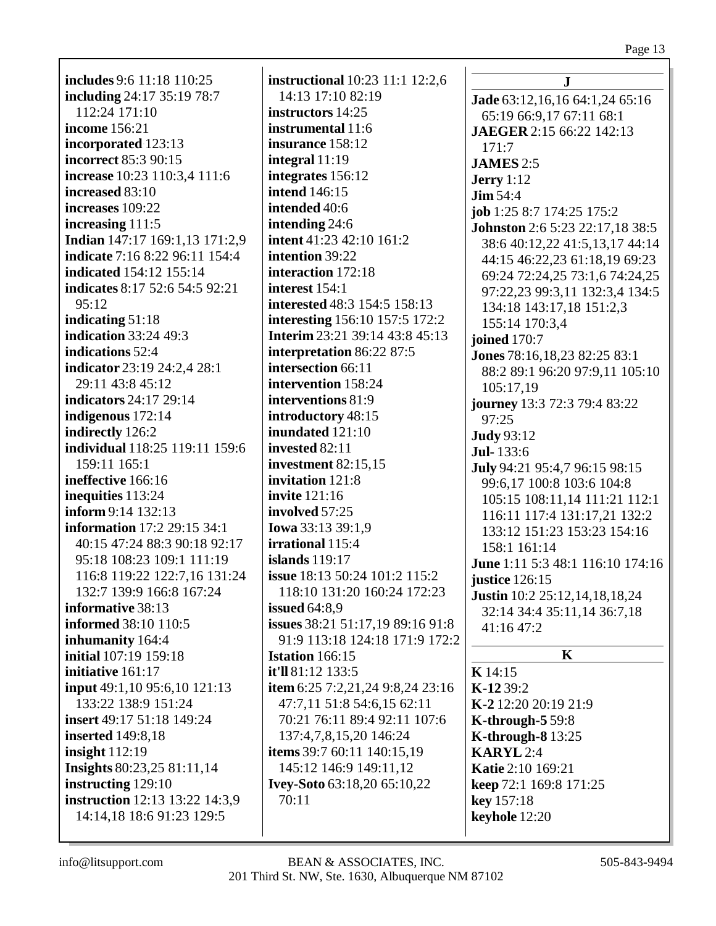| <b>includes</b> 9:6 11:18 110:25      | iı        |
|---------------------------------------|-----------|
| including 24:17 35:19 78:7            |           |
|                                       |           |
| 112:24 171:10                         | <u>iı</u> |
| income 156:21                         | j)        |
| incorporated 123:13                   | iı        |
| incorrect 85:3 90:15                  | iı        |
| increase 10:23 110:3,4 111:6          | 'n        |
| increased 83:10                       | j)        |
| increases 109:22                      | 'n        |
| increasing 111:5                      | j)        |
| Indian 147:17 169:1,13 171:2,9        | iı        |
| indicate 7:16 8:22 96:11 154:4        | j)        |
| indicated 154:12 155:14               | 'n        |
|                                       |           |
| indicates 8:17 52:6 54:5 92:21        | 'n        |
| 95:12                                 | j)        |
| indicating $51:18$                    | iı        |
| indication 33:24 49:3                 | I         |
| indications 52:4                      | j)        |
| indicator 23:19 24:2,4 28:1           | j)        |
| 29:11 43:8 45:12                      | iı        |
| indicators 24:17 29:14                | iı        |
| indigenous 172:14                     | j)        |
| indirectly 126:2                      | 'n        |
| individual 118:25 119:11 159:6        | j)        |
| 159:11 165:1                          | j)        |
|                                       |           |
| ineffective 166:16                    | iı        |
| inequities 113:24                     | iı        |
| inform 9:14 132:13                    | iı        |
| information 17:2 29:15 34:1           | I         |
| 40:15 47:24 88:3 90:18 92:17          | j)        |
| 95:18 108:23 109:1 111:19             | i:        |
| 116:8 119:22 122:7,16 131:24          | i:        |
| 132:7 139:9 166:8 167:24              |           |
| informative 38:13                     | į,        |
| <b>informed</b> 38:10 110:5           | į,        |
| inhumanity 164:4                      |           |
| initial 107:19 159:18                 | I         |
| initiative 161:17                     | i١        |
|                                       |           |
| input 49:1,10 95:6,10 121:13          | i1        |
| 133:22 138:9 151:24                   |           |
| insert 49:17 51:18 149:24             |           |
| <b>inserted</b> 149:8,18              |           |
| insight $112:19$                      | i١        |
| Insights 80:23,25 81:11,14            |           |
| instructing 129:10                    | I         |
| <b>instruction</b> 12:13 13:22 14:3,9 |           |
| 14:14,18 18:6 91:23 129:5             |           |
|                                       |           |

**instructional** 10:23 11:1 12:2,6 14:13 17:10 82:19 **instructors** 14:25 **instrumental** 11:6 **insurance** 158:12 **integral** 11:19 **integrates** 156:12 **intend** 146:15 **intended** 40:6 **intending** 24:6 **intent** 41:23 42:10 161:2 **intention** 39:22 **interaction** 172:18 **interest** 154:1 **interested** 48:3 154:5 158:13 **interesting** 156:10 157:5 172:2 **Interim** 23:21 39:14 43:8 45:13 **interpretation** 86:22 87:5 **intersection** 66:11 **intervention** 158:24 **interventions** 81:9 **introductory** 48:15 **inundated** 121:10 **invested** 82:11 **investment** 82:15,15 **invitation** 121:8 **invite** 121:16 **involved** 57:25 **Iowa** 33:13 39:1,9 **irrational** 115:4 **islands** 119:17 **issue** 18:13 50:24 101:2 115:2 118:10 131:20 160:24 172:23 **issued** 64:8,9 **issues** 38:21 51:17,19 89:16 91:8 91:9 113:18 124:18 171:9 172:2 **Istation** 166:15 **it'll** 81:12 133:5 **item** 6:25 7:2,21,24 9:8,24 23:16 47:7,11 51:8 54:6,15 62:11 70:21 76:11 89:4 92:11 107:6 137:4,7,8,15,20 146:24 **items** 39:7 60:11 140:15,19 145:12 146:9 149:11,12 **Ivey-Soto** 63:18,20 65:10,22 70:11

**J Jade** 63:12,16,16 64:1,24 65:16 65:19 66:9,17 67:11 68:1 **JAEGER** 2:15 66:22 142:13 171:7 **JAMES** 2:5 **Jerry** 1:12 **Jim** 54:4 **job** 1:25 8:7 174:25 175:2 **Johnston** 2:6 5:23 22:17,18 38:5 38:6 40:12,22 41:5,13,17 44:14 44:15 46:22,23 61:18,19 69:23 69:24 72:24,25 73:1,6 74:24,25 97:22,23 99:3,11 132:3,4 134:5 134:18 143:17,18 151:2,3 155:14 170:3,4 **joined** 170:7 **Jones** 78:16,18,23 82:25 83:1 88:2 89:1 96:20 97:9,11 105:10 105:17,19 **journey** 13:3 72:3 79:4 83:22 97:25 **Judy** 93:12 **Jul-** 133:6 **July** 94:21 95:4,7 96:15 98:15 99:6,17 100:8 103:6 104:8 105:15 108:11,14 111:21 112:1 116:11 117:4 131:17,21 132:2 133:12 151:23 153:23 154:16 158:1 161:14 **June** 1:11 5:3 48:1 116:10 174:16 **justice** 126:15 **Justin** 10:2 25:12,14,18,18,24 32:14 34:4 35:11,14 36:7,18 41:16 47:2 **K K** 14:15 **K-12** 39:2 **K-2** 12:20 20:19 21:9 **K-through-5** 59:8 **K-through-8** 13:25 **KARYL** 2:4 **Katie** 2:10 169:21 **keep** 72:1 169:8 171:25 **key** 157:18 **keyhole** 12:20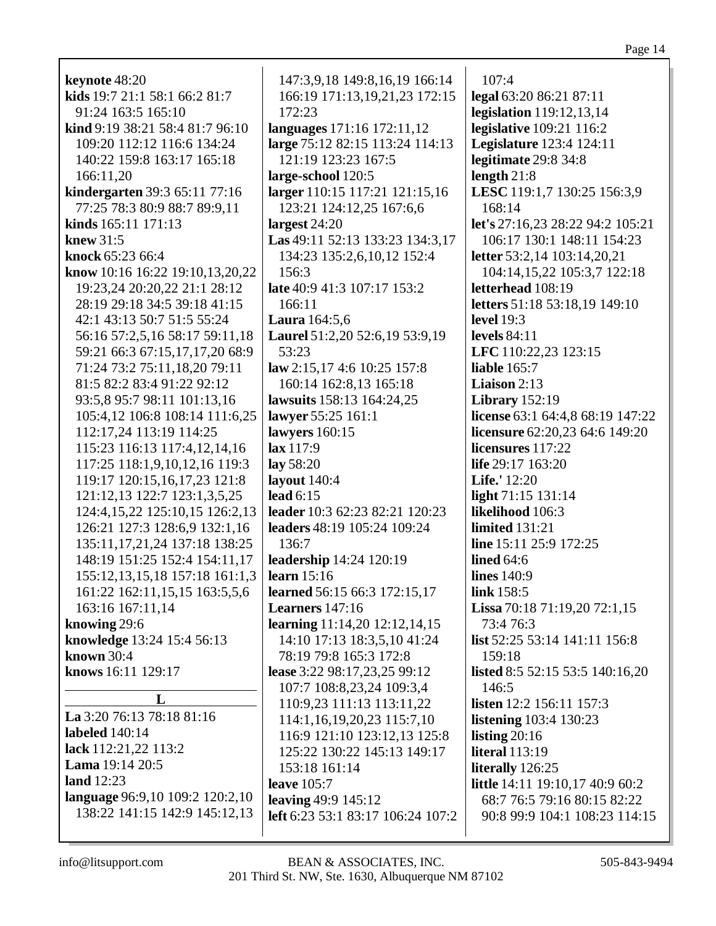**keynote** 48:20 **kids** 19:7 21:1 58:1 66:2 81:7 91:24 163:5 165:10 **kind** 9:19 38:21 58:4 81:7 96:10 109:20 112:12 116:6 134:24 140:22 159:8 163:17 165:18 166:11,20 **kindergarten** 39:3 65:11 77:16 77:25 78:3 80:9 88:7 89:9,11 **kinds** 165:11 171:13 **knew** 31:5 **knock** 65:23 66:4 **know** 10:16 16:22 19:10,13,20,22 19:23,24 20:20,22 21:1 28:12 28:19 29:18 34:5 39:18 41:15 42:1 43:13 50:7 51:5 55:24 56:16 57:2,5,16 58:17 59:11,18 59:21 66:3 67:15,17,17,20 68:9 71:24 73:2 75:11,18,20 79:11 81:5 82:2 83:4 91:22 92:12 93:5,8 95:7 98:11 101:13,16 105:4,12 106:8 108:14 111:6,25 112:17,24 113:19 114:25 115:23 116:13 117:4,12,14,16 117:25 118:1,9,10,12,16 119:3 119:17 120:15,16,17,23 121:8 121:12,13 122:7 123:1,3,5,25 124:4,15,22 125:10,15 126:2,13 126:21 127:3 128:6,9 132:1,16 135:11,17,21,24 137:18 138:25 148:19 151:25 152:4 154:11,17 155:12,13,15,18 157:18 161:1,3 161:22 162:11,15,15 163:5,5,6 163:16 167:11,14 **knowing** 29:6 **knowledge** 13:24 15:4 56:13 **known** 30:4 **knows** 16:11 129:17 **L La** 3:20 76:13 78:18 81:16 **labeled** 140:14 **lack** 112:21,22 113:2 **Lama** 19:14 20:5 **land** 12:23 **language** 96:9,10 109:2 120:2,10

147:3,9,18 149:8,16,19 166:14 166:19 171:13,19,21,23 172:15 172:23 **languages** 171:16 172:11,12 **large** 75:12 82:15 113:24 114:13 121:19 123:23 167:5 **large-school** 120:5 **larger** 110:15 117:21 121:15,16 123:21 124:12,25 167:6,6 **largest** 24:20 **Las** 49:11 52:13 133:23 134:3,17 134:23 135:2,6,10,12 152:4 156:3 **late** 40:9 41:3 107:17 153:2 166:11 **Laura** 164:5,6 **Laurel** 51:2,20 52:6,19 53:9,19 53:23 **law** 2:15,17 4:6 10:25 157:8 160:14 162:8,13 165:18 **lawsuits** 158:13 164:24,25 **lawyer** 55:25 161:1 **lawyers** 160:15 **lax** 117:9 **lay** 58:20 **layout** 140:4 **lead** 6:15 **leader** 10:3 62:23 82:21 120:23 **leaders** 48:19 105:24 109:24 136:7 **leadership** 14:24 120:19 **learn** 15:16 **learned** 56:15 66:3 172:15,17 **Learners** 147:16 **learning** 11:14,20 12:12,14,15 14:10 17:13 18:3,5,10 41:24 78:19 79:8 165:3 172:8 **lease** 3:22 98:17,23,25 99:12 107:7 108:8,23,24 109:3,4 110:9,23 111:13 113:11,22 114:1,16,19,20,23 115:7,10 116:9 121:10 123:12,13 125:8 125:22 130:22 145:13 149:17 153:18 161:14 **leave** 105:7 **leaving** 49:9 145:12 **left** 6:23 53:1 83:17 106:24 107:2

107:4 **legal** 63:20 86:21 87:11 **legislation** 119:12,13,14 **legislative** 109:21 116:2 **Legislature** 123:4 124:11 **legitimate** 29:8 34:8 **length** 21:8 **LESC** 119:1,7 130:25 156:3,9 168:14 **let's** 27:16,23 28:22 94:2 105:21 106:17 130:1 148:11 154:23 **letter** 53:2,14 103:14,20,21 104:14,15,22 105:3,7 122:18 **letterhead** 108:19 **letters** 51:18 53:18,19 149:10 **level** 19:3 **levels** 84:11 **LFC** 110:22,23 123:15 **liable** 165:7 **Liaison** 2:13 **Library** 152:19 **license** 63:1 64:4,8 68:19 147:22 **licensure** 62:20,23 64:6 149:20 **licensures** 117:22 **life** 29:17 163:20 **Life.'** 12:20 **light** 71:15 131:14 **likelihood** 106:3 **limited** 131:21 **line** 15:11 25:9 172:25 **lined** 64:6 **lines** 140:9 **link** 158:5 **Lissa** 70:18 71:19,20 72:1,15 73:4 76:3 **list** 52:25 53:14 141:11 156:8 159:18 **listed** 8:5 52:15 53:5 140:16,20 146:5 **listen** 12:2 156:11 157:3 **listening** 103:4 130:23 **listing** 20:16 **literal** 113:19 **literally** 126:25 **little** 14:11 19:10,17 40:9 60:2 68:7 76:5 79:16 80:15 82:22 90:8 99:9 104:1 108:23 114:15

138:22 141:15 142:9 145:12,13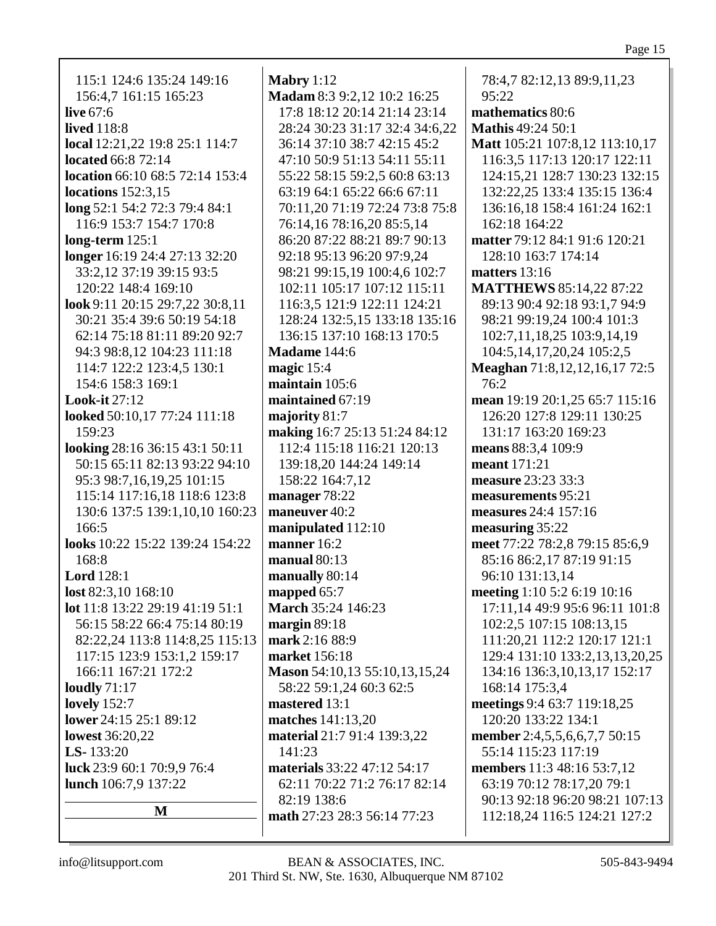Mabry  $1:12$ 115:1 124:6 135:24 149:16 78:4,7 82:12,13 89:9,11,23 Madam 8:3 9:2,12 10:2 16:25 156:4,7 161:15 165:23  $95:22$ live  $67:6$ 17:8 18:12 20:14 21:14 23:14 mathematics 80:6 **lived** 118:8 28:24 30:23 31:17 32:4 34:6,22 **Mathis 49:24 50:1** local 12:21,22 19:8 25:1 114:7 36:14 37:10 38:7 42:15 45:2 Matt 105:21 107:8,12 113:10,17 located 66:8 72:14 47:10 50:9 51:13 54:11 55:11 116:3,5 117:13 120:17 122:11 location  $66:1068:572:14153:4$ 55:22 58:15 59:2.5 60:8 63:13 124:15.21 128:7 130:23 132:15 locations  $152:3.15$ 63:19 64:1 65:22 66:6 67:11 132:22,25 133:4 135:15 136:4  $\log 52:1 54:2 72:3 79:4 84:1$ 70:11,20 71:19 72:24 73:8 75:8 136:16,18 158:4 161:24 162:1 116:9 153:7 154:7 170:8 76:14,16 78:16,20 85:5,14 162:18 164:22 matter 79:12 84:1 91:6 120:21  $long-term 125:1$ 86:20 87:22 88:21 89:7 90:13 longer 16:19 24:4 27:13 32:20 92:18 95:13 96:20 97:9.24 128:10 163:7 174:14 33:2,12 37:19 39:15 93:5 98:21 99:15,19 100:4,6 102:7 matters 13:16 120:22 148:4 169:10 102:11 105:17 107:12 115:11 **MATTHEWS 85:14,22 87:22** look 9:11 20:15 29:7,22 30:8,11 116:3.5 121:9 122:11 124:21 89:13 90:4 92:18 93:1.7 94:9 30:21 35:4 39:6 50:19 54:18 128:24 132:5,15 133:18 135:16 98:21 99:19,24 100:4 101:3 136:15 137:10 168:13 170:5 62:14 75:18 81:11 89:20 92:7 102:7,11,18,25 103:9,14,19 104:5, 14, 17, 20, 24 105:2, 5 94:3 98:8,12 104:23 111:18 **Madame**  $144:6$ 114:7 122:2 123:4.5 130:1 magic  $15:4$ Meaghan 71:8,12,12,16,17 72:5 154:6 158:3 169:1 maintain  $105:6$  $76:2$ **Look-it 27:12** maintained 67:19 mean 19:19 20:1,25 65:7 115:16 looked 50:10,17 77:24 111:18 majority  $81:7$ 126:20 127:8 129:11 130:25 131:17 163:20 169:23 making 16:7 25:13 51:24 84:12 159:23 looking  $28:16\,36:15\,43:1\,50:11$ 112:4 115:18 116:21 120:13 means 88:3.4 109:9 50:15 65:11 82:13 93:22 94:10 139:18,20 144:24 149:14 meant 171:21 95:3 98:7,16,19,25 101:15 158:22 164:7,12 measure 23:23 33:3 115:14 117:16,18 118:6 123:8 manager 78:22 measurements 95:21 130:6 137:5 139:1,10,10 160:23 maneuver 40:2 measures  $24:4$  157:16 166:5 manipulated 112:10 measuring 35:22 **looks** 10:22 15:22 139:24 154:22 manner  $16:2$ meet 77:22 78:2,8 79:15 85:6,9 168:8 manual  $80:13$ 85:16 86:2,17 87:19 91:15 96:10 131:13,14 **Lord** 128:1 manually  $80:14$ lost 82:3,10 168:10 mapped 65:7 meeting 1:10 5:2 6:19 10:16 lot 11:8 13:22 29:19 41:19 51:1 **March 35:24 146:23** 17:11,14 49:9 95:6 96:11 101:8 56:15 58:22 66:4 75:14 80:19 margin  $89:18$ 102:2,5 107:15 108:13,15 82:22,24 113:8 114:8,25 115:13 mark 2:16 88:9 111:20,21 112:2 120:17 121:1 117:15 123:9 153:1,2 159:17 market 156:18 129:4 131:10 133:2,13,13,20,25 166:11 167:21 172:2 Mason 54:10,13 55:10,13,15,24 134:16 136:3,10,13,17 152:17 loudly  $71:17$ 58:22 59:1,24 60:3 62:5 168:14 175:3,4 lovely  $152:7$ mastered 13:1 meetings 9:4 63:7 119:18,25 lower 24:15 25:1 89:12 matches 141:13.20 120:20 133:22 134:1 **lowest** 36:20.22 material 21:7 91:4 139:3.22 member 2:4,5,5,6,6,7,7 50:15 LS- $133:20$ 55:14 115:23 117:19 141:23 luck 23:9 60:1 70:9.9 76:4 materials 33:22 47:12 54:17 members 11:3 48:16 53:7.12 lunch 106:7,9 137:22 62:11 70:22 71:2 76:17 82:14 63:19 70:12 78:17,20 79:1 90:13 92:18 96:20 98:21 107:13  $82:19$  138:6 M math 27:23 28:3 56:14 77:23 112:18,24 116:5 124:21 127:2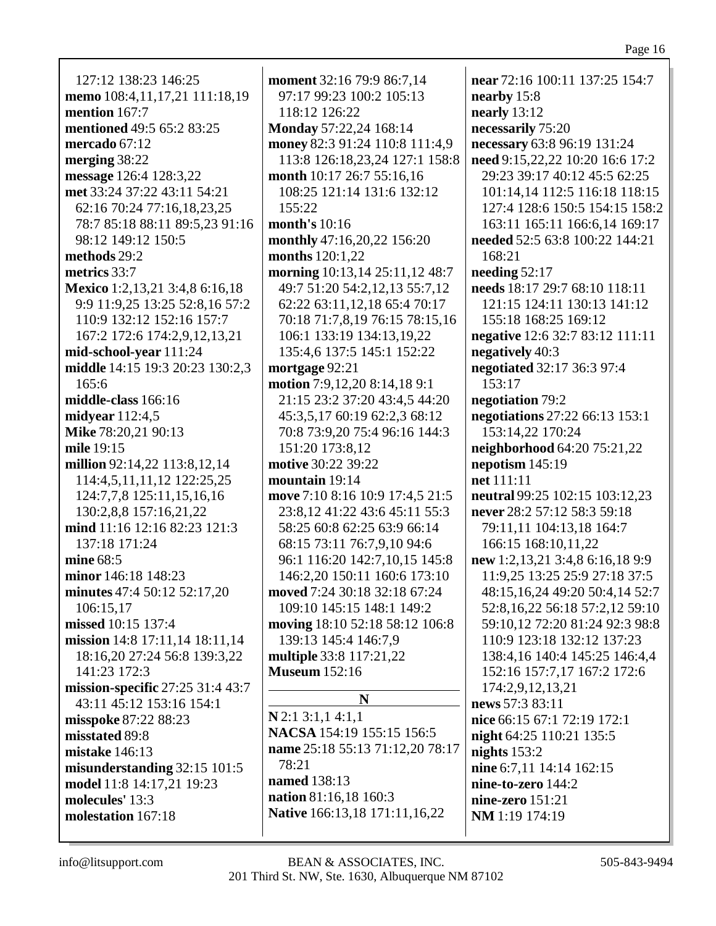127:12 138:23 146:25 **memo** 108:4,11,17,21 111:18,19 **mention** 167:7 **mentioned** 49:5 65:2 83:25 **mercado** 67:12 **merging** 38:22 **message** 126:4 128:3,22 **met** 33:24 37:22 43:11 54:21 62:16 70:24 77:16,18,23,25 78:7 85:18 88:11 89:5,23 91:16 98:12 149:12 150:5 **methods** 29:2 **metrics** 33:7 **Mexico** 1:2,13,21 3:4,8 6:16,18 9:9 11:9,25 13:25 52:8,16 57:2 110:9 132:12 152:16 157:7 167:2 172:6 174:2,9,12,13,21 **mid-school-year** 111:24 **middle** 14:15 19:3 20:23 130:2,3 165:6 **middle-class** 166:16 **midyear** 112:4,5 **Mike** 78:20,21 90:13 **mile** 19:15 **million** 92:14,22 113:8,12,14 114:4,5,11,11,12 122:25,25 124:7,7,8 125:11,15,16,16 130:2,8,8 157:16,21,22 **mind** 11:16 12:16 82:23 121:3 137:18 171:24 **mine** 68:5 **minor** 146:18 148:23 **minutes** 47:4 50:12 52:17,20 106:15,17 **missed** 10:15 137:4 **mission** 14:8 17:11,14 18:11,14 18:16,20 27:24 56:8 139:3,22 141:23 172:3 **mission-specific** 27:25 31:4 43:7 43:11 45:12 153:16 154:1 **misspoke** 87:22 88:23 **misstated** 89:8 **mistake** 146:13 **misunderstanding** 32:15 101:5 **model** 11:8 14:17,21 19:23 **molecules'** 13:3 **molestation** 167:18

**moment** 32:16 79:9 86:7,14 97:17 99:23 100:2 105:13 118:12 126:22 **Monday** 57:22,24 168:14 **money** 82:3 91:24 110:8 111:4,9 113:8 126:18,23,24 127:1 158:8 **month** 10:17 26:7 55:16,16 108:25 121:14 131:6 132:12 155:22 **month's** 10:16 **monthly** 47:16,20,22 156:20 **months** 120:1,22 **morning** 10:13,14 25:11,12 48:7 49:7 51:20 54:2,12,13 55:7,12 62:22 63:11,12,18 65:4 70:17 70:18 71:7,8,19 76:15 78:15,16 106:1 133:19 134:13,19,22 135:4,6 137:5 145:1 152:22 **mortgage** 92:21 **motion** 7:9,12,20 8:14,18 9:1 21:15 23:2 37:20 43:4,5 44:20 45:3,5,17 60:19 62:2,3 68:12 70:8 73:9,20 75:4 96:16 144:3 151:20 173:8,12 **motive** 30:22 39:22 **mountain** 19:14 **move** 7:10 8:16 10:9 17:4,5 21:5 23:8,12 41:22 43:6 45:11 55:3 58:25 60:8 62:25 63:9 66:14 68:15 73:11 76:7,9,10 94:6 96:1 116:20 142:7,10,15 145:8 146:2,20 150:11 160:6 173:10 **moved** 7:24 30:18 32:18 67:24 109:10 145:15 148:1 149:2 **moving** 18:10 52:18 58:12 106:8 139:13 145:4 146:7,9 **multiple** 33:8 117:21,22 **Museum** 152:16 **N N** 2:1 3:1,1 4:1,1 **NACSA** 154:19 155:15 156:5 **name** 25:18 55:13 71:12,20 78:17

78:21 **named** 138:13 **nation** 81:16,18 160:3 **Native** 166:13,18 171:11,16,22 **near** 72:16 100:11 137:25 154:7 **nearby** 15:8 **nearly** 13:12 **necessarily** 75:20 **necessary** 63:8 96:19 131:24 **need** 9:15,22,22 10:20 16:6 17:2 29:23 39:17 40:12 45:5 62:25 101:14,14 112:5 116:18 118:15 127:4 128:6 150:5 154:15 158:2 163:11 165:11 166:6,14 169:17 **needed** 52:5 63:8 100:22 144:21 168:21 **needing** 52:17 **needs** 18:17 29:7 68:10 118:11 121:15 124:11 130:13 141:12 155:18 168:25 169:12 **negative** 12:6 32:7 83:12 111:11 **negatively** 40:3 **negotiated** 32:17 36:3 97:4 153:17 **negotiation** 79:2 **negotiations** 27:22 66:13 153:1 153:14,22 170:24 **neighborhood** 64:20 75:21,22 **nepotism** 145:19 **net** 111:11 **neutral** 99:25 102:15 103:12,23 **never** 28:2 57:12 58:3 59:18 79:11,11 104:13,18 164:7 166:15 168:10,11,22 **new** 1:2,13,21 3:4,8 6:16,18 9:9 11:9,25 13:25 25:9 27:18 37:5 48:15,16,24 49:20 50:4,14 52:7 52:8,16,22 56:18 57:2,12 59:10 59:10,12 72:20 81:24 92:3 98:8 110:9 123:18 132:12 137:23 138:4,16 140:4 145:25 146:4,4 152:16 157:7,17 167:2 172:6 174:2,9,12,13,21 **news** 57:3 83:11 **nice** 66:15 67:1 72:19 172:1 **night** 64:25 110:21 135:5 **nights** 153:2 **nine** 6:7,11 14:14 162:15 **nine-to-zero** 144:2 **nine-zero** 151:21 **NM** 1:19 174:19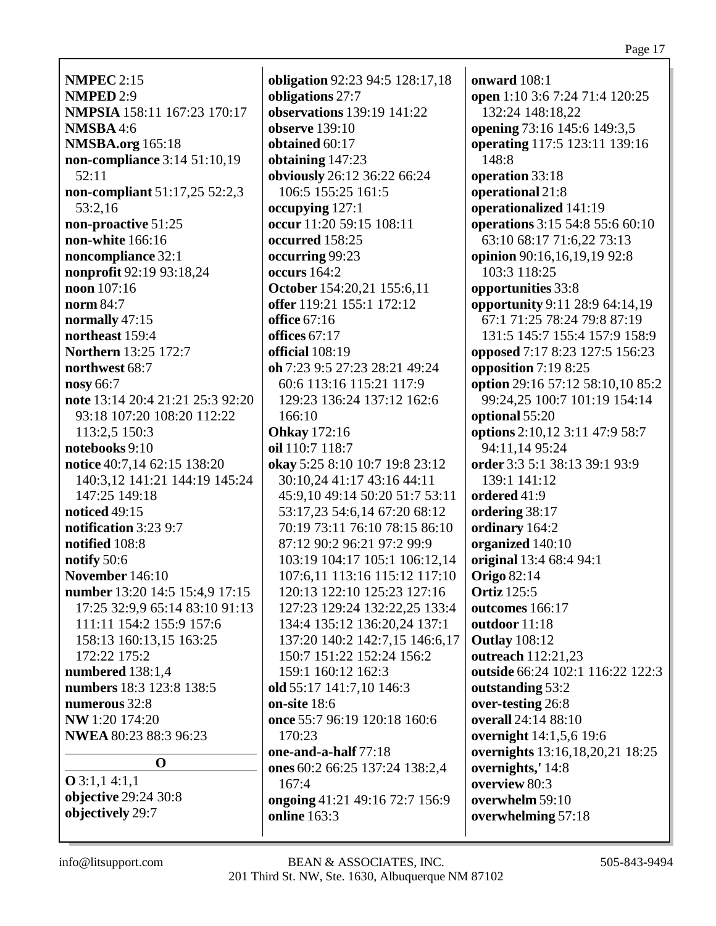**NMPEC** 2:15 **NMPED** 2:9 **NMPSIA** 158:11 167:23 170:17 **NMSBA** 4:6 **NMSBA.org** 165:18 **non-compliance** 3:14 51:10,19 52:11 **non-compliant** 51:17,25 52:2,3 53:2,16 **non-proactive** 51:25 **non-white** 166:16 **noncompliance** 32:1 **nonprofit** 92:19 93:18,24 **noon** 107:16 **norm** 84:7 **normally** 47:15 **northeast** 159:4 **Northern** 13:25 172:7 **northwest** 68:7 **nosy** 66:7 **note** 13:14 20:4 21:21 25:3 92:20 93:18 107:20 108:20 112:22 113:2,5 150:3 **notebooks** 9:10 **notice** 40:7,14 62:15 138:20 140:3,12 141:21 144:19 145:24 147:25 149:18 **noticed** 49:15 **notification** 3:23 9:7 **notified** 108:8 **notify** 50:6 **November** 146:10 **number** 13:20 14:5 15:4,9 17:15 17:25 32:9,9 65:14 83:10 91:13 111:11 154:2 155:9 157:6 158:13 160:13,15 163:25 172:22 175:2 **numbered** 138:1,4 **numbers** 18:3 123:8 138:5 **numerous** 32:8 **NW** 1:20 174:20 **NWEA** 80:23 88:3 96:23 **O**

**O** 3:1,1 4:1,1 **objective** 29:24 30:8 **objectively** 29:7

**obligation** 92:23 94:5 128:17,18 **obligations** 27:7 **observations** 139:19 141:22 **observe** 139:10 **obtained** 60:17 **obtaining** 147:23 **obviously** 26:12 36:22 66:24 106:5 155:25 161:5 **occupying** 127:1 **occur** 11:20 59:15 108:11 **occurred** 158:25 **occurring** 99:23 **occurs** 164:2 **October** 154:20,21 155:6,11 **offer** 119:21 155:1 172:12 **office** 67:16 **offices** 67:17 **official** 108:19 **oh** 7:23 9:5 27:23 28:21 49:24 60:6 113:16 115:21 117:9 129:23 136:24 137:12 162:6 166:10 **Ohkay** 172:16 **oil** 110:7 118:7 **okay** 5:25 8:10 10:7 19:8 23:12 30:10,24 41:17 43:16 44:11 45:9,10 49:14 50:20 51:7 53:11 53:17,23 54:6,14 67:20 68:12 70:19 73:11 76:10 78:15 86:10 87:12 90:2 96:21 97:2 99:9 103:19 104:17 105:1 106:12,14 107:6,11 113:16 115:12 117:10 120:13 122:10 125:23 127:16 127:23 129:24 132:22,25 133:4 134:4 135:12 136:20,24 137:1 137:20 140:2 142:7,15 146:6,17 150:7 151:22 152:24 156:2 159:1 160:12 162:3 **old** 55:17 141:7,10 146:3 **on-site** 18:6 **once** 55:7 96:19 120:18 160:6 170:23 **one-and-a-half** 77:18 **ones** 60:2 66:25 137:24 138:2,4 167:4 **ongoing** 41:21 49:16 72:7 156:9 **online** 163:3

**onward** 108:1 **open** 1:10 3:6 7:24 71:4 120:25 132:24 148:18,22 **opening** 73:16 145:6 149:3,5 **operating** 117:5 123:11 139:16 148:8 **operation** 33:18 **operational** 21:8 **operationalized** 141:19 **operations** 3:15 54:8 55:6 60:10 63:10 68:17 71:6,22 73:13 **opinion** 90:16,16,19,19 92:8 103:3 118:25 **opportunities** 33:8 **opportunity** 9:11 28:9 64:14,19 67:1 71:25 78:24 79:8 87:19 131:5 145:7 155:4 157:9 158:9 **opposed** 7:17 8:23 127:5 156:23 **opposition** 7:19 8:25 **option** 29:16 57:12 58:10,10 85:2 99:24,25 100:7 101:19 154:14 **optional** 55:20 **options** 2:10,12 3:11 47:9 58:7 94:11,14 95:24 **order** 3:3 5:1 38:13 39:1 93:9 139:1 141:12 **ordered** 41:9 **ordering** 38:17 **ordinary** 164:2 **organized** 140:10 **original** 13:4 68:4 94:1 **Origo** 82:14 **Ortiz** 125:5 **outcomes** 166:17 **outdoor** 11:18 **Outlay** 108:12 **outreach** 112:21,23 **outside** 66:24 102:1 116:22 122:3 **outstanding** 53:2 **over-testing** 26:8 **overall** 24:14 88:10 **overnight** 14:1,5,6 19:6 **overnights** 13:16,18,20,21 18:25 **overnights,'** 14:8 **overview** 80:3 **overwhelm** 59:10 **overwhelming** 57:18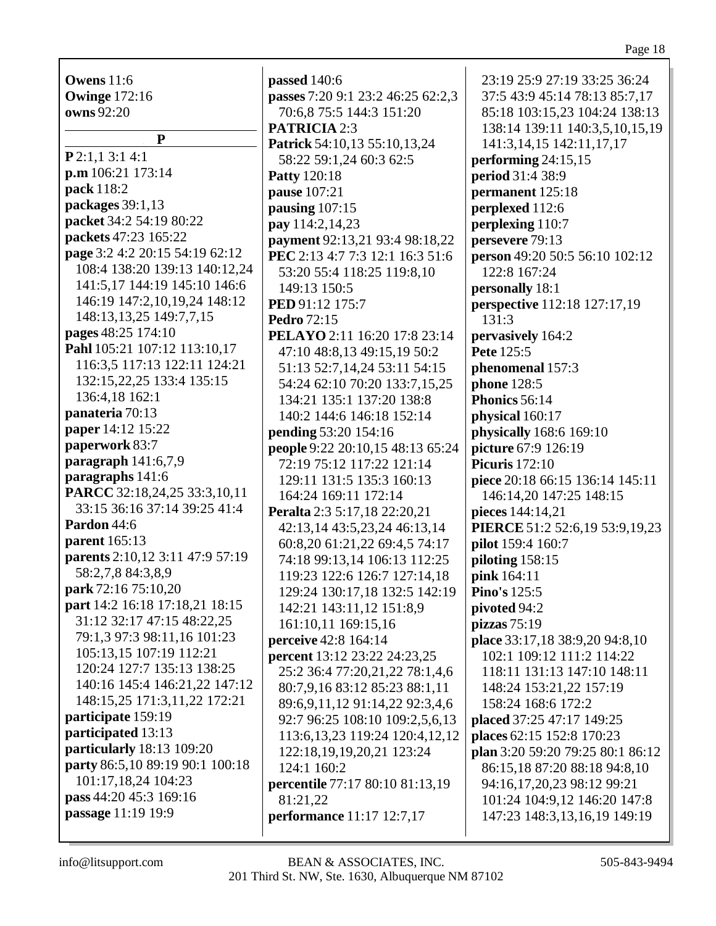**Owens** 11:6 **Owinge** 172:16 **owns** 92:20

**P P** 2:1,1 3:1 4:1 **p.m** 106:21 173:14 **pack** 118:2 **packages** 39:1,13 **packet** 34:2 54:19 80:22 **packets** 47:23 165:22 **page** 3:2 4:2 20:15 54:19 62:12 108:4 138:20 139:13 140:12,24 141:5,17 144:19 145:10 146:6 146:19 147:2,10,19,24 148:12 148:13,13,25 149:7,7,15 **pages** 48:25 174:10 **Pahl** 105:21 107:12 113:10,17 116:3,5 117:13 122:11 124:21 132:15,22,25 133:4 135:15 136:4,18 162:1 **panateria** 70:13 **paper** 14:12 15:22 **paperwork** 83:7 **paragraph** 141:6,7,9 **paragraphs** 141:6 **PARCC** 32:18,24,25 33:3,10,11 33:15 36:16 37:14 39:25 41:4 **Pardon** 44:6 **parent** 165:13 **parents** 2:10,12 3:11 47:9 57:19 58:2,7,8 84:3,8,9 **park** 72:16 75:10,20 **part** 14:2 16:18 17:18,21 18:15 31:12 32:17 47:15 48:22,25 79:1,3 97:3 98:11,16 101:23 105:13,15 107:19 112:21 120:24 127:7 135:13 138:25 140:16 145:4 146:21,22 147:12 148:15,25 171:3,11,22 172:21 **participate** 159:19 **participated** 13:13 **particularly** 18:13 109:20 **party** 86:5,10 89:19 90:1 100:18 101:17,18,24 104:23 **pass** 44:20 45:3 169:16 **passage** 11:19 19:9

**passed** 140:6 **passes** 7:20 9:1 23:2 46:25 62:2,3 70:6,8 75:5 144:3 151:20 **PATRICIA** 2:3 **Patrick** 54:10,13 55:10,13,24 58:22 59:1,24 60:3 62:5 **Patty** 120:18 **pause** 107:21 **pausing** 107:15 **pay** 114:2,14,23 **payment** 92:13,21 93:4 98:18,22 **PEC** 2:13 4:7 7:3 12:1 16:3 51:6 53:20 55:4 118:25 119:8,10 149:13 150:5 **PED** 91:12 175:7 **Pedro** 72:15 **PELAYO** 2:11 16:20 17:8 23:14 47:10 48:8,13 49:15,19 50:2 51:13 52:7,14,24 53:11 54:15 54:24 62:10 70:20 133:7,15,25 134:21 135:1 137:20 138:8 140:2 144:6 146:18 152:14 **pending** 53:20 154:16 **people** 9:22 20:10,15 48:13 65:24 72:19 75:12 117:22 121:14 129:11 131:5 135:3 160:13 164:24 169:11 172:14 **Peralta** 2:3 5:17,18 22:20,21 42:13,14 43:5,23,24 46:13,14 60:8,20 61:21,22 69:4,5 74:17 74:18 99:13,14 106:13 112:25 119:23 122:6 126:7 127:14,18 129:24 130:17,18 132:5 142:19 142:21 143:11,12 151:8,9 161:10,11 169:15,16 **perceive** 42:8 164:14 **percent** 13:12 23:22 24:23,25 25:2 36:4 77:20,21,22 78:1,4,6 80:7,9,16 83:12 85:23 88:1,11 89:6,9,11,12 91:14,22 92:3,4,6 92:7 96:25 108:10 109:2,5,6,13 113:6,13,23 119:24 120:4,12,12 122:18,19,19,20,21 123:24 124:1 160:2 **percentile** 77:17 80:10 81:13,19 81:21,22 **performance** 11:17 12:7,17

23:19 25:9 27:19 33:25 36:24 37:5 43:9 45:14 78:13 85:7,17 85:18 103:15,23 104:24 138:13 138:14 139:11 140:3,5,10,15,19 141:3,14,15 142:11,17,17 **performing** 24:15,15 **period** 31:4 38:9 **permanent** 125:18 **perplexed** 112:6 **perplexing** 110:7 **persevere** 79:13 **person** 49:20 50:5 56:10 102:12 122:8 167:24 **personally** 18:1 **perspective** 112:18 127:17,19 131:3 **pervasively** 164:2 **Pete** 125:5 **phenomenal** 157:3 **phone** 128:5 **Phonics** 56:14 **physical** 160:17 **physically** 168:6 169:10 **picture** 67:9 126:19 **Picuris** 172:10 **piece** 20:18 66:15 136:14 145:11 146:14,20 147:25 148:15 **pieces** 144:14,21 **PIERCE** 51:2 52:6,19 53:9,19,23 **pilot** 159:4 160:7 **piloting** 158:15 **pink** 164:11 **Pino's** 125:5 **pivoted** 94:2 **pizzas** 75:19 **place** 33:17,18 38:9,20 94:8,10 102:1 109:12 111:2 114:22 118:11 131:13 147:10 148:11 148:24 153:21,22 157:19 158:24 168:6 172:2 **placed** 37:25 47:17 149:25 **places** 62:15 152:8 170:23 **plan** 3:20 59:20 79:25 80:1 86:12 86:15,18 87:20 88:18 94:8,10 94:16,17,20,23 98:12 99:21 101:24 104:9,12 146:20 147:8 147:23 148:3,13,16,19 149:19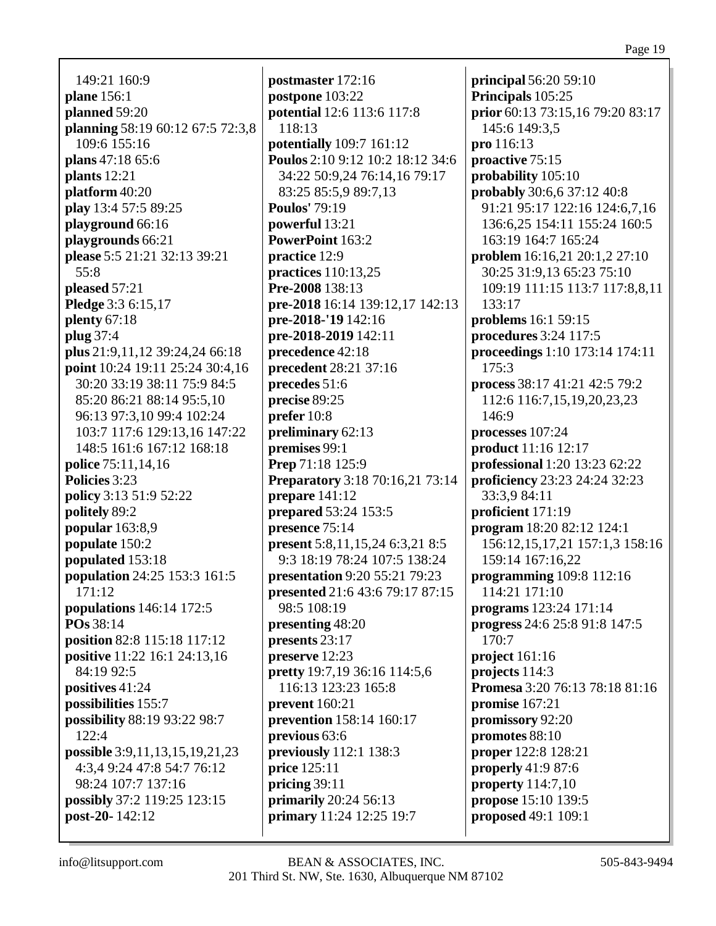149:21 160:9 **plane** 156:1 **planned** 59:20 **planning** 58:19 60:12 67:5 72:3,8 109:6 155:16 **plans** 47:18 65:6 **plants** 12:21 **platform** 40:20 **play** 13:4 57:5 89:25 **playground** 66:16 **playgrounds** 66:21 **please** 5:5 21:21 32:13 39:21 55:8 **pleased** 57:21 **Pledge** 3:3 6:15,17 **plenty** 67:18 **plug** 37:4 **plus** 21:9,11,12 39:24,24 66:18 **point** 10:24 19:11 25:24 30:4,16 30:20 33:19 38:11 75:9 84:5 85:20 86:21 88:14 95:5,10 96:13 97:3,10 99:4 102:24 103:7 117:6 129:13,16 147:22 148:5 161:6 167:12 168:18 **police** 75:11,14,16 **Policies** 3:23 **policy** 3:13 51:9 52:22 **politely** 89:2 **popular** 163:8,9 **populate** 150:2 **populated** 153:18 **population** 24:25 153:3 161:5 171:12 **populations** 146:14 172:5 **POs** 38:14 **position** 82:8 115:18 117:12 **positive** 11:22 16:1 24:13,16 84:19 92:5 **positives** 41:24 **possibilities** 155:7 **possibility** 88:19 93:22 98:7  $122:4$ **possible** 3:9,11,13,15,19,21,23 4:3,4 9:24 47:8 54:7 76:12 98:24 107:7 137:16 **possibly** 37:2 119:25 123:15 **post-20-** 142:12

**postmaster** 172:16 **postpone** 103:22 **potential** 12:6 113:6 117:8 118:13 **potentially** 109:7 161:12 **Poulos** 2:10 9:12 10:2 18:12 34:6 34:22 50:9,24 76:14,16 79:17 83:25 85:5,9 89:7,13 **Poulos'** 79:19 **powerful** 13:21 **PowerPoint** 163:2 **practice** 12:9 **practices** 110:13,25 **Pre-2008** 138:13 **pre-2018** 16:14 139:12,17 142:13 **pre-2018-'19** 142:16 **pre-2018-2019** 142:11 **precedence** 42:18 **precedent** 28:21 37:16 **precedes** 51:6 **precise** 89:25 **prefer** 10:8 **preliminary** 62:13 **premises** 99:1 **Prep** 71:18 125:9 **Preparatory** 3:18 70:16,21 73:14 **prepare** 141:12 **prepared** 53:24 153:5 **presence** 75:14 **present** 5:8,11,15,24 6:3,21 8:5 9:3 18:19 78:24 107:5 138:24 **presentation** 9:20 55:21 79:23 **presented** 21:6 43:6 79:17 87:15 98:5 108:19 **presenting** 48:20 **presents** 23:17 **preserve** 12:23 **pretty** 19:7,19 36:16 114:5,6 116:13 123:23 165:8 **prevent** 160:21 **prevention** 158:14 160:17 **previous** 63:6 **previously** 112:1 138:3 **price** 125:11 **pricing** 39:11 **primarily** 20:24 56:13 **primary** 11:24 12:25 19:7

**principal** 56:20 59:10 **Principals** 105:25 **prior** 60:13 73:15,16 79:20 83:17 145:6 149:3,5 **pro** 116:13 **proactive** 75:15 **probability** 105:10 **probably** 30:6,6 37:12 40:8 91:21 95:17 122:16 124:6,7,16 136:6,25 154:11 155:24 160:5 163:19 164:7 165:24 **problem** 16:16,21 20:1,2 27:10 30:25 31:9,13 65:23 75:10 109:19 111:15 113:7 117:8,8,11 133:17 **problems** 16:1 59:15 **procedures** 3:24 117:5 **proceedings** 1:10 173:14 174:11 175:3 **process** 38:17 41:21 42:5 79:2 112:6 116:7,15,19,20,23,23 146:9 **processes** 107:24 **product** 11:16 12:17 **professional** 1:20 13:23 62:22 **proficiency** 23:23 24:24 32:23 33:3,9 84:11 **proficient** 171:19 **program** 18:20 82:12 124:1 156:12,15,17,21 157:1,3 158:16 159:14 167:16,22 **programming** 109:8 112:16 114:21 171:10 **programs** 123:24 171:14 **progress** 24:6 25:8 91:8 147:5 170:7 **project** 161:16 **projects** 114:3 **Promesa** 3:20 76:13 78:18 81:16 **promise** 167:21 **promissory** 92:20 **promotes** 88:10 **proper** 122:8 128:21 **properly** 41:9 87:6 **property** 114:7,10 **propose** 15:10 139:5 **proposed** 49:1 109:1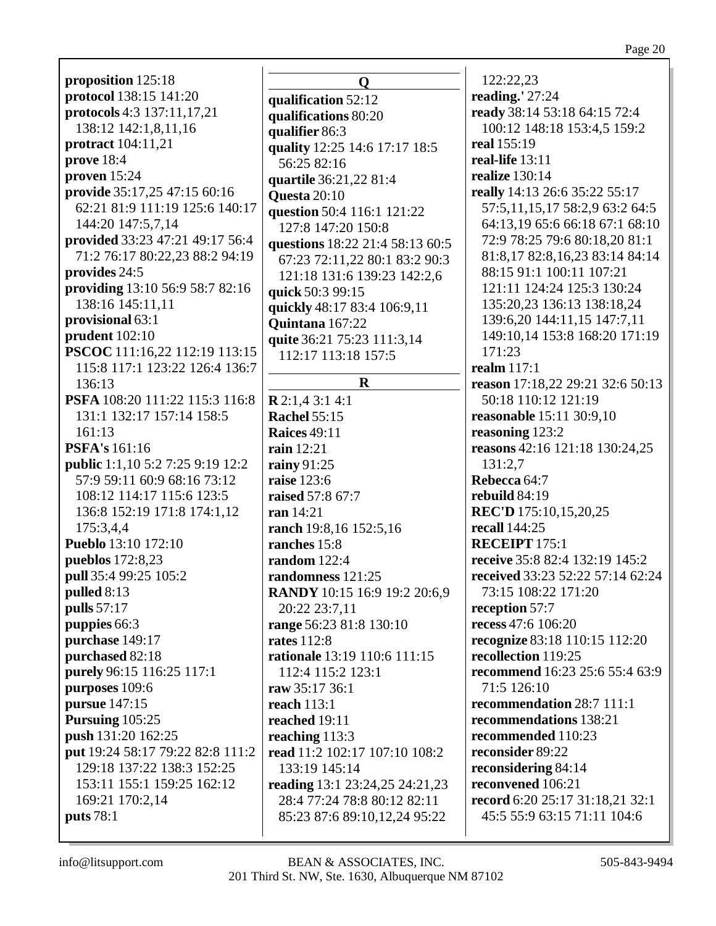| proposition 125:18                      |                 |
|-----------------------------------------|-----------------|
| protocol 138:15 141:20                  |                 |
| protocols 4:3 137:11,17,21              | qu              |
| 138:12 142:1,8,11,16                    | qu              |
| protract 104:11,21                      | qu              |
| prove 18:4                              | qu              |
|                                         | Ŝ               |
| proven $15:24$                          | qu              |
| provide 35:17,25 47:15 60:16            | Qı              |
| 62:21 81:9 111:19 125:6 140:17          | qu              |
| 144:20 147:5,7,14                       | l               |
| provided 33:23 47:21 49:17 56:4         | qu              |
| 71:2 76:17 80:22,23 88:2 94:19          | 6               |
| provides 24:5                           | I               |
| providing 13:10 56:9 58:7 82:16         | qu              |
| 138:16 145:11,11                        | qu              |
| provisional 63:1                        | Qı              |
| prudent $102:10$                        | qu              |
| PSCOC 111:16,22 112:19 113:15           | J               |
| 115:8 117:1 123:22 126:4 136:7          |                 |
| 136:13                                  |                 |
| PSFA 108:20 111:22 115:3 116:8          | $\mathbf{R}$    |
| 131:1 132:17 157:14 158:5               | Ra              |
| 161:13                                  | $\mathbf{R}$    |
| <b>PSFA's</b> 161:16                    | rai             |
| <b>public</b> 1:1,10 5:2 7:25 9:19 12:2 | rai             |
| 57:9 59:11 60:9 68:16 73:12             | rai             |
| 108:12 114:17 115:6 123:5               | rai             |
| 136:8 152:19 171:8 174:1,12             | ra              |
| 175:3,4,4                               | ra              |
| <b>Pueblo</b> 13:10 172:10              | ra              |
| <b>pueblos</b> 172:8,23                 | ra              |
| pull 35:4 99:25 105:2                   | ra              |
| pulled 8:13                             | $\mathbf{R}$    |
| pulls 57:17                             |                 |
| puppies 66:3                            | ra              |
| purchase 149:17                         | ra              |
| purchased 82:18                         | ra              |
| purely 96:15 116:25 117:1               |                 |
| purposes 109:6                          |                 |
| pursue 147:15                           | ra <sup>®</sup> |
| Pursuing 105:25                         | re:             |
| push 131:20 162:25                      | re:             |
|                                         | rea             |
| put 19:24 58:17 79:22 82:8 111:2        | rea             |
| 129:18 137:22 138:3 152:25              |                 |
| 153:11 155:1 159:25 162:12              | rea             |
| 169:21 170:2,14                         | $\overline{2}$  |
| <b>puts</b> 78:1                        | ξ               |

 $\mathbf{O}$ alification 52:12 alifications 80:20 alifier  $86:3$ ality 12:25 14:6 17:17 18:5 56:25 82:16 artile 36:21,22 81:4  $\mu$ esta 20:10 estion 50:4 116:1 121:22 27:8 147:20 150:8 estions 18:22 21:4 58:13 60:5 57:23 72:11.22 80:1 83:2 90:3 21:18 131:6 139:23 142:2,6  $ick 50:399:15$ ickly 48:17 83:4 106:9,11 uintana  $167:22$ ite 36:21 75:23 111:3,14 12:17 113:18 157:5  $\mathbf{R}$  $2:1.43:14:1$ achel 55:15 aices 49:11  $\ln 12:21$  $inv91:25$ **ise** 123:6 **ised** 57:8 67:7  $n14:21$ nch 19:8,16 152:5,16 nches  $15:8$ **ndom** 122:4 ndomness  $121:25$ **ANDY** 10:15 16:9 19:2 20:6,9 20:22 23:7.11 nge 56:23 81:8 130:10 **tes** 112:8 tionale 13:19 110:6 111:15 12:4 115:2 123:1  $\bf{w}$  35:17 36:1  $ach 113:1$ ached 19:11 aching  $113:3$ ad 11:2 102:17 107:10 108:2 33:19 145:14 ading 13:1 23:24,25 24:21,23 28:4 77:24 78:8 80:12 82:11 85:23 87:6 89:10,12,24 95:22

122:22,23 reading. $27:24$ ready 38:14 53:18 64:15 72:4 100:12 148:18 153:4,5 159:2 real 155:19 real-life  $13:11$ realize  $130:14$ really 14:13 26:6 35:22 55:17 57:5,11,15,17 58:2,9 63:2 64:5 64:13,19 65:6 66:18 67:1 68:10 72:9 78:25 79:6 80:18.20 81:1 81:8,17 82:8,16,23 83:14 84:14 88:15 91:1 100:11 107:21 121:11 124:24 125:3 130:24 135:20.23 136:13 138:18.24 139:6,20 144:11,15 147:7,11 149:10.14 153:8 168:20 171:19  $171:23$ realm  $117:1$ reason 17:18,22 29:21 32:6 50:13 50:18 110:12 121:19 **reasonable** 15:11 30:9,10 reasoning 123:2 reasons  $42:16$  121:18 130:24,25  $131:2.7$ Rebecca 64:7 rebuild  $84:19$ REC'D 175:10,15,20,25 recall 144:25 **RECEIPT** 175:1 receive 35:8 82:4 132:19 145:2 received 33:23 52:22 57:14 62:24 73:15 108:22 171:20 reception 57:7 recess 47:6 106:20 recognize 83:18 110:15 112:20 recollection 119:25 recommend 16:23 25:6 55:4 63:9 71:5 126:10 recommendation 28:7 111:1 recommendations 138:21 recommended 110:23 reconsider 89:22 reconsidering 84:14 reconvened 106:21 record 6:20 25:17 31:18.21 32:1 45:5 55:9 63:15 71:11 104:6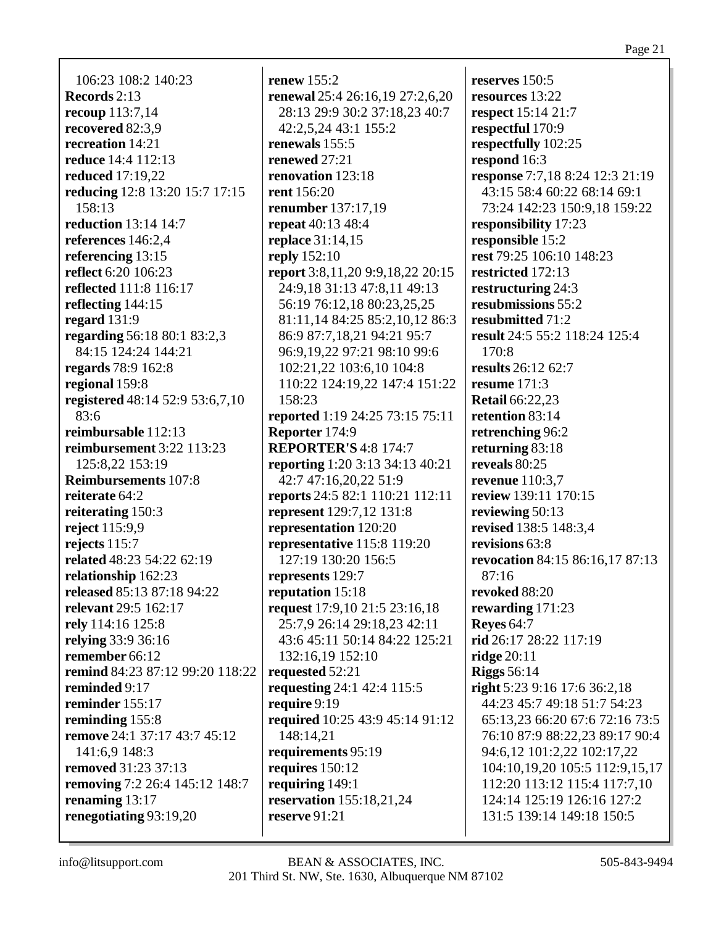106:23 108:2 140:23 **Records** 2:13 **recoup** 113:7,14 **recovered** 82:3,9 **recreation** 14:21 **reduce** 14:4 112:13 **reduced** 17:19,22 **reducing** 12:8 13:20 15:7 17:15 158:13 **reduction** 13:14 14:7 **references** 146:2,4 **referencing** 13:15 **reflect** 6:20 106:23 **reflected** 111:8 116:17 **reflecting** 144:15 **regard** 131:9 **regarding** 56:18 80:1 83:2,3 84:15 124:24 144:21 **regards** 78:9 162:8 **regional** 159:8 **registered** 48:14 52:9 53:6,7,10 83:6 **reimbursable** 112:13 **reimbursement** 3:22 113:23 125:8,22 153:19 **Reimbursements** 107:8 **reiterate** 64:2 **reiterating** 150:3 **reject** 115:9,9 **rejects** 115:7 **related** 48:23 54:22 62:19 **relationship** 162:23 **released** 85:13 87:18 94:22 **relevant** 29:5 162:17 **rely** 114:16 125:8 **relying** 33:9 36:16 **remember** 66:12 **remind** 84:23 87:12 99:20 118:22 **reminded** 9:17 **reminder** 155:17 **reminding** 155:8 **remove** 24:1 37:17 43:7 45:12 141:6,9 148:3 **removed** 31:23 37:13 **removing** 7:2 26:4 145:12 148:7 **renaming** 13:17 **renegotiating** 93:19,20

**renew** 155:2 **renewal** 25:4 26:16,19 27:2,6,20 28:13 29:9 30:2 37:18,23 40:7 42:2,5,24 43:1 155:2 **renewals** 155:5 **renewed** 27:21 **renovation** 123:18 **rent** 156:20 **renumber** 137:17,19 **repeat** 40:13 48:4 **replace** 31:14,15 **reply** 152:10 **report** 3:8,11,20 9:9,18,22 20:15 24:9,18 31:13 47:8,11 49:13 56:19 76:12,18 80:23,25,25 81:11,14 84:25 85:2,10,12 86:3 86:9 87:7,18,21 94:21 95:7 96:9,19,22 97:21 98:10 99:6 102:21,22 103:6,10 104:8 110:22 124:19,22 147:4 151:22 158:23 **reported** 1:19 24:25 73:15 75:11 **Reporter** 174:9 **REPORTER'S** 4:8 174:7 **reporting** 1:20 3:13 34:13 40:21 42:7 47:16,20,22 51:9 **reports** 24:5 82:1 110:21 112:11 **represent** 129:7,12 131:8 **representation** 120:20 **representative** 115:8 119:20 127:19 130:20 156:5 **represents** 129:7 **reputation** 15:18 **request** 17:9,10 21:5 23:16,18 25:7,9 26:14 29:18,23 42:11 43:6 45:11 50:14 84:22 125:21 132:16,19 152:10 **requested** 52:21 **requesting** 24:1 42:4 115:5 **require** 9:19 **required** 10:25 43:9 45:14 91:12 148:14,21 **requirements** 95:19 **requires** 150:12 **requiring** 149:1 **reservation** 155:18,21,24 **reserve** 91:21

**reserves** 150:5 **resources** 13:22 **respect** 15:14 21:7 **respectful** 170:9 **respectfully** 102:25 **respond** 16:3 **response** 7:7,18 8:24 12:3 21:19 43:15 58:4 60:22 68:14 69:1 73:24 142:23 150:9,18 159:22 **responsibility** 17:23 **responsible** 15:2 **rest** 79:25 106:10 148:23 **restricted** 172:13 **restructuring** 24:3 **resubmissions** 55:2 **resubmitted** 71:2 **result** 24:5 55:2 118:24 125:4 170:8 **results** 26:12 62:7 **resume** 171:3 **Retail** 66:22,23 **retention** 83:14 **retrenching** 96:2 **returning** 83:18 **reveals** 80:25 **revenue** 110:3,7 **review** 139:11 170:15 **reviewing** 50:13 **revised** 138:5 148:3,4 **revisions** 63:8 **revocation** 84:15 86:16,17 87:13 87:16 **revoked** 88:20 **rewarding** 171:23 **Reyes** 64:7 **rid** 26:17 28:22 117:19 **ridge** 20:11 **Riggs** 56:14 **right** 5:23 9:16 17:6 36:2,18 44:23 45:7 49:18 51:7 54:23 65:13,23 66:20 67:6 72:16 73:5 76:10 87:9 88:22,23 89:17 90:4 94:6,12 101:2,22 102:17,22 104:10,19,20 105:5 112:9,15,17 112:20 113:12 115:4 117:7,10 124:14 125:19 126:16 127:2 131:5 139:14 149:18 150:5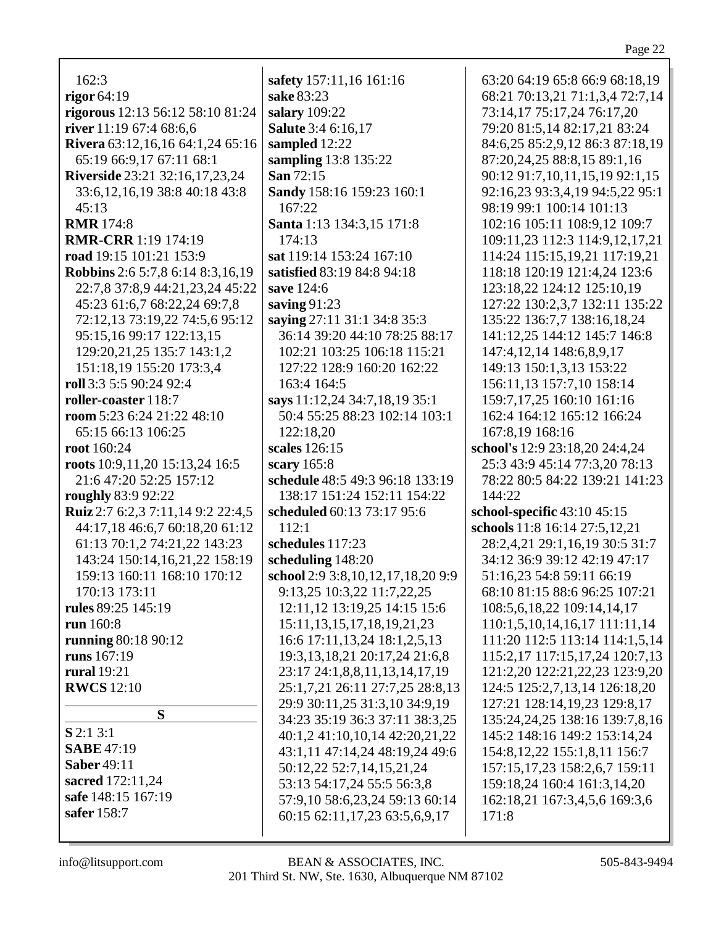| 162:3                                   | safety 157:11,16 161:16                                      | 63:20 64:19 65:8 66:9 68:18,19      |
|-----------------------------------------|--------------------------------------------------------------|-------------------------------------|
| rigor $64:19$                           | sake 83:23                                                   | 68:21 70:13,21 71:1,3,4 72:7,14     |
| rigorous 12:13 56:12 58:10 81:24        | salary 109:22                                                | 73:14,17 75:17,24 76:17,20          |
| river 11:19 67:4 68:6,6                 | Salute 3:4 6:16,17                                           | 79:20 81:5,14 82:17,21 83:24        |
| Rivera 63:12,16,16 64:1,24 65:16        | sampled 12:22                                                | 84:6,25 85:2,9,12 86:3 87:18,19     |
| 65:19 66:9,17 67:11 68:1                | sampling 13:8 135:22                                         | 87:20,24,25 88:8,15 89:1,16         |
| <b>Riverside</b> 23:21 32:16,17,23,24   | San 72:15                                                    | 90:12 91:7,10,11,15,19 92:1,15      |
| 33:6, 12, 16, 19 38:8 40:18 43:8        | Sandy 158:16 159:23 160:1                                    | 92:16,23 93:3,4,19 94:5,22 95:1     |
| 45:13                                   | 167:22                                                       | 98:19 99:1 100:14 101:13            |
| <b>RMR</b> 174:8                        | Santa 1:13 134:3,15 171:8                                    | 102:16 105:11 108:9,12 109:7        |
| <b>RMR-CRR</b> 1:19 174:19              | 174:13                                                       | 109:11,23 112:3 114:9,12,17,21      |
| road 19:15 101:21 153:9                 | sat 119:14 153:24 167:10                                     | 114:24 115:15,19,21 117:19,21       |
| <b>Robbins</b> 2:6 5:7,8 6:14 8:3,16,19 | satisfied 83:19 84:8 94:18                                   | 118:18 120:19 121:4,24 123:6        |
| 22:7,8 37:8,9 44:21,23,24 45:22         | save 124:6                                                   | 123:18,22 124:12 125:10,19          |
| 45:23 61:6,7 68:22,24 69:7,8            | saving $91:23$                                               | 127:22 130:2,3,7 132:11 135:22      |
|                                         |                                                              |                                     |
| 72:12,13 73:19,22 74:5,6 95:12          | saying 27:11 31:1 34:8 35:3<br>36:14 39:20 44:10 78:25 88:17 | 135:22 136:7,7 138:16,18,24         |
| 95:15,16 99:17 122:13,15                |                                                              | 141:12,25 144:12 145:7 146:8        |
| 129:20,21,25 135:7 143:1,2              | 102:21 103:25 106:18 115:21                                  | 147:4, 12, 14 148: 6, 8, 9, 17      |
| 151:18,19 155:20 173:3,4                | 127:22 128:9 160:20 162:22                                   | 149:13 150:1,3,13 153:22            |
| roll 3:3 5:5 90:24 92:4                 | 163:4 164:5                                                  | 156:11,13 157:7,10 158:14           |
| roller-coaster 118:7                    | says 11:12,24 34:7,18,19 35:1                                | 159:7,17,25 160:10 161:16           |
| room 5:23 6:24 21:22 48:10              | 50:4 55:25 88:23 102:14 103:1                                | 162:4 164:12 165:12 166:24          |
| 65:15 66:13 106:25                      | 122:18,20                                                    | 167:8,19 168:16                     |
| root 160:24                             | scales 126:15                                                | school's 12:9 23:18,20 24:4,24      |
| roots 10:9,11,20 15:13,24 16:5          | scary 165:8                                                  | 25:3 43:9 45:14 77:3,20 78:13       |
| 21:6 47:20 52:25 157:12                 | schedule 48:5 49:3 96:18 133:19                              | 78:22 80:5 84:22 139:21 141:23      |
| roughly 83:9 92:22                      | 138:17 151:24 152:11 154:22                                  | 144:22                              |
| Ruiz 2:7 6:2,3 7:11,14 9:2 22:4,5       | scheduled 60:13 73:17 95:6                                   | school-specific 43:10 45:15         |
| 44:17,18 46:6,7 60:18,20 61:12          | 112:1                                                        | schools 11:8 16:14 27:5,12,21       |
| 61:13 70:1,2 74:21,22 143:23            | schedules 117:23                                             | 28:2,4,21 29:1,16,19 30:5 31:7      |
| 143:24 150:14,16,21,22 158:19           | scheduling 148:20                                            | 34:12 36:9 39:12 42:19 47:17        |
| 159:13 160:11 168:10 170:12             | school 2:9 3:8, 10, 12, 17, 18, 20 9:9                       | 51:16,23 54:8 59:11 66:19           |
| 170:13 173:11                           | 9:13,25 10:3,22 11:7,22,25                                   | 68:10 81:15 88:6 96:25 107:21       |
| rules 89:25 145:19                      | 12:11,12 13:19,25 14:15 15:6                                 | 108:5,6,18,22 109:14,14,17          |
| run 160:8                               | 15:11, 13, 15, 17, 18, 19, 21, 23                            | 110:1,5,10,14,16,17 111:11,14       |
| running 80:18 90:12                     | 16:6 17:11, 13, 24 18:1, 2, 5, 13                            | 111:20 112:5 113:14 114:1,5,14      |
| runs 167:19                             | 19:3, 13, 18, 21 20:17, 24 21:6, 8                           | 115:2,17 117:15,17,24 120:7,13      |
| <b>rural</b> 19:21                      | 23:17 24:1,8,8,11,13,14,17,19                                | 121:2,20 122:21,22,23 123:9,20      |
| <b>RWCS</b> 12:10                       | 25:1,7,21 26:11 27:7,25 28:8,13                              | 124:5 125:2,7,13,14 126:18,20       |
|                                         | 29:9 30:11,25 31:3,10 34:9,19                                | 127:21 128:14,19,23 129:8,17        |
| S                                       | 34:23 35:19 36:3 37:11 38:3,25                               | 135:24,24,25 138:16 139:7,8,16      |
| $S$ 2:1 3:1                             | 40:1,2 41:10,10,14 42:20,21,22                               | 145:2 148:16 149:2 153:14,24        |
| <b>SABE</b> 47:19                       | 43:1,11 47:14,24 48:19,24 49:6                               | 154:8, 12, 22 155:1, 8, 11 156:7    |
| <b>Saber 49:11</b>                      | 50:12,22 52:7,14,15,21,24                                    | 157:15, 17, 23 158: 2, 6, 7 159: 11 |
| sacred 172:11,24                        | 53:13 54:17,24 55:5 56:3,8                                   | 159:18,24 160:4 161:3,14,20         |
| safe 148:15 167:19                      | 57:9,10 58:6,23,24 59:13 60:14                               | 162:18,21 167:3,4,5,6 169:3,6       |
| safer 158:7                             | 60:15 62:11,17,23 63:5,6,9,17                                | 171:8                               |
|                                         |                                                              |                                     |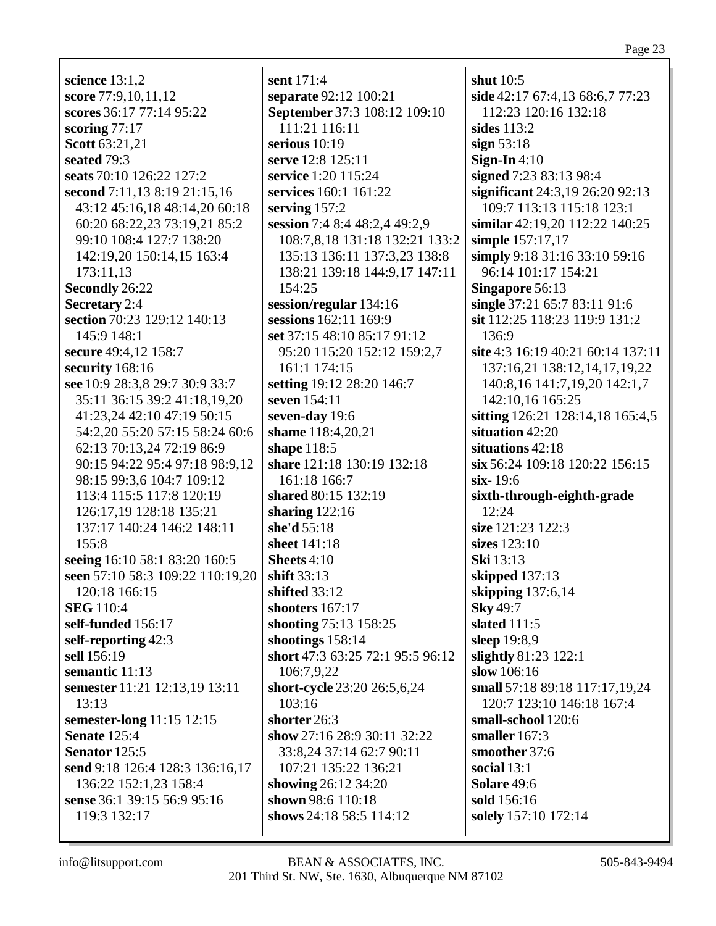**science** 13:1,2 **score** 77:9,10,11,12 **scores** 36:17 77:14 95:22 **scoring** 77:17 **Scott** 63:21,21 **seated** 79:3 **seats** 70:10 126:22 127:2 **second** 7:11,13 8:19 21:15,16 43:12 45:16,18 48:14,20 60:18 60:20 68:22,23 73:19,21 85:2 99:10 108:4 127:7 138:20 142:19,20 150:14,15 163:4 173:11,13 **Secondly** 26:22 **Secretary** 2:4 **section** 70:23 129:12 140:13 145:9 148:1 **secure** 49:4,12 158:7 **security** 168:16 **see** 10:9 28:3,8 29:7 30:9 33:7 35:11 36:15 39:2 41:18,19,20 41:23,24 42:10 47:19 50:15 54:2,20 55:20 57:15 58:24 60:6 62:13 70:13,24 72:19 86:9 90:15 94:22 95:4 97:18 98:9,12 98:15 99:3,6 104:7 109:12 113:4 115:5 117:8 120:19 126:17,19 128:18 135:21 137:17 140:24 146:2 148:11 155:8 **seeing** 16:10 58:1 83:20 160:5 **seen** 57:10 58:3 109:22 110:19,20 120:18 166:15 **SEG** 110:4 **self-funded** 156:17 **self-reporting** 42:3 **sell** 156:19 **semantic** 11:13 **semester** 11:21 12:13,19 13:11 13:13 **semester-long** 11:15 12:15 **Senate** 125:4 **Senator** 125:5 **send** 9:18 126:4 128:3 136:16,17 136:22 152:1,23 158:4 **sense** 36:1 39:15 56:9 95:16 119:3 132:17

**sent** 171:4 **separate** 92:12 100:21 **September** 37:3 108:12 109:10 111:21 116:11 **serious** 10:19 **serve** 12:8 125:11 **service** 1:20 115:24 **services** 160:1 161:22 **serving** 157:2 **session** 7:4 8:4 48:2,4 49:2,9 108:7,8,18 131:18 132:21 133:2 135:13 136:11 137:3,23 138:8 138:21 139:18 144:9,17 147:11 154:25 **session/regular** 134:16 **sessions** 162:11 169:9 **set** 37:15 48:10 85:17 91:12 95:20 115:20 152:12 159:2,7 161:1 174:15 **setting** 19:12 28:20 146:7 **seven** 154:11 **seven-day** 19:6 **shame** 118:4,20,21 **shape** 118:5 **share** 121:18 130:19 132:18 161:18 166:7 **shared** 80:15 132:19 **sharing** 122:16 **she'd** 55:18 **sheet** 141:18 **Sheets** 4:10 **shift** 33:13 **shifted** 33:12 **shooters** 167:17 **shooting** 75:13 158:25 **shootings** 158:14 **short** 47:3 63:25 72:1 95:5 96:12 106:7,9,22 **short-cycle** 23:20 26:5,6,24 103:16 **shorter** 26:3 **show** 27:16 28:9 30:11 32:22 33:8,24 37:14 62:7 90:11 107:21 135:22 136:21 **showing** 26:12 34:20 **shown** 98:6 110:18 **shows** 24:18 58:5 114:12

**shut** 10:5 **side** 42:17 67:4,13 68:6,7 77:23 112:23 120:16 132:18 **sides** 113:2 **sign** 53:18 **Sign-In** 4:10 **signed** 7:23 83:13 98:4 **significant** 24:3,19 26:20 92:13 109:7 113:13 115:18 123:1 **similar** 42:19,20 112:22 140:25 **simple** 157:17,17 **simply** 9:18 31:16 33:10 59:16 96:14 101:17 154:21 **Singapore** 56:13 **single** 37:21 65:7 83:11 91:6 **sit** 112:25 118:23 119:9 131:2 136:9 **site** 4:3 16:19 40:21 60:14 137:11 137:16,21 138:12,14,17,19,22 140:8,16 141:7,19,20 142:1,7 142:10,16 165:25 **sitting** 126:21 128:14,18 165:4,5 **situation** 42:20 **situations** 42:18 **six** 56:24 109:18 120:22 156:15 **six-** 19:6 **sixth-through-eighth-grade** 12:24 **size** 121:23 122:3 **sizes** 123:10 **Ski** 13:13 **skipped** 137:13 **skipping** 137:6,14 **Sky** 49:7 **slated** 111:5 **sleep** 19:8,9 **slightly** 81:23 122:1 **slow** 106:16 **small** 57:18 89:18 117:17,19,24 120:7 123:10 146:18 167:4 **small-school** 120:6 **smaller** 167:3 **smoother** 37:6 **social** 13:1 **Solare** 49:6 **sold** 156:16 **solely** 157:10 172:14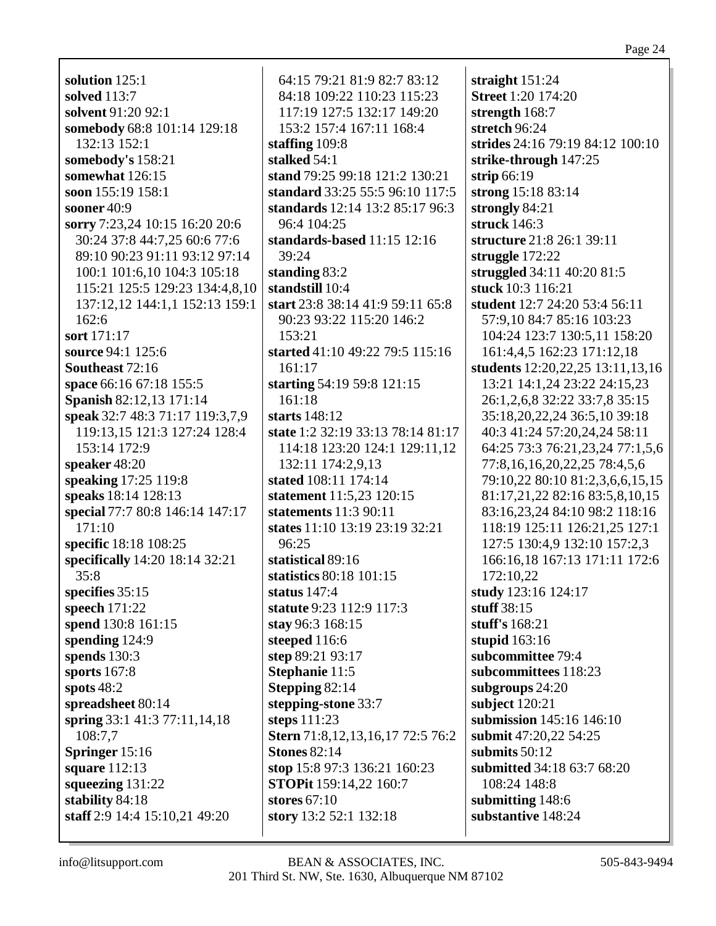**solution** 125:1 **solved** 113:7 **solvent** 91:20 92:1 **somebody** 68:8 101:14 129:18 132:13 152:1 **somebody's** 158:21 **somewhat** 126:15 **soon** 155:19 158:1 **sooner** 40:9 **sorry** 7:23,24 10:15 16:20 20:6 30:24 37:8 44:7,25 60:6 77:6 89:10 90:23 91:11 93:12 97:14 100:1 101:6,10 104:3 105:18 115:21 125:5 129:23 134:4,8,10 137:12,12 144:1,1 152:13 159:1 162:6 **sort** 171:17 **source** 94:1 125:6 **Southeast** 72:16 **space** 66:16 67:18 155:5 **Spanish** 82:12,13 171:14 **speak** 32:7 48:3 71:17 119:3,7,9 119:13,15 121:3 127:24 128:4 153:14 172:9 **speaker** 48:20 **speaking** 17:25 119:8 **speaks** 18:14 128:13 **special** 77:7 80:8 146:14 147:17 171:10 **specific** 18:18 108:25 **specifically** 14:20 18:14 32:21 35:8 **specifies** 35:15 **speech** 171:22 **spend** 130:8 161:15 **spending** 124:9 **spends** 130:3 **sports** 167:8 **spots** 48:2 **spreadsheet** 80:14 **spring** 33:1 41:3 77:11,14,18 108:7,7 **Springer** 15:16 **square** 112:13 **squeezing** 131:22 **stability** 84:18 **staff** 2:9 14:4 15:10,21 49:20

64:15 79:21 81:9 82:7 83:12 84:18 109:22 110:23 115:23 117:19 127:5 132:17 149:20 153:2 157:4 167:11 168:4 **staffing** 109:8 **stalked** 54:1 **stand** 79:25 99:18 121:2 130:21 **standard** 33:25 55:5 96:10 117:5 **standards** 12:14 13:2 85:17 96:3 96:4 104:25 **standards-based** 11:15 12:16 39:24 **standing** 83:2 **standstill** 10:4 **start** 23:8 38:14 41:9 59:11 65:8 90:23 93:22 115:20 146:2 153:21 **started** 41:10 49:22 79:5 115:16 161:17 **starting** 54:19 59:8 121:15 161:18 **starts** 148:12 **state** 1:2 32:19 33:13 78:14 81:17 114:18 123:20 124:1 129:11,12 132:11 174:2,9,13 **stated** 108:11 174:14 **statement** 11:5,23 120:15 **statements** 11:3 90:11 **states** 11:10 13:19 23:19 32:21 96:25 **statistical** 89:16 **statistics** 80:18 101:15 **status** 147:4 **statute** 9:23 112:9 117:3 **stay** 96:3 168:15 **steeped** 116:6 **step** 89:21 93:17 **Stephanie** 11:5 **Stepping** 82:14 **stepping-stone** 33:7 **steps** 111:23 **Stern** 71:8,12,13,16,17 72:5 76:2 **Stones** 82:14 **stop** 15:8 97:3 136:21 160:23 **STOPit** 159:14,22 160:7 **stores** 67:10 **story** 13:2 52:1 132:18

**straight** 151:24 **Street** 1:20 174:20 **strength** 168:7 **stretch** 96:24 **strides** 24:16 79:19 84:12 100:10 **strike-through** 147:25 **strip** 66:19 **strong** 15:18 83:14 **strongly** 84:21 **struck** 146:3 **structure** 21:8 26:1 39:11 **struggle** 172:22 **struggled** 34:11 40:20 81:5 **stuck** 10:3 116:21 **student** 12:7 24:20 53:4 56:11 57:9,10 84:7 85:16 103:23 104:24 123:7 130:5,11 158:20 161:4,4,5 162:23 171:12,18 **students** 12:20,22,25 13:11,13,16 13:21 14:1,24 23:22 24:15,23 26:1,2,6,8 32:22 33:7,8 35:15 35:18,20,22,24 36:5,10 39:18 40:3 41:24 57:20,24,24 58:11 64:25 73:3 76:21,23,24 77:1,5,6 77:8,16,16,20,22,25 78:4,5,6 79:10,22 80:10 81:2,3,6,6,15,15 81:17,21,22 82:16 83:5,8,10,15 83:16,23,24 84:10 98:2 118:16 118:19 125:11 126:21,25 127:1 127:5 130:4,9 132:10 157:2,3 166:16,18 167:13 171:11 172:6 172:10,22 **study** 123:16 124:17 **stuff** 38:15 **stuff's** 168:21 **stupid** 163:16 **subcommittee** 79:4 **subcommittees** 118:23 **subgroups** 24:20 **subject** 120:21 **submission** 145:16 146:10 **submit** 47:20,22 54:25 **submits** 50:12 **submitted** 34:18 63:7 68:20 108:24 148:8 **submitting** 148:6 **substantive** 148:24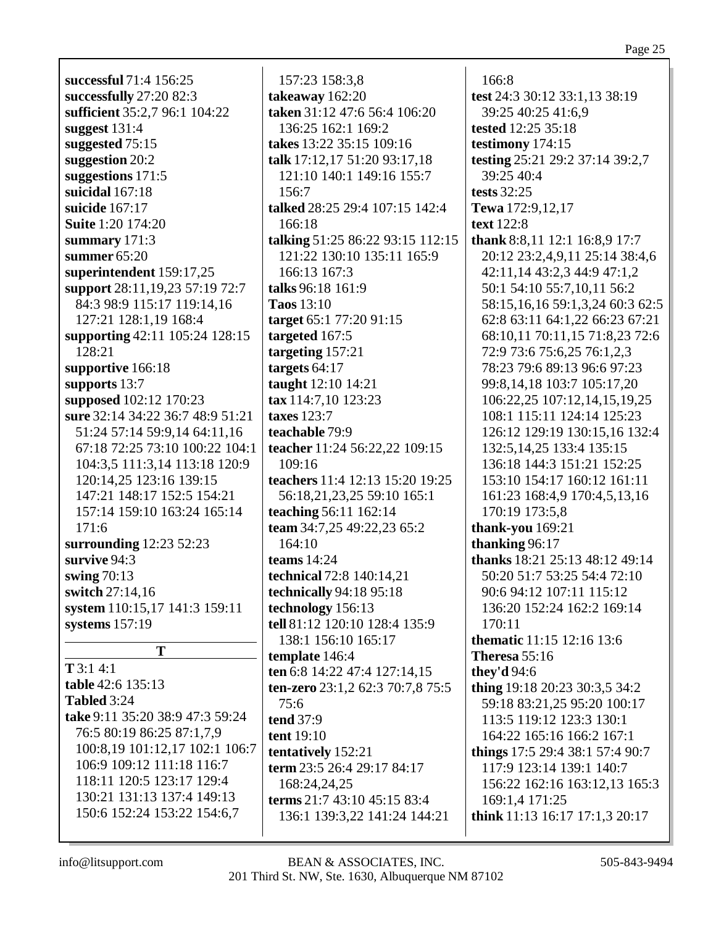**successful** 71:4 156:25 **successfully** 27:20 82:3 **sufficient** 35:2,7 96:1 104:22 **suggest** 131:4 **suggested** 75:15 **suggestion** 20:2 **suggestions** 171:5 **suicidal** 167:18 **suicide** 167:17 **Suite** 1:20 174:20 **summary** 171:3 **summer** 65:20 **superintendent** 159:17,25 **support** 28:11,19,23 57:19 72:7 84:3 98:9 115:17 119:14,16 127:21 128:1,19 168:4 **supporting** 42:11 105:24 128:15 128:21 **supportive** 166:18 **supports** 13:7 **supposed** 102:12 170:23 **sure** 32:14 34:22 36:7 48:9 51:21 51:24 57:14 59:9,14 64:11,16 67:18 72:25 73:10 100:22 104:1 104:3,5 111:3,14 113:18 120:9 120:14,25 123:16 139:15 147:21 148:17 152:5 154:21 157:14 159:10 163:24 165:14 171:6 **surrounding** 12:23 52:23 **survive** 94:3 **swing** 70:13 **switch** 27:14,16 **system** 110:15,17 141:3 159:11 **systems** 157:19 **T**

**T** 3:1 4:1 **table** 42:6 135:13 **Tabled** 3:24 **take** 9:11 35:20 38:9 47:3 59:24 76:5 80:19 86:25 87:1,7,9 100:8,19 101:12,17 102:1 106:7 106:9 109:12 111:18 116:7 118:11 120:5 123:17 129:4 130:21 131:13 137:4 149:13 150:6 152:24 153:22 154:6,7

157:23 158:3,8 **takeaway** 162:20 **taken** 31:12 47:6 56:4 106:20 136:25 162:1 169:2 **takes** 13:22 35:15 109:16 **talk** 17:12,17 51:20 93:17,18 121:10 140:1 149:16 155:7 156:7 **talked** 28:25 29:4 107:15 142:4 166:18 **talking** 51:25 86:22 93:15 112:15 121:22 130:10 135:11 165:9 166:13 167:3 **talks** 96:18 161:9 **Taos** 13:10 **target** 65:1 77:20 91:15 **targeted** 167:5 **targeting** 157:21 **targets** 64:17 **taught** 12:10 14:21 **tax** 114:7,10 123:23 **taxes** 123:7 **teachable** 79:9 **teacher** 11:24 56:22,22 109:15 109:16 **teachers** 11:4 12:13 15:20 19:25 56:18,21,23,25 59:10 165:1 **teaching** 56:11 162:14 **team** 34:7,25 49:22,23 65:2 164:10 **teams** 14:24 **technical** 72:8 140:14,21 **technically** 94:18 95:18 **technology** 156:13 **tell** 81:12 120:10 128:4 135:9 138:1 156:10 165:17 **template** 146:4 **ten** 6:8 14:22 47:4 127:14,15 **ten-zero** 23:1,2 62:3 70:7,8 75:5 75:6 **tend** 37:9 **tent** 19:10 **tentatively** 152:21 **term** 23:5 26:4 29:17 84:17 168:24,24,25 **terms** 21:7 43:10 45:15 83:4 136:1 139:3,22 141:24 144:21

166:8 **test** 24:3 30:12 33:1,13 38:19 39:25 40:25 41:6,9 **tested** 12:25 35:18 **testimony** 174:15 **testing** 25:21 29:2 37:14 39:2,7 39:25 40:4 **tests** 32:25 **Tewa** 172:9,12,17 **text** 122:8 **thank** 8:8,11 12:1 16:8,9 17:7 20:12 23:2,4,9,11 25:14 38:4,6 42:11,14 43:2,3 44:9 47:1,2 50:1 54:10 55:7,10,11 56:2 58:15,16,16 59:1,3,24 60:3 62:5 62:8 63:11 64:1,22 66:23 67:21 68:10,11 70:11,15 71:8,23 72:6 72:9 73:6 75:6,25 76:1,2,3 78:23 79:6 89:13 96:6 97:23 99:8,14,18 103:7 105:17,20 106:22,25 107:12,14,15,19,25 108:1 115:11 124:14 125:23 126:12 129:19 130:15,16 132:4 132:5,14,25 133:4 135:15 136:18 144:3 151:21 152:25 153:10 154:17 160:12 161:11 161:23 168:4,9 170:4,5,13,16 170:19 173:5,8 **thank-you** 169:21 **thanking** 96:17 **thanks** 18:21 25:13 48:12 49:14 50:20 51:7 53:25 54:4 72:10 90:6 94:12 107:11 115:12 136:20 152:24 162:2 169:14 170:11 **thematic** 11:15 12:16 13:6 **Theresa** 55:16 **they'd** 94:6 **thing** 19:18 20:23 30:3,5 34:2 59:18 83:21,25 95:20 100:17 113:5 119:12 123:3 130:1 164:22 165:16 166:2 167:1 **things** 17:5 29:4 38:1 57:4 90:7 117:9 123:14 139:1 140:7 156:22 162:16 163:12,13 165:3 169:1,4 171:25 **think** 11:13 16:17 17:1,3 20:17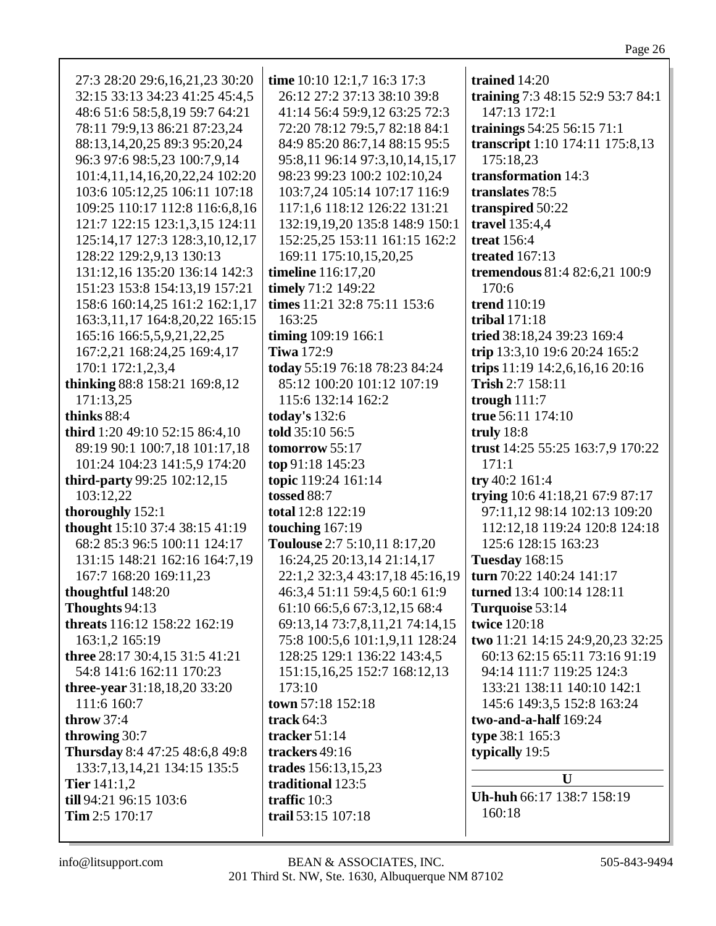| 27:3 28:20 29:6,16,21,23 30:20   | time 10:10 12:1,7 16:3 17:3     | trained 14:20                     |
|----------------------------------|---------------------------------|-----------------------------------|
| 32:15 33:13 34:23 41:25 45:4,5   | 26:12 27:2 37:13 38:10 39:8     | training 7:3 48:15 52:9 53:7 84:1 |
| 48:6 51:6 58:5,8,19 59:7 64:21   | 41:14 56:4 59:9,12 63:25 72:3   | 147:13 172:1                      |
| 78:11 79:9,13 86:21 87:23,24     | 72:20 78:12 79:5,7 82:18 84:1   | trainings 54:25 56:15 71:1        |
| 88:13,14,20,25 89:3 95:20,24     | 84:9 85:20 86:7,14 88:15 95:5   | transcript 1:10 174:11 175:8,13   |
| 96:3 97:6 98:5,23 100:7,9,14     | 95:8,11 96:14 97:3,10,14,15,17  | 175:18,23                         |
| 101:4,11,14,16,20,22,24 102:20   | 98:23 99:23 100:2 102:10,24     | transformation 14:3               |
| 103:6 105:12,25 106:11 107:18    | 103:7,24 105:14 107:17 116:9    | translates 78:5                   |
| 109:25 110:17 112:8 116:6,8,16   | 117:1,6 118:12 126:22 131:21    | transpired 50:22                  |
| 121:7 122:15 123:1,3,15 124:11   | 132:19,19,20 135:8 148:9 150:1  | travel 135:4,4                    |
| 125:14,17 127:3 128:3,10,12,17   | 152:25,25 153:11 161:15 162:2   | <b>treat</b> 156:4                |
| 128:22 129:2,9,13 130:13         | 169:11 175:10,15,20,25          | treated 167:13                    |
| 131:12,16 135:20 136:14 142:3    | <b>timeline</b> 116:17,20       | tremendous 81:4 82:6,21 100:9     |
| 151:23 153:8 154:13,19 157:21    | timely 71:2 149:22              | 170:6                             |
| 158:6 160:14,25 161:2 162:1,17   | times 11:21 32:8 75:11 153:6    | <b>trend</b> 110:19               |
| 163:3,11,17 164:8,20,22 165:15   | 163:25                          | tribal $171:18$                   |
| 165:16 166:5,5,9,21,22,25        | timing 109:19 166:1             | tried 38:18,24 39:23 169:4        |
| 167:2,21 168:24,25 169:4,17      | <b>Tiwa 172:9</b>               | trip 13:3,10 19:6 20:24 165:2     |
| 170:1 172:1,2,3,4                | today 55:19 76:18 78:23 84:24   | trips 11:19 14:2,6,16,16 20:16    |
| thinking 88:8 158:21 169:8,12    | 85:12 100:20 101:12 107:19      | Trish 2:7 158:11                  |
| 171:13,25                        | 115:6 132:14 162:2              | trough $111:7$                    |
| thinks 88:4                      | today's 132:6                   | true 56:11 174:10                 |
| third 1:20 49:10 52:15 86:4,10   | told 35:10 56:5                 | truly $18:8$                      |
| 89:19 90:1 100:7,18 101:17,18    | tomorrow 55:17                  | trust 14:25 55:25 163:7,9 170:22  |
| 101:24 104:23 141:5,9 174:20     | top 91:18 145:23                | 171:1                             |
| third-party 99:25 102:12,15      | topic 119:24 161:14             | try 40:2 161:4                    |
| 103:12,22                        | tossed 88:7                     | trying 10:6 41:18,21 67:9 87:17   |
|                                  | total 12:8 122:19               | 97:11,12 98:14 102:13 109:20      |
| thoroughly 152:1                 |                                 |                                   |
| thought 15:10 37:4 38:15 41:19   | touching 167:19                 | 112:12,18 119:24 120:8 124:18     |
| 68:2 85:3 96:5 100:11 124:17     | Toulouse 2:7 5:10,11 8:17,20    | 125:6 128:15 163:23               |
| 131:15 148:21 162:16 164:7,19    | 16:24,25 20:13,14 21:14,17      | <b>Tuesday</b> 168:15             |
| 167:7 168:20 169:11,23           | 22:1,2 32:3,4 43:17,18 45:16,19 | turn 70:22 140:24 141:17          |
| thoughtful 148:20                | 46:3,4 51:11 59:4,5 60:1 61:9   | turned 13:4 100:14 128:11         |
| Thoughts 94:13                   | 61:10 66:5,6 67:3,12,15 68:4    | Turquoise 53:14                   |
| threats 116:12 158:22 162:19     | 69:13,14 73:7,8,11,21 74:14,15  | twice 120:18                      |
| 163:1,2 165:19                   | 75:8 100:5,6 101:1,9,11 128:24  | two 11:21 14:15 24:9,20,23 32:25  |
| three 28:17 30:4,15 31:5 41:21   | 128:25 129:1 136:22 143:4,5     | 60:13 62:15 65:11 73:16 91:19     |
| 54:8 141:6 162:11 170:23         | 151:15, 16, 25 152:7 168:12, 13 | 94:14 111:7 119:25 124:3          |
| three-year 31:18,18,20 33:20     | 173:10                          | 133:21 138:11 140:10 142:1        |
| 111:6 160:7                      | town 57:18 152:18               | 145:6 149:3,5 152:8 163:24        |
| throw $37:4$                     | track $64:3$                    | two-and-a-half $169:24$           |
| throwing 30:7                    | tracker $51:14$                 | type 38:1 165:3                   |
| Thursday 8:4 47:25 48:6,8 49:8   | trackers 49:16                  | typically 19:5                    |
| 133:7, 13, 14, 21 134: 15 135: 5 | trades 156:13,15,23             |                                   |
| <b>Tier</b> $141:1,2$            | traditional 123:5               | U                                 |
| till 94:21 96:15 103:6           | traffic 10:3                    | Uh-huh 66:17 138:7 158:19         |
| Tim 2:5 170:17                   | trail 53:15 107:18              | 160:18                            |
|                                  |                                 |                                   |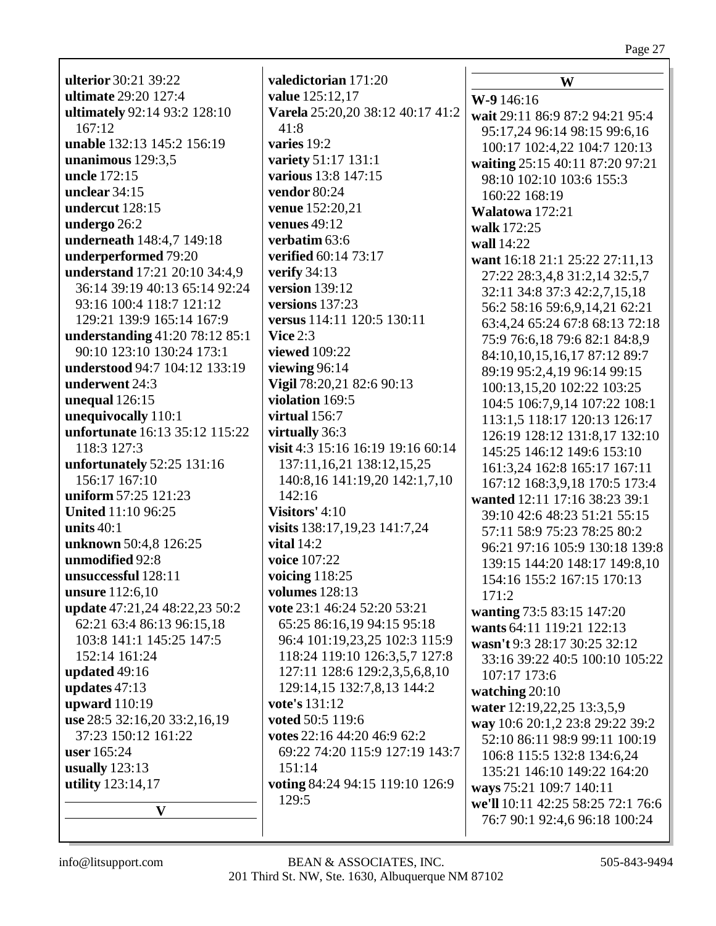**ulterior** 30:21 39:22 **ultimate** 29:20 127:4 ultimately 92:14 93:2 128:10  $167:12$ **unable** 132:13 145:2 156:19 unanimous  $129:3.5$ uncle 172:15 unclear  $34:15$ undercut 128:15 undergo 26:2 underneath 148:4,7 149:18 underperformed 79:20 understand 17:21 20:10 34:4,9 36:14 39:19 40:13 65:14 92:24 93:16 100:4 118:7 121:12 129:21 139:9 165:14 167:9 **understanding**  $41:2078:1285:1$ 90:10 123:10 130:24 173:1 understood 94:7 104:12 133:19 underwent 24:3 unequal  $126:15$ unequivocally 110:1 unfortunate 16:13 35:12 115:22  $118:3$  127:3 unfortunately 52:25 131:16 156:17 167:10 uniform 57:25 121:23 **United 11:10 96:25** units  $40:1$ unknown 50:4,8 126:25 unmodified 92:8 unsuccessful 128:11 **unsure** 112:6,10 update 47:21,24 48:22,23 50:2 62:21 63:4 86:13 96:15,18 103:8 141:1 145:25 147:5 152:14 161:24 updated  $49:16$ updates  $47:13$ upward  $110:19$ use 28:5 32:16,20 33:2,16,19 37:23 150:12 161:22 **user** 165:24 usually  $123:13$ utility 123:14,17  $\mathbf{V}$ 

valedictorian 171:20 value 125:12,17 Varela 25:20.20 38:12 40:17 41:2  $41:8$ varies 19:2 variety 51:17 131:1 various 13:8 147:15 vendor 80:24 **venue** 152:20,21 venues  $49:12$ verbatim  $63:6$ **verified** 60:14 73:17 verify  $34:13$ version  $139:12$ versions  $137:23$ versus 114:11 120:5 130:11 Vice  $2:3$ **viewed** 109:22 viewing  $96:14$ Vigil 78:20,21 82:6 90:13 violation 169:5 virtual  $156:7$ virtually 36:3 visit 4:3 15:16 16:19 19:16 60:14 137:11, 16, 21 138:12, 15, 25 140:8, 16 141:19, 20 142:1, 7, 10  $142:16$ Visitors'  $4:10$ visits 138:17,19,23 141:7,24 vital  $14:2$ voice 107:22 voicing  $118:25$ volumes  $128:13$ vote 23:1 46:24 52:20 53:21 65:25 86:16,19 94:15 95:18 96:4 101:19,23,25 102:3 115:9 118:24 119:10 126:3,5,7 127:8 127:11 128:6 129:2,3,5,6,8,10 129:14,15 132:7,8,13 144:2 vote's 131:12 voted 50:5 119:6 votes  $22:1644:2046:962:2$ 69:22 74:20 115:9 127:19 143:7  $151:14$ voting 84:24 94:15 119:10 126:9  $129.5$ 

W  $W-9146:16$ wait 29:11 86:9 87:2 94:21 95:4 95:17,24 96:14 98:15 99:6,16 100:17 102:4,22 104:7 120:13 waiting 25:15 40:11 87:20 97:21 98:10 102:10 103:6 155:3  $160:22.168:19$ Walatowa 172:21 walk 172:25 wall 14:22 want 16:18 21:1 25:22 27:11,13 27:22 28:3,4,8 31:2,14 32:5,7 32:11 34:8 37:3 42:2,7,15,18 56:2 58:16 59:6,9,14,21 62:21 63:4,24 65:24 67:8 68:13 72:18 75:9 76:6,18 79:6 82:1 84:8,9 84:10,10,15,16,17 87:12 89:7 89:19 95:2,4,19 96:14 99:15 100:13,15,20 102:22 103:25 104:5 106:7,9,14 107:22 108:1 113:1,5 118:17 120:13 126:17 126:19 128:12 131:8,17 132:10 145:25 146:12 149:6 153:10 161:3,24 162:8 165:17 167:11 167:12 168:3.9.18 170:5 173:4 wanted 12:11 17:16 38:23 39:1 39:10 42:6 48:23 51:21 55:15 57:11 58:9 75:23 78:25 80:2 96:21 97:16 105:9 130:18 139:8 139:15 144:20 148:17 149:8,10 154:16 155:2 167:15 170:13  $171:2$ wanting 73:5 83:15 147:20 wants 64:11 119:21 122:13 wasn't 9:3 28:17 30:25 32:12 33:16 39:22 40:5 100:10 105:22 107:17 173:6 watching  $20:10$ water 12:19,22,25 13:3,5,9 way 10:6 20:1,2 23:8 29:22 39:2 52:10 86:11 98:9 99:11 100:19 106:8 115:5 132:8 134:6.24 135:21 146:10 149:22 164:20 ways 75:21 109:7 140:11 we'll 10:11 42:25 58:25 72:1 76:6 76:7 90:1 92:4,6 96:18 100:24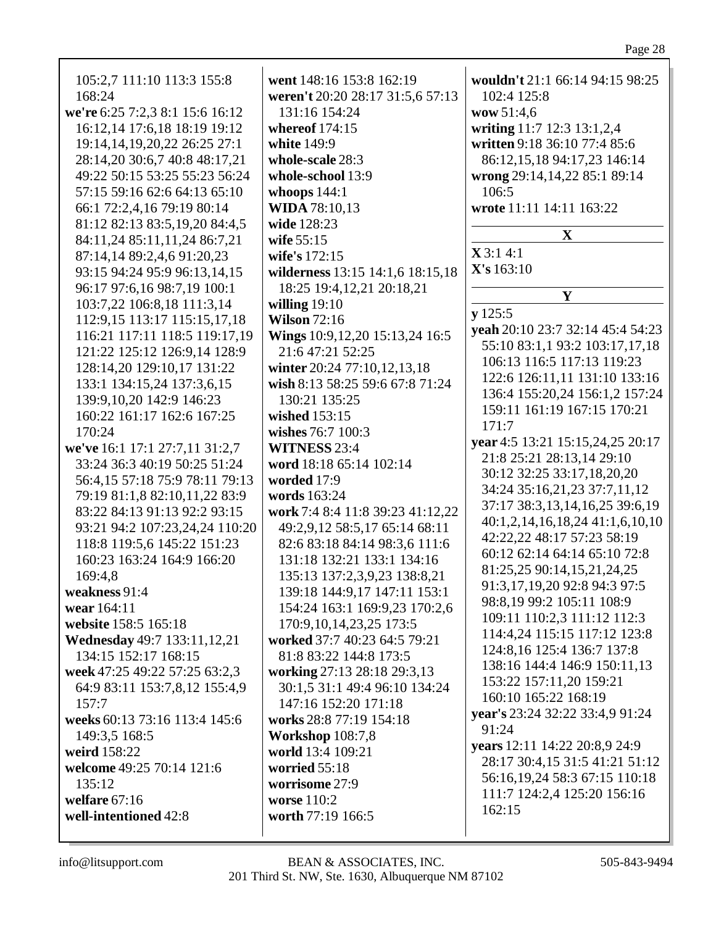| white 149:9<br>28:14,20 30:6,7 40:8 48:17,21<br>whole-scale 28:3<br>86:12,15,18 94:17,23 146:14<br>49:22 50:15 53:25 55:23 56:24<br>whole-school 13:9<br>wrong 29:14,14,22 85:1 89:14<br>57:15 59:16 62:6 64:13 65:10<br>whoops $144:1$<br>106:5<br><b>WIDA 78:10,13</b><br>wrote 11:11 14:11 163:22<br>66:1 72:2,4,16 79:19 80:14<br>81:12 82:13 83:5,19,20 84:4,5<br>wide 128:23<br>X<br>84:11,24 85:11,11,24 86:7,21<br>wife 55:15<br>X3:14:1<br>87:14,14 89:2,4,6 91:20,23<br>wife's 172:15<br>X's 163:10<br>93:15 94:24 95:9 96:13,14,15<br>wilderness 13:15 14:1,6 18:15,18<br>96:17 97:6,16 98:7,19 100:1<br>18:25 19:4,12,21 20:18,21<br>Y<br>103:7,22 106:8,18 111:3,14<br>willing $19:10$<br>y 125:5<br><b>Wilson 72:16</b><br>112:9,15 113:17 115:15,17,18<br>Wings 10:9,12,20 15:13,24 16:5<br>116:21 117:11 118:5 119:17,19<br>121:22 125:12 126:9,14 128:9<br>21:6 47:21 52:25<br>106:13 116:5 117:13 119:23<br>128:14,20 129:10,17 131:22<br>winter 20:24 77:10,12,13,18<br>133:1 134:15,24 137:3,6,15<br>wish 8:13 58:25 59:6 67:8 71:24<br>139:9, 10, 20 142:9 146: 23<br>130:21 135:25<br>160:22 161:17 162:6 167:25<br>wished 153:15<br>171:7<br>wishes 76:7 100:3<br>170:24<br>we've 16:1 17:1 27:7,11 31:2,7<br><b>WITNESS 23:4</b><br>21:8 25:21 28:13,14 29:10<br>33:24 36:3 40:19 50:25 51:24<br>word 18:18 65:14 102:14<br>30:12 32:25 33:17,18,20,20<br>56:4,15 57:18 75:9 78:11 79:13<br>worded 17:9<br>words 163:24<br>79:19 81:1,8 82:10,11,22 83:9<br>work 7:4 8:4 11:8 39:23 41:12,22<br>83:22 84:13 91:13 92:2 93:15<br>93:21 94:2 107:23,24,24 110:20<br>49:2,9,12 58:5,17 65:14 68:11<br>42:22,22 48:17 57:23 58:19<br>118:8 119:5,6 145:22 151:23<br>82:6 83:18 84:14 98:3,6 111:6<br>131:18 132:21 133:1 134:16<br>160:23 163:24 164:9 166:20<br>81:25,25 90:14,15,21,24,25<br>135:13 137:2,3,9,23 138:8,21<br>169:4,8<br>91:3,17,19,20 92:8 94:3 97:5<br>139:18 144:9,17 147:11 153:1<br>weakness 91:4<br>98:8,19 99:2 105:11 108:9<br>154:24 163:1 169:9,23 170:2,6<br>wear 164:11<br>109:11 110:2,3 111:12 112:3<br>website 158:5 165:18<br>170:9, 10, 14, 23, 25 173: 5<br><b>Wednesday</b> 49:7 133:11,12,21<br>worked 37:7 40:23 64:5 79:21<br>124:8, 16 125:4 136:7 137:8<br>134:15 152:17 168:15<br>81:8 83:22 144:8 173:5<br>working 27:13 28:18 29:3,13<br>week 47:25 49:22 57:25 63:2,3<br>153:22 157:11,20 159:21<br>64:9 83:11 153:7,8,12 155:4,9<br>30:1,5 31:1 49:4 96:10 134:24<br>160:10 165:22 168:19<br>147:16 152:20 171:18<br>157:7<br>weeks 60:13 73:16 113:4 145:6<br>works 28:8 77:19 154:18<br>91:24<br><b>Workshop 108:7,8</b><br>149:3,5 168:5<br>years 12:11 14:22 20:8,9 24:9<br>weird 158:22<br>world 13:4 109:21<br>welcome 49:25 70:14 121:6<br>worried 55:18<br>worrisome 27:9<br>135:12<br>111:7 124:2,4 125:20 156:16<br>welfare $67:16$<br>worse 110:2<br>162:15<br>well-intentioned 42:8<br>worth 77:19 166:5 | 168:24<br>we're 6:25 7:2,3 8:1 15:6 16:12<br>16:12,14 17:6,18 18:19 19:12<br>19:14, 14, 19, 20, 22 26: 25 27: 1 | wouldn't 21:1 66:14 94:15 98:25<br>weren't 20:20 28:17 31:5,6 57:13<br>102:4 125:8<br>wow 51:4,6<br>writing 11:7 12:3 13:1,2,4<br>written 9:18 36:10 77:4 85:6<br>yeah 20:10 23:7 32:14 45:4 54:23<br>55:10 83:1,1 93:2 103:17,17,18<br>122:6 126:11,11 131:10 133:16<br>136:4 155:20,24 156:1,2 157:24<br>159:11 161:19 167:15 170:21<br>year 4:5 13:21 15:15,24,25 20:17<br>34:24 35:16,21,23 37:7,11,12<br>37:17 38:3,13,14,16,25 39:6,19<br>40:1,2,14,16,18,24 41:1,6,10,10<br>60:12 62:14 64:14 65:10 72:8<br>114:4,24 115:15 117:12 123:8<br>138:16 144:4 146:9 150:11,13<br>year's 23:24 32:22 33:4,9 91:24<br>28:17 30:4,15 31:5 41:21 51:12<br>56:16,19,24 58:3 67:15 110:18 |
|----------------------------------------------------------------------------------------------------------------------------------------------------------------------------------------------------------------------------------------------------------------------------------------------------------------------------------------------------------------------------------------------------------------------------------------------------------------------------------------------------------------------------------------------------------------------------------------------------------------------------------------------------------------------------------------------------------------------------------------------------------------------------------------------------------------------------------------------------------------------------------------------------------------------------------------------------------------------------------------------------------------------------------------------------------------------------------------------------------------------------------------------------------------------------------------------------------------------------------------------------------------------------------------------------------------------------------------------------------------------------------------------------------------------------------------------------------------------------------------------------------------------------------------------------------------------------------------------------------------------------------------------------------------------------------------------------------------------------------------------------------------------------------------------------------------------------------------------------------------------------------------------------------------------------------------------------------------------------------------------------------------------------------------------------------------------------------------------------------------------------------------------------------------------------------------------------------------------------------------------------------------------------------------------------------------------------------------------------------------------------------------------------------------------------------------------------------------------------------------------------------------------------------------------------------------------------------------------------------------------------------------------------------------------------------------------------------------------------------------------------------------------------------------------------------------------------------------------------------------------------------------|-----------------------------------------------------------------------------------------------------------------|---------------------------------------------------------------------------------------------------------------------------------------------------------------------------------------------------------------------------------------------------------------------------------------------------------------------------------------------------------------------------------------------------------------------------------------------------------------------------------------------------------------------------------------------------------------------------------------------------------------------------------------------------------------------------------------|
|----------------------------------------------------------------------------------------------------------------------------------------------------------------------------------------------------------------------------------------------------------------------------------------------------------------------------------------------------------------------------------------------------------------------------------------------------------------------------------------------------------------------------------------------------------------------------------------------------------------------------------------------------------------------------------------------------------------------------------------------------------------------------------------------------------------------------------------------------------------------------------------------------------------------------------------------------------------------------------------------------------------------------------------------------------------------------------------------------------------------------------------------------------------------------------------------------------------------------------------------------------------------------------------------------------------------------------------------------------------------------------------------------------------------------------------------------------------------------------------------------------------------------------------------------------------------------------------------------------------------------------------------------------------------------------------------------------------------------------------------------------------------------------------------------------------------------------------------------------------------------------------------------------------------------------------------------------------------------------------------------------------------------------------------------------------------------------------------------------------------------------------------------------------------------------------------------------------------------------------------------------------------------------------------------------------------------------------------------------------------------------------------------------------------------------------------------------------------------------------------------------------------------------------------------------------------------------------------------------------------------------------------------------------------------------------------------------------------------------------------------------------------------------------------------------------------------------------------------------------------------------------|-----------------------------------------------------------------------------------------------------------------|---------------------------------------------------------------------------------------------------------------------------------------------------------------------------------------------------------------------------------------------------------------------------------------------------------------------------------------------------------------------------------------------------------------------------------------------------------------------------------------------------------------------------------------------------------------------------------------------------------------------------------------------------------------------------------------|

Г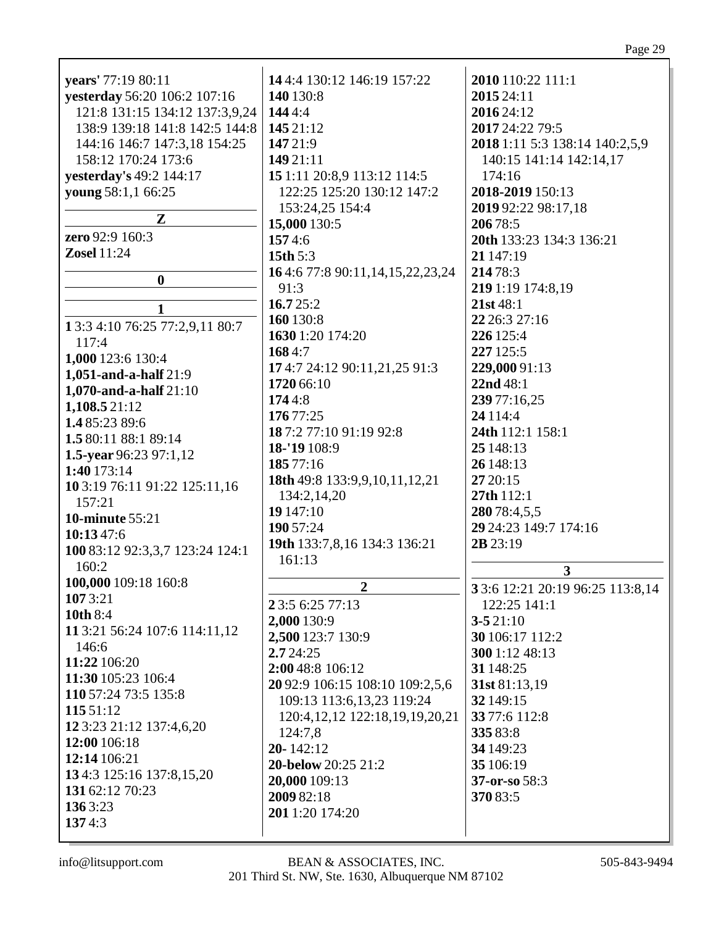| years' 77:19 80:11              | 14 4:4 130:12 146:19 157:22           | 2010 110:22 111:1                |
|---------------------------------|---------------------------------------|----------------------------------|
| yesterday 56:20 106:2 107:16    | 140 130:8                             | 2015 24:11                       |
| 121:8 131:15 134:12 137:3,9,24  | 1444:4                                | 2016 24:12                       |
| 138:9 139:18 141:8 142:5 144:8  | 145 21:12                             | 2017 24:22 79:5                  |
| 144:16 146:7 147:3,18 154:25    | 147 21:9                              | 2018 1:11 5:3 138:14 140:2,5,9   |
|                                 |                                       |                                  |
| 158:12 170:24 173:6             | 149 21:11                             | 140:15 141:14 142:14,17          |
| yesterday's 49:2 144:17         | 15 1:11 20:8,9 113:12 114:5           | 174:16                           |
| young 58:1,1 66:25              | 122:25 125:20 130:12 147:2            | 2018-2019 150:13                 |
|                                 | 153:24,25 154:4                       | 2019 92:22 98:17,18              |
| ${\bf Z}$                       | 15,000 130:5                          | 206 78:5                         |
| zero 92:9 160:3                 | 1574:6                                | 20th 133:23 134:3 136:21         |
| <b>Zosel</b> 11:24              | 15th $5:3$                            | 21 147:19                        |
|                                 | 164:677:890:11,14,15,22,23,24         | 214 78:3                         |
| $\boldsymbol{0}$                |                                       |                                  |
|                                 | 91:3                                  | 219 1:19 174:8,19                |
| 1                               | 16.725:2                              | 21st 48:1                        |
| 13:3 4:10 76:25 77:2,9,11 80:7  | 160 130:8                             | 22 26:3 27:16                    |
| 117:4                           | 1630 1:20 174:20                      | 226 125:4                        |
|                                 | 1684:7                                | 227 125:5                        |
| 1,000 123:6 130:4               | 174:7 24:12 90:11,21,25 91:3          | 229,000 91:13                    |
| 1,051-and-a-half $21:9$         | 1720 66:10                            | 22nd 48:1                        |
| 1,070-and-a-half $21:10$        |                                       |                                  |
| 1,108.5 21:12                   | 1744:8                                | 239 77:16,25                     |
| 1.485:2389:6                    | 176 77:25                             | 24 1 1 4:4                       |
| 1.5 80:11 88:1 89:14            | 187:277:1091:1992:8                   | 24th 112:1 158:1                 |
| 1.5-year 96:23 97:1,12          | 18-'19 108:9                          | 25 148:13                        |
|                                 | 185 77:16                             | 26 148:13                        |
| 1:40 173:14                     | 18th 49:8 133:9,9,10,11,12,21         | 27 20:15                         |
| 10 3:19 76:11 91:22 125:11,16   | 134:2,14,20                           | 27th 112:1                       |
| 157:21                          | 19 147:10                             | 280 78:4,5,5                     |
| <b>10-minute 55:21</b>          |                                       |                                  |
| 10:1347:6                       | 190 57:24                             | 29 24:23 149:7 174:16            |
| 100 83:12 92:3,3,7 123:24 124:1 | 19th 133:7,8,16 134:3 136:21          | 2B 23:19                         |
| 160:2                           | 161:13                                |                                  |
| 100,000 109:18 160:8            |                                       | 3                                |
|                                 | $\overline{2}$                        | 3 3:6 12:21 20:19 96:25 113:8,14 |
| 1073:21                         | 2 3:5 6:25 77:13                      | 122:25 141:1                     |
| <b>10th 8:4</b>                 | 2,000 130:9                           | $3 - 521:10$                     |
| 11 3:21 56:24 107:6 114:11,12   | 2,500 123:7 130:9                     | 30 106:17 112:2                  |
| 146:6                           | 2.724:25                              | 300 1:12 48:13                   |
| 11:22 106:20                    | 2:00 48:8 106:12                      | 31 148:25                        |
| 11:30 105:23 106:4              | 20 92:9 106:15 108:10 109:2,5,6       | 31st 81:13,19                    |
| 110 57:24 73:5 135:8            |                                       |                                  |
| 115 51:12                       | 109:13 113:6,13,23 119:24             | 32 149:15                        |
| 12 3:23 21:12 137:4,6,20        | 120:4, 12, 12 122: 18, 19, 19, 20, 21 | 33 77:6 112:8                    |
| 12:00 106:18                    | 124:7,8                               | 335 83:8                         |
|                                 | $20 - 142:12$                         | 34 149:23                        |
| 12:14 106:21                    | 20-below 20:25 21:2                   | 35 106:19                        |
| 134:3 125:16 137:8,15,20        | 20,000 109:13                         | 37-or-so 58:3                    |
| 131 62:12 70:23                 | 2009 82:18                            | 370 83:5                         |
| 136 3:23                        | 201 1:20 174:20                       |                                  |
| 1374:3                          |                                       |                                  |
|                                 |                                       |                                  |